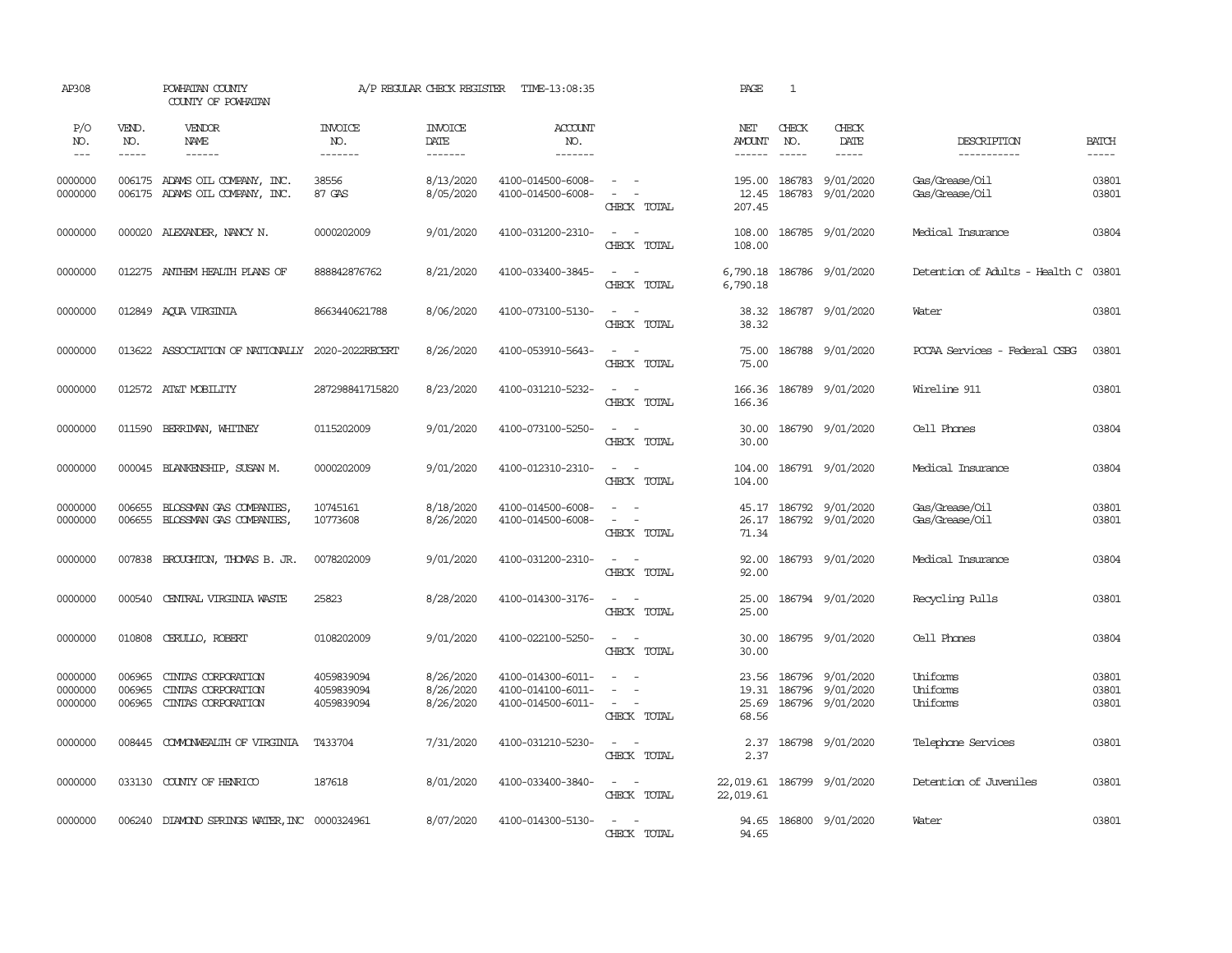| AP308                         |                            | POWHATAN COUNTY<br>COUNTY OF POWHATAN                                                                                                                                                                                                                                                                                                                                                                                                                                      |                                        | A/P REGULAR CHECK REGISTER          | TIME-13:08:35                                               |                                                                                                           | PAGE                             | $\mathbf{1}$     |                                            |                                      |                         |
|-------------------------------|----------------------------|----------------------------------------------------------------------------------------------------------------------------------------------------------------------------------------------------------------------------------------------------------------------------------------------------------------------------------------------------------------------------------------------------------------------------------------------------------------------------|----------------------------------------|-------------------------------------|-------------------------------------------------------------|-----------------------------------------------------------------------------------------------------------|----------------------------------|------------------|--------------------------------------------|--------------------------------------|-------------------------|
| P/O<br>NO.                    | VEND.<br>NO.               | VENDOR<br>NAME                                                                                                                                                                                                                                                                                                                                                                                                                                                             | <b>INVOICE</b><br>NO.                  | <b>INVOICE</b><br>DATE              | ACCOUNT<br>NO.                                              |                                                                                                           | NET<br><b>AMOUNT</b>             | CHECK<br>NO.     | CHECK<br>DATE                              | DESCRIPTION                          | <b>BATCH</b>            |
| $---$                         | $\frac{1}{2}$              | $\frac{1}{2} \left( \frac{1}{2} \right) \left( \frac{1}{2} \right) \left( \frac{1}{2} \right) \left( \frac{1}{2} \right) \left( \frac{1}{2} \right) \left( \frac{1}{2} \right) \left( \frac{1}{2} \right) \left( \frac{1}{2} \right) \left( \frac{1}{2} \right) \left( \frac{1}{2} \right) \left( \frac{1}{2} \right) \left( \frac{1}{2} \right) \left( \frac{1}{2} \right) \left( \frac{1}{2} \right) \left( \frac{1}{2} \right) \left( \frac{1}{2} \right) \left( \frac$ | --------                               | --------                            | --------                                                    |                                                                                                           | $- - - - - -$                    | $\frac{1}{2}$    | $- - - - -$                                | -----------                          | $- - - - -$             |
| 0000000<br>0000000            |                            | 006175 ADAMS OIL COMPANY, INC.<br>006175 ADAMS OIL COMPANY, INC.                                                                                                                                                                                                                                                                                                                                                                                                           | 38556<br>87 GAS                        | 8/13/2020<br>8/05/2020              | 4100-014500-6008-<br>4100-014500-6008-                      | $\sim$ $ \sim$<br>$\sim$<br>CHECK TOTAL                                                                   | 195.00<br>12.45<br>207.45        | 186783<br>186783 | 9/01/2020<br>9/01/2020                     | Gas/Grease/Oil<br>Gas/Grease/Oil     | 03801<br>03801          |
| 0000000                       |                            | 000020 ALEXANDER, NANCY N.                                                                                                                                                                                                                                                                                                                                                                                                                                                 | 0000202009                             | 9/01/2020                           | 4100-031200-2310-                                           | $\sim$ $ -$<br>CHECK TOTAL                                                                                | 108.00<br>108.00                 |                  | 186785 9/01/2020                           | Medical Insurance                    | 03804                   |
| 0000000                       |                            | 012275 ANTHEM HEALTH PLANS OF                                                                                                                                                                                                                                                                                                                                                                                                                                              | 888842876762                           | 8/21/2020                           | 4100-033400-3845-                                           | $\omega_{\rm{max}}$ and $\omega_{\rm{max}}$<br>CHECK TOTAL                                                | 6,790.18<br>6,790.18             |                  | 186786 9/01/2020                           | Detention of Adults - Health C 03801 |                         |
| 0000000                       |                            | 012849 AQUA VIRGINIA                                                                                                                                                                                                                                                                                                                                                                                                                                                       | 8663440621788                          | 8/06/2020                           | 4100-073100-5130-                                           | $\omega_{\rm{max}}$ and $\omega_{\rm{max}}$<br>CHECK TOTAL                                                | 38.32<br>38.32                   |                  | 186787 9/01/2020                           | Water                                | 03801                   |
| 0000000                       |                            | 013622 ASSOCIATION OF NATIONALLY 2020-2022RECERT                                                                                                                                                                                                                                                                                                                                                                                                                           |                                        | 8/26/2020                           | 4100-053910-5643-                                           | $\sim$ $ \sim$<br>CHECK TOTAL                                                                             | 75.00<br>75.00                   |                  | 186788 9/01/2020                           | PCCAA Services - Federal CSBG        | 03801                   |
| 0000000                       |                            | 012572 AT&T MOBILITY                                                                                                                                                                                                                                                                                                                                                                                                                                                       | 287298841715820                        | 8/23/2020                           | 4100-031210-5232-                                           | $\omega_{\rm{max}}$ and $\omega_{\rm{max}}$<br>CHECK TOTAL                                                | 166.36<br>166.36                 |                  | 186789 9/01/2020                           | Wireline 911                         | 03801                   |
| 0000000                       |                            | 011590 BERRIMAN, WHITNEY                                                                                                                                                                                                                                                                                                                                                                                                                                                   | 0115202009                             | 9/01/2020                           | 4100-073100-5250-                                           | $\sim$ 100 $\sim$<br>CHECK TOTAL                                                                          | 30.00<br>30.00                   |                  | 186790 9/01/2020                           | Cell Phones                          | 03804                   |
| 0000000                       |                            | 000045 BLANKENSHIP, SUSAN M.                                                                                                                                                                                                                                                                                                                                                                                                                                               | 0000202009                             | 9/01/2020                           | 4100-012310-2310-                                           | $\sim$<br>$\sim$ $-$<br>CHECK TOTAL                                                                       | 104.00<br>104.00                 |                  | 186791 9/01/2020                           | Medical Insurance                    | 03804                   |
| 0000000<br>0000000            | 006655<br>006655           | BLOSSMAN GAS COMPANIES,<br>BLOSSMAN GAS COMPANIES                                                                                                                                                                                                                                                                                                                                                                                                                          | 10745161<br>10773608                   | 8/18/2020<br>8/26/2020              | 4100-014500-6008-<br>4100-014500-6008-                      | $\omega_{\rm{max}}$ and $\omega_{\rm{max}}$<br>$\omega_{\rm{max}}$ and $\omega_{\rm{max}}$<br>CHECK TOTAL | 26.17<br>71.34                   |                  | 45.17 186792 9/01/2020<br>186792 9/01/2020 | Gas/Grease/Oil<br>Gas/Grease/Oil     | 03801<br>03801          |
| 0000000                       | 007838                     | BROUGHTON, THOMAS B. JR.                                                                                                                                                                                                                                                                                                                                                                                                                                                   | 0078202009                             | 9/01/2020                           | 4100-031200-2310-                                           | $\sim$ $ \sim$<br>CHECK TOTAL                                                                             | 92.00<br>92.00                   |                  | 186793 9/01/2020                           | Medical Insurance                    | 03804                   |
| 0000000                       | 000540                     | CENTRAL VIRGINIA WASTE                                                                                                                                                                                                                                                                                                                                                                                                                                                     | 25823                                  | 8/28/2020                           | 4100-014300-3176-                                           | $\sim$ $\sim$<br>CHECK TOTAL                                                                              | 25.00<br>25.00                   |                  | 186794 9/01/2020                           | Recycling Pulls                      | 03801                   |
| 0000000                       | 010808                     | CERULLO, ROBERT                                                                                                                                                                                                                                                                                                                                                                                                                                                            | 0108202009                             | 9/01/2020                           | 4100-022100-5250-                                           | $\omega_{\rm{max}}$ and $\omega_{\rm{max}}$<br>CHECK TOTAL                                                | 30.00<br>30.00                   |                  | 186795 9/01/2020                           | Cell Phones                          | 03804                   |
| 0000000<br>0000000<br>0000000 | 006965<br>006965<br>006965 | CINIAS CORPORATION<br>CINIAS CORPORATION<br>CINIAS CORPORATION                                                                                                                                                                                                                                                                                                                                                                                                             | 4059839094<br>4059839094<br>4059839094 | 8/26/2020<br>8/26/2020<br>8/26/2020 | 4100-014300-6011-<br>4100-014100-6011-<br>4100-014500-6011- | $\overline{\phantom{a}}$<br>$\sim$<br>$\sim$<br>$\sim$ $-$<br>$\sim$ $ -$<br>CHECK TOTAL                  | 23.56<br>19.31<br>25.69<br>68.56 | 186796<br>186796 | 9/01/2020<br>9/01/2020<br>186796 9/01/2020 | Uniforms<br>Uniforms<br>Uniforms     | 03801<br>03801<br>03801 |
| 0000000                       | 008445                     | COMONWEALTH OF VIRGINIA                                                                                                                                                                                                                                                                                                                                                                                                                                                    | T433704                                | 7/31/2020                           | 4100-031210-5230-                                           | $\sim$ $\sim$<br>CHECK TOTAL                                                                              | 2.37<br>2.37                     |                  | 186798 9/01/2020                           | Telephone Services                   | 03801                   |
| 0000000                       |                            | 033130 COUNTY OF HENRICO                                                                                                                                                                                                                                                                                                                                                                                                                                                   | 187618                                 | 8/01/2020                           | 4100-033400-3840-                                           | $\sim$ $ -$<br>CHECK TOTAL                                                                                | 22,019.61<br>22,019.61           |                  | 186799 9/01/2020                           | Detention of Juveniles               | 03801                   |
| 0000000                       |                            | 006240 DIAMOND SPRINGS WATER, INC 0000324961                                                                                                                                                                                                                                                                                                                                                                                                                               |                                        | 8/07/2020                           | 4100-014300-5130-                                           | $\sim$ $ -$<br>CHECK TOTAL                                                                                | 94.65                            |                  | 94.65 186800 9/01/2020                     | Water                                | 03801                   |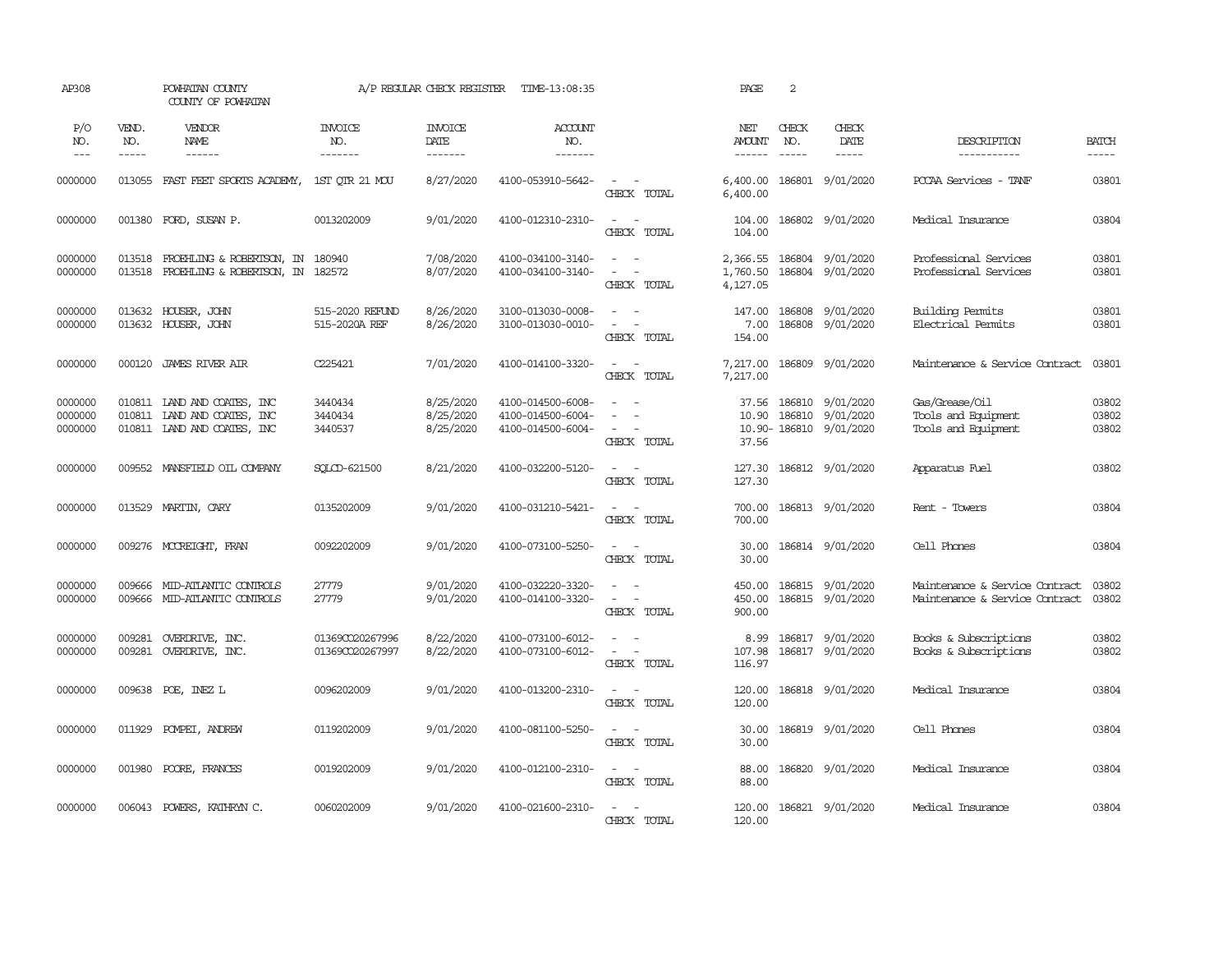| AP308                         |                                      | POWHATAN COUNTY<br>COUNTY OF POWHATAN                                              |                                    | A/P REGULAR CHECK REGISTER          | TIME-13:08:35                                               |                                                                              | PAGE                             | 2                                |                                       |                                                                  |                         |
|-------------------------------|--------------------------------------|------------------------------------------------------------------------------------|------------------------------------|-------------------------------------|-------------------------------------------------------------|------------------------------------------------------------------------------|----------------------------------|----------------------------------|---------------------------------------|------------------------------------------------------------------|-------------------------|
| P/O<br>NO.<br>$---$           | VEND.<br>NO.<br>$\cdots\cdots\cdots$ | VENDOR<br>NAME                                                                     | <b>INVOICE</b><br>NO.<br>-------   | <b>INVOICE</b><br>DATE<br>-------   | ACCOUNT<br>NO.                                              |                                                                              | NET<br><b>AMOUNT</b><br>------   | CHECK<br>NO.                     | CHECK<br>DATE<br>$\cdots\cdots\cdots$ | DESCRIPTION<br>-----------                                       | <b>BATCH</b><br>-----   |
| 0000000                       | 013055                               | FAST FEET SPORTS ACADEMY,                                                          | 1ST OTR 21 MOU                     | 8/27/2020                           | 4100-053910-5642-                                           | $\sim$<br>$\sim$<br>CHECK TOTAL                                              | 6,400.00<br>6,400.00             |                                  | 186801 9/01/2020                      | PCCAA Services - TANF                                            | 03801                   |
| 0000000                       | 001380                               | FORD, SUSAN P.                                                                     | 0013202009                         | 9/01/2020                           | 4100-012310-2310-                                           | $\overline{\phantom{a}}$<br>$\sim$<br>CHECK TOTAL                            | 104.00<br>104.00                 |                                  | 186802 9/01/2020                      | Medical Insurance                                                | 03804                   |
| 0000000<br>0000000            | 013518<br>013518                     | FROEHLING & ROBERTSON, IN 180940<br>FROEHLING & ROBERTSON, IN 182572               |                                    | 7/08/2020<br>8/07/2020              | 4100-034100-3140-<br>4100-034100-3140-                      | $\sim 100$ km s $^{-1}$<br>$\overline{\phantom{a}}$<br>$\sim$<br>CHECK TOTAL | 2,366.55<br>1,760.50<br>4,127.05 |                                  | 186804 9/01/2020<br>186804 9/01/2020  | Professional Services<br>Professional Services                   | 03801<br>03801          |
| 0000000<br>0000000            |                                      | 013632 HOUSER, JOHN<br>013632 HOUSER, JOHN                                         | 515-2020 REFUND<br>515-2020A REF   | 8/26/2020<br>8/26/2020              | 3100-013030-0008-<br>3100-013030-0010-                      | $\sim$<br>$\sim$<br>CHECK TOTAL                                              | 147.00<br>7.00<br>154.00         | 186808                           | 9/01/2020<br>186808 9/01/2020         | Building Permits<br>Electrical Permits                           | 03801<br>03801          |
| 0000000                       | 000120                               | <b>JAMES RIVER AIR</b>                                                             | C225421                            | 7/01/2020                           | 4100-014100-3320-                                           | $\sim$<br>$\sim$ $-$<br>CHECK TOTAL                                          | 7,217.00<br>7,217.00             | 186809                           | 9/01/2020                             | Maintenance & Service Contract                                   | 03801                   |
| 0000000<br>0000000<br>0000000 | 010811                               | 010811 LAND AND COATES, INC<br>LAND AND COATES, INC<br>010811 LAND AND COATES, INC | 3440434<br>3440434<br>3440537      | 8/25/2020<br>8/25/2020<br>8/25/2020 | 4100-014500-6008-<br>4100-014500-6004-<br>4100-014500-6004- | $\equiv$<br>$\sim$<br>$\overline{\phantom{a}}$<br>CHECK TOTAL                | 37.56<br>10.90<br>37.56          | 186810<br>186810<br>10.90-186810 | 9/01/2020<br>9/01/2020<br>9/01/2020   | Gas/Grease/Oil<br>Tools and Equipment<br>Tools and Equipment     | 03802<br>03802<br>03802 |
| 0000000                       | 009552                               | MANSFIEID OIL COMPANY                                                              | SOLCD-621500                       | 8/21/2020                           | 4100-032200-5120-                                           | $\sim$<br>$\sim$<br>CHECK TOTAL                                              | 127.30<br>127.30                 |                                  | 186812 9/01/2020                      | Apparatus Fuel                                                   | 03802                   |
| 0000000                       |                                      | 013529 MARTIN, CARY                                                                | 0135202009                         | 9/01/2020                           | 4100-031210-5421-                                           | $\omega_{\rm{max}}$ and $\omega_{\rm{max}}$<br>CHECK TOTAL                   | 700.00<br>700.00                 |                                  | 186813 9/01/2020                      | Rent - Towers                                                    | 03804                   |
| 0000000                       |                                      | 009276 MCCREIGHT, FRAN                                                             | 0092202009                         | 9/01/2020                           | 4100-073100-5250-                                           | $\sim$<br>$\sim$<br>CHECK TOTAL                                              | 30.00<br>30.00                   |                                  | 186814 9/01/2020                      | Cell Phones                                                      | 03804                   |
| 0000000<br>0000000            | 009666<br>009666                     | MID-ATLANTIC CONTROLS<br>MID-ATLANTIC CONTROLS                                     | 27779<br>27779                     | 9/01/2020<br>9/01/2020              | 4100-032220-3320-<br>4100-014100-3320-                      | $\equiv$<br>$\sim$<br>$\sim$ $-$<br>$\sim$<br>CHECK TOTAL                    | 450.00<br>450.00<br>900.00       |                                  | 186815 9/01/2020<br>186815 9/01/2020  | Maintenance & Service Contract<br>Maintenance & Service Contract | 03802<br>03802          |
| 0000000<br>0000000            | 009281<br>009281                     | OVERDRIVE, INC.<br>OVERDRIVE, INC.                                                 | 013690020267996<br>01369CO20267997 | 8/22/2020<br>8/22/2020              | 4100-073100-6012-<br>4100-073100-6012-                      | $\sim$ $-$<br>$\sim$<br>$\sim$<br>$\sim$<br>CHECK TOTAL                      | 8.99<br>107.98<br>116.97         |                                  | 186817 9/01/2020<br>186817 9/01/2020  | Books & Subscriptions<br>Books & Subscriptions                   | 03802<br>03802          |
| 0000000                       | 009638                               | POE, INEZ L                                                                        | 0096202009                         | 9/01/2020                           | 4100-013200-2310-                                           | $\sim$<br>$\sim$<br>CHECK TOTAL                                              | 120.00<br>120.00                 |                                  | 186818 9/01/2020                      | Medical Insurance                                                | 03804                   |
| 0000000                       | 011929                               | POMPEI, ANDREW                                                                     | 0119202009                         | 9/01/2020                           | 4100-081100-5250-                                           | $\sim$<br>$\sim$<br>CHECK TOTAL                                              | 30.00<br>30.00                   |                                  | 186819 9/01/2020                      | Cell Phones                                                      | 03804                   |
| 0000000                       | 001980                               | POORE, FRANCES                                                                     | 0019202009                         | 9/01/2020                           | 4100-012100-2310-                                           | $\omega_{\rm{max}}$ and $\omega_{\rm{max}}$<br>CHECK TOTAL                   | 88.00<br>88.00                   |                                  | 186820 9/01/2020                      | Medical Insurance                                                | 03804                   |
| 0000000                       | 006043                               | POWERS, KATHRYN C.                                                                 | 0060202009                         | 9/01/2020                           | 4100-021600-2310-                                           | $\overline{\phantom{a}}$<br>$\sim$<br>CHECK TOTAL                            | 120.00<br>120.00                 |                                  | 186821 9/01/2020                      | Medical Insurance                                                | 03804                   |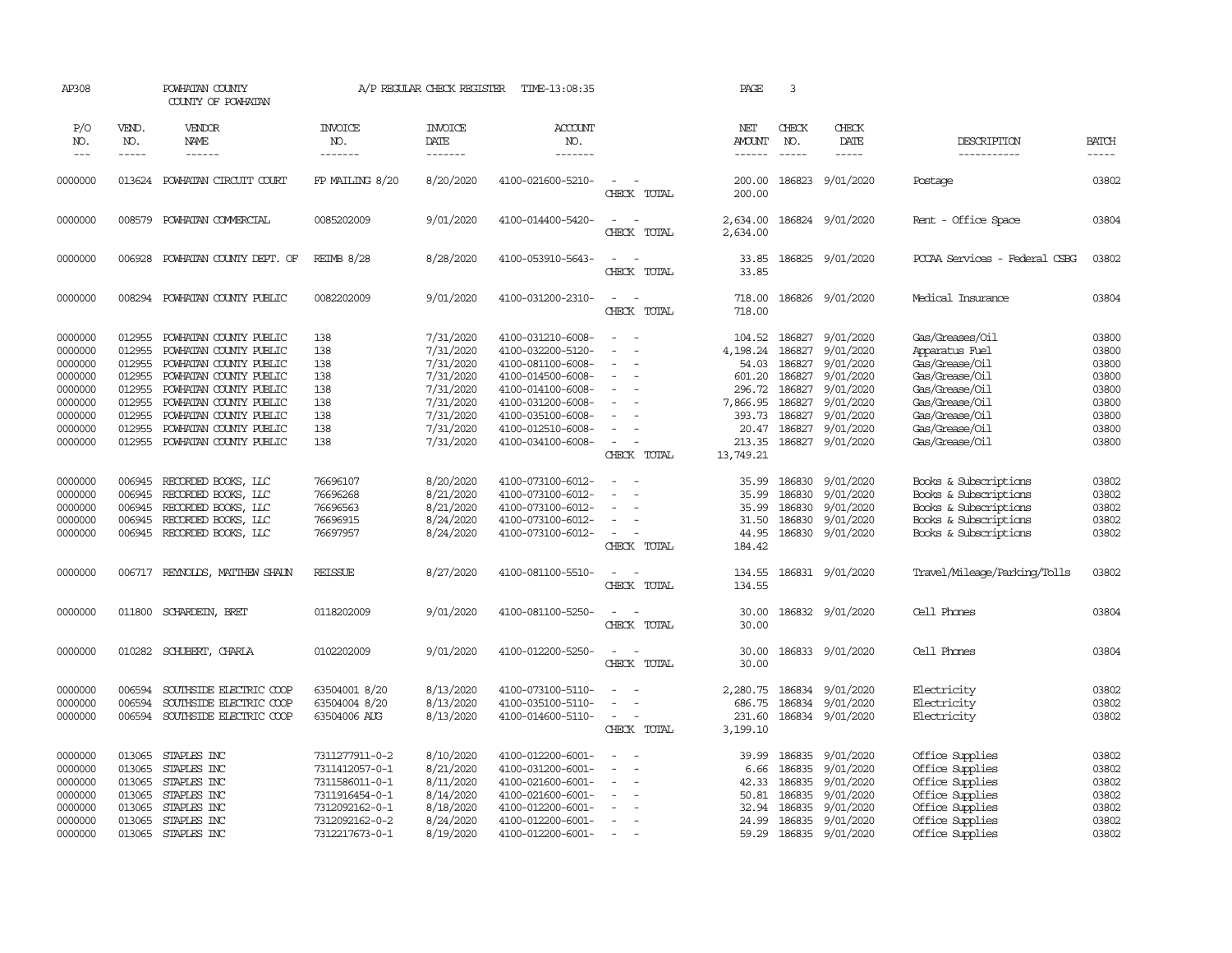| AP308                                                                     |                                                                    | POWHATAN COUNTY<br>COUNTY OF POWHATAN                                                                                          |                                                                                                                            | A/P REGULAR CHECK REGISTER                                                              | TIME-13:08:35                                                                                                                                   |                                                                                               | PAGE                                                       | 3                                                        |                                                                                                |                                                                                                                                   |                                                             |
|---------------------------------------------------------------------------|--------------------------------------------------------------------|--------------------------------------------------------------------------------------------------------------------------------|----------------------------------------------------------------------------------------------------------------------------|-----------------------------------------------------------------------------------------|-------------------------------------------------------------------------------------------------------------------------------------------------|-----------------------------------------------------------------------------------------------|------------------------------------------------------------|----------------------------------------------------------|------------------------------------------------------------------------------------------------|-----------------------------------------------------------------------------------------------------------------------------------|-------------------------------------------------------------|
| P/O<br>NO.<br>$\frac{1}{2}$                                               | VEND.<br>NO.<br>-----                                              | VENDOR<br>NAME<br>------                                                                                                       | <b>INVOICE</b><br>NO.<br>-------                                                                                           | <b>INVOICE</b><br>DATE<br>-------                                                       | <b>ACCOUNT</b><br>NO.<br>-------                                                                                                                |                                                                                               | NET<br><b>AMOUNT</b>                                       | CHECK<br>NO.                                             | CHECK<br>DATE<br>-----                                                                         | DESCRIPTION<br>-----------                                                                                                        | <b>BATCH</b><br>-----                                       |
| 0000000                                                                   |                                                                    | 013624 POWHATAN CIRCUIT COURT                                                                                                  | FP MAILING 8/20                                                                                                            | 8/20/2020                                                                               | 4100-021600-5210-                                                                                                                               | $\sim$<br>CHECK TOTAL                                                                         | 200.00<br>200.00                                           | 186823                                                   | 9/01/2020                                                                                      | Postage                                                                                                                           | 03802                                                       |
| 0000000                                                                   | 008579                                                             | POWHATAN COMMERCIAL                                                                                                            | 0085202009                                                                                                                 | 9/01/2020                                                                               | 4100-014400-5420-                                                                                                                               | $\overline{\phantom{a}}$<br>$\sim$<br>CHECK<br>TOTAL                                          | 2,634.00<br>2,634.00                                       |                                                          | 186824 9/01/2020                                                                               | Rent - Office Space                                                                                                               | 03804                                                       |
| 0000000                                                                   |                                                                    | 006928 POWHATAN COUNTY DEPT. OF                                                                                                | <b>REIMB 8/28</b>                                                                                                          | 8/28/2020                                                                               | 4100-053910-5643-                                                                                                                               | $\sim$<br>CHECK TOTAL                                                                         | 33.85<br>33.85                                             |                                                          | 186825 9/01/2020                                                                               | PCCAA Services - Federal CSBG                                                                                                     | 03802                                                       |
| 0000000                                                                   |                                                                    | 008294 POWHATAN COUNTY PUBLIC                                                                                                  | 0082202009                                                                                                                 | 9/01/2020                                                                               | 4100-031200-2310-                                                                                                                               | $\sim$<br>$\sim$<br>CHECK TOTAL                                                               | 718.00<br>718.00                                           |                                                          | 186826 9/01/2020                                                                               | Medical Insurance                                                                                                                 | 03804                                                       |
| 0000000<br>0000000<br>0000000<br>0000000<br>0000000                       | 012955<br>012955<br>012955<br>012955<br>012955                     | POWHATAN COUNTY PUBLIC<br>POWHATAN COUNTY PUBLIC<br>POWHATAN COUNTY PUBLIC<br>POWHATAN COUNTY PUBLIC<br>POWHATAN COUNTY PUBLIC | 138<br>138<br>138<br>138<br>138                                                                                            | 7/31/2020<br>7/31/2020<br>7/31/2020<br>7/31/2020<br>7/31/2020                           | 4100-031210-6008-<br>4100-032200-5120-<br>4100-081100-6008-<br>4100-014500-6008-<br>4100-014100-6008-                                           | $\blacksquare$<br>$\overline{\phantom{a}}$<br>$\sim$<br>$\sim$                                | 104.52<br>4,198.24<br>54.03<br>601.20<br>296.72            | 186827<br>186827<br>186827<br>186827<br>186827           | 9/01/2020<br>9/01/2020<br>9/01/2020<br>9/01/2020<br>9/01/2020                                  | Gas/Greases/Oil<br>Apparatus Fuel<br>Gas/Grease/Oil<br>Gas/Grease/Oil<br>Gas/Grease/Oil                                           | 03800<br>03800<br>03800<br>03800<br>03800                   |
| 0000000<br>0000000<br>0000000<br>0000000                                  | 012955<br>012955<br>012955                                         | POWHATAN COUNTY PUBLIC<br>POWHATAN COUNTY PUBLIC<br>POWHATAN COUNTY PUBLIC<br>012955 POWHATAN COUNTY PUBLIC                    | 138<br>138<br>138<br>138                                                                                                   | 7/31/2020<br>7/31/2020<br>7/31/2020<br>7/31/2020                                        | 4100-031200-6008-<br>4100-035100-6008-<br>4100-012510-6008-<br>4100-034100-6008-                                                                | $\sim$<br>CHECK TOTAL                                                                         | 7,866.95<br>393.73<br>20.47<br>213.35<br>13,749.21         | 186827<br>186827<br>186827<br>186827                     | 9/01/2020<br>9/01/2020<br>9/01/2020<br>9/01/2020                                               | Gas/Grease/Oil<br>Gas/Grease/Oil<br>Gas/Grease/Oil<br>Gas/Grease/Oil                                                              | 03800<br>03800<br>03800<br>03800                            |
| 0000000<br>0000000<br>0000000<br>0000000<br>0000000                       | 006945<br>006945<br>006945<br>006945<br>006945                     | RECORDED BOOKS, LLC<br>RECORDED BOOKS, LLC<br>RECORDED BOOKS, LLC<br>RECORDED BOOKS, LLC<br>RECORDED BOOKS, LLC                | 76696107<br>76696268<br>76696563<br>76696915<br>76697957                                                                   | 8/20/2020<br>8/21/2020<br>8/21/2020<br>8/24/2020<br>8/24/2020                           | 4100-073100-6012-<br>4100-073100-6012-<br>4100-073100-6012-<br>4100-073100-6012-<br>4100-073100-6012-                                           | $\sim$<br>$\sim$<br>$\overline{\phantom{a}}$<br>$\overline{a}$<br>$\sim$<br>÷.<br>CHECK TOTAL | 35.99<br>35.99<br>35.99<br>31.50<br>44.95<br>184.42        | 186830<br>186830<br>186830<br>186830<br>186830           | 9/01/2020<br>9/01/2020<br>9/01/2020<br>9/01/2020<br>9/01/2020                                  | Books & Subscriptions<br>Books & Subscriptions<br>Books & Subscriptions<br>Books & Subscriptions<br>Books & Subscriptions         | 03802<br>03802<br>03802<br>03802<br>03802                   |
| 0000000                                                                   |                                                                    | 006717 REYNOLDS, MATTHEW SHAUN                                                                                                 | <b>REISSUE</b>                                                                                                             | 8/27/2020                                                                               | 4100-081100-5510-                                                                                                                               | $\sim$<br>$\sim$<br>CHECK TOTAL                                                               | 134.55<br>134.55                                           |                                                          | 186831 9/01/2020                                                                               | Travel/Mileage/Parking/Tolls                                                                                                      | 03802                                                       |
| 0000000                                                                   | 011800                                                             | SCHARDEIN, BRET                                                                                                                | 0118202009                                                                                                                 | 9/01/2020                                                                               | 4100-081100-5250-                                                                                                                               | $\sim$<br>- -<br>CHECK TOTAL                                                                  | 30.00<br>30.00                                             |                                                          | 186832 9/01/2020                                                                               | Cell Phones                                                                                                                       | 03804                                                       |
| 0000000                                                                   |                                                                    | 010282 SCHUBERT, CHARLA                                                                                                        | 0102202009                                                                                                                 | 9/01/2020                                                                               | 4100-012200-5250-                                                                                                                               | $\sim$<br>CHECK TOTAL                                                                         | 30.00<br>30.00                                             |                                                          | 186833 9/01/2020                                                                               | Cell Phones                                                                                                                       | 03804                                                       |
| 0000000<br>0000000<br>0000000                                             | 006594<br>006594<br>006594                                         | SOUTHSIDE ELECTRIC COOP<br>SOUTHSIDE ELECTRIC COOP<br>SOUTHSIDE ELECTRIC COOP                                                  | 63504001 8/20<br>63504004 8/20<br>63504006 AUG                                                                             | 8/13/2020<br>8/13/2020<br>8/13/2020                                                     | 4100-073100-5110-<br>4100-035100-5110-<br>4100-014600-5110-                                                                                     | $\sim$<br>$\sim$<br>$\sim$<br>$\overline{\phantom{a}}$<br>CHECK TOTAL                         | 2,280.75<br>686.75<br>231.60<br>3,199.10                   | 186834<br>186834<br>186834                               | 9/01/2020<br>9/01/2020<br>9/01/2020                                                            | Electricity<br>Electricity<br>Electricity                                                                                         | 03802<br>03802<br>03802                                     |
| 0000000<br>0000000<br>0000000<br>0000000<br>0000000<br>0000000<br>0000000 | 013065<br>013065<br>013065<br>013065<br>013065<br>013065<br>013065 | STAPLES INC<br>STAPLES INC<br>STAPLES INC<br>STAPLES INC<br>STAPLES INC<br>STAPLES INC<br>STAPLES INC                          | 7311277911-0-2<br>7311412057-0-1<br>7311586011-0-1<br>7311916454-0-1<br>7312092162-0-1<br>7312092162-0-2<br>7312217673-0-1 | 8/10/2020<br>8/21/2020<br>8/11/2020<br>8/14/2020<br>8/18/2020<br>8/24/2020<br>8/19/2020 | 4100-012200-6001-<br>4100-031200-6001-<br>4100-021600-6001-<br>4100-021600-6001-<br>4100-012200-6001-<br>4100-012200-6001-<br>4100-012200-6001- | $\equiv$<br>$\sim$<br>$\overline{\phantom{a}}$<br>$\sim$<br>$\sim$<br>$\sim$                  | 39.99<br>6.66<br>42.33<br>50.81<br>32.94<br>24.99<br>59.29 | 186835<br>186835<br>186835<br>186835<br>186835<br>186835 | 9/01/2020<br>9/01/2020<br>9/01/2020<br>9/01/2020<br>9/01/2020<br>9/01/2020<br>186835 9/01/2020 | Office Supplies<br>Office Supplies<br>Office Supplies<br>Office Supplies<br>Office Supplies<br>Office Supplies<br>Office Supplies | 03802<br>03802<br>03802<br>03802<br>03802<br>03802<br>03802 |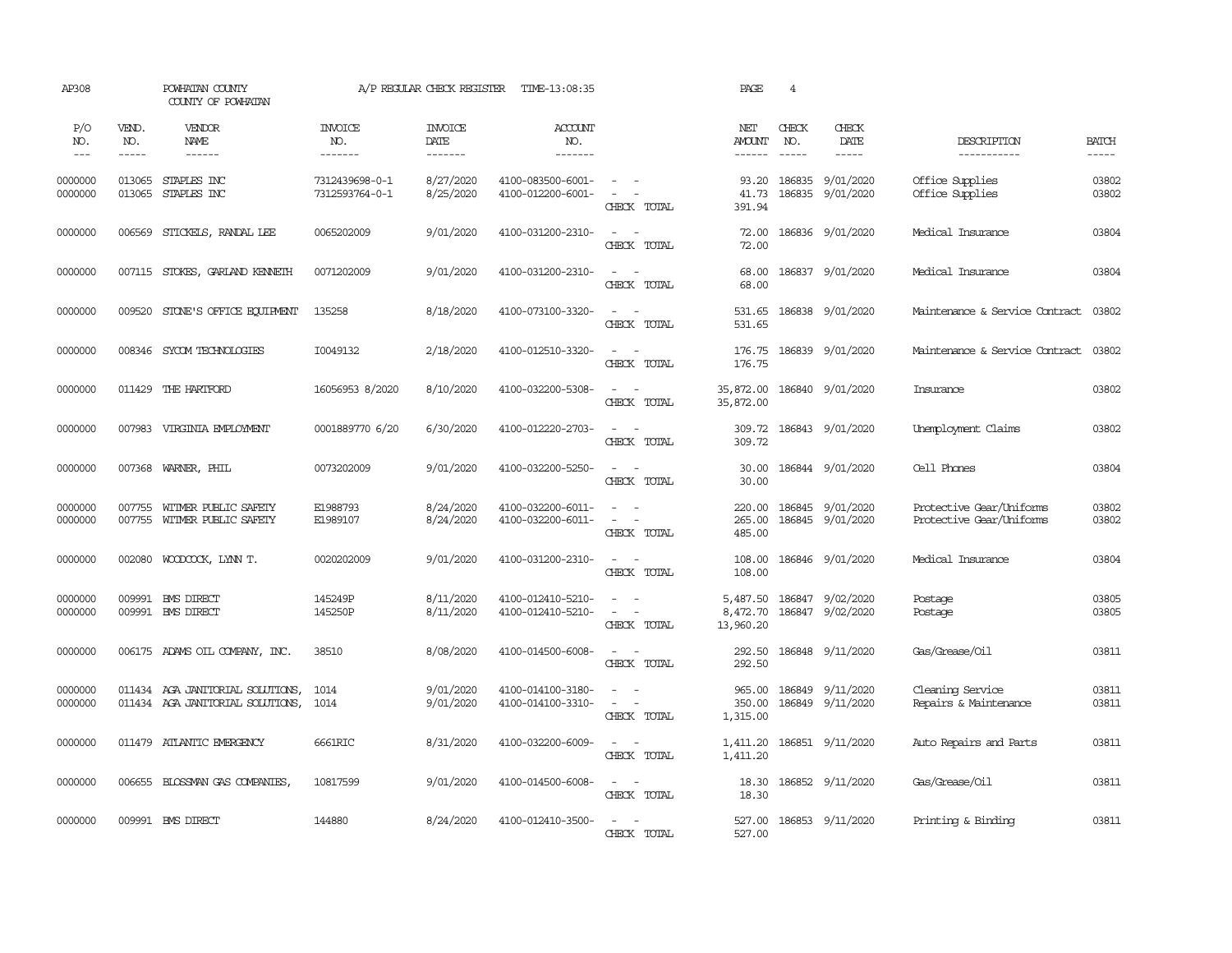| AP308               |                       | POWHATAN COUNTY<br>COUNTY OF POWHATAN                                |                                  | A/P REGULAR CHECK REGISTER        | TIME-13:08:35                            |                                                                           | PAGE                                  | $\overline{4}$                |                                      |                                                      |                       |
|---------------------|-----------------------|----------------------------------------------------------------------|----------------------------------|-----------------------------------|------------------------------------------|---------------------------------------------------------------------------|---------------------------------------|-------------------------------|--------------------------------------|------------------------------------------------------|-----------------------|
| P/O<br>NO.<br>$---$ | VEND.<br>NO.<br>----- | VENDOR<br>NAME<br>$- - - - - -$                                      | <b>INVOICE</b><br>NO.<br>------- | <b>INVOICE</b><br>DATE<br>------- | <b>ACCOUNT</b><br>NO.<br>$- - - - - - -$ |                                                                           | NET<br><b>AMOUNT</b><br>$- - - - - -$ | CHECK<br>NO.<br>$\frac{1}{2}$ | CHECK<br>DATE<br>$- - - - -$         | DESCRIPTION<br>-----------                           | <b>BATCH</b><br>----- |
| 0000000<br>0000000  | 013065<br>013065      | STAPLES INC<br>STAPLES INC                                           | 7312439698-0-1<br>7312593764-0-1 | 8/27/2020<br>8/25/2020            | 4100-083500-6001-<br>4100-012200-6001-   | $\sim$ $ \sim$<br>$\sim$<br>$\sim$<br>CHECK TOTAL                         | 93.20<br>41.73<br>391.94              | 186835<br>186835              | 9/01/2020<br>9/01/2020               | Office Supplies<br>Office Supplies                   | 03802<br>03802        |
| 0000000             | 006569                | STICKELS, RANDAL LEE                                                 | 0065202009                       | 9/01/2020                         | 4100-031200-2310-                        | $\sim$ $\sim$<br>CHECK TOTAL                                              | 72.00<br>72.00                        |                               | 186836 9/01/2020                     | Medical Insurance                                    | 03804                 |
| 0000000             |                       | 007115 STOKES, GARLAND KENNETH                                       | 0071202009                       | 9/01/2020                         | 4100-031200-2310-                        | $\sim$ $ \sim$<br>CHECK TOTAL                                             | 68.00<br>68.00                        |                               | 186837 9/01/2020                     | Medical Insurance                                    | 03804                 |
| 0000000             |                       | 009520 STONE'S OFFICE EQUIPMENT                                      | 135258                           | 8/18/2020                         | 4100-073100-3320-                        | $\omega_{\rm{max}}$ and $\omega_{\rm{max}}$<br>CHECK TOTAL                | 531.65<br>531.65                      |                               | 186838 9/01/2020                     | Maintenance & Service Contract 03802                 |                       |
| 0000000             | 008346                | SYCOM TECHNOLOGIES                                                   | I0049132                         | 2/18/2020                         | 4100-012510-3320-                        | $\sim$ $ \sim$<br>CHECK TOTAL                                             | 176.75<br>176.75                      |                               | 186839 9/01/2020                     | Maintenance & Service Contract                       | 03802                 |
| 0000000             | 011429                | THE HARTFORD                                                         | 16056953 8/2020                  | 8/10/2020                         | 4100-032200-5308-                        | $\sim$ $ -$<br>CHECK TOTAL                                                | 35,872.00<br>35,872.00                |                               | 186840 9/01/2020                     | Insurance                                            | 03802                 |
| 0000000             |                       | 007983 VIRGINIA EMPLOYMENT                                           | 0001889770 6/20                  | 6/30/2020                         | 4100-012220-2703-                        | $\sim$<br>$\sim$<br>CHECK TOTAL                                           | 309.72                                |                               | 309.72 186843 9/01/2020              | Unemployment Claims                                  | 03802                 |
| 0000000             | 007368                | WARNER, PHIL                                                         | 0073202009                       | 9/01/2020                         | 4100-032200-5250-                        | $\sim$<br>$\sim$<br>CHECK TOTAL                                           | 30.00<br>30.00                        |                               | 186844 9/01/2020                     | Cell Phones                                          | 03804                 |
| 0000000<br>0000000  | 007755<br>007755      | WITMER PUBLIC SAFETY<br>WITMER PUBLIC SAFETY                         | E1988793<br>E1989107             | 8/24/2020<br>8/24/2020            | 4100-032200-6011-<br>4100-032200-6011-   | $\sim$ $ \sim$<br>$\omega_{\rm{max}}$<br>CHECK TOTAL                      | 220.00<br>265.00<br>485.00            |                               | 186845 9/01/2020<br>186845 9/01/2020 | Protective Gear/Uniforms<br>Protective Gear/Uniforms | 03802<br>03802        |
| 0000000             | 002080                | WOODCOCK, LYNN T.                                                    | 0020202009                       | 9/01/2020                         | 4100-031200-2310-                        | $\sim$ $\sim$<br>CHECK TOTAL                                              | 108.00<br>108.00                      |                               | 186846 9/01/2020                     | Medical Insurance                                    | 03804                 |
| 0000000<br>0000000  | 009991                | <b>EMS DIRECT</b><br>009991 BMS DIRECT                               | 145249P<br>145250P               | 8/11/2020<br>8/11/2020            | 4100-012410-5210-<br>4100-012410-5210-   | $\overline{\phantom{a}}$<br>$\sim$<br>$\sim$<br>$\sim$ $-$<br>CHECK TOTAL | 5,487.50<br>8,472.70<br>13,960.20     | 186847                        | 9/02/2020<br>186847 9/02/2020        | Postage<br>Postage                                   | 03805<br>03805        |
| 0000000             |                       | 006175 ADAMS OIL COMPANY, INC.                                       | 38510                            | 8/08/2020                         | 4100-014500-6008-                        | $\sim$ $ -$<br>CHECK TOTAL                                                | 292.50<br>292.50                      |                               | 186848 9/11/2020                     | Gas/Grease/Oil                                       | 03811                 |
| 0000000<br>0000000  |                       | 011434 AGA JANITORIAL SOLUTIONS,<br>011434 AGA JANITORIAL SOLUTIONS, | 1014<br>1014                     | 9/01/2020<br>9/01/2020            | 4100-014100-3180-<br>4100-014100-3310-   | $\sim$ $ \sim$<br>$\sim$<br>$\sim$<br>CHECK TOTAL                         | 965.00<br>350.00<br>1,315.00          |                               | 186849 9/11/2020<br>186849 9/11/2020 | Cleaning Service<br>Repairs & Maintenance            | 03811<br>03811        |
| 0000000             |                       | 011479 ATLANTIC EMERGENCY                                            | 6661RIC                          | 8/31/2020                         | 4100-032200-6009-                        | $\sim$ $ \sim$<br>CHECK TOTAL                                             | 1,411.20<br>1,411.20                  |                               | 186851 9/11/2020                     | Auto Repairs and Parts                               | 03811                 |
| 0000000             | 006655                | BLOSSMAN GAS COMPANIES,                                              | 10817599                         | 9/01/2020                         | 4100-014500-6008-                        | $\sim$ $ -$<br>CHECK TOTAL                                                | 18.30<br>18.30                        |                               | 186852 9/11/2020                     | Gas/Grease/Oil                                       | 03811                 |
| 0000000             |                       | 009991 BMS DIRECT                                                    | 144880                           | 8/24/2020                         | 4100-012410-3500-                        | $\omega_{\rm{max}}$ and $\omega_{\rm{max}}$<br>CHECK TOTAL                | 527.00<br>527.00                      |                               | 186853 9/11/2020                     | Printing & Binding                                   | 03811                 |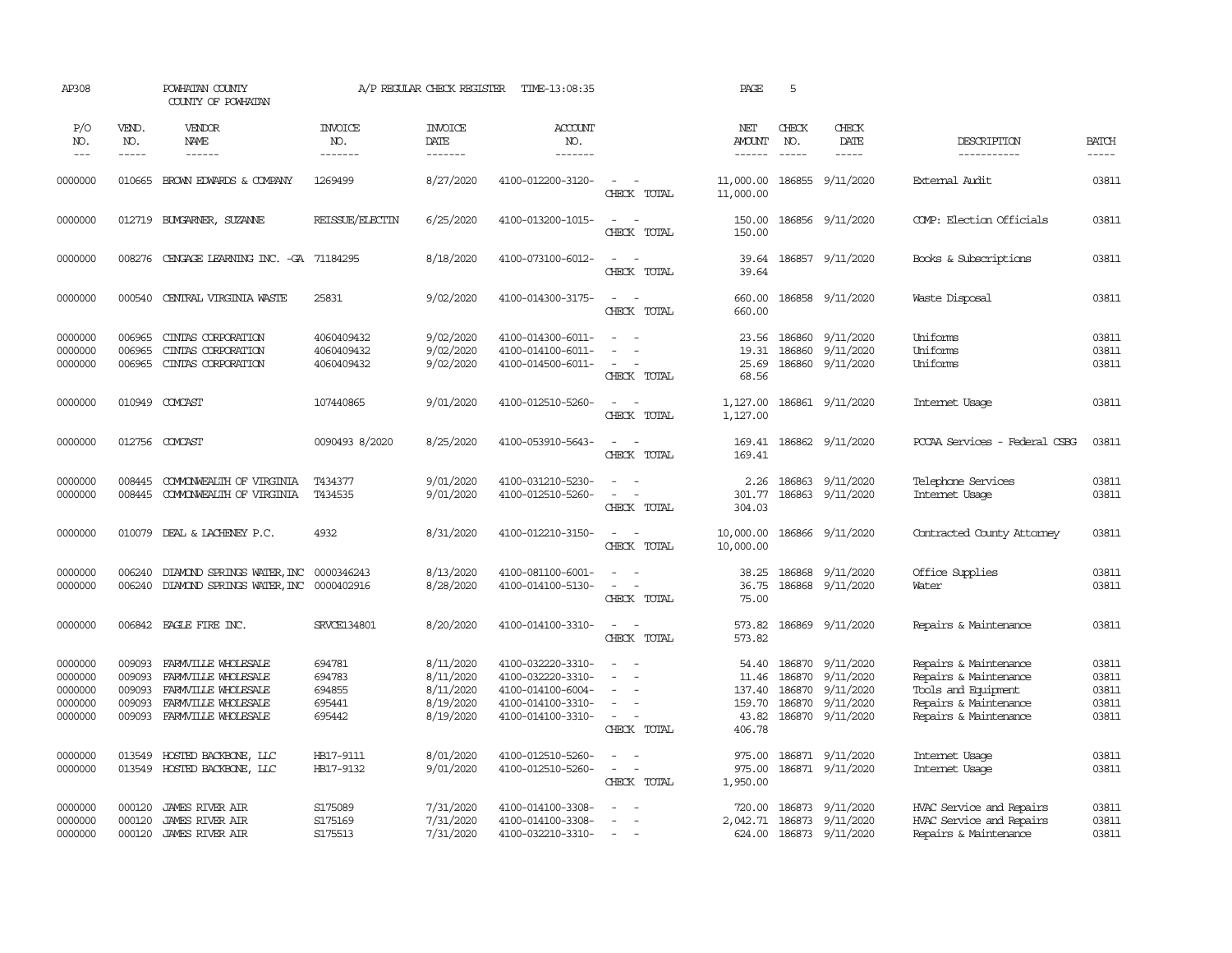| AP308                                                          |                                                | POWHATAN COUNTY<br>COUNTY OF POWHATAN                                                                                                          |                                                             | A/P REGULAR CHECK REGISTER                                                 | TIME-13:08:35                                                                                                              |                                                                                                                                               | PAGE                                                            | 5                             |                                                                                                 |                                                                                                                                           |                                                    |
|----------------------------------------------------------------|------------------------------------------------|------------------------------------------------------------------------------------------------------------------------------------------------|-------------------------------------------------------------|----------------------------------------------------------------------------|----------------------------------------------------------------------------------------------------------------------------|-----------------------------------------------------------------------------------------------------------------------------------------------|-----------------------------------------------------------------|-------------------------------|-------------------------------------------------------------------------------------------------|-------------------------------------------------------------------------------------------------------------------------------------------|----------------------------------------------------|
| P/O<br>NO.<br>$\frac{1}{2}$                                    | VEND.<br>NO.<br>-----                          | VENDOR<br><b>NAME</b><br>$- - - - - -$                                                                                                         | <b>INVOICE</b><br>NO.<br>-------                            | <b>INVOICE</b><br>DATE<br>--------                                         | ACCOUNT<br>NO.<br>-------                                                                                                  |                                                                                                                                               | NET<br><b>AMOUNT</b><br>$- - - - - -$                           | CHECK<br>NO.<br>$\frac{1}{2}$ | CHECK<br>DATE<br>$- - - - -$                                                                    | DESCRIPTION<br>-----------                                                                                                                | <b>BATCH</b><br>$- - - - -$                        |
| 0000000                                                        | 010665                                         | BROWN EDWARDS & COMPANY                                                                                                                        | 1269499                                                     | 8/27/2020                                                                  | 4100-012200-3120-                                                                                                          | $\overline{\phantom{a}}$<br>$\sim$<br>CHECK TOTAL                                                                                             | 11,000.00<br>11,000.00                                          | 186855                        | 9/11/2020                                                                                       | External Audit                                                                                                                            | 03811                                              |
| 0000000                                                        |                                                | 012719 BUNGARNER, SUZANNE                                                                                                                      | REISSUE/ELECTIN                                             | 6/25/2020                                                                  | 4100-013200-1015-                                                                                                          | $\sim$<br>$\sim$<br>CHECK TOTAL                                                                                                               | 150.00<br>150.00                                                |                               | 186856 9/11/2020                                                                                | COMP: Election Officials                                                                                                                  | 03811                                              |
| 0000000                                                        | 008276                                         | CENGAGE LEARNING INC. - GA 71184295                                                                                                            |                                                             | 8/18/2020                                                                  | 4100-073100-6012-                                                                                                          | $\sim$<br>$\sim$<br>CHECK TOTAL                                                                                                               | 39.64<br>39.64                                                  |                               | 186857 9/11/2020                                                                                | Books & Subscriptions                                                                                                                     | 03811                                              |
| 0000000                                                        | 000540                                         | CENTRAL VIRGINIA WASTE                                                                                                                         | 25831                                                       | 9/02/2020                                                                  | 4100-014300-3175-                                                                                                          | $\sim$<br>$\sim$<br>CHECK TOTAL                                                                                                               | 660.00<br>660.00                                                |                               | 186858 9/11/2020                                                                                | Waste Disposal                                                                                                                            | 03811                                              |
| 0000000<br>0000000<br>0000000                                  | 006965<br>006965<br>006965                     | CINIAS CORPORATION<br>CINIAS CORPORATION<br>CINIAS CORPORATION                                                                                 | 4060409432<br>4060409432<br>4060409432                      | 9/02/2020<br>9/02/2020<br>9/02/2020                                        | 4100-014300-6011-<br>4100-014100-6011-<br>4100-014500-6011-                                                                | $\equiv$<br>$\overline{\phantom{a}}$<br>$\equiv$<br>$\overline{\phantom{a}}$<br>CHECK TOTAL                                                   | 23.56<br>19.31<br>25.69<br>68.56                                | 186860<br>186860<br>186860    | 9/11/2020<br>9/11/2020<br>9/11/2020                                                             | Uniforms<br>Uniforms<br>Uniforms                                                                                                          | 03811<br>03811<br>03811                            |
| 0000000                                                        |                                                | 010949 COMCAST                                                                                                                                 | 107440865                                                   | 9/01/2020                                                                  | 4100-012510-5260-                                                                                                          | $\sim$<br>$\sim$<br>CHECK TOTAL                                                                                                               | 1,127.00<br>1,127.00                                            |                               | 186861 9/11/2020                                                                                | Internet Usage                                                                                                                            | 03811                                              |
| 0000000                                                        |                                                | 012756 COMCAST                                                                                                                                 | 0090493 8/2020                                              | 8/25/2020                                                                  | 4100-053910-5643-                                                                                                          | $\overline{\phantom{a}}$<br>$\sim$<br>CHECK TOTAL                                                                                             | 169.41<br>169.41                                                |                               | 186862 9/11/2020                                                                                | PCCAA Services - Federal CSBG                                                                                                             | 03811                                              |
| 0000000<br>0000000                                             | 008445<br>008445                               | COMONWEALTH OF VIRGINIA<br>COMONWEALTH OF VIRGINIA                                                                                             | T434377<br>T434535                                          | 9/01/2020<br>9/01/2020                                                     | 4100-031210-5230-<br>4100-012510-5260-                                                                                     | $\sim$<br>$\sim$<br>$\sim$<br>$\overline{\phantom{a}}$<br>CHECK TOTAL                                                                         | 2.26<br>301.77<br>304.03                                        | 186863                        | 9/11/2020<br>186863 9/11/2020                                                                   | Telephone Services<br>Internet Usage                                                                                                      | 03811<br>03811                                     |
| 0000000                                                        |                                                | 010079 DEAL & LACHENEY P.C.                                                                                                                    | 4932                                                        | 8/31/2020                                                                  | 4100-012210-3150-                                                                                                          | $\sim$<br>$\sim$<br>CHECK TOTAL                                                                                                               | 10,000.00<br>10,000.00                                          |                               | 186866 9/11/2020                                                                                | Contracted County Attorney                                                                                                                | 03811                                              |
| 0000000<br>0000000                                             | 006240<br>006240                               | DIAMOND SPRINGS WATER, INC<br>DIAMOND SPRINGS WATER, INC 0000402916                                                                            | 0000346243                                                  | 8/13/2020<br>8/28/2020                                                     | 4100-081100-6001-<br>4100-014100-5130-                                                                                     | $\equiv$<br>$\sim$<br>$\sim$<br>CHECK TOTAL                                                                                                   | 38.25<br>36.75<br>75.00                                         | 186868<br>186868              | 9/11/2020<br>9/11/2020                                                                          | Office Supplies<br>Water                                                                                                                  | 03811<br>03811                                     |
| 0000000                                                        |                                                | 006842 EAGLE FIRE INC.                                                                                                                         | SRVCE134801                                                 | 8/20/2020                                                                  | 4100-014100-3310-                                                                                                          | $\sim$<br>$\sim$<br>CHECK TOTAL                                                                                                               | 573.82<br>573.82                                                |                               | 186869 9/11/2020                                                                                | Repairs & Maintenance                                                                                                                     | 03811                                              |
| 0000000<br>0000000<br>0000000<br>0000000<br>0000000<br>0000000 | 009093<br>009093<br>009093<br>009093<br>013549 | FARMVILLE WHOLESALE<br>FARMVILLE WHOLESALE<br>FARMVILLE WHOLESALE<br>FARMVILLE WHOLESALE<br>009093 FARMVILLE WHOLESALE<br>HOSTED BACKBONE, LLC | 694781<br>694783<br>694855<br>695441<br>695442<br>HB17-9111 | 8/11/2020<br>8/11/2020<br>8/11/2020<br>8/19/2020<br>8/19/2020<br>8/01/2020 | 4100-032220-3310-<br>4100-032220-3310-<br>4100-014100-6004-<br>4100-014100-3310-<br>4100-014100-3310-<br>4100-012510-5260- | $\sim$<br>$\sim$<br>$\blacksquare$<br>$\sim$<br>$\equiv$<br>$\equiv$<br>$\sim$<br>$\overline{\phantom{a}}$<br>CHECK TOTAL<br>$\sim$<br>$\sim$ | 54.40<br>11.46<br>137.40<br>159.70<br>43.82<br>406.78<br>975.00 | 186870<br>186870<br>186870    | 186870 9/11/2020<br>9/11/2020<br>9/11/2020<br>9/11/2020<br>186870 9/11/2020<br>186871 9/11/2020 | Repairs & Maintenance<br>Repairs & Maintenance<br>Tools and Equipment<br>Repairs & Maintenance<br>Repairs & Maintenance<br>Internet Usage | 03811<br>03811<br>03811<br>03811<br>03811<br>03811 |
| 0000000                                                        | 013549                                         | HOSTED BACKBONE, LLC                                                                                                                           | HB17-9132                                                   | 9/01/2020                                                                  | 4100-012510-5260-                                                                                                          | $\sim$<br>$\sim$<br>CHECK TOTAL                                                                                                               | 975.00<br>1,950.00                                              |                               | 186871 9/11/2020                                                                                | Internet Usage                                                                                                                            | 03811                                              |
| 0000000<br>0000000<br>0000000                                  | 000120<br>000120<br>000120                     | <b>JAMES RIVER AIR</b><br><b>JAMES RIVER AIR</b><br>JAMES RIVER AIR                                                                            | S175089<br>S175169<br>S175513                               | 7/31/2020<br>7/31/2020<br>7/31/2020                                        | 4100-014100-3308-<br>4100-014100-3308-<br>4100-032210-3310-                                                                | $\sim$<br>$\sim$<br>$\sim$                                                                                                                    | 720.00<br>2,042.71 186873                                       |                               | 186873 9/11/2020<br>9/11/2020<br>624.00 186873 9/11/2020                                        | HVAC Service and Repairs<br>HVAC Service and Repairs<br>Repairs & Maintenance                                                             | 03811<br>03811<br>03811                            |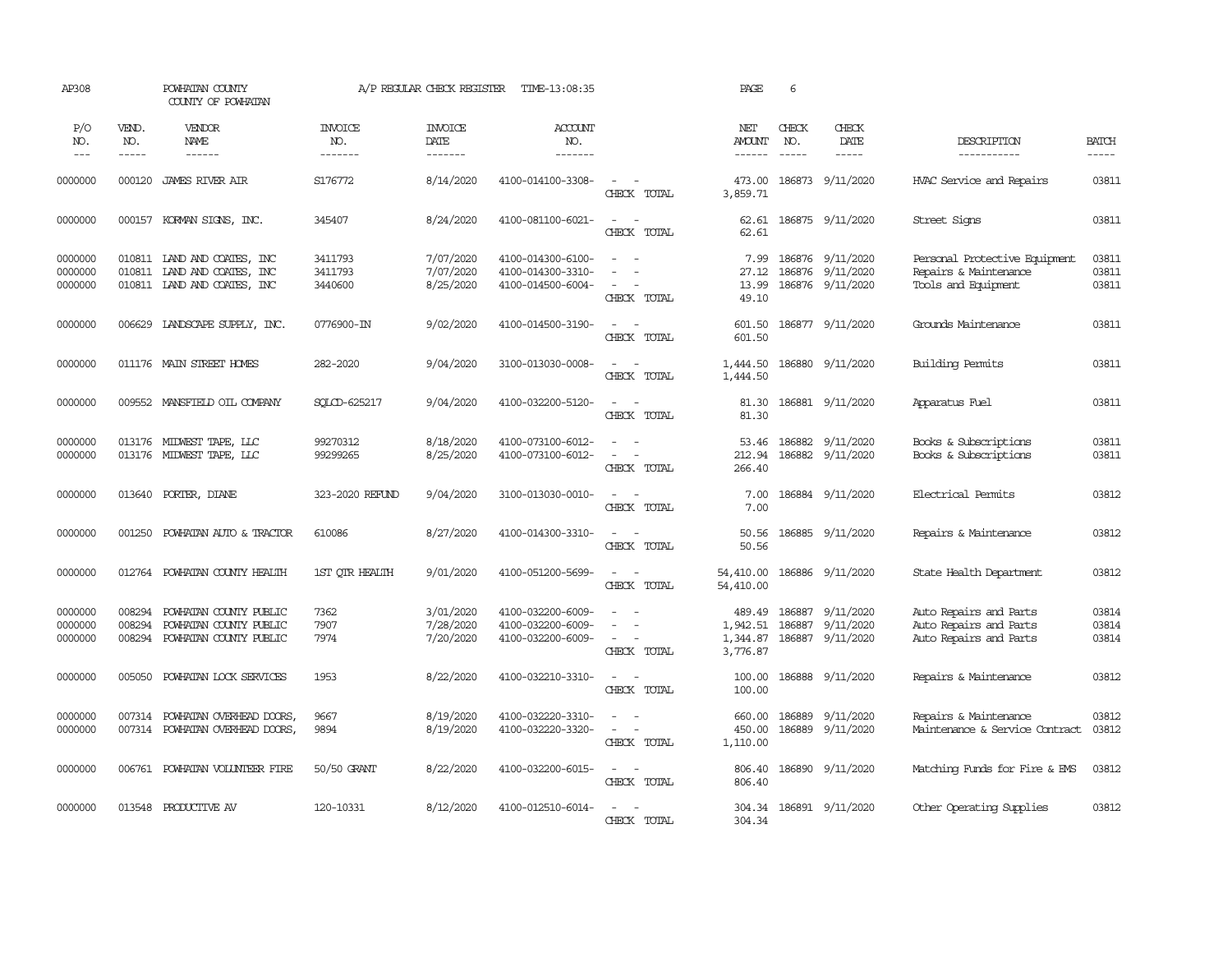| AP308                         |                             | POWHATAN COUNTY<br>COUNTY OF POWHATAN                                              |                                  | A/P REGULAR CHECK REGISTER                | TIME-13:08:35                                               |                                                   | PAGE                                       | 6                             |                                                          |                                                                               |                               |
|-------------------------------|-----------------------------|------------------------------------------------------------------------------------|----------------------------------|-------------------------------------------|-------------------------------------------------------------|---------------------------------------------------|--------------------------------------------|-------------------------------|----------------------------------------------------------|-------------------------------------------------------------------------------|-------------------------------|
| P/O<br>NO.<br>$---$           | VEND.<br>NO.<br>$- - - - -$ | <b>VENDOR</b><br>NAME                                                              | <b>INVOICE</b><br>NO.<br>------- | <b>INVOICE</b><br>DATE<br>$- - - - - - -$ | ACCOUNT<br>NO.<br>$- - - - - - -$                           |                                                   | NET<br><b>AMOUNT</b><br>$- - - - - -$      | CHECK<br>NO.<br>$\frac{1}{2}$ | CHECK<br>DATE<br>$\frac{1}{2}$                           | DESCRIPTION<br>-----------                                                    | <b>BATCH</b><br>$\frac{1}{2}$ |
| 0000000                       | 000120                      | <b>JAMES RIVER AIR</b>                                                             | S176772                          | 8/14/2020                                 | 4100-014100-3308-                                           | $\sim$<br>$\sim$<br>CHECK TOTAL                   | 473.00<br>3,859.71                         |                               | 186873 9/11/2020                                         | HVAC Service and Repairs                                                      | 03811                         |
| 0000000                       | 000157                      | KORMAN SIGNS, INC.                                                                 | 345407                           | 8/24/2020                                 | 4100-081100-6021-                                           | $\sim$<br>$\overline{\phantom{a}}$<br>CHECK TOTAL | 62.61<br>62.61                             |                               | 186875 9/11/2020                                         | Street Signs                                                                  | 03811                         |
| 0000000<br>0000000<br>0000000 | 010811                      | 010811 LAND AND COATES, INC<br>LAND AND COATES, INC<br>010811 LAND AND COATES, INC | 3411793<br>3411793<br>3440600    | 7/07/2020<br>7/07/2020<br>8/25/2020       | 4100-014300-6100-<br>4100-014300-3310-<br>4100-014500-6004- | $\sim$<br>$\overline{\phantom{a}}$<br>CHECK TOTAL | 7.99<br>27.12<br>13.99<br>49.10            |                               | 186876 9/11/2020<br>186876 9/11/2020<br>186876 9/11/2020 | Personal Protective Equipment<br>Repairs & Maintenance<br>Tools and Equipment | 03811<br>03811<br>03811       |
| 0000000                       |                             | 006629 LANDSCAPE SUPPLY, INC.                                                      | 0776900-IN                       | 9/02/2020                                 | 4100-014500-3190-                                           | $\overline{\phantom{a}}$<br>$\sim$<br>CHECK TOTAL | 601.50<br>601.50                           |                               | 186877 9/11/2020                                         | Grounds Maintenance                                                           | 03811                         |
| 0000000                       |                             | 011176 MAIN STREET HOMES                                                           | 282-2020                         | 9/04/2020                                 | 3100-013030-0008-                                           | $\overline{\phantom{a}}$<br>$\sim$<br>CHECK TOTAL | 1,444.50<br>1,444.50                       |                               | 186880 9/11/2020                                         | Building Permits                                                              | 03811                         |
| 0000000                       | 009552                      | MANSFIELD OIL COMPANY                                                              | SOLCD-625217                     | 9/04/2020                                 | 4100-032200-5120-                                           | $\overline{\phantom{a}}$<br>$\sim$<br>CHECK TOTAL | 81.30<br>81.30                             |                               | 186881 9/11/2020                                         | Apparatus Fuel                                                                | 03811                         |
| 0000000<br>0000000            |                             | 013176 MIDWEST TAPE, LLC<br>013176 MIDWEST TAPE, LLC                               | 99270312<br>99299265             | 8/18/2020<br>8/25/2020                    | 4100-073100-6012-<br>4100-073100-6012-                      | $\sim$<br>$\sim$<br>CHECK TOTAL                   | 53.46<br>212.94<br>266.40                  |                               | 186882 9/11/2020<br>186882 9/11/2020                     | Books & Subscriptions<br>Books & Subscriptions                                | 03811<br>03811                |
| 0000000                       |                             | 013640 PORTER, DIANE                                                               | 323-2020 REFUND                  | 9/04/2020                                 | 3100-013030-0010-                                           | $\sim$ $\sim$<br>CHECK TOTAL                      | 7.00<br>7.00                               |                               | 186884 9/11/2020                                         | Electrical Permits                                                            | 03812                         |
| 0000000                       | 001250                      | POWHATAN AUTO & TRACTOR                                                            | 610086                           | 8/27/2020                                 | 4100-014300-3310-                                           | $\sim$ $ \sim$<br>CHECK TOTAL                     | 50.56<br>50.56                             |                               | 186885 9/11/2020                                         | Repairs & Maintenance                                                         | 03812                         |
| 0000000                       |                             | 012764 POWHATAN COUNTY HEALTH                                                      | 1ST OTR HEALTH                   | 9/01/2020                                 | 4100-051200-5699-                                           | $\sim$<br>$\sim$<br>CHECK TOTAL                   | 54,410.00<br>54,410.00                     |                               | 186886 9/11/2020                                         | State Health Department                                                       | 03812                         |
| 0000000<br>0000000<br>0000000 | 008294<br>008294<br>008294  | POWHATAN COUNTY PUBLIC<br>POWHATAN COUNTY PUBLIC<br>POWHATAN COUNTY PUBLIC         | 7362<br>7907<br>7974             | 3/01/2020<br>7/28/2020<br>7/20/2020       | 4100-032200-6009-<br>4100-032200-6009-<br>4100-032200-6009- | $\equiv$<br>$\sim$<br>CHECK TOTAL                 | 489.49<br>1,942.51<br>1,344.87<br>3,776.87 |                               | 186887 9/11/2020<br>186887 9/11/2020<br>186887 9/11/2020 | Auto Repairs and Parts<br>Auto Repairs and Parts<br>Auto Repairs and Parts    | 03814<br>03814<br>03814       |
| 0000000                       | 005050                      | POWHATAN LOCK SERVICES                                                             | 1953                             | 8/22/2020                                 | 4100-032210-3310-                                           | $\sim$<br>$\sim$<br>CHECK TOTAL                   | 100.00<br>100.00                           |                               | 186888 9/11/2020                                         | Repairs & Maintenance                                                         | 03812                         |
| 0000000<br>0000000            | 007314                      | POWHATAN OVERHEAD DOORS,<br>007314 POWHATAN OVERHEAD DOORS,                        | 9667<br>9894                     | 8/19/2020<br>8/19/2020                    | 4100-032220-3310-<br>4100-032220-3320-                      | $\sim$ $ \sim$<br>CHECK TOTAL                     | 660.00<br>450.00<br>1,110.00               | 186889                        | 9/11/2020<br>186889 9/11/2020                            | Repairs & Maintenance<br>Maintenance & Service Contract                       | 03812<br>03812                |
| 0000000                       |                             | 006761 POWHATAN VOLUNTEER FIRE                                                     | 50/50 GRANT                      | 8/22/2020                                 | 4100-032200-6015-                                           | $\sim$ $\sim$<br>CHECK TOTAL                      | 806.40<br>806.40                           |                               | 186890 9/11/2020                                         | Matching Funds for Fire & EMS                                                 | 03812                         |
| 0000000                       |                             | 013548 PRODUCTIVE AV                                                               | 120-10331                        | 8/12/2020                                 | 4100-012510-6014-                                           | $\overline{\phantom{a}}$<br>$\sim$<br>CHECK TOTAL | 304.34<br>304.34                           |                               | 186891 9/11/2020                                         | Other Operating Supplies                                                      | 03812                         |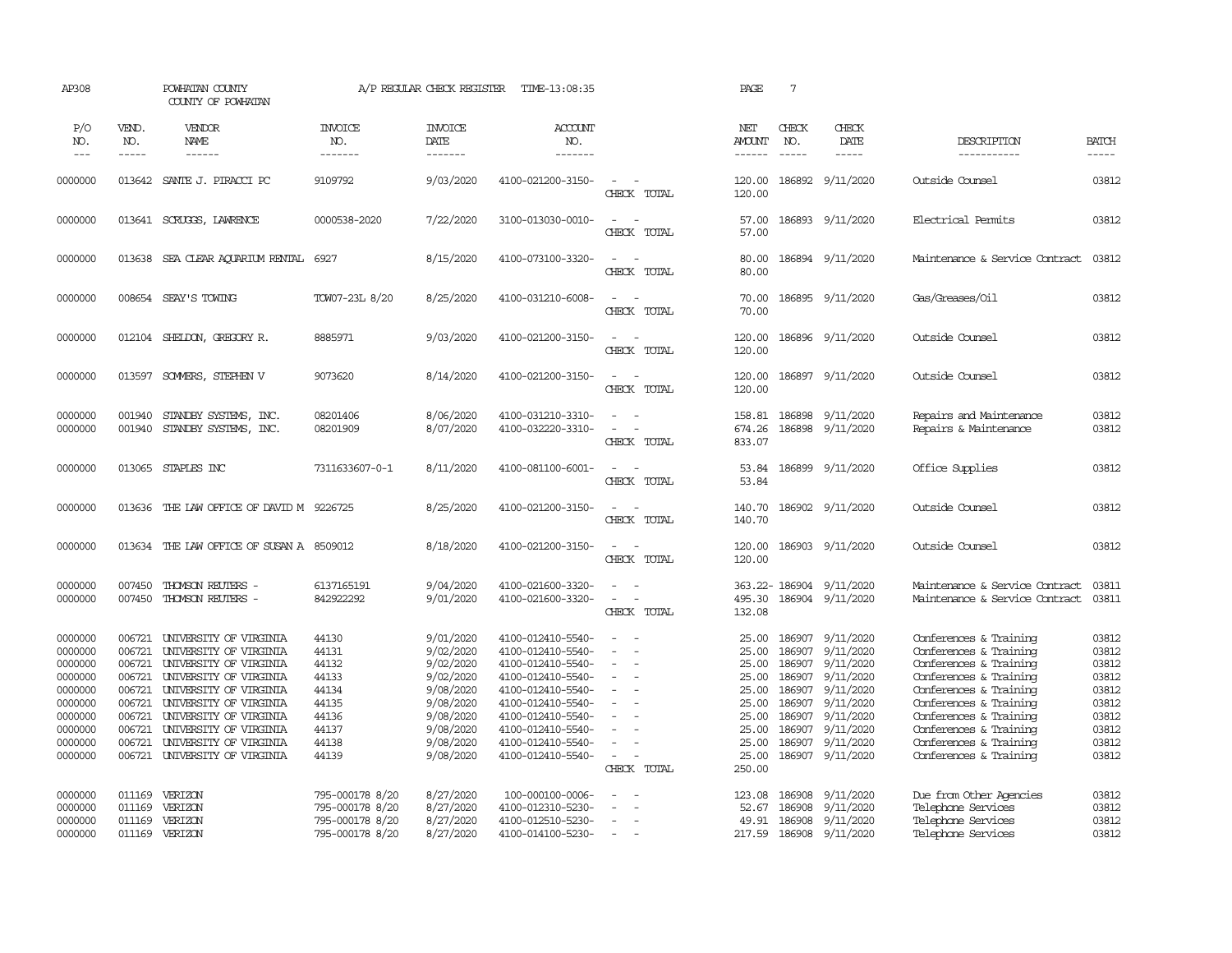| AP308                                                                                |                                                                              | POWHATAN COUNTY<br>COUNTY OF POWHATAN                                                                                                                                                                        |                                                                          | A/P REGULAR CHECK REGISTER                                                                           | TIME-13:08:35                                                                                                                                                        |                                                                                 | PAGE                                                                 | $7\phantom{.0}$                                                              |                                                                                                      |                                                                                                                                                                                                              |                                                                      |
|--------------------------------------------------------------------------------------|------------------------------------------------------------------------------|--------------------------------------------------------------------------------------------------------------------------------------------------------------------------------------------------------------|--------------------------------------------------------------------------|------------------------------------------------------------------------------------------------------|----------------------------------------------------------------------------------------------------------------------------------------------------------------------|---------------------------------------------------------------------------------|----------------------------------------------------------------------|------------------------------------------------------------------------------|------------------------------------------------------------------------------------------------------|--------------------------------------------------------------------------------------------------------------------------------------------------------------------------------------------------------------|----------------------------------------------------------------------|
| P/O<br>NO.<br>$---$                                                                  | VEND.<br>NO.<br>-----                                                        | VENDOR<br>NAME<br>$- - - - - -$                                                                                                                                                                              | <b>INVOICE</b><br>NO.<br>-------                                         | <b>INVOICE</b><br>DATE<br>-------                                                                    | ACCOUNT<br>NO.<br>-------                                                                                                                                            |                                                                                 | NET<br><b>AMOUNT</b><br>------                                       | CHECK<br>NO.<br>$\frac{1}{2}$                                                | CHECK<br>DATE<br>-----                                                                               | DESCRIPTION<br>-----------                                                                                                                                                                                   | <b>BATCH</b><br>-----                                                |
|                                                                                      |                                                                              |                                                                                                                                                                                                              |                                                                          |                                                                                                      |                                                                                                                                                                      |                                                                                 |                                                                      |                                                                              |                                                                                                      |                                                                                                                                                                                                              |                                                                      |
| 0000000                                                                              | 013642                                                                       | SANTE J. PIRACCI PC                                                                                                                                                                                          | 9109792                                                                  | 9/03/2020                                                                                            | 4100-021200-3150-                                                                                                                                                    | $\sim$<br>CHECK TOTAL                                                           | 120.00<br>120.00                                                     | 186892                                                                       | 9/11/2020                                                                                            | Outside Counsel                                                                                                                                                                                              | 03812                                                                |
| 0000000                                                                              |                                                                              | 013641 SCRUGGS, LAWRENCE                                                                                                                                                                                     | 0000538-2020                                                             | 7/22/2020                                                                                            | 3100-013030-0010-                                                                                                                                                    | $\sim$<br>$\sim$<br>CHECK TOTAL                                                 | 57.00<br>57.00                                                       |                                                                              | 186893 9/11/2020                                                                                     | Electrical Permits                                                                                                                                                                                           | 03812                                                                |
| 0000000                                                                              | 013638                                                                       | SEA CLEAR AQUARIUM RENTAL                                                                                                                                                                                    | 6927                                                                     | 8/15/2020                                                                                            | 4100-073100-3320-                                                                                                                                                    | $\overline{\phantom{a}}$<br>$\sim$<br>CHECK TOTAL                               | 80.00<br>80.00                                                       |                                                                              | 186894 9/11/2020                                                                                     | Maintenance & Service Contract                                                                                                                                                                               | 03812                                                                |
| 0000000                                                                              |                                                                              | 008654 SEAY'S TOWING                                                                                                                                                                                         | TOW07-23L 8/20                                                           | 8/25/2020                                                                                            | 4100-031210-6008-                                                                                                                                                    | $\sim$<br>$\sim$<br>CHECK TOTAL                                                 | 70.00<br>70.00                                                       |                                                                              | 186895 9/11/2020                                                                                     | Gas/Greases/Oil                                                                                                                                                                                              | 03812                                                                |
| 0000000                                                                              | 012104                                                                       | SHELDON, GREGORY R.                                                                                                                                                                                          | 8885971                                                                  | 9/03/2020                                                                                            | 4100-021200-3150-                                                                                                                                                    | $\sim$<br>$\overline{\phantom{a}}$<br>CHECK TOTAL                               | 120.00<br>120.00                                                     |                                                                              | 186896 9/11/2020                                                                                     | Outside Counsel                                                                                                                                                                                              | 03812                                                                |
| 0000000                                                                              | 013597                                                                       | SOMMERS, STEPHEN V                                                                                                                                                                                           | 9073620                                                                  | 8/14/2020                                                                                            | 4100-021200-3150-                                                                                                                                                    | $\sim$<br>$\sim$<br>CHECK TOTAL                                                 | 120.00<br>120.00                                                     |                                                                              | 186897 9/11/2020                                                                                     | Outside Counsel                                                                                                                                                                                              | 03812                                                                |
| 0000000<br>0000000                                                                   | 001940<br>001940                                                             | STANDBY SYSTEMS, INC.<br>STANDBY SYSTEMS, INC.                                                                                                                                                               | 08201406<br>08201909                                                     | 8/06/2020<br>8/07/2020                                                                               | 4100-031210-3310-<br>4100-032220-3310-                                                                                                                               | $\sim$<br>$\equiv$<br>CHECK TOTAL                                               | 158.81<br>674.26<br>833.07                                           | 186898<br>186898                                                             | 9/11/2020<br>9/11/2020                                                                               | Repairs and Maintenance<br>Repairs & Maintenance                                                                                                                                                             | 03812<br>03812                                                       |
| 0000000                                                                              | 013065                                                                       | STAPLES INC                                                                                                                                                                                                  | 7311633607-0-1                                                           | 8/11/2020                                                                                            | 4100-081100-6001-                                                                                                                                                    | $\equiv$<br>$\sim$<br>CHECK TOTAL                                               | 53.84<br>53.84                                                       |                                                                              | 186899 9/11/2020                                                                                     | Office Supplies                                                                                                                                                                                              | 03812                                                                |
| 0000000                                                                              | 013636                                                                       | THE LAW OFFICE OF DAVID M                                                                                                                                                                                    | 9226725                                                                  | 8/25/2020                                                                                            | 4100-021200-3150-                                                                                                                                                    | $\sim$<br>CHECK TOTAL                                                           | 140.70<br>140.70                                                     |                                                                              | 186902 9/11/2020                                                                                     | Outside Counsel                                                                                                                                                                                              | 03812                                                                |
| 0000000                                                                              | 013634                                                                       | THE LAW OFFICE OF SUSAN A 8509012                                                                                                                                                                            |                                                                          | 8/18/2020                                                                                            | 4100-021200-3150-                                                                                                                                                    | $\overline{\phantom{a}}$<br>CHECK TOTAL                                         | 120.00<br>120.00                                                     | 186903                                                                       | 9/11/2020                                                                                            | Outside Counsel                                                                                                                                                                                              | 03812                                                                |
| 0000000<br>0000000                                                                   | 007450<br>007450                                                             | THOMSON REUTERS -<br>THOMSON REUTERS -                                                                                                                                                                       | 6137165191<br>842922292                                                  | 9/04/2020<br>9/01/2020                                                                               | 4100-021600-3320-<br>4100-021600-3320-                                                                                                                               | $\equiv$<br>$\sim$<br>$\blacksquare$<br>$\overline{\phantom{a}}$<br>CHECK TOTAL | 363.22-186904<br>495.30<br>132.08                                    |                                                                              | 9/11/2020<br>186904 9/11/2020                                                                        | Maintenance & Service Contract<br>Maintenance & Service Contract                                                                                                                                             | 03811<br>03811                                                       |
| 0000000<br>0000000<br>0000000<br>0000000<br>0000000<br>0000000<br>0000000<br>0000000 | 006721<br>006721<br>006721<br>006721<br>006721<br>006721<br>006721<br>006721 | UNIVERSITY OF VIRGINIA<br>UNIVERSITY OF VIRGINIA<br>UNIVERSITY OF VIRGINIA<br>UNIVERSITY OF VIRGINIA<br>UNIVERSITY OF VIRGINIA<br>UNIVERSITY OF VIRGINIA<br>UNIVERSITY OF VIRGINIA<br>UNIVERSITY OF VIRGINIA | 44130<br>44131<br>44132<br>44133<br>44134<br>44135<br>44136<br>44137     | 9/01/2020<br>9/02/2020<br>9/02/2020<br>9/02/2020<br>9/08/2020<br>9/08/2020<br>9/08/2020<br>9/08/2020 | 4100-012410-5540-<br>4100-012410-5540-<br>4100-012410-5540-<br>4100-012410-5540-<br>4100-012410-5540-<br>4100-012410-5540-<br>4100-012410-5540-<br>4100-012410-5540- | $\equiv$<br>۰.<br>÷<br>$\sim$<br>$\sim$<br>$\sim$                               | 25.00<br>25.00<br>25.00<br>25.00<br>25.00<br>25.00<br>25.00<br>25.00 | 186907<br>186907<br>186907<br>186907<br>186907<br>186907<br>186907<br>186907 | 9/11/2020<br>9/11/2020<br>9/11/2020<br>9/11/2020<br>9/11/2020<br>9/11/2020<br>9/11/2020<br>9/11/2020 | Conferences & Training<br>Conferences & Training<br>Conferences & Training<br>Conferences & Training<br>Conferences & Training<br>Conferences & Training<br>Conferences & Training<br>Conferences & Training | 03812<br>03812<br>03812<br>03812<br>03812<br>03812<br>03812<br>03812 |
| 0000000<br>0000000                                                                   | 006721<br>006721                                                             | UNIVERSITY OF VIRGINIA<br>UNIVERSITY OF VIRGINIA                                                                                                                                                             | 44138<br>44139                                                           | 9/08/2020<br>9/08/2020                                                                               | 4100-012410-5540-<br>4100-012410-5540-                                                                                                                               | $\overline{\phantom{a}}$<br>CHECK TOTAL                                         | 25.00<br>25.00<br>250.00                                             | 186907                                                                       | 9/11/2020<br>186907 9/11/2020                                                                        | Conferences & Training<br>Conferences & Training                                                                                                                                                             | 03812<br>03812                                                       |
| 0000000<br>0000000<br>0000000<br>0000000                                             | 011169<br>011169<br>011169<br>011169                                         | VERIZON<br>VERIZON<br>VERIZON<br>VERIZON                                                                                                                                                                     | 795-000178 8/20<br>795-000178 8/20<br>795-000178 8/20<br>795-000178 8/20 | 8/27/2020<br>8/27/2020<br>8/27/2020<br>8/27/2020                                                     | 100-000100-0006-<br>4100-012310-5230-<br>4100-012510-5230-<br>4100-014100-5230-                                                                                      | $\omega$<br>$\sim$<br>$\sim$<br>$\sim$                                          | 123.08<br>52.67<br>49.91<br>217.59                                   | 186908<br>186908<br>186908<br>186908                                         | 9/11/2020<br>9/11/2020<br>9/11/2020<br>9/11/2020                                                     | Due from Other Agencies<br>Telephone Services<br>Telephone Services<br>Telephone Services                                                                                                                    | 03812<br>03812<br>03812<br>03812                                     |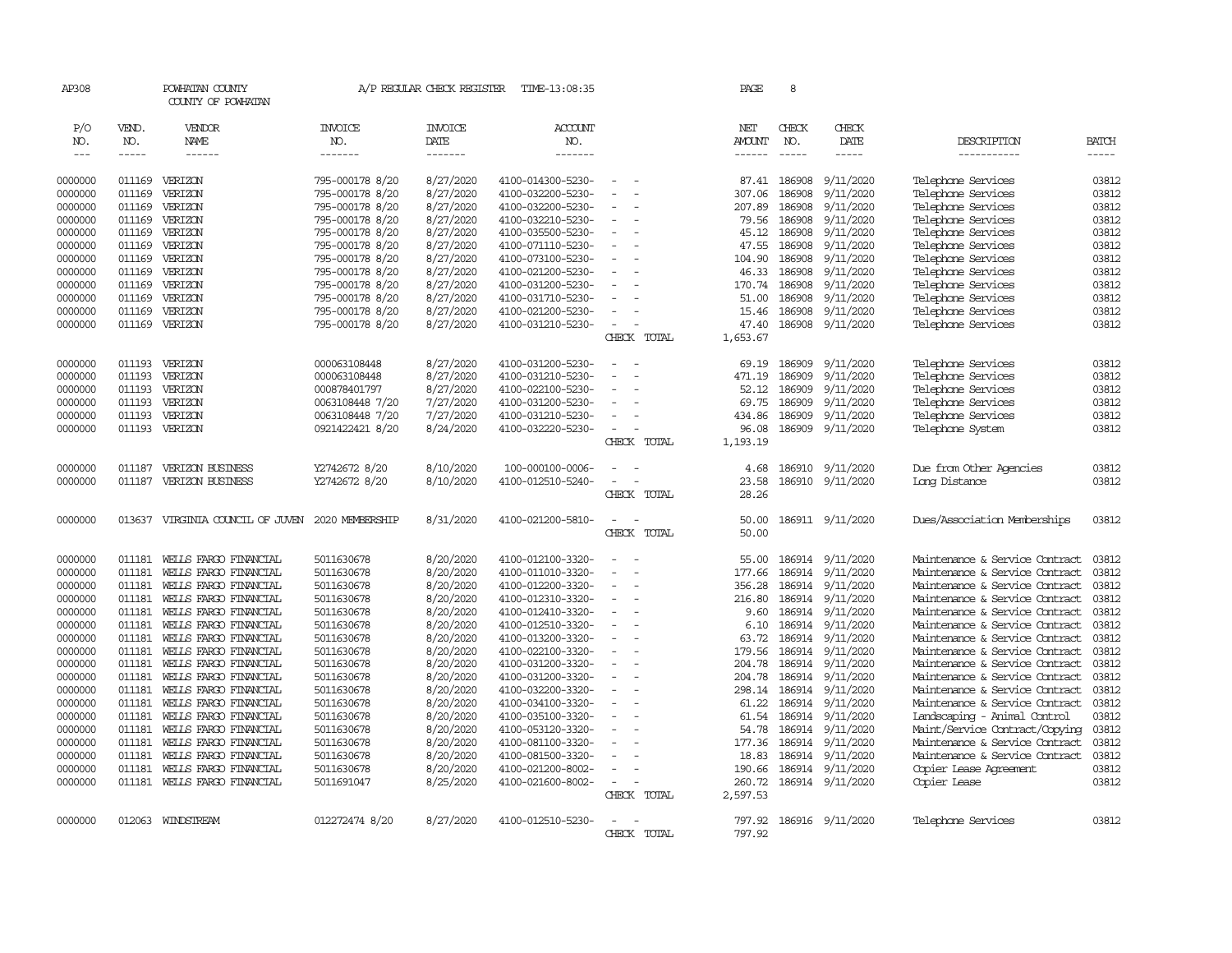| AP308              |                  | POWHATAN COUNTY<br>COUNTY OF POWHATAN          |                          | A/P REGULAR CHECK REGISTER | TIME-13:08:35                          |                          | PAGE            | 8           |                               |                                                                  |                |
|--------------------|------------------|------------------------------------------------|--------------------------|----------------------------|----------------------------------------|--------------------------|-----------------|-------------|-------------------------------|------------------------------------------------------------------|----------------|
| P/O                | VEND.            | VENDOR                                         | <b>INVOICE</b>           | <b>INVOICE</b>             | <b>ACCOUNT</b>                         |                          | NET             | CHECK       | CHECK                         |                                                                  |                |
| NO.                | NO.              | NAME                                           | NO.                      | DATE                       | NO.                                    |                          | <b>AMOUNT</b>   | NO.         | DATE                          | DESCRIPTION                                                      | <b>BATCH</b>   |
| $---$              | $- - - - -$      | $- - - - - -$                                  | -------                  | -------                    | -------                                |                          | $- - - - - -$   | $- - - - -$ | -----                         | ------------                                                     | $- - - - -$    |
|                    |                  |                                                |                          |                            |                                        |                          |                 |             |                               |                                                                  |                |
| 0000000            | 011169           | VERIZON                                        | 795-000178 8/20          | 8/27/2020                  | 4100-014300-5230-                      |                          | 87.41           | 186908      | 9/11/2020                     | Telephone Services                                               | 03812          |
| 0000000            | 011169           | VERIZON                                        | 795-000178 8/20          | 8/27/2020                  | 4100-032200-5230-                      |                          | 307.06          | 186908      | 9/11/2020                     | Telephone Services                                               | 03812          |
| 0000000            | 011169           | VERIZON                                        | 795-000178 8/20          | 8/27/2020                  | 4100-032200-5230-                      |                          | 207.89          | 186908      | 9/11/2020                     | Telephone Services                                               | 03812          |
| 0000000            | 011169           | VERIZON                                        | 795-000178 8/20          | 8/27/2020                  | 4100-032210-5230-                      | $\equiv$                 | 79.56           | 186908      | 9/11/2020                     | Telephone Services                                               | 03812          |
| 0000000            | 011169           | VERIZON                                        | 795-000178 8/20          | 8/27/2020                  | 4100-035500-5230-                      | $\equiv$                 | 45.12           | 186908      | 9/11/2020                     | Telephone Services                                               | 03812          |
| 0000000            | 011169           | VERIZON                                        | 795-000178 8/20          | 8/27/2020                  | 4100-071110-5230-                      |                          | 47.55           | 186908      | 9/11/2020                     | Telephone Services                                               | 03812          |
| 0000000            | 011169           | VERIZON                                        | 795-000178 8/20          | 8/27/2020                  | 4100-073100-5230-                      |                          | 104.90          | 186908      | 9/11/2020                     | Telephone Services                                               | 03812          |
| 0000000            | 011169           | VERIZON                                        | 795-000178 8/20          | 8/27/2020                  | 4100-021200-5230-                      |                          | 46.33           | 186908      | 9/11/2020                     | Telephone Services                                               | 03812          |
| 0000000            | 011169           | VERIZON                                        | 795-000178 8/20          | 8/27/2020                  | 4100-031200-5230-                      |                          | 170.74          | 186908      | 9/11/2020                     | Telephone Services                                               | 03812          |
| 0000000            | 011169           | VERIZON                                        | 795-000178 8/20          | 8/27/2020                  | 4100-031710-5230-                      |                          | 51.00           | 186908      | 9/11/2020                     | Telephone Services                                               | 03812          |
| 0000000            | 011169           | VERIZON                                        | 795-000178 8/20          | 8/27/2020                  | 4100-021200-5230-                      |                          | 15.46           | 186908      | 9/11/2020                     | Telephone Services                                               | 03812          |
| 0000000            | 011169           | VERIZON                                        | 795-000178 8/20          | 8/27/2020                  | 4100-031210-5230-                      |                          | 47.40           | 186908      | 9/11/2020                     | Telephone Services                                               | 03812          |
|                    |                  |                                                |                          |                            |                                        | CHECK TOTAL              | 1,653.67        |             |                               |                                                                  |                |
| 0000000            |                  | 011193 VERIZON                                 | 000063108448             | 8/27/2020                  | 4100-031200-5230-                      | $\overline{\phantom{a}}$ | 69.19           | 186909      | 9/11/2020                     | Telephone Services                                               | 03812          |
| 0000000            | 011193           | VERIZON                                        | 000063108448             | 8/27/2020                  | 4100-031210-5230-                      |                          | 471.19          | 186909      | 9/11/2020                     | Telephone Services                                               | 03812          |
| 0000000            | 011193           | VERIZON                                        | 000878401797             | 8/27/2020                  | 4100-022100-5230-                      |                          | 52.12           | 186909      | 9/11/2020                     | Telephone Services                                               | 03812          |
| 0000000            | 011193           | VERIZON                                        | 0063108448 7/20          | 7/27/2020                  | 4100-031200-5230-                      |                          | 69.75           | 186909      | 9/11/2020                     | Telephone Services                                               | 03812          |
| 0000000            | 011193           | VERIZON                                        | 0063108448 7/20          | 7/27/2020                  | 4100-031210-5230-                      |                          | 434.86          | 186909      | 9/11/2020                     | Telephone Services                                               | 03812          |
| 0000000            | 011193           | VERIZON                                        | 0921422421 8/20          | 8/24/2020                  | 4100-032220-5230-                      |                          | 96.08           |             | 186909 9/11/2020              | Telephone System                                                 | 03812          |
|                    |                  |                                                |                          |                            |                                        | CHECK TOTAL              | 1,193.19        |             |                               |                                                                  |                |
|                    |                  |                                                |                          |                            |                                        |                          |                 |             |                               |                                                                  |                |
| 0000000            | 011187           | VERIZON BUSINESS                               | Y2742672 8/20            | 8/10/2020                  | 100-000100-0006-                       |                          | 4.68            | 186910      | 9/11/2020                     | Due from Other Agencies                                          | 03812          |
| 0000000            | 011187           | VERIZON BUSINESS                               | Y2742672 8/20            | 8/10/2020                  | 4100-012510-5240-                      | $\equiv$                 | 23.58           |             | 186910 9/11/2020              | Long Distance                                                    | 03812          |
|                    |                  |                                                |                          |                            |                                        | CHECK TOTAL              | 28.26           |             |                               |                                                                  |                |
| 0000000            | 013637           | VIRGINIA COUNCIL OF JUVEN                      | 2020 MEMBERSHIP          | 8/31/2020                  | 4100-021200-5810-                      | $\sim$<br>$\sim$         | 50.00           |             | 186911 9/11/2020              | Dues/Association Memberships                                     | 03812          |
|                    |                  |                                                |                          |                            |                                        | CHECK TOTAL              | 50.00           |             |                               |                                                                  |                |
|                    |                  |                                                |                          |                            |                                        |                          |                 |             |                               |                                                                  |                |
| 0000000            | 011181           | WELLS FARGO FINANCIAL                          | 5011630678               | 8/20/2020                  | 4100-012100-3320-                      |                          | 55.00           | 186914      | 9/11/2020                     | Maintenance & Service Contract                                   | 03812          |
| 0000000            | 011181           | WELLS FARGO FINANCIAL                          | 5011630678               | 8/20/2020                  | 4100-011010-3320-                      | $\sim$                   | 177.66          | 186914      | 9/11/2020                     | Maintenance & Service Contract                                   | 03812          |
| 0000000            | 011181           | WELLS FARGO FINANCIAL                          | 5011630678               | 8/20/2020                  | 4100-012200-3320-                      | $\equiv$                 | 356.28          | 186914      | 9/11/2020                     | Maintenance & Service Contract                                   | 03812          |
| 0000000            | 011181           | WELLS FARGO FINANCIAL                          | 5011630678               | 8/20/2020                  | 4100-012310-3320-                      |                          | 216.80          | 186914      | 9/11/2020                     | Maintenance & Service Contract                                   | 03812          |
| 0000000            | 011181           | WELLS FARGO FINANCIAL                          | 5011630678               | 8/20/2020                  | 4100-012410-3320-                      |                          | 9.60            |             | 186914 9/11/2020              | Maintenance & Service Contract                                   | 03812          |
| 0000000            | 011181           | WELLS FARGO FINANCIAL                          | 5011630678               | 8/20/2020                  | 4100-012510-3320-                      |                          | 6.10            |             | 186914 9/11/2020              | Maintenance & Service Contract                                   | 03812          |
| 0000000            | 011181           | WELLS FARGO FINANCIAL                          | 5011630678               | 8/20/2020                  | 4100-013200-3320-                      | $\overline{\phantom{a}}$ | 63.72           | 186914      | 9/11/2020                     | Maintenance & Service Contract                                   | 03812          |
| 0000000            | 011181           | WELLS FARGO FINANCIAL                          | 5011630678               | 8/20/2020                  | 4100-022100-3320-                      |                          | 179.56          | 186914      | 9/11/2020                     | Maintenance & Service Contract                                   | 03812          |
| 0000000            | 011181           | WELLS FARGO FINANCIAL                          | 5011630678               | 8/20/2020                  | 4100-031200-3320-                      |                          | 204.78          | 186914      | 9/11/2020                     | Maintenance & Service Contract                                   | 03812          |
| 0000000            | 011181           | WELLS FARGO FINANCIAL                          | 5011630678               | 8/20/2020                  | 4100-031200-3320-                      |                          | 204.78          | 186914      | 9/11/2020                     | Maintenance & Service Contract                                   | 03812          |
| 0000000            | 011181           | WELLS FARGO FINANCIAL                          | 5011630678               | 8/20/2020                  | 4100-032200-3320-                      |                          | 298.14          | 186914      | 9/11/2020                     | Maintenance & Service Contract                                   | 03812          |
| 0000000            | 011181<br>011181 | WELLS FARGO FINANCIAL                          | 5011630678               | 8/20/2020                  | 4100-034100-3320-                      | $\overline{\phantom{a}}$ | 61.22           | 186914      | 9/11/2020                     | Maintenance & Service Contract                                   | 03812          |
| 0000000            |                  | WELLS FARGO FINANCIAL                          | 5011630678               | 8/20/2020                  | 4100-035100-3320-                      |                          | 61.54           | 186914      | 9/11/2020                     | Landscaping - Animal Control                                     | 03812          |
| 0000000            | 011181<br>011181 | WELLS FARGO FINANCIAL<br>WELLS FARGO FINANCIAL | 5011630678               | 8/20/2020<br>8/20/2020     | 4100-053120-3320-                      |                          | 54.78           | 186914      | 9/11/2020<br>186914 9/11/2020 | Maint/Service Contract/Copying<br>Maintenance & Service Contract | 03812<br>03812 |
| 0000000<br>0000000 | 011181           | WELLS FARGO FINANCIAL                          | 5011630678<br>5011630678 | 8/20/2020                  | 4100-081100-3320-<br>4100-081500-3320- |                          | 177.36<br>18.83 |             | 186914 9/11/2020              | Maintenance & Service Contract                                   | 03812          |
| 0000000            | 011181           | WELLS FARGO FINANCIAL                          | 5011630678               | 8/20/2020                  | 4100-021200-8002-                      | $\sim$                   | 190.66          | 186914      | 9/11/2020                     | Copier Lease Agreement                                           | 03812          |
| 0000000            |                  | 011181 WELLS FARGO FINANCIAL                   | 5011691047               | 8/25/2020                  | 4100-021600-8002-                      |                          | 260.72          |             | 186914 9/11/2020              | Copier Lease                                                     | 03812          |
|                    |                  |                                                |                          |                            |                                        | CHECK TOTAL              | 2,597.53        |             |                               |                                                                  |                |
|                    |                  |                                                |                          |                            |                                        |                          |                 |             |                               |                                                                  |                |
| 0000000            |                  | 012063 WINDSTREAM                              | 012272474 8/20           | 8/27/2020                  | 4100-012510-5230-                      | $\sim$                   | 797.92          |             | 186916 9/11/2020              | Telephone Services                                               | 03812          |
|                    |                  |                                                |                          |                            |                                        | CHECK TOTAL              | 797.92          |             |                               |                                                                  |                |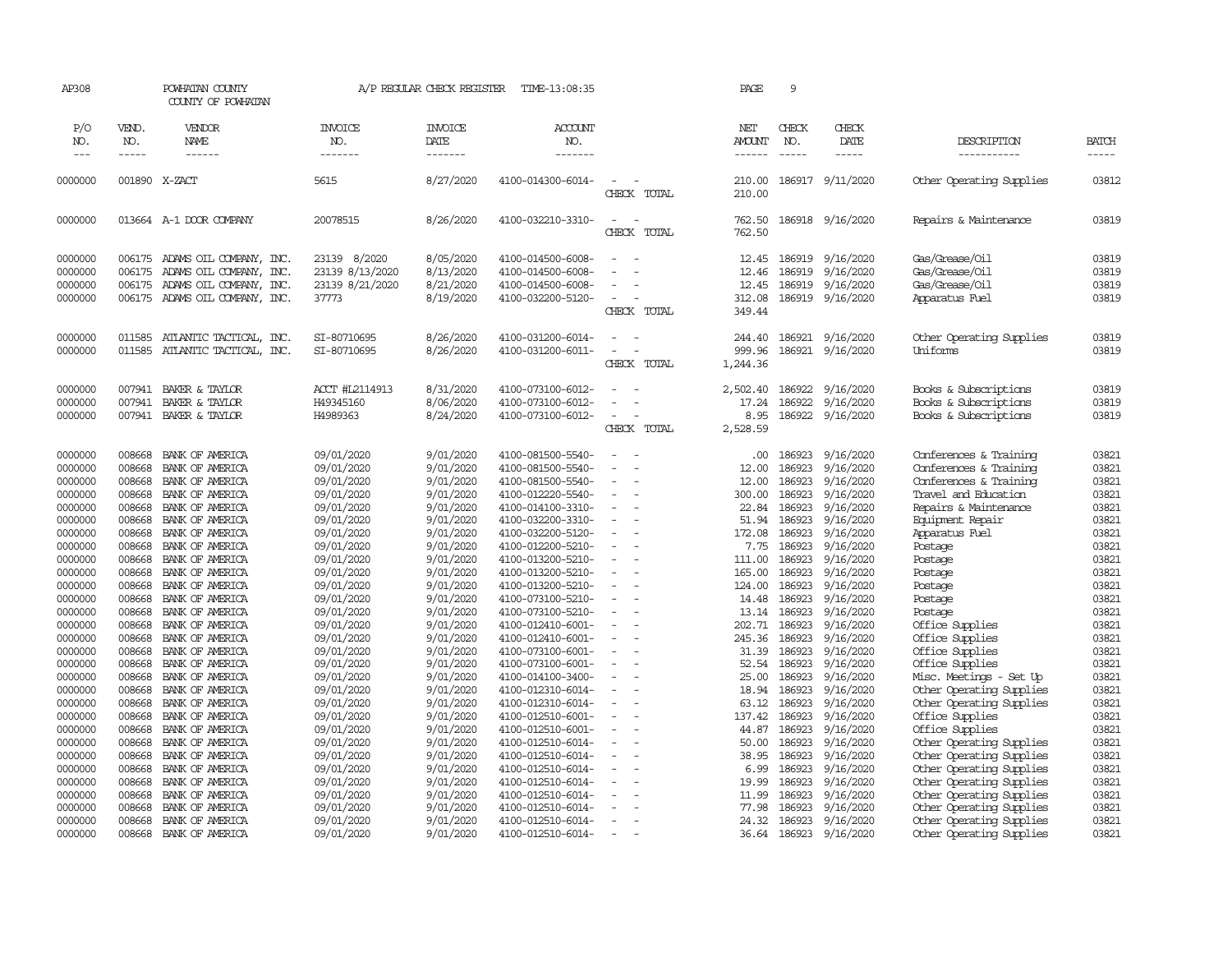| AP308               |                             | POWHATAN COUNTY<br>COUNTY OF POWHATAN |                                  | A/P REGULAR CHECK REGISTER                | TIME-13:08:35                          |                                         | PAGE                                  | 9                             |                         |                            |                             |
|---------------------|-----------------------------|---------------------------------------|----------------------------------|-------------------------------------------|----------------------------------------|-----------------------------------------|---------------------------------------|-------------------------------|-------------------------|----------------------------|-----------------------------|
| P/O<br>NO.<br>$---$ | VEND.<br>NO.<br>$- - - - -$ | VENDOR<br>NAME<br>------              | <b>INVOICE</b><br>NO.<br>------- | <b>INVOICE</b><br>DATE<br>$- - - - - - -$ | <b>ACCOUNT</b><br>NO.<br>--------      |                                         | NET<br><b>AMOUNT</b><br>$- - - - - -$ | CHECK<br>NO.<br>$\frac{1}{2}$ | CHECK<br>DATE<br>-----  | DESCRIPTION<br>----------- | <b>BATCH</b><br>$- - - - -$ |
|                     |                             |                                       |                                  |                                           |                                        |                                         |                                       |                               |                         |                            |                             |
| 0000000             |                             | 001890 X-ZACT                         | 5615                             | 8/27/2020                                 | 4100-014300-6014-                      | $\overline{\phantom{a}}$<br>CHECK TOTAL | 210.00<br>210.00                      |                               | 186917 9/11/2020        | Other Operating Supplies   | 03812                       |
| 0000000             |                             | 013664 A-1 DOOR COMPANY               | 20078515                         | 8/26/2020                                 | 4100-032210-3310-                      | $\sim$<br>$\sim$<br>CHECK TOTAL         | 762.50                                |                               | 762.50 186918 9/16/2020 | Repairs & Maintenance      | 03819                       |
| 0000000             |                             | 006175 ADAMS OIL COMPANY, INC.        | 23139 8/2020                     | 8/05/2020                                 | 4100-014500-6008-                      | $\equiv$                                | 12.45                                 | 186919                        | 9/16/2020               | Gas/Grease/0il             | 03819                       |
| 0000000             |                             | 006175 ADAMS OIL COMPANY, INC.        | 23139 8/13/2020                  | 8/13/2020                                 | 4100-014500-6008-                      |                                         | 12.46                                 | 186919                        | 9/16/2020               | Gas/Grease/Oil             | 03819                       |
| 0000000             |                             | 006175 ADAMS OIL COMPANY, INC.        | 23139 8/21/2020                  | 8/21/2020                                 | 4100-014500-6008-                      | $\equiv$                                | 12.45                                 | 186919                        | 9/16/2020               | Gas/Grease/Oil             | 03819                       |
| 0000000             |                             | 006175 ADAMS OIL COMPANY, INC.        | 37773                            | 8/19/2020                                 | 4100-032200-5120-                      | $\sim$                                  | 312.08                                |                               | 186919 9/16/2020        | Apparatus Fuel             | 03819                       |
|                     |                             |                                       |                                  |                                           |                                        | CHECK TOTAL                             | 349.44                                |                               |                         |                            |                             |
| 0000000             | 011585                      | ATLANTIC TACTICAL, INC.               | SI-80710695                      | 8/26/2020                                 | 4100-031200-6014-                      |                                         | 244.40                                | 186921                        | 9/16/2020               | Other Operating Supplies   | 03819                       |
| 0000000             | 011585                      | ATLANTIC TACTICAL, INC.               | SI-80710695                      | 8/26/2020                                 | 4100-031200-6011-                      | $\equiv$                                | 999.96                                | 186921                        | 9/16/2020               | Uniforms                   | 03819                       |
|                     |                             |                                       |                                  |                                           |                                        | CHECK TOTAL                             | 1,244.36                              |                               |                         |                            |                             |
| 0000000             | 007941                      | BAKER & TAYLOR                        | ACCT #L2114913                   | 8/31/2020                                 | 4100-073100-6012-                      |                                         | 2,502.40                              | 186922                        | 9/16/2020               | Books & Subscriptions      | 03819                       |
| 0000000             | 007941                      | BAKER & TAYLOR                        | H49345160                        | 8/06/2020                                 | 4100-073100-6012-                      | $\equiv$                                | 17.24                                 | 186922                        | 9/16/2020               | Books & Subscriptions      | 03819                       |
| 0000000             | 007941                      | BAKER & TAYLOR                        | H4989363                         | 8/24/2020                                 | 4100-073100-6012-                      | $\sim$<br>CHECK TOTAL                   | 8.95<br>2,528.59                      | 186922                        | 9/16/2020               | Books & Subscriptions      | 03819                       |
|                     |                             |                                       |                                  |                                           |                                        |                                         |                                       |                               |                         |                            |                             |
| 0000000             | 008668                      | BANK OF AMERICA                       | 09/01/2020                       | 9/01/2020                                 | 4100-081500-5540-                      | $\sim$                                  | .00.                                  | 186923                        | 9/16/2020               | Conferences & Training     | 03821                       |
| 0000000             | 008668                      | BANK OF AMERICA                       | 09/01/2020                       | 9/01/2020                                 | 4100-081500-5540-                      |                                         | 12.00                                 | 186923                        | 9/16/2020               | Conferences & Training     | 03821                       |
| 0000000             | 008668                      | BANK OF AMERICA                       | 09/01/2020                       | 9/01/2020                                 | 4100-081500-5540-                      | $\sim$                                  | 12.00                                 | 186923                        | 9/16/2020               | Conferences & Training     | 03821                       |
| 0000000             | 008668                      | BANK OF AMERICA                       | 09/01/2020                       | 9/01/2020                                 | 4100-012220-5540-                      | $\blacksquare$                          | 300.00                                | 186923                        | 9/16/2020               | Travel and Education       | 03821                       |
| 0000000             | 008668                      | BANK OF AMERICA                       | 09/01/2020                       | 9/01/2020                                 | 4100-014100-3310-                      | $\overline{\phantom{a}}$                | 22.84                                 | 186923                        | 9/16/2020               | Repairs & Maintenance      | 03821                       |
| 0000000             | 008668                      | BANK OF AMERICA                       | 09/01/2020                       | 9/01/2020                                 | 4100-032200-3310-                      |                                         |                                       | 51.94 186923                  | 9/16/2020               | Equipment Repair           | 03821                       |
| 0000000             | 008668                      | BANK OF AMERICA                       | 09/01/2020                       | 9/01/2020                                 | 4100-032200-5120-                      | $\sim$<br>$\equiv$                      |                                       | 172.08 186923<br>186923       | 9/16/2020               | Apparatus Fuel             | 03821                       |
| 0000000             | 008668                      | BANK OF AMERICA                       | 09/01/2020                       | 9/01/2020                                 | 4100-012200-5210-                      |                                         | 7.75                                  |                               | 9/16/2020               | Postage                    | 03821<br>03821              |
| 0000000             | 008668                      | BANK OF AMERICA                       | 09/01/2020                       | 9/01/2020                                 | 4100-013200-5210-                      | $\equiv$                                | 111.00                                | 186923                        | 9/16/2020               | Postage                    |                             |
| 0000000<br>0000000  | 008668<br>008668            | BANK OF AMERICA<br>BANK OF AMERICA    | 09/01/2020                       | 9/01/2020<br>9/01/2020                    | 4100-013200-5210-<br>4100-013200-5210- | $\sim$                                  | 165.00<br>124.00                      | 186923<br>186923              | 9/16/2020               | Postage                    | 03821<br>03821              |
| 0000000             | 008668                      | BANK OF AMERICA                       | 09/01/2020<br>09/01/2020         | 9/01/2020                                 | 4100-073100-5210-                      | $\equiv$                                |                                       | 14.48 186923                  | 9/16/2020<br>9/16/2020  | Postage                    | 03821                       |
| 0000000             | 008668                      | BANK OF AMERICA                       | 09/01/2020                       | 9/01/2020                                 | 4100-073100-5210-                      |                                         |                                       | 13.14 186923                  | 9/16/2020               | Postage<br>Postage         | 03821                       |
| 0000000             | 008668                      | BANK OF AMERICA                       | 09/01/2020                       | 9/01/2020                                 | 4100-012410-6001-                      | $\overline{\phantom{a}}$                |                                       | 202.71 186923                 | 9/16/2020               | Office Supplies            | 03821                       |
| 0000000             | 008668                      | BANK OF AMERICA                       | 09/01/2020                       | 9/01/2020                                 | 4100-012410-6001-                      | $\equiv$                                | 245.36                                | 186923                        | 9/16/2020               | Office Supplies            | 03821                       |
| 0000000             | 008668                      | BANK OF AMERICA                       | 09/01/2020                       | 9/01/2020                                 | 4100-073100-6001-                      |                                         | 31.39                                 | 186923                        | 9/16/2020               | Office Supplies            | 03821                       |
| 0000000             | 008668                      | BANK OF AMERICA                       | 09/01/2020                       | 9/01/2020                                 | 4100-073100-6001-                      | $\sim$<br>$\overline{\phantom{a}}$      |                                       | 52.54 186923                  | 9/16/2020               | Office Supplies            | 03821                       |
| 0000000             | 008668                      | BANK OF AMERICA                       | 09/01/2020                       | 9/01/2020                                 | 4100-014100-3400-                      | $\equiv$                                | 25.00                                 | 186923                        | 9/16/2020               | Misc. Meetings - Set Up    | 03821                       |
| 0000000             | 008668                      | BANK OF AMERICA                       | 09/01/2020                       | 9/01/2020                                 | 4100-012310-6014-                      | $\equiv$                                | 18.94                                 | 186923                        | 9/16/2020               | Other Operating Supplies   | 03821                       |
| 0000000             | 008668                      | BANK OF AMERICA                       | 09/01/2020                       | 9/01/2020                                 | 4100-012310-6014-                      | $\equiv$                                |                                       | 63.12 186923                  | 9/16/2020               | Other Operating Supplies   | 03821                       |
| 0000000             | 008668                      | BANK OF AMERICA                       | 09/01/2020                       | 9/01/2020                                 | 4100-012510-6001-                      | $\sim$                                  | 137.42                                | 186923                        | 9/16/2020               | Office Supplies            | 03821                       |
| 0000000             | 008668                      | BANK OF AMERICA                       | 09/01/2020                       | 9/01/2020                                 | 4100-012510-6001-                      | $\equiv$                                | 44.87                                 | 186923                        | 9/16/2020               | Office Supplies            | 03821                       |
| 0000000             | 008668                      | BANK OF AMERICA                       | 09/01/2020                       | 9/01/2020                                 | 4100-012510-6014-                      |                                         | 50.00                                 | 186923                        | 9/16/2020               | Other Operating Supplies   | 03821                       |
| 0000000             | 008668                      | BANK OF AMERICA                       | 09/01/2020                       | 9/01/2020                                 | 4100-012510-6014-                      | $\overline{\phantom{a}}$                | 38.95                                 | 186923                        | 9/16/2020               | Other Operating Supplies   | 03821                       |
| 0000000             | 008668                      | BANK OF AMERICA                       | 09/01/2020                       | 9/01/2020                                 | 4100-012510-6014-                      | $\overline{\phantom{a}}$                | 6.99                                  | 186923                        | 9/16/2020               | Other Operating Supplies   | 03821                       |
| 0000000             | 008668                      | BANK OF AMERICA                       | 09/01/2020                       | 9/01/2020                                 | 4100-012510-6014-                      |                                         | 19.99                                 | 186923                        | 9/16/2020               | Other Operating Supplies   | 03821                       |
| 0000000             | 008668                      | BANK OF AMERICA                       | 09/01/2020                       | 9/01/2020                                 | 4100-012510-6014-                      |                                         | 11.99                                 | 186923                        | 9/16/2020               | Other Operating Supplies   | 03821                       |
| 0000000             | 008668                      | BANK OF AMERICA                       | 09/01/2020                       | 9/01/2020                                 | 4100-012510-6014-                      |                                         | 77.98                                 | 186923                        | 9/16/2020               | Other Operating Supplies   | 03821                       |
| 0000000             | 008668                      | BANK OF AMERICA                       | 09/01/2020                       | 9/01/2020                                 | 4100-012510-6014-                      | $\overline{\phantom{a}}$                | 24.32                                 | 186923                        | 9/16/2020               | Other Operating Supplies   | 03821                       |
| 0000000             | 008668                      | BANK OF AMERICA                       | 09/01/2020                       | 9/01/2020                                 | 4100-012510-6014-                      | $\equiv$                                |                                       | 36.64 186923                  | 9/16/2020               | Other Operating Supplies   | 03821                       |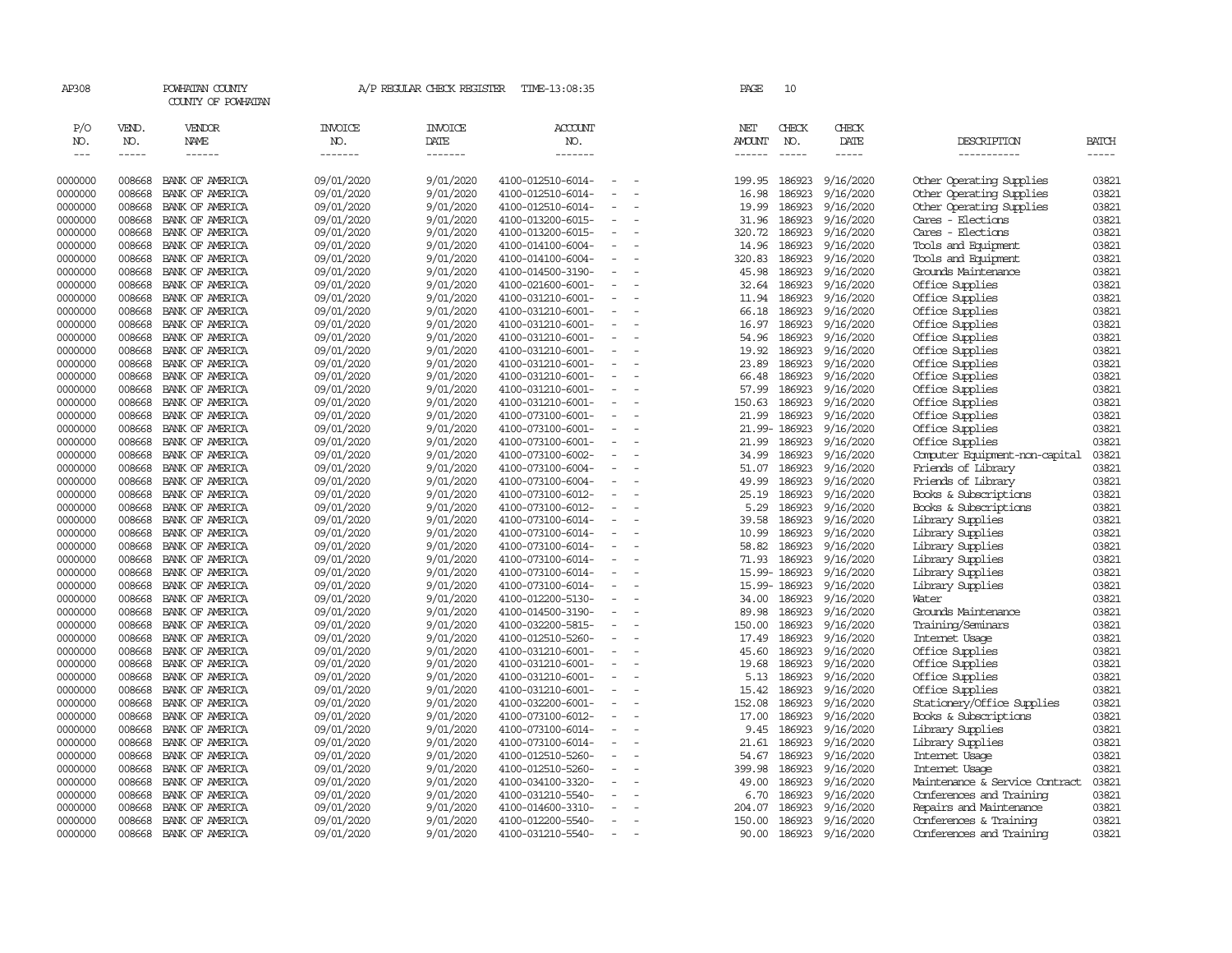| AP308                       |                             | POWHATAN COUNTY<br>COUNTY OF POWHATAN  |                           | A/P REGULAR CHECK REGISTER        | TIME-13:08:35                          |                          |                          | PAGE                    | 10                            |                        |                                    |                       |
|-----------------------------|-----------------------------|----------------------------------------|---------------------------|-----------------------------------|----------------------------------------|--------------------------|--------------------------|-------------------------|-------------------------------|------------------------|------------------------------------|-----------------------|
| P/O<br>NO.<br>$\frac{1}{2}$ | VEND.<br>NO.<br>$- - - - -$ | <b>VENDOR</b><br>NAME<br>$- - - - - -$ | INVOICE<br>NO.<br>------- | <b>INVOICE</b><br>DATE<br>------- | ACCOUNT<br>NO.<br>-------              |                          |                          | NET<br>AMOUNT<br>------ | CHECK<br>NO.<br>$\frac{1}{2}$ | CHECK<br>DATE          | DESCRIPTION<br>-----------         | <b>BATCH</b><br>----- |
| 0000000                     | 008668                      | BANK OF AMERICA                        | 09/01/2020                | 9/01/2020                         | 4100-012510-6014-                      |                          |                          | 199.95                  | 186923                        | 9/16/2020              | Other Operating Supplies           | 03821                 |
| 0000000                     | 008668                      | BANK OF AMERICA                        | 09/01/2020                | 9/01/2020                         | 4100-012510-6014-                      |                          | $\overline{\phantom{a}}$ | 16.98                   | 186923                        | 9/16/2020              | Other Operating Supplies           | 03821                 |
| 0000000                     | 008668                      | BANK OF AMERICA                        | 09/01/2020                | 9/01/2020                         | 4100-012510-6014-                      |                          |                          | 19.99                   | 186923                        | 9/16/2020              | Other Operating Supplies           | 03821                 |
| 0000000                     | 008668                      | BANK OF AMERICA                        | 09/01/2020                | 9/01/2020                         | 4100-013200-6015-                      | $\equiv$                 |                          | 31.96                   | 186923                        | 9/16/2020              | Cares - Elections                  | 03821                 |
| 0000000                     | 008668                      | BANK OF AMERICA                        | 09/01/2020                | 9/01/2020                         | 4100-013200-6015-                      |                          |                          | 320.72                  | 186923                        | 9/16/2020              | Cares - Elections                  | 03821                 |
| 0000000                     | 008668                      | BANK OF AMERICA                        | 09/01/2020                | 9/01/2020                         | 4100-014100-6004-                      | $\equiv$                 |                          | 14.96                   | 186923                        | 9/16/2020              | Tools and Equipment                | 03821                 |
| 0000000                     | 008668                      | BANK OF AMERICA                        | 09/01/2020                | 9/01/2020                         | 4100-014100-6004-                      |                          |                          | 320.83                  | 186923                        | 9/16/2020              | Tools and Equipment                | 03821                 |
| 0000000                     | 008668                      | BANK OF AMERICA                        | 09/01/2020                | 9/01/2020                         | 4100-014500-3190-                      |                          |                          | 45.98                   | 186923                        | 9/16/2020              | Grounds Maintenance                | 03821                 |
| 0000000                     | 008668                      | BANK OF AMERICA                        | 09/01/2020                | 9/01/2020                         | 4100-021600-6001-                      |                          |                          |                         | 32.64 186923                  | 9/16/2020              | Office Supplies                    | 03821                 |
| 0000000                     | 008668                      | BANK OF AMERICA                        | 09/01/2020                | 9/01/2020                         | 4100-031210-6001-                      |                          |                          | 11.94                   | 186923                        | 9/16/2020              | Office Supplies                    | 03821                 |
| 0000000                     | 008668                      | BANK OF AMERICA                        | 09/01/2020                | 9/01/2020                         | 4100-031210-6001-                      |                          |                          | 66.18                   | 186923                        | 9/16/2020              | Office Supplies                    | 03821                 |
| 0000000                     | 008668                      | BANK OF AMERICA                        | 09/01/2020                | 9/01/2020                         | 4100-031210-6001-                      |                          |                          |                         | 16.97 186923                  | 9/16/2020              | Office Supplies                    | 03821                 |
| 0000000                     | 008668                      | BANK OF AMERICA                        | 09/01/2020                | 9/01/2020                         | 4100-031210-6001-                      | $\sim$                   |                          |                         | 54.96 186923                  | 9/16/2020              | Office Supplies                    | 03821                 |
| 0000000                     | 008668                      | BANK OF AMERICA                        | 09/01/2020                | 9/01/2020                         | 4100-031210-6001-                      |                          |                          | 19.92                   | 186923                        | 9/16/2020              | Office Supplies                    | 03821                 |
| 0000000                     | 008668                      | BANK OF AMERICA                        | 09/01/2020                | 9/01/2020                         | 4100-031210-6001-                      | $\equiv$                 |                          |                         | 23.89 186923                  | 9/16/2020              | Office Supplies                    | 03821                 |
| 0000000                     | 008668                      | BANK OF AMERICA                        | 09/01/2020                | 9/01/2020                         | 4100-031210-6001-                      |                          |                          | 66.48                   | 186923                        | 9/16/2020              | Office Supplies                    | 03821                 |
| 0000000                     | 008668                      | BANK OF AMERICA                        | 09/01/2020                | 9/01/2020                         | 4100-031210-6001-                      |                          |                          | 57.99                   | 186923                        | 9/16/2020              | Office Supplies                    | 03821                 |
| 0000000                     | 008668                      | BANK OF AMERICA                        | 09/01/2020                | 9/01/2020                         | 4100-031210-6001-                      |                          |                          | 150.63                  | 186923                        | 9/16/2020              | Office Supplies                    | 03821                 |
| 0000000                     | 008668                      | BANK OF AMERICA                        | 09/01/2020                | 9/01/2020                         | 4100-073100-6001-                      |                          |                          | 21.99                   | 186923                        | 9/16/2020              | Office Supplies                    | 03821<br>03821        |
| 0000000                     | 008668<br>008668            | BANK OF AMERICA                        | 09/01/2020<br>09/01/2020  | 9/01/2020<br>9/01/2020            | 4100-073100-6001-                      | $\overline{\phantom{a}}$ |                          |                         | 21.99-186923<br>186923        | 9/16/2020<br>9/16/2020 | Office Supplies<br>Office Supplies | 03821                 |
| 0000000<br>0000000          | 008668                      | BANK OF AMERICA<br>BANK OF AMERICA     | 09/01/2020                | 9/01/2020                         | 4100-073100-6001-<br>4100-073100-6002- |                          |                          | 21.99                   | 34.99 186923                  | 9/16/2020              | Computer Equipment-non-capital     | 03821                 |
| 0000000                     | 008668                      | BANK OF AMERICA                        | 09/01/2020                | 9/01/2020                         | 4100-073100-6004-                      |                          |                          | 51.07                   | 186923                        | 9/16/2020              | Friends of Library                 | 03821                 |
| 0000000                     | 008668                      | BANK OF AMERICA                        | 09/01/2020                | 9/01/2020                         | 4100-073100-6004-                      |                          |                          | 49.99                   | 186923                        | 9/16/2020              | Friends of Library                 | 03821                 |
| 0000000                     | 008668                      | BANK OF AMERICA                        | 09/01/2020                | 9/01/2020                         | 4100-073100-6012-                      |                          |                          | 25.19                   | 186923                        | 9/16/2020              | Books & Subscriptions              | 03821                 |
| 0000000                     | 008668                      | BANK OF AMERICA                        | 09/01/2020                | 9/01/2020                         | 4100-073100-6012-                      |                          |                          | 5.29                    | 186923                        | 9/16/2020              | Books & Subscriptions              | 03821                 |
| 0000000                     | 008668                      | BANK OF AMERICA                        | 09/01/2020                | 9/01/2020                         | 4100-073100-6014-                      | $\overline{\phantom{a}}$ |                          | 39.58                   | 186923                        | 9/16/2020              | Library Supplies                   | 03821                 |
| 0000000                     | 008668                      | BANK OF AMERICA                        | 09/01/2020                | 9/01/2020                         | 4100-073100-6014-                      | $\overline{\phantom{a}}$ |                          | 10.99                   | 186923                        | 9/16/2020              | Library Supplies                   | 03821                 |
| 0000000                     | 008668                      | BANK OF AMERICA                        | 09/01/2020                | 9/01/2020                         | 4100-073100-6014-                      | $\overline{\phantom{a}}$ |                          | 58.82                   | 186923                        | 9/16/2020              | Library Supplies                   | 03821                 |
| 0000000                     | 008668                      | BANK OF AMERICA                        | 09/01/2020                | 9/01/2020                         | 4100-073100-6014-                      |                          |                          | 71.93                   | 186923                        | 9/16/2020              | Library Supplies                   | 03821                 |
| 0000000                     | 008668                      | BANK OF AMERICA                        | 09/01/2020                | 9/01/2020                         | 4100-073100-6014-                      | $\equiv$                 |                          |                         | 15.99-186923                  | 9/16/2020              | Library Supplies                   | 03821                 |
| 0000000                     | 008668                      | BANK OF AMERICA                        | 09/01/2020                | 9/01/2020                         | 4100-073100-6014-                      |                          |                          |                         | 15.99-186923                  | 9/16/2020              | Library Supplies                   | 03821                 |
| 0000000                     | 008668                      | BANK OF AMERICA                        | 09/01/2020                | 9/01/2020                         | 4100-012200-5130-                      |                          |                          |                         | 34.00 186923                  | 9/16/2020              | Water                              | 03821                 |
| 0000000                     | 008668                      | BANK OF AMERICA                        | 09/01/2020                | 9/01/2020                         | 4100-014500-3190-                      |                          |                          |                         | 89.98 186923                  | 9/16/2020              | Grounds Maintenance                | 03821                 |
| 0000000                     | 008668                      | BANK OF AMERICA                        | 09/01/2020                | 9/01/2020                         | 4100-032200-5815-                      |                          |                          | 150.00                  | 186923                        | 9/16/2020              | Training/Seminars                  | 03821                 |
| 0000000                     | 008668                      | BANK OF AMERICA                        | 09/01/2020                | 9/01/2020                         | 4100-012510-5260-                      |                          |                          | 17.49                   | 186923                        | 9/16/2020              | Internet Usage                     | 03821                 |
| 0000000                     | 008668                      | BANK OF AMERICA                        | 09/01/2020                | 9/01/2020                         | 4100-031210-6001-                      |                          |                          |                         | 45.60 186923                  | 9/16/2020              | Office Supplies                    | 03821                 |
| 0000000                     | 008668                      | BANK OF AMERICA                        | 09/01/2020                | 9/01/2020                         | 4100-031210-6001-                      | $\overline{\phantom{a}}$ |                          |                         | 19.68 186923                  | 9/16/2020              | Office Supplies                    | 03821                 |
| 0000000                     | 008668                      | BANK OF AMERICA                        | 09/01/2020                | 9/01/2020                         | 4100-031210-6001-                      |                          |                          | 5.13                    | 186923                        | 9/16/2020              | Office Supplies                    | 03821                 |
| 0000000                     | 008668                      | BANK OF AMERICA                        | 09/01/2020                | 9/01/2020                         | 4100-031210-6001-                      |                          |                          | 15.42                   | 186923                        | 9/16/2020              | Office Supplies                    | 03821                 |
| 0000000                     | 008668                      | BANK OF AMERICA                        | 09/01/2020                | 9/01/2020                         | 4100-032200-6001-                      | $\overline{\phantom{a}}$ | $\overline{\phantom{a}}$ | 152.08                  | 186923                        | 9/16/2020              | Stationery/Office Supplies         | 03821                 |
| 0000000                     | 008668                      | BANK OF AMERICA                        | 09/01/2020                | 9/01/2020                         | 4100-073100-6012-                      |                          |                          | 17.00                   | 186923                        | 9/16/2020              | Books & Subscriptions              | 03821                 |
| 0000000                     | 008668                      | BANK OF AMERICA                        | 09/01/2020                | 9/01/2020                         | 4100-073100-6014-                      | $\equiv$                 |                          | 9.45                    | 186923                        | 9/16/2020              | Library Supplies                   | 03821                 |
| 0000000                     | 008668                      | BANK OF AMERICA                        | 09/01/2020                | 9/01/2020                         | 4100-073100-6014-                      |                          |                          | 21.61                   | 186923                        | 9/16/2020              | Library Supplies                   | 03821                 |
| 0000000                     | 008668                      | BANK OF AMERICA                        | 09/01/2020                | 9/01/2020                         | 4100-012510-5260-                      | $\overline{\phantom{a}}$ |                          |                         | 54.67 186923                  | 9/16/2020              | Internet Usage                     | 03821                 |
| 0000000                     | 008668                      | BANK OF AMERICA                        | 09/01/2020                | 9/01/2020                         | 4100-012510-5260-                      |                          |                          | 399.98                  | 186923                        | 9/16/2020              | Internet Usage                     | 03821                 |
| 0000000                     | 008668                      | BANK OF AMERICA                        | 09/01/2020                | 9/01/2020                         | 4100-034100-3320-                      |                          |                          |                         | 49.00 186923                  | 9/16/2020              | Maintenance & Service Contract     | 03821                 |
| 0000000                     | 008668                      | BANK OF AMERICA                        | 09/01/2020                | 9/01/2020                         | 4100-031210-5540-                      |                          |                          | 6.70                    | 186923                        | 9/16/2020              | Conferences and Training           | 03821                 |
| 0000000                     | 008668                      | BANK OF AMERICA                        | 09/01/2020                | 9/01/2020                         | 4100-014600-3310-                      |                          |                          | 204.07                  | 186923                        | 9/16/2020              | Repairs and Maintenance            | 03821                 |
| 0000000                     | 008668                      | BANK OF AMERICA                        | 09/01/2020                | 9/01/2020                         | 4100-012200-5540-                      |                          |                          | 150.00                  | 186923                        | 9/16/2020              | Conferences & Training             | 03821                 |
| 0000000                     | 008668                      | BANK OF AMERICA                        | 09/01/2020                | 9/01/2020                         | 4100-031210-5540-                      |                          |                          | 90.00                   | 186923                        | 9/16/2020              | Conferences and Training           | 03821                 |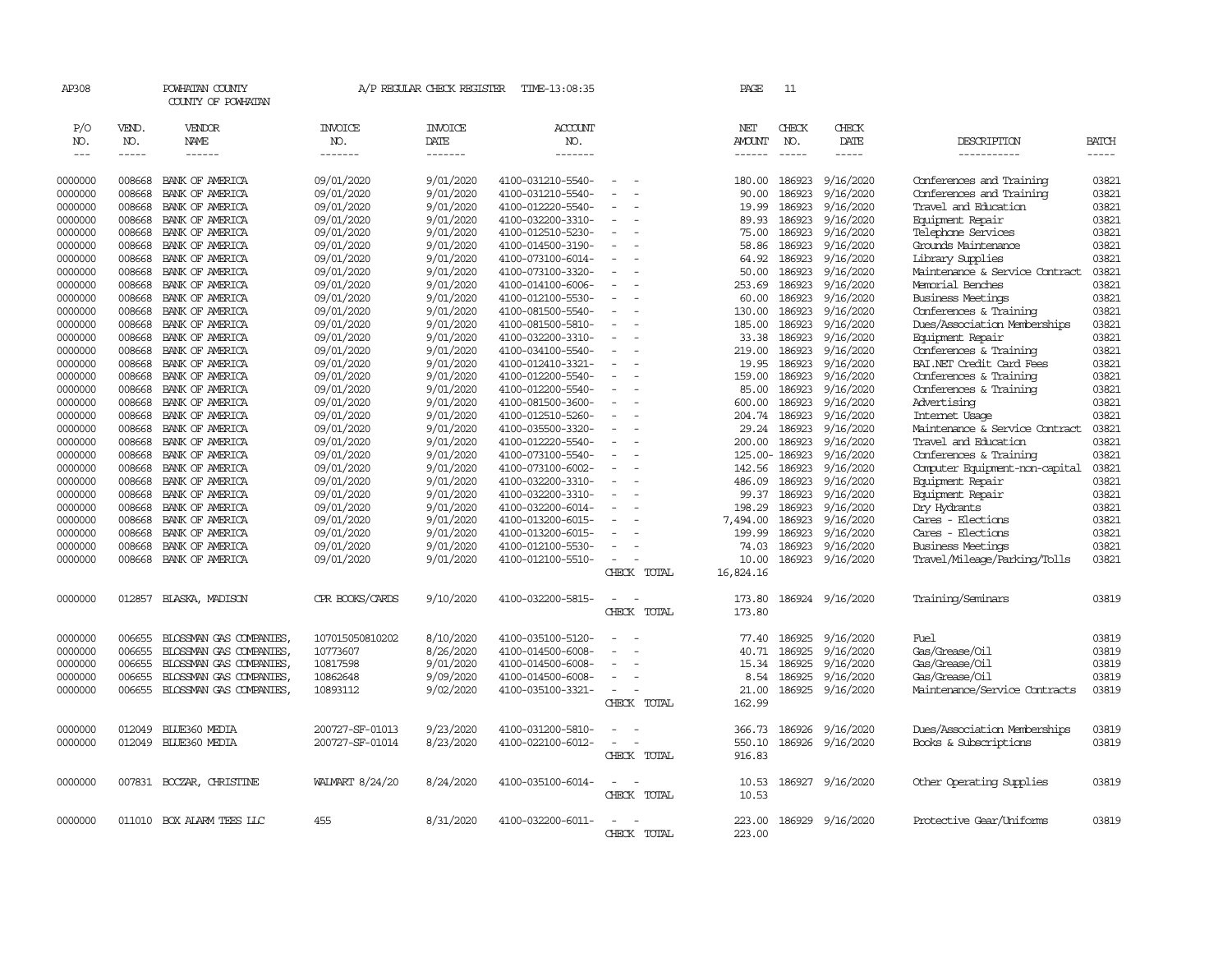| AP308         |              | POWHATAN COUNTY<br>COUNTY OF POWHATAN |                       | A/P REGULAR CHECK REGISTER | TIME-13:08:35         |                          |                                         | PAGE             | 11            |                  |                                |              |
|---------------|--------------|---------------------------------------|-----------------------|----------------------------|-----------------------|--------------------------|-----------------------------------------|------------------|---------------|------------------|--------------------------------|--------------|
| P/O<br>NO.    | VEND.<br>NO. | VENDOR<br><b>NAME</b>                 | <b>INVOICE</b><br>NO. | INVOICE<br>DATE            | <b>ACCOUNT</b><br>NO. |                          |                                         | NET<br>AMOUNT    | CHECK<br>NO.  | CHECK<br>DATE    | DESCRIPTION                    | <b>BATCH</b> |
| $\frac{1}{2}$ | -----        | ------                                | -------               | -------                    | -------               |                          |                                         | ------           | $\frac{1}{2}$ | $- - - - -$      | -----------                    | $- - - - -$  |
| 0000000       | 008668       | BANK OF AMERICA                       | 09/01/2020            | 9/01/2020                  | 4100-031210-5540-     | $\sim$                   |                                         | 180.00           | 186923        | 9/16/2020        | Conferences and Training       | 03821        |
| 0000000       | 008668       | BANK OF AMERICA                       | 09/01/2020            | 9/01/2020                  | 4100-031210-5540-     |                          |                                         | 90.00            | 186923        | 9/16/2020        | Conferences and Training       | 03821        |
| 0000000       | 008668       | BANK OF AMERICA                       | 09/01/2020            | 9/01/2020                  | 4100-012220-5540-     |                          |                                         | 19.99            | 186923        | 9/16/2020        | Travel and Education           | 03821        |
| 0000000       | 008668       | BANK OF AMERICA                       | 09/01/2020            | 9/01/2020                  | 4100-032200-3310-     | $\overline{\phantom{a}}$ |                                         | 89.93            | 186923        | 9/16/2020        | Equipment Repair               | 03821        |
| 0000000       | 008668       | BANK OF AMERICA                       | 09/01/2020            | 9/01/2020                  | 4100-012510-5230-     |                          |                                         | 75.00            | 186923        | 9/16/2020        | Telephone Services             | 03821        |
| 0000000       | 008668       | BANK OF AMERICA                       | 09/01/2020            | 9/01/2020                  | 4100-014500-3190-     | $\sim$                   |                                         | 58.86            | 186923        | 9/16/2020        | Grounds Maintenance            | 03821        |
| 0000000       | 008668       | BANK OF AMERICA                       | 09/01/2020            | 9/01/2020                  | 4100-073100-6014-     |                          |                                         | 64.92            | 186923        | 9/16/2020        | Library Supplies               | 03821        |
| 0000000       | 008668       | BANK OF AMERICA                       | 09/01/2020            | 9/01/2020                  | 4100-073100-3320-     | ÷.                       |                                         | 50.00            | 186923        | 9/16/2020        | Maintenance & Service Contract | 03821        |
| 0000000       | 008668       | BANK OF AMERICA                       | 09/01/2020            | 9/01/2020                  | 4100-014100-6006-     | $\sim$                   |                                         | 253.69           | 186923        | 9/16/2020        | Memorial Benches               | 03821        |
| 0000000       | 008668       | BANK OF AMERICA                       | 09/01/2020            | 9/01/2020                  | 4100-012100-5530-     |                          |                                         | 60.00            | 186923        | 9/16/2020        | <b>Business Meetings</b>       | 03821        |
| 0000000       | 008668       | BANK OF AMERICA                       | 09/01/2020            | 9/01/2020                  | 4100-081500-5540-     | $\overline{\phantom{a}}$ |                                         | 130.00           | 186923        | 9/16/2020        | Conferences & Training         | 03821        |
| 0000000       | 008668       | BANK OF AMERICA                       | 09/01/2020            | 9/01/2020                  | 4100-081500-5810-     |                          |                                         | 185.00           | 186923        | 9/16/2020        | Dues/Association Memberships   | 03821        |
| 0000000       | 008668       | BANK OF AMERICA                       | 09/01/2020            | 9/01/2020                  | 4100-032200-3310-     |                          |                                         | 33.38            | 186923        | 9/16/2020        | Equipment Repair               | 03821        |
| 0000000       | 008668       | BANK OF AMERICA                       | 09/01/2020            | 9/01/2020                  | 4100-034100-5540-     | $\sim$                   |                                         | 219.00           | 186923        | 9/16/2020        | Conferences & Training         | 03821        |
| 0000000       | 008668       | BANK OF AMERICA                       | 09/01/2020            | 9/01/2020                  | 4100-012410-3321-     |                          |                                         | 19.95            | 186923        | 9/16/2020        | BAI.NET Credit Card Fees       | 03821        |
| 0000000       | 008668       | BANK OF AMERICA                       | 09/01/2020            | 9/01/2020                  | 4100-012200-5540-     | $\overline{\phantom{a}}$ |                                         | 159.00           | 186923        | 9/16/2020        | Conferences & Training         | 03821        |
| 0000000       | 008668       | BANK OF AMERICA                       | 09/01/2020            | 9/01/2020                  | 4100-012200-5540-     |                          |                                         | 85.00            | 186923        | 9/16/2020        | Conferences & Training         | 03821        |
| 0000000       | 008668       | BANK OF AMERICA                       | 09/01/2020            | 9/01/2020                  | 4100-081500-3600-     | $\sim$                   |                                         | 600.00           | 186923        | 9/16/2020        | Advertising                    | 03821        |
| 0000000       | 008668       | BANK OF AMERICA                       | 09/01/2020            | 9/01/2020                  | 4100-012510-5260-     | $\equiv$                 |                                         | 204.74           | 186923        | 9/16/2020        | Internet Usage                 | 03821        |
| 0000000       | 008668       | BANK OF AMERICA                       | 09/01/2020            | 9/01/2020                  | 4100-035500-3320-     |                          |                                         | 29.24            | 186923        | 9/16/2020        | Maintenance & Service Contract | 03821        |
| 0000000       | 008668       | BANK OF AMERICA                       | 09/01/2020            | 9/01/2020                  | 4100-012220-5540-     | $\equiv$                 |                                         | 200.00           | 186923        | 9/16/2020        | Travel and Education           | 03821        |
| 0000000       | 008668       | BANK OF AMERICA                       | 09/01/2020            | 9/01/2020                  | 4100-073100-5540-     | $\equiv$                 |                                         |                  | 125.00-186923 | 9/16/2020        | Conferences & Training         | 03821        |
| 0000000       | 008668       | BANK OF AMERICA                       | 09/01/2020            | 9/01/2020                  | 4100-073100-6002-     |                          |                                         | 142.56           | 186923        | 9/16/2020        | Computer Equipment-non-capital | 03821        |
| 0000000       | 008668       | BANK OF AMERICA                       | 09/01/2020            | 9/01/2020                  | 4100-032200-3310-     | $\overline{\phantom{a}}$ |                                         | 486.09           | 186923        | 9/16/2020        | Equipment Repair               | 03821        |
| 0000000       | 008668       | BANK OF AMERICA                       | 09/01/2020            | 9/01/2020                  | 4100-032200-3310-     | $\sim$                   |                                         | 99.37            | 186923        | 9/16/2020        | Equipment Repair               | 03821        |
| 0000000       | 008668       | BANK OF AMERICA                       | 09/01/2020            | 9/01/2020                  | 4100-032200-6014-     |                          |                                         | 198.29           | 186923        | 9/16/2020        | Dry Hydrants                   | 03821        |
| 0000000       | 008668       | BANK OF AMERICA                       | 09/01/2020            | 9/01/2020                  | 4100-013200-6015-     |                          |                                         | 7,494.00         | 186923        | 9/16/2020        | Cares - Elections              | 03821        |
| 0000000       | 008668       | BANK OF AMERICA                       | 09/01/2020            | 9/01/2020                  | 4100-013200-6015-     | $\equiv$                 |                                         | 199.99           | 186923        | 9/16/2020        | Cares - Elections              | 03821        |
| 0000000       | 008668       | BANK OF AMERICA                       | 09/01/2020            | 9/01/2020                  | 4100-012100-5530-     | $\sim$                   |                                         | 74.03            | 186923        | 9/16/2020        | <b>Business Meetings</b>       | 03821        |
| 0000000       | 008668       | BANK OF AMERICA                       | 09/01/2020            | 9/01/2020                  | 4100-012100-5510-     | $\sim$                   |                                         | 10.00            | 186923        | 9/16/2020        | Travel/Mileage/Parking/Tolls   | 03821        |
|               |              |                                       |                       |                            |                       |                          | CHECK TOTAL                             | 16,824.16        |               |                  |                                |              |
| 0000000       | 012857       | BLASKA, MADISON                       | CPR BOOKS/CARDS       | 9/10/2020                  | 4100-032200-5815-     | $\equiv$                 | $\overline{\phantom{a}}$<br>CHECK TOTAL | 173.80<br>173.80 |               | 186924 9/16/2020 | Training/Seminars              | 03819        |
|               |              |                                       |                       |                            |                       |                          |                                         |                  |               |                  |                                |              |
| 0000000       | 006655       | BLOSSMAN GAS COMPANIES                | 107015050810202       | 8/10/2020                  | 4100-035100-5120-     |                          |                                         | 77.40            | 186925        | 9/16/2020        | Fuel                           | 03819        |
| 0000000       | 006655       | BLOSSMAN GAS COMPANIES                | 10773607              | 8/26/2020                  | 4100-014500-6008-     |                          |                                         | 40.71            | 186925        | 9/16/2020        | Gas/Grease/Oil                 | 03819        |
| 0000000       | 006655       | BLOSSMAN GAS COMPANIES                | 10817598              | 9/01/2020                  | 4100-014500-6008-     | $\sim$                   |                                         | 15.34            | 186925        | 9/16/2020        | Gas/Grease/Oil                 | 03819        |
| 0000000       | 006655       | BLOSSMAN GAS COMPANIES                | 10862648              | 9/09/2020                  | 4100-014500-6008-     | $\equiv$                 |                                         | 8.54             | 186925        | 9/16/2020        | Gas/Grease/Oil                 | 03819        |
| 0000000       | 006655       | BLOSSMAN GAS COMPANIES,               | 10893112              | 9/02/2020                  | 4100-035100-3321-     | $\sim$                   |                                         | 21.00            | 186925        | 9/16/2020        | Maintenance/Service Contracts  | 03819        |
|               |              |                                       |                       |                            |                       |                          | CHECK TOTAL                             | 162.99           |               |                  |                                |              |
| 0000000       | 012049       | BLUE360 MEDIA                         | 200727-SF-01013       | 9/23/2020                  | 4100-031200-5810-     |                          |                                         | 366.73           | 186926        | 9/16/2020        | Dues/Association Memberships   | 03819        |
| 0000000       | 012049       | BIJE360 MEDIA                         | 200727-SF-01014       | 8/23/2020                  | 4100-022100-6012-     | $\equiv$                 |                                         | 550.10           |               | 186926 9/16/2020 | Books & Subscriptions          | 03819        |
|               |              |                                       |                       |                            |                       |                          | CHECK TOTAL                             | 916.83           |               |                  |                                |              |
|               |              |                                       |                       |                            |                       |                          |                                         |                  |               |                  |                                |              |
| 0000000       |              | 007831 BOCZAR, CHRISTINE              | WALMART 8/24/20       | 8/24/2020                  | 4100-035100-6014-     | $\overline{\phantom{a}}$ |                                         | 10.53            |               | 186927 9/16/2020 | Other Operating Supplies       | 03819        |
|               |              |                                       |                       |                            |                       |                          | CHECK TOTAL                             | 10.53            |               |                  |                                |              |
|               |              |                                       |                       |                            |                       |                          |                                         |                  |               |                  |                                |              |
| 0000000       |              | 011010 BOX ALARM TEES LLC             | 455                   | 8/31/2020                  | 4100-032200-6011-     | $\sim$                   |                                         | 223.00           |               | 186929 9/16/2020 | Protective Gear/Uniforms       | 03819        |
|               |              |                                       |                       |                            |                       |                          | CHECK TOTAL                             | 223.00           |               |                  |                                |              |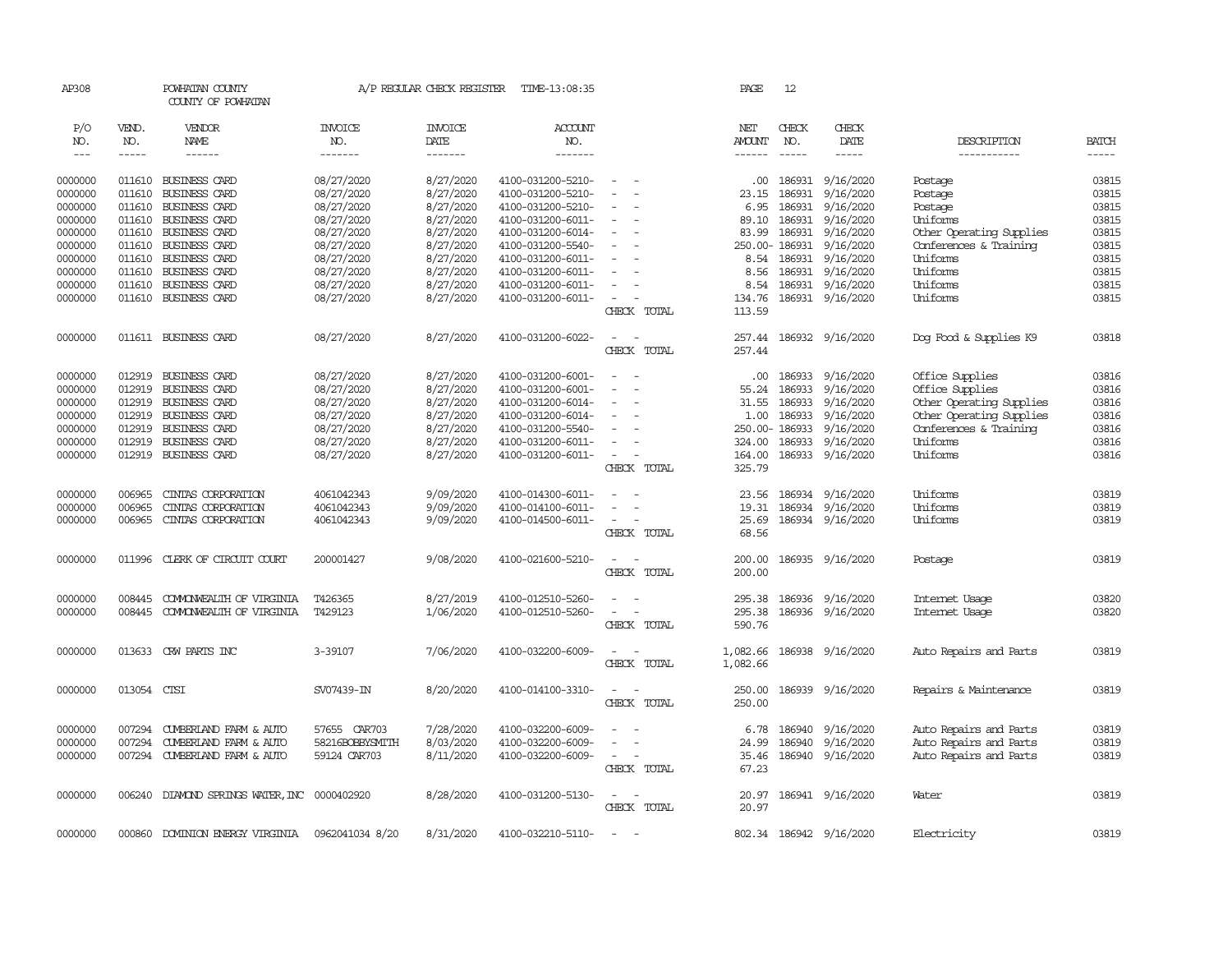| AP308      |              | POWHATAN COUNTY<br>COUNTY OF POWHATAN |                       | A/P REGULAR CHECK REGISTER | TIME-13:08:35         |                                    | PAGE          | 12            |                         |                          |              |
|------------|--------------|---------------------------------------|-----------------------|----------------------------|-----------------------|------------------------------------|---------------|---------------|-------------------------|--------------------------|--------------|
| P/O<br>NO. | VEND.<br>NO. | <b>VENDOR</b><br>NAME                 | <b>INVOICE</b><br>NO. | <b>INVOICE</b><br>DATE     | <b>ACCOUNT</b><br>NO. |                                    | NET<br>AMOUNT | CHECK<br>NO.  | CHECK<br>DATE           | DESCRIPTION              | <b>BATCH</b> |
| $---$      | $- - - - -$  | $- - - - - -$                         | -------               | -------                    | -------               |                                    | ------        | $- - - - -$   | $- - - - -$             | -----------              | $- - - - -$  |
| 0000000    | 011610       | BUSINESS CARD                         | 08/27/2020            | 8/27/2020                  | 4100-031200-5210-     | $\sim$                             |               |               | .00 186931 9/16/2020    | Postage                  | 03815        |
| 0000000    | 011610       | BUSINESS CARD                         | 08/27/2020            | 8/27/2020                  | 4100-031200-5210-     |                                    | 23.15         | 186931        | 9/16/2020               | Postage                  | 03815        |
| 0000000    | 011610       | BUSINESS CARD                         | 08/27/2020            | 8/27/2020                  | 4100-031200-5210-     |                                    | 6.95          | 186931        | 9/16/2020               | Postage                  | 03815        |
| 0000000    | 011610       | BUSINESS CARD                         | 08/27/2020            | 8/27/2020                  | 4100-031200-6011-     |                                    | 89.10         |               | 186931 9/16/2020        | Uniforms                 | 03815        |
| 0000000    | 011610       | <b>BUSINESS CARD</b>                  | 08/27/2020            | 8/27/2020                  | 4100-031200-6014-     |                                    | 83.99         |               | 186931 9/16/2020        | Other Operating Supplies | 03815        |
| 0000000    | 011610       | <b>BUSINESS CARD</b>                  | 08/27/2020            | 8/27/2020                  | 4100-031200-5540-     |                                    |               | 250.00-186931 | 9/16/2020               | Conferences & Training   | 03815        |
| 0000000    | 011610       | <b>BUSINESS CARD</b>                  | 08/27/2020            | 8/27/2020                  | 4100-031200-6011-     |                                    |               |               | 8.54 186931 9/16/2020   | Uniforms                 | 03815        |
| 0000000    | 011610       | BUSINESS CARD                         | 08/27/2020            | 8/27/2020                  | 4100-031200-6011-     |                                    | 8.56          |               | 186931 9/16/2020        | Uniforms                 | 03815        |
| 0000000    | 011610       | BUSINESS CARD                         | 08/27/2020            | 8/27/2020                  | 4100-031200-6011-     |                                    | 8.54          | 186931        | 9/16/2020               | Uniforms                 | 03815        |
| 0000000    | 011610       | BUSINESS CARD                         | 08/27/2020            | 8/27/2020                  | 4100-031200-6011-     | $\overline{\phantom{a}}$           | 134.76        |               | 186931 9/16/2020        | Uniforms                 | 03815        |
|            |              |                                       |                       |                            |                       | CHECK TOTAL                        | 113.59        |               |                         |                          |              |
| 0000000    |              | 011611 BUSINESS CARD                  | 08/27/2020            | 8/27/2020                  | 4100-031200-6022-     | $\sim$                             |               |               | 257.44 186932 9/16/2020 | Dog Food & Supplies K9   | 03818        |
|            |              |                                       |                       |                            |                       | CHECK TOTAL                        | 257.44        |               |                         |                          |              |
|            |              |                                       |                       |                            |                       |                                    |               |               |                         |                          |              |
| 0000000    | 012919       | BUSINESS CARD                         | 08/27/2020            | 8/27/2020                  | 4100-031200-6001-     |                                    | .00.          | 186933        | 9/16/2020               | Office Supplies          | 03816        |
| 0000000    | 012919       | BUSINESS CARD                         | 08/27/2020            | 8/27/2020                  | 4100-031200-6001-     |                                    | 55.24         | 186933        | 9/16/2020               | Office Supplies          | 03816        |
| 0000000    | 012919       | <b>BUSINESS CARD</b>                  | 08/27/2020            | 8/27/2020                  | 4100-031200-6014-     |                                    |               | 31.55 186933  | 9/16/2020               | Other Operating Supplies | 03816        |
| 0000000    | 012919       | <b>BUSINESS CARD</b>                  | 08/27/2020            | 8/27/2020                  | 4100-031200-6014-     |                                    | 1.00          | 186933        | 9/16/2020               | Other Operating Supplies | 03816        |
| 0000000    | 012919       | BUSINESS CARD                         | 08/27/2020            | 8/27/2020                  | 4100-031200-5540-     |                                    |               | 250.00-186933 | 9/16/2020               | Conferences & Training   | 03816        |
| 0000000    | 012919       | BUSINESS CARD                         | 08/27/2020            | 8/27/2020                  | 4100-031200-6011-     |                                    |               | 324.00 186933 | 9/16/2020               | Uniforms                 | 03816        |
| 0000000    | 012919       | BUSINESS CARD                         | 08/27/2020            | 8/27/2020                  | 4100-031200-6011-     |                                    | 164.00        |               | 186933 9/16/2020        | Uniforms                 | 03816        |
|            |              |                                       |                       |                            |                       | CHECK TOTAL                        | 325.79        |               |                         |                          |              |
| 0000000    | 006965       | CINIAS CORPORATION                    | 4061042343            | 9/09/2020                  | 4100-014300-6011-     | $\overline{a}$                     | 23.56         |               | 186934 9/16/2020        | Uniforms                 | 03819        |
| 0000000    | 006965       | CINTAS CORPORATION                    | 4061042343            | 9/09/2020                  | 4100-014100-6011-     | $\overline{\phantom{a}}$           | 19.31         | 186934        | 9/16/2020               | Uniforms                 | 03819        |
| 0000000    | 006965       | CINIAS CORPORATION                    | 4061042343            | 9/09/2020                  | 4100-014500-6011-     | $\overline{\phantom{a}}$           | 25.69         |               | 186934 9/16/2020        | Uniforms                 | 03819        |
|            |              |                                       |                       |                            |                       | CHECK TOTAL                        | 68.56         |               |                         |                          |              |
| 0000000    | 011996       | CLERK OF CIRCUIT COURT                | 200001427             | 9/08/2020                  | 4100-021600-5210-     | $\overline{\phantom{a}}$           |               |               | 200.00 186935 9/16/2020 | Postage                  | 03819        |
|            |              |                                       |                       |                            |                       | CHECK TOTAL                        | 200.00        |               |                         |                          |              |
|            |              |                                       |                       |                            |                       |                                    |               |               |                         |                          |              |
| 0000000    | 008445       | COMONWEALTH OF VIRGINIA               | T426365               | 8/27/2019                  | 4100-012510-5260-     |                                    |               |               | 295.38 186936 9/16/2020 | Internet Usage           | 03820        |
| 0000000    | 008445       | COMONWEALTH OF VIRGINIA               | T429123               | 1/06/2020                  | 4100-012510-5260-     |                                    | 295.38        |               | 186936 9/16/2020        | Internet Usage           | 03820        |
|            |              |                                       |                       |                            |                       | CHECK TOTAL                        | 590.76        |               |                         |                          |              |
| 0000000    | 013633       | CRW PARTS INC                         | 3-39107               | 7/06/2020                  | 4100-032200-6009-     |                                    | 1,082.66      |               | 186938 9/16/2020        | Auto Repairs and Parts   | 03819        |
|            |              |                                       |                       |                            |                       | CHECK TOTAL                        | 1,082.66      |               |                         |                          |              |
|            |              |                                       |                       |                            |                       |                                    |               |               |                         |                          |              |
| 0000000    | 013054       | CTSI                                  | SV07439-IN            | 8/20/2020                  | 4100-014100-3310-     |                                    | 250.00        |               | 186939 9/16/2020        | Repairs & Maintenance    | 03819        |
|            |              |                                       |                       |                            |                       | CHECK TOTAL                        | 250.00        |               |                         |                          |              |
| 0000000    | 007294       | CUMBERLAND FARM & AUTO                | 57655 CAR703          | 7/28/2020                  | 4100-032200-6009-     |                                    | 6.78          |               | 186940 9/16/2020        | Auto Repairs and Parts   | 03819        |
| 0000000    | 007294       | CUMBERLAND FARM & AUTO                | 58216BOBBYSMITH       | 8/03/2020                  | 4100-032200-6009-     |                                    | 24.99         |               | 186940 9/16/2020        | Auto Repairs and Parts   | 03819        |
| 0000000    | 007294       | CUMBERLAND FARM & AUTO                | 59124 CAR703          | 8/11/2020                  | 4100-032200-6009-     |                                    |               |               | 35.46 186940 9/16/2020  | Auto Repairs and Parts   | 03819        |
|            |              |                                       |                       |                            |                       | CHECK TOTAL                        | 67.23         |               |                         |                          |              |
|            |              |                                       |                       |                            |                       |                                    |               |               |                         |                          |              |
| 0000000    | 006240       | DIAMOND SPRINGS WATER, INC 0000402920 |                       | 8/28/2020                  | 4100-031200-5130-     | $\overline{\phantom{a}}$<br>$\sim$ | 20.97         |               | 186941 9/16/2020        | Water                    | 03819        |
|            |              |                                       |                       |                            |                       | CHECK TOTAL                        | 20.97         |               |                         |                          |              |
| 0000000    | 000860       | DOMINION ENERGY VIRGINIA              | 0962041034 8/20       | 8/31/2020                  | 4100-032210-5110-     |                                    |               |               | 802.34 186942 9/16/2020 | Electricity              | 03819        |
|            |              |                                       |                       |                            |                       |                                    |               |               |                         |                          |              |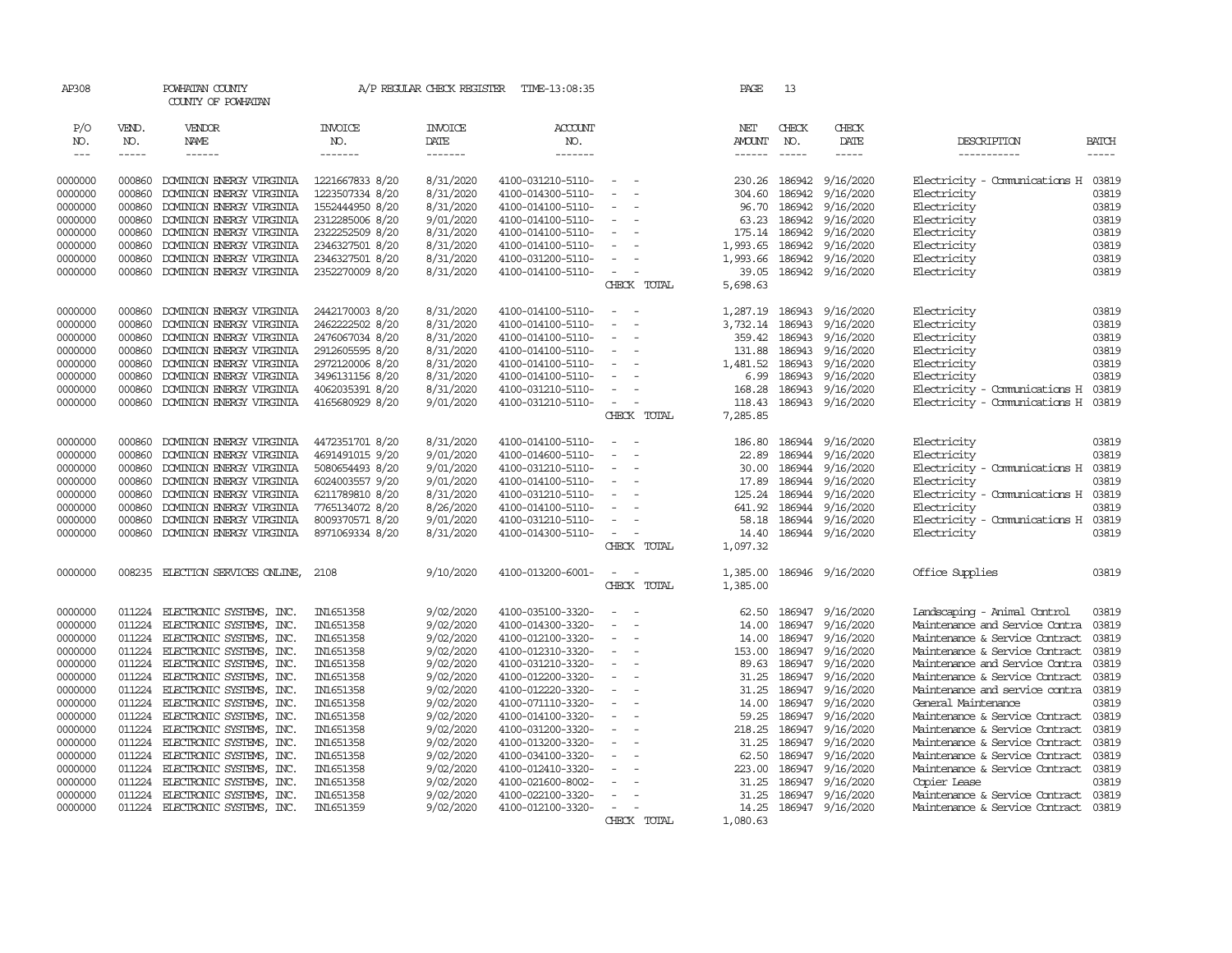| AP308              |                  | POWHATAN COUNTY<br>COUNTY OF POWHATAN                |                        | A/P REGULAR CHECK REGISTER | TIME-13:08:35                          |                                                      | PAGE           | 13               |                        |                                                |                |
|--------------------|------------------|------------------------------------------------------|------------------------|----------------------------|----------------------------------------|------------------------------------------------------|----------------|------------------|------------------------|------------------------------------------------|----------------|
| P/O<br>NO.         | VEND.<br>NO.     | VENDOR<br>NAME                                       | <b>INVOICE</b><br>NO.  | <b>INVOICE</b><br>DATE     | <b>ACCOUNT</b><br>NO.                  |                                                      | NET<br>AMOUNT  | CHECK<br>NO.     | CHECK<br>DATE          | DESCRIPTION                                    | <b>BATCH</b>   |
| $---$              | -----            | $- - - - - -$                                        | -------                | -------                    | --------                               |                                                      | $- - - - - -$  | $- - - - -$      | $- - - - -$            | -----------                                    | $- - - - -$    |
| 0000000            | 000860           | DOMINION ENERGY VIRGINIA                             | 1221667833 8/20        | 8/31/2020                  | 4100-031210-5110-                      | $\sim$                                               | 230.26         | 186942           | 9/16/2020              | Electricity - Comunications H                  | 03819          |
| 0000000            | 000860           | DOMINION ENERGY VIRGINIA                             | 1223507334 8/20        | 8/31/2020                  | 4100-014300-5110-                      | $\equiv$<br>$\overline{a}$                           | 304.60         | 186942           | 9/16/2020              | Electricity                                    | 03819          |
| 0000000            | 000860           | DOMINION ENERGY VIRGINIA                             | 1552444950 8/20        | 8/31/2020                  | 4100-014100-5110-                      | $\equiv$                                             | 96.70          | 186942           | 9/16/2020              | Electricity                                    | 03819          |
| 0000000            | 000860           | DOMINION ENERGY VIRGINIA                             | 2312285006 8/20        | 9/01/2020                  | 4100-014100-5110-                      | $\overline{\phantom{a}}$                             | 63.23          | 186942           | 9/16/2020              | Electricity                                    | 03819          |
| 0000000            | 000860           | DOMINION ENERGY VIRGINIA                             | 2322252509 8/20        | 8/31/2020                  | 4100-014100-5110-                      | $\equiv$                                             | 175.14         | 186942           | 9/16/2020              | Electricity                                    | 03819          |
| 0000000            | 000860           | DOMINION ENERGY VIRGINIA                             | 2346327501 8/20        | 8/31/2020                  | 4100-014100-5110-                      |                                                      | 1,993.65       | 186942           | 9/16/2020              | Electricity                                    | 03819          |
| 0000000            | 000860           | DOMINION ENERGY VIRGINIA                             | 2346327501 8/20        | 8/31/2020                  | 4100-031200-5110-                      | $\overline{\phantom{a}}$                             | 1,993.66       | 186942           | 9/16/2020              | Electricity                                    | 03819          |
| 0000000            | 000860           | DOMINION ENERGY VIRGINIA                             | 2352270009 8/20        | 8/31/2020                  | 4100-014100-5110-                      | $\sim$<br>$\overline{\phantom{a}}$                   | 39.05          |                  | 186942 9/16/2020       | Electricity                                    | 03819          |
|                    |                  |                                                      |                        |                            |                                        | CHECK TOTAL                                          | 5,698.63       |                  |                        |                                                |                |
| 0000000            | 000860           | DOMINION ENERGY VIRGINIA                             | 2442170003 8/20        | 8/31/2020                  | 4100-014100-5110-                      | $\sim$                                               | 1,287.19       | 186943           | 9/16/2020              | Electricity                                    | 03819          |
| 0000000            | 000860           | DOMINION ENERGY VIRGINIA                             | 2462222502 8/20        | 8/31/2020                  | 4100-014100-5110-                      |                                                      | 3,732.14       | 186943           | 9/16/2020              | Electricity                                    | 03819          |
| 0000000            | 000860           | DOMINION ENERGY VIRGINIA                             | 2476067034 8/20        | 8/31/2020                  | 4100-014100-5110-                      | $\equiv$<br>$\overline{\phantom{a}}$                 | 359.42         | 186943           | 9/16/2020              | Electricity                                    | 03819          |
| 0000000            | 000860           | DOMINION ENERGY VIRGINIA                             | 2912605595 8/20        | 8/31/2020                  | 4100-014100-5110-                      | $\sim$                                               | 131.88         | 186943           | 9/16/2020              | Electricity                                    | 03819          |
| 0000000            | 000860           | DOMINION ENERGY VIRGINIA                             | 2972120006 8/20        | 8/31/2020                  | 4100-014100-5110-                      |                                                      | 1,481.52       | 186943           | 9/16/2020              | Electricity                                    | 03819          |
| 0000000            | 000860           | DOMINION ENERGY VIRGINIA                             | 3496131156 8/20        | 8/31/2020                  | 4100-014100-5110-                      | $\sim$<br>$\overline{\phantom{a}}$                   | 6.99           | 186943           | 9/16/2020              | Electricity                                    | 03819          |
| 0000000            | 000860           | DOMINION ENERGY VIRGINIA                             | 4062035391 8/20        | 8/31/2020                  | 4100-031210-5110-                      | $\sim$                                               | 168.28         | 186943           | 9/16/2020              | Electricity - Comunications H                  | 03819          |
| 0000000            | 000860           | DOMINION ENERGY VIRGINIA                             | 4165680929 8/20        | 9/01/2020                  | 4100-031210-5110-                      | $\sim$<br>$\overline{\phantom{a}}$                   | 118.43         |                  | 186943 9/16/2020       | Electricity - Comunications H                  | 03819          |
|                    |                  |                                                      |                        |                            |                                        | CHECK TOTAL                                          | 7,285.85       |                  |                        |                                                |                |
| 0000000            | 000860           | DOMINION ENERGY VIRGINIA                             | 4472351701 8/20        | 8/31/2020                  | 4100-014100-5110-                      | $\sim$<br>$\sim$                                     | 186.80         | 186944           | 9/16/2020              | Electricity                                    | 03819          |
| 0000000            | 000860           | DOMINION ENERGY VIRGINIA                             | 4691491015 9/20        | 9/01/2020                  | 4100-014600-5110-                      | $\equiv$<br>$\sim$                                   | 22.89          | 186944           | 9/16/2020              | Electricity                                    | 03819          |
| 0000000            | 000860           | DOMINION ENERGY VIRGINIA                             | 5080654493 8/20        | 9/01/2020                  | 4100-031210-5110-                      | $\overline{\phantom{a}}$                             | 30.00          | 186944           | 9/16/2020              | Electricity - Comunications H                  | 03819          |
| 0000000            | 000860           | DOMINION ENERGY VIRGINIA                             | 6024003557 9/20        | 9/01/2020                  | 4100-014100-5110-                      | $\equiv$                                             | 17.89          | 186944           | 9/16/2020              | Electricity                                    | 03819          |
| 0000000            | 000860           | DOMINION ENERGY VIRGINIA                             | 6211789810 8/20        | 8/31/2020                  | 4100-031210-5110-                      | $\equiv$                                             | 125.24         | 186944           | 9/16/2020              | Electricity - Comunications H 03819            |                |
| 0000000            | 000860           | DOMINION ENERGY VIRGINIA                             | 7765134072 8/20        | 8/26/2020                  | 4100-014100-5110-                      | $\sim$                                               | 641.92         | 186944           | 9/16/2020              | Electricity                                    | 03819          |
| 0000000            | 000860           | DOMINION ENERGY VIRGINIA                             | 8009370571 8/20        | 9/01/2020                  | 4100-031210-5110-                      | $\sim$                                               | 58.18          | 186944           | 9/16/2020              | Electricity - Comunications H                  | 03819          |
| 0000000            | 000860           | DOMINION ENERGY VIRGINIA                             | 8971069334 8/20        | 8/31/2020                  | 4100-014300-5110-                      | $\overline{\phantom{a}}$<br>$\overline{\phantom{a}}$ | 14.40          |                  | 186944 9/16/2020       | Electricity                                    | 03819          |
|                    |                  |                                                      |                        |                            |                                        | CHECK TOTAL                                          | 1,097.32       |                  |                        |                                                |                |
| 0000000            |                  | 008235 ELECTION SERVICES ONLINE,                     | 2108                   | 9/10/2020                  | 4100-013200-6001-                      | $\omega_{\rm{max}}$ and $\omega_{\rm{max}}$          | 1,385.00       |                  | 186946 9/16/2020       | Office Supplies                                | 03819          |
|                    |                  |                                                      |                        |                            |                                        | CHECK TOTAL                                          | 1,385.00       |                  |                        |                                                |                |
| 0000000            | 011224           | ELECTRONIC SYSTEMS, INC.                             | IN1651358              | 9/02/2020                  | 4100-035100-3320-                      | $\equiv$<br>$\sim$                                   | 62.50          | 186947           | 9/16/2020              | Landscaping - Animal Control                   | 03819          |
| 0000000            |                  | 011224 ELECTRONIC SYSTEMS, INC.                      | IN1651358              | 9/02/2020                  | 4100-014300-3320-                      | $\sim$<br>$\sim$                                     | 14.00          | 186947           | 9/16/2020              | Maintenance and Service Contra                 | 03819          |
| 0000000            | 011224           | ELECTRONIC SYSTEMS, INC.                             | IN1651358              | 9/02/2020                  | 4100-012100-3320-                      | $\overline{\phantom{a}}$                             | 14.00          | 186947           | 9/16/2020              | Maintenance & Service Contract                 | 03819          |
| 0000000            | 011224           | ELECTRONIC SYSTEMS, INC.                             | IN1651358              | 9/02/2020                  | 4100-012310-3320-                      |                                                      | 153.00         | 186947           | 9/16/2020              | Maintenance & Service Contract                 | 03819          |
| 0000000            | 011224           | ELECTRONIC SYSTEMS, INC.                             | IN1651358              | 9/02/2020                  | 4100-031210-3320-                      | $\sim$<br>$\overline{\phantom{a}}$                   | 89.63          | 186947           | 9/16/2020              | Maintenance and Service Contra                 | 03819          |
| 0000000            | 011224           | ELECTRONIC SYSTEMS, INC.                             | IN1651358              | 9/02/2020                  | 4100-012200-3320-                      | $\overline{\phantom{a}}$                             | 31.25          | 186947           | 9/16/2020              | Maintenance & Service Contract                 | 03819          |
| 0000000            | 011224           | ELECTRONIC SYSTEMS, INC.                             | IN1651358              | 9/02/2020                  | 4100-012220-3320-                      | $\sim$                                               | 31.25          | 186947           | 9/16/2020              | Maintenance and service contra                 | 03819          |
| 0000000            | 011224           | ELECTRONIC SYSTEMS, INC.                             | IN1651358              | 9/02/2020                  | 4100-071110-3320-                      | $\sim$<br>$\overline{\phantom{a}}$                   | 14.00          | 186947           | 9/16/2020              | General Maintenance                            | 03819          |
| 0000000            | 011224           | ELECTRONIC SYSTEMS, INC.                             | IN1651358              | 9/02/2020                  | 4100-014100-3320-                      | $\sim$                                               | 59.25          | 186947           | 9/16/2020              | Maintenance & Service Contract                 | 03819          |
| 0000000            | 011224           | ELECTRONIC SYSTEMS, INC.                             | IN1651358              | 9/02/2020                  | 4100-031200-3320-                      | $\overline{\phantom{a}}$                             | 218.25         | 186947           | 9/16/2020              | Maintenance & Service Contract                 | 03819          |
| 0000000            | 011224<br>011224 | ELECTRONIC SYSTEMS, INC.                             | IN1651358              | 9/02/2020                  | 4100-013200-3320-                      | $\sim$<br>$\equiv$                                   | 31.25          | 186947           | 9/16/2020              | Maintenance & Service Contract                 | 03819          |
| 0000000            | 011224           | ELECTRONIC SYSTEMS, INC.                             | IN1651358              | 9/02/2020<br>9/02/2020     | 4100-034100-3320-                      |                                                      | 62.50          | 186947<br>186947 | 9/16/2020<br>9/16/2020 | Maintenance & Service Contract                 | 03819<br>03819 |
| 0000000            | 011224           | ELECTRONIC SYSTEMS, INC.<br>ELECTRONIC SYSTEMS, INC. | IN1651358              | 9/02/2020                  | 4100-012410-3320-                      |                                                      | 223.00         | 186947           |                        | Maintenance & Service Contract                 | 03819          |
| 0000000<br>0000000 | 011224           | ELECTRONIC SYSTEMS, INC.                             | IN1651358<br>IN1651358 | 9/02/2020                  | 4100-021600-8002-<br>4100-022100-3320- | $\equiv$                                             | 31.25<br>31.25 | 186947           | 9/16/2020<br>9/16/2020 | Copier Lease<br>Maintenance & Service Contract | 03819          |
| 0000000            |                  | 011224 ELECTRONIC SYSTEMS, INC.                      | IN1651359              | 9/02/2020                  | 4100-012100-3320-                      | $\sim$<br>. —                                        | 14.25          |                  | 186947 9/16/2020       | Maintenance & Service Contract                 | 03819          |
|                    |                  |                                                      |                        |                            |                                        | CHECK TOTAL                                          | 1,080.63       |                  |                        |                                                |                |
|                    |                  |                                                      |                        |                            |                                        |                                                      |                |                  |                        |                                                |                |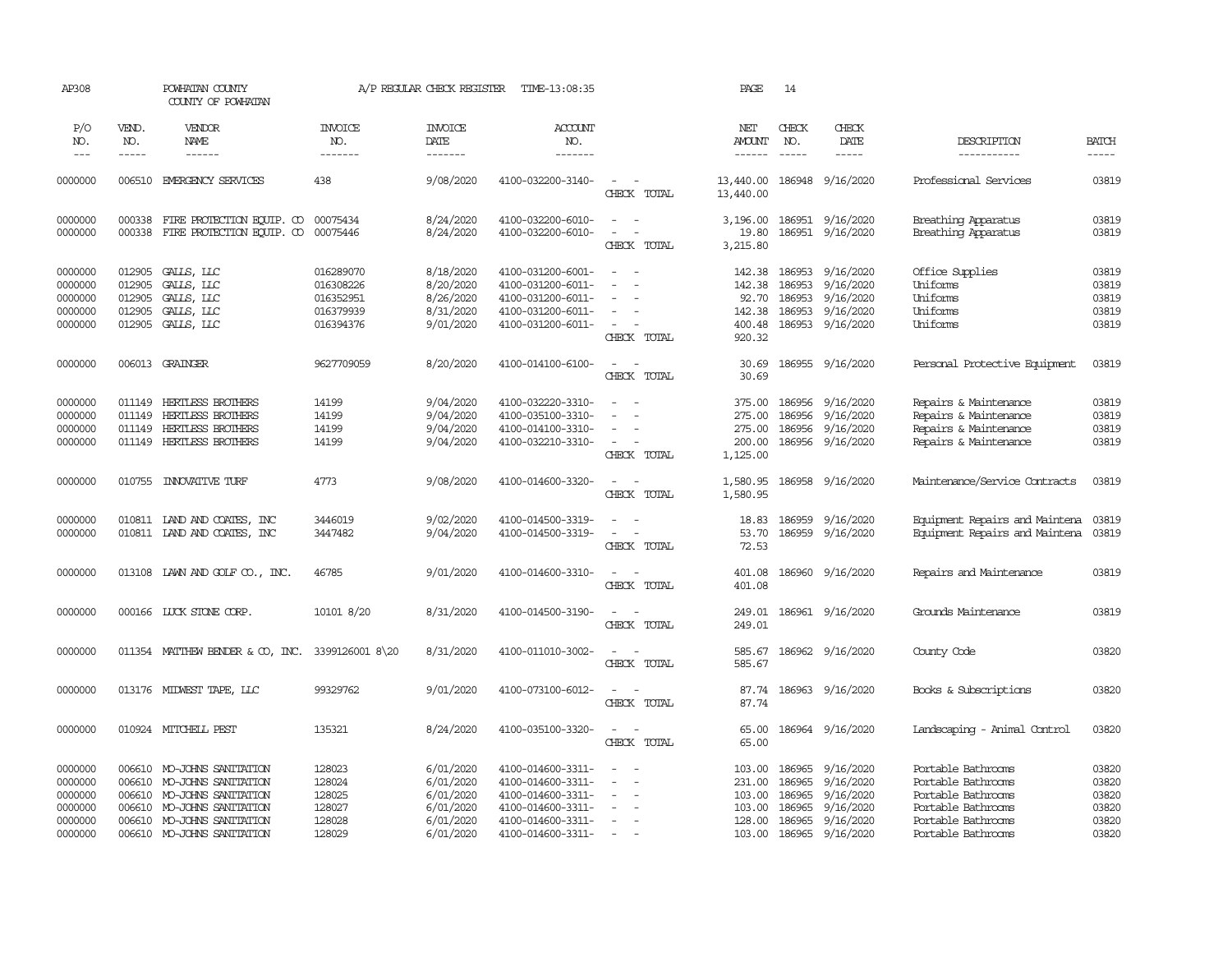| AP308                                               |                                                | POWHATAN COUNTY<br>COUNTY OF POWHATAN                                                                                  |                                                               | A/P REGULAR CHECK REGISTER                                    | TIME-13:08:35                                                                                         |                                                                 | PAGE                                                    | 14                                                    |                                                               |                                                                                                            |                                           |
|-----------------------------------------------------|------------------------------------------------|------------------------------------------------------------------------------------------------------------------------|---------------------------------------------------------------|---------------------------------------------------------------|-------------------------------------------------------------------------------------------------------|-----------------------------------------------------------------|---------------------------------------------------------|-------------------------------------------------------|---------------------------------------------------------------|------------------------------------------------------------------------------------------------------------|-------------------------------------------|
| P/O<br>NO.                                          | VEND.<br>NO.                                   | VENDOR<br>NAME                                                                                                         | <b>INVOICE</b><br>NO.                                         | <b>INVOICE</b><br>DATE                                        | <b>ACCOUNT</b><br>NO.                                                                                 |                                                                 | NET<br><b>AMOUNT</b>                                    | CHECK<br>NO.                                          | CHECK<br>DATE                                                 | DESCRIPTION                                                                                                | <b>BATCH</b>                              |
| $---$                                               | $- - - - -$                                    | ------                                                                                                                 | -------                                                       | -------                                                       | -------                                                                                               |                                                                 | $- - - - - -$                                           | $\frac{1}{2}$                                         | -----                                                         | -----------                                                                                                | $- - - - -$                               |
| 0000000                                             | 006510                                         | EMERGENCY SERVICES                                                                                                     | 438                                                           | 9/08/2020                                                     | 4100-032200-3140-                                                                                     | $\sim$<br>$\sim$<br>CHECK TOTAL                                 | 13,440.00<br>13,440.00                                  |                                                       | 186948 9/16/2020                                              | Professional Services                                                                                      | 03819                                     |
| 0000000<br>0000000                                  | 000338<br>000338                               | FIRE PROTECTION EQUIP. CO 00075434<br>FIRE PROTECTION EQUIP. CO                                                        | 00075446                                                      | 8/24/2020<br>8/24/2020                                        | 4100-032200-6010-<br>4100-032200-6010-                                                                | $ -$<br>$\equiv$<br>CHECK TOTAL                                 | 3,196.00<br>19.80<br>3,215.80                           |                                                       | 186951 9/16/2020<br>186951 9/16/2020                          | Breathing Apparatus<br>Breathing Apparatus                                                                 | 03819<br>03819                            |
| 0000000<br>0000000<br>0000000<br>0000000<br>0000000 | 012905<br>012905<br>012905<br>012905<br>012905 | GALLS, LLC<br>GALLS, LLC<br>GALLS, LLC<br>GALLS, LLC<br>GALLS, LLC                                                     | 016289070<br>016308226<br>016352951<br>016379939<br>016394376 | 8/18/2020<br>8/20/2020<br>8/26/2020<br>8/31/2020<br>9/01/2020 | 4100-031200-6001-<br>4100-031200-6011-<br>4100-031200-6011-<br>4100-031200-6011-<br>4100-031200-6011- | $\equiv$<br>$\sim$<br>$\sim$<br>CHECK TOTAL                     | 142.38<br>142.38<br>92.70<br>142.38<br>400.48<br>920.32 | 186953<br>186953<br>186953<br>186953<br>186953        | 9/16/2020<br>9/16/2020<br>9/16/2020<br>9/16/2020<br>9/16/2020 | Office Supplies<br>Uniforms<br>Uniforms<br>Uniforms<br>Uniforms                                            | 03819<br>03819<br>03819<br>03819<br>03819 |
| 0000000                                             |                                                | 006013 GRAINGER                                                                                                        | 9627709059                                                    | 8/20/2020                                                     | 4100-014100-6100-                                                                                     | $\sim$<br>$\sim$<br>CHECK TOTAL                                 | 30.69<br>30.69                                          |                                                       | 186955 9/16/2020                                              | Personal Protective Equipment                                                                              | 03819                                     |
| 0000000<br>0000000<br>0000000<br>0000000            | 011149<br>011149<br>011149                     | HERTLESS BROTHERS<br>HERTLESS BROTHERS<br><b>HERTLESS BROTHERS</b><br>011149 HERTLESS BROTHERS                         | 14199<br>14199<br>14199<br>14199                              | 9/04/2020<br>9/04/2020<br>9/04/2020<br>9/04/2020              | 4100-032220-3310-<br>4100-035100-3310-<br>4100-014100-3310-<br>4100-032210-3310-                      | $\sim$<br>$\sim$<br>$\equiv$<br>$\sim$<br>$\sim$<br>CHECK TOTAL | 275.00<br>275.00<br>200.00<br>1,125.00                  | 375.00 186956<br>186956<br>186956                     | 9/16/2020<br>9/16/2020<br>9/16/2020<br>186956 9/16/2020       | Repairs & Maintenance<br>Repairs & Maintenance<br>Repairs & Maintenance<br>Repairs & Maintenance           | 03819<br>03819<br>03819<br>03819          |
| 0000000                                             |                                                | 010755 INNOVATIVE TURF                                                                                                 | 4773                                                          | 9/08/2020                                                     | 4100-014600-3320-                                                                                     | $\sim$ $ \sim$<br>CHECK TOTAL                                   | 1,580.95<br>1,580.95                                    |                                                       | 186958 9/16/2020                                              | Maintenance/Service Contracts                                                                              | 03819                                     |
| 0000000<br>0000000                                  |                                                | 010811 IAND AND COATES, INC<br>010811 LAND AND COATES, INC                                                             | 3446019<br>3447482                                            | 9/02/2020<br>9/04/2020                                        | 4100-014500-3319-<br>4100-014500-3319-                                                                | $\equiv$<br>$\overline{\phantom{a}}$<br>CHECK TOTAL             | 18.83<br>53.70<br>72.53                                 | 186959                                                | 9/16/2020<br>186959 9/16/2020                                 | Equipment Repairs and Maintena<br>Equipment Repairs and Maintena                                           | 03819<br>03819                            |
| 0000000                                             |                                                | 013108 LAWN AND GOLF CO., INC.                                                                                         | 46785                                                         | 9/01/2020                                                     | 4100-014600-3310-                                                                                     | $ -$<br>CHECK TOTAL                                             | 401.08<br>401.08                                        |                                                       | 186960 9/16/2020                                              | Repairs and Maintenance                                                                                    | 03819                                     |
| 0000000                                             |                                                | 000166 LUCK STONE CORP.                                                                                                | 10101 8/20                                                    | 8/31/2020                                                     | 4100-014500-3190-                                                                                     | $\sim$<br>$\sim$<br>CHECK TOTAL                                 | 249.01<br>249.01                                        |                                                       | 186961 9/16/2020                                              | Grounds Maintenance                                                                                        | 03819                                     |
| 0000000                                             |                                                | 011354 MATTHEW BENDER & CO, INC. 3399126001 8\20                                                                       |                                                               | 8/31/2020                                                     | 4100-011010-3002-                                                                                     | $\equiv$<br>CHECK TOTAL                                         | 585.67<br>585.67                                        |                                                       | 186962 9/16/2020                                              | County Code                                                                                                | 03820                                     |
| 0000000                                             |                                                | 013176 MIDWEST TAPE, LLC                                                                                               | 99329762                                                      | 9/01/2020                                                     | 4100-073100-6012-                                                                                     | $\overline{\phantom{a}}$<br>CHECK TOTAL                         | 87.74<br>87.74                                          |                                                       | 186963 9/16/2020                                              | Books & Subscriptions                                                                                      | 03820                                     |
| 0000000                                             |                                                | 010924 MITCHELL PEST                                                                                                   | 135321                                                        | 8/24/2020                                                     | 4100-035100-3320-                                                                                     | $\sim$<br>CHECK TOTAL                                           | 65.00<br>65.00                                          |                                                       | 186964 9/16/2020                                              | Landscaping - Animal Control                                                                               | 03820                                     |
| 0000000<br>0000000<br>0000000<br>0000000<br>0000000 | 006610<br>006610<br>006610<br>006610           | 006610 MO-JOHNS SANITATION<br>MO-JOHNS SANITATION<br>MO-JOHNS SANITATION<br>MO-JOHNS SANITATION<br>MO-JOHNS SANITATION | 128023<br>128024<br>128025<br>128027<br>128028                | 6/01/2020<br>6/01/2020<br>6/01/2020<br>6/01/2020<br>6/01/2020 | 4100-014600-3311-<br>4100-014600-3311-<br>4100-014600-3311-<br>4100-014600-3311-<br>4100-014600-3311- | $\sim$<br>$\sim$<br>$\equiv$<br>$\equiv$                        | 231.00<br>103.00<br>103.00<br>128.00                    | 103.00 186965<br>186965<br>186965<br>186965<br>186965 | 9/16/2020<br>9/16/2020<br>9/16/2020<br>9/16/2020<br>9/16/2020 | Portable Bathrooms<br>Portable Bathrooms<br>Portable Bathrooms<br>Portable Bathrooms<br>Portable Bathrooms | 03820<br>03820<br>03820<br>03820<br>03820 |
| 0000000                                             |                                                | 006610 MO-JOHNS SANITATION                                                                                             | 128029                                                        | 6/01/2020                                                     | 4100-014600-3311-                                                                                     | $\sim$                                                          | 103.00                                                  | 186965                                                | 9/16/2020                                                     | Portable Bathrooms                                                                                         | 03820                                     |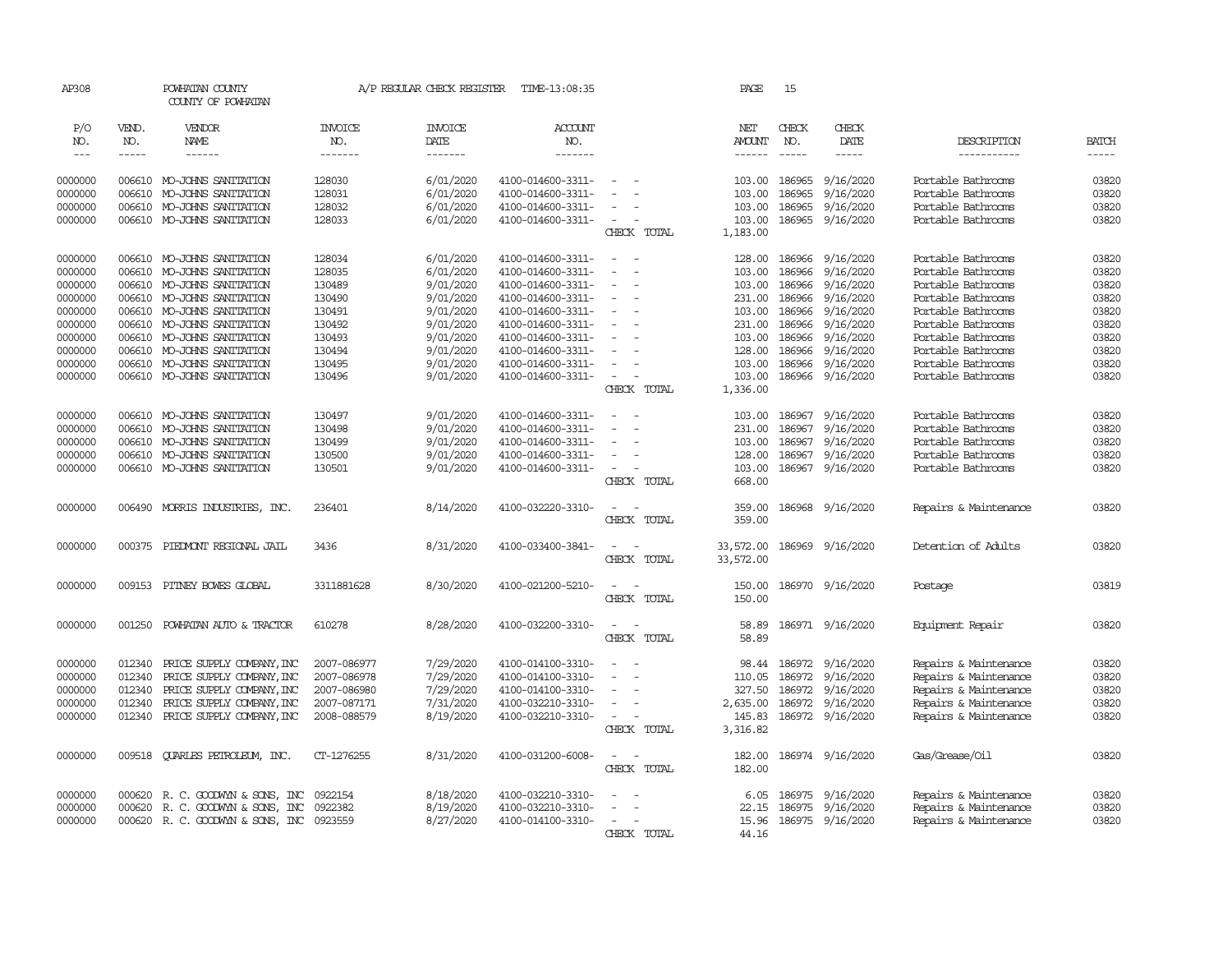| AP308   |             | POWHATAN COUNTY<br>COUNTY OF POWHATAN   |                | A/P REGULAR CHECK REGISTER | TIME-13:08:35     |                                    | PAGE             | 15            |                        |                       |              |
|---------|-------------|-----------------------------------------|----------------|----------------------------|-------------------|------------------------------------|------------------|---------------|------------------------|-----------------------|--------------|
| P/O     | VEND.       | VENDOR                                  | <b>INVOICE</b> | <b>INVOICE</b>             | <b>ACCOUNT</b>    |                                    | NET              | CHECK         | CHECK                  |                       |              |
| NO.     | NO.         | NAME                                    | NO.            | <b>DATE</b>                | NO.               |                                    | <b>AMOUNT</b>    | NO.           | DATE                   | DESCRIPTION           | <b>BATCH</b> |
| $---$   | $- - - - -$ | ------                                  | -------        | -------                    | -------           |                                    | $- - - - - -$    | $\frac{1}{2}$ | $- - - - -$            | -----------           | $- - - - -$  |
| 0000000 |             | 006610 MO-JOHNS SANITATION              | 128030         | 6/01/2020                  | 4100-014600-3311- | $\sim$                             | 103.00           | 186965        | 9/16/2020              | Portable Bathrooms    | 03820        |
| 0000000 | 006610      | MO-JOHNS SANITATION                     | 128031         | 6/01/2020                  | 4100-014600-3311- |                                    | 103.00           | 186965        | 9/16/2020              | Portable Bathrooms    | 03820        |
| 0000000 | 006610      | MO-JOHNS SANITATION                     | 128032         | 6/01/2020                  | 4100-014600-3311- |                                    | 103.00           | 186965        | 9/16/2020              | Portable Bathrooms    | 03820        |
| 0000000 |             | 006610 MO-JOHNS SANITATION              | 128033         | 6/01/2020                  | 4100-014600-3311- | $\overline{\phantom{a}}$           | 103.00           |               | 186965 9/16/2020       | Portable Bathrooms    | 03820        |
|         |             |                                         |                |                            |                   | CHECK TOTAL                        | 1,183.00         |               |                        |                       |              |
|         |             |                                         |                |                            |                   |                                    |                  |               |                        |                       |              |
| 0000000 |             | 006610 MO-JOHNS SANITATION              | 128034         | 6/01/2020                  | 4100-014600-3311- | $\sim$<br>$\sim$                   | 128.00           | 186966        | 9/16/2020              | Portable Bathrooms    | 03820        |
| 0000000 | 006610      | MO-JOHNS SANITATION                     | 128035         | 6/01/2020                  | 4100-014600-3311- |                                    | 103.00           | 186966        | 9/16/2020              | Portable Bathrooms    | 03820        |
| 0000000 | 006610      | MO-JOHNS SANITATION                     | 130489         | 9/01/2020                  | 4100-014600-3311- |                                    | 103.00           | 186966        | 9/16/2020              | Portable Bathrooms    | 03820        |
| 0000000 | 006610      | MO-JOHNS SANITATION                     | 130490         | 9/01/2020                  | 4100-014600-3311- |                                    | 231.00           | 186966        | 9/16/2020              | Portable Bathrooms    | 03820        |
| 0000000 | 006610      | MO-JOHNS SANITATION                     | 130491         | 9/01/2020                  | 4100-014600-3311- |                                    |                  | 103.00 186966 | 9/16/2020              | Portable Bathrooms    | 03820        |
| 0000000 | 006610      | MO-JOHNS SANITATION                     | 130492         | 9/01/2020                  | 4100-014600-3311- |                                    | 231.00           | 186966        | 9/16/2020              | Portable Bathrooms    | 03820        |
| 0000000 | 006610      | MO-JOHNS SANITATION                     | 130493         | 9/01/2020                  | 4100-014600-3311- |                                    | 103.00           | 186966        | 9/16/2020              | Portable Bathrooms    | 03820        |
| 0000000 | 006610      | MO-JOHNS SANITATION                     | 130494         | 9/01/2020                  | 4100-014600-3311- |                                    | 128.00           | 186966        | 9/16/2020              | Portable Bathrooms    | 03820        |
| 0000000 | 006610      | MO-JOHNS SANITATION                     | 130495         | 9/01/2020                  | 4100-014600-3311- |                                    | 103.00           | 186966        | 9/16/2020              | Portable Bathrooms    | 03820        |
| 0000000 |             | 006610 MO-JOHNS SANITATION              | 130496         | 9/01/2020                  | 4100-014600-3311- | $\sim$                             | 103.00           |               | 186966 9/16/2020       | Portable Bathrooms    | 03820        |
|         |             |                                         |                |                            |                   | CHECK TOTAL                        | 1,336.00         |               |                        |                       |              |
| 0000000 | 006610      | MO-JOHNS SANITATION                     | 130497         | 9/01/2020                  | 4100-014600-3311- |                                    | 103.00           | 186967        | 9/16/2020              | Portable Bathrooms    | 03820        |
| 0000000 | 006610      | MO-JOHNS SANITATION                     | 130498         | 9/01/2020                  | 4100-014600-3311- |                                    | 231.00           | 186967        | 9/16/2020              | Portable Bathrooms    | 03820        |
| 0000000 | 006610      | MO-JOHNS SANITATION                     | 130499         | 9/01/2020                  | 4100-014600-3311- | $\equiv$                           |                  | 103.00 186967 | 9/16/2020              | Portable Bathrooms    | 03820        |
| 0000000 | 006610      | MO-JOHNS SANITATION                     | 130500         | 9/01/2020                  | 4100-014600-3311- |                                    | 128.00           | 186967        | 9/16/2020              | Portable Bathrooms    | 03820        |
| 0000000 | 006610      | MO-JOHNS SANITATION                     | 130501         | 9/01/2020                  | 4100-014600-3311- |                                    | 103.00           |               | 186967 9/16/2020       | Portable Bathrooms    | 03820        |
|         |             |                                         |                |                            |                   | CHECK TOTAL                        | 668.00           |               |                        |                       |              |
| 0000000 | 006490      | MORRIS INDUSTRIES, INC.                 | 236401         | 8/14/2020                  | 4100-032220-3310- |                                    | 359.00           |               | 186968 9/16/2020       | Repairs & Maintenance | 03820        |
|         |             |                                         |                |                            |                   | CHECK TOTAL                        | 359.00           |               |                        |                       |              |
| 0000000 | 000375      | PIEDMONT REGIONAL JAIL                  | 3436           | 8/31/2020                  | 4100-033400-3841- |                                    | 33,572.00        |               | 186969 9/16/2020       | Detention of Adults   | 03820        |
|         |             |                                         |                |                            |                   | CHECK TOTAL                        | 33,572.00        |               |                        |                       |              |
|         |             |                                         |                |                            |                   | $\sim$                             |                  |               |                        |                       | 03819        |
| 0000000 | 009153      | PITNEY BOWES GLOBAL                     | 3311881628     | 8/30/2020                  | 4100-021200-5210- | CHECK TOTAL                        | 150.00<br>150.00 |               | 186970 9/16/2020       | Postage               |              |
|         |             |                                         |                |                            |                   |                                    |                  |               |                        |                       |              |
| 0000000 | 001250      | POWHATAN AUTO & TRACTOR                 | 610278         | 8/28/2020                  | 4100-032200-3310- | $\overline{\phantom{a}}$           | 58.89            |               | 186971 9/16/2020       | Equipment Repair      | 03820        |
|         |             |                                         |                |                            |                   | CHECK TOTAL                        | 58.89            |               |                        |                       |              |
| 0000000 | 012340      | PRICE SUPPLY COMPANY, INC               | 2007-086977    | 7/29/2020                  | 4100-014100-3310- | $\equiv$                           |                  |               | 98.44 186972 9/16/2020 | Repairs & Maintenance | 03820        |
| 0000000 | 012340      | PRICE SUPPLY COMPANY, INC               | 2007-086978    | 7/29/2020                  | 4100-014100-3310- |                                    | 110.05           | 186972        | 9/16/2020              | Repairs & Maintenance | 03820        |
| 0000000 | 012340      | PRICE SUPPLY COMPANY, INC               | 2007-086980    | 7/29/2020                  | 4100-014100-3310- |                                    | 327.50           | 186972        | 9/16/2020              | Repairs & Maintenance | 03820        |
| 0000000 | 012340      | PRICE SUPPLY COMPANY, INC               | 2007-087171    | 7/31/2020                  | 4100-032210-3310- | $\equiv$                           | 2,635.00         | 186972        | 9/16/2020              | Repairs & Maintenance | 03820        |
| 0000000 | 012340      | PRICE SUPPLY COMPANY, INC               | 2008-088579    | 8/19/2020                  | 4100-032210-3310- | $\overline{\phantom{a}}$           | 145.83           | 186972        | 9/16/2020              | Repairs & Maintenance | 03820        |
|         |             |                                         |                |                            |                   | CHECK TOTAL                        | 3,316.82         |               |                        |                       |              |
|         |             |                                         |                |                            |                   |                                    |                  |               |                        |                       |              |
| 0000000 | 009518      | <b>QUARLES PETROLEUM, INC.</b>          | CT-1276255     | 8/31/2020                  | 4100-031200-6008- | $\overline{\phantom{a}}$<br>$\sim$ | 182.00           |               | 186974 9/16/2020       | Gas/Grease/Oil        | 03820        |
|         |             |                                         |                |                            |                   | CHECK TOTAL                        | 182.00           |               |                        |                       |              |
| 0000000 | 000620      | R. C. GOODWIN & SONS, INC               | 0922154        | 8/18/2020                  | 4100-032210-3310- | $\equiv$                           | 6.05             |               | 186975 9/16/2020       | Repairs & Maintenance | 03820        |
| 0000000 | 000620      | R. C. GOODWIN & SONS, INC               | 0922382        | 8/19/2020                  | 4100-032210-3310- |                                    | 22.15            | 186975        | 9/16/2020              | Repairs & Maintenance | 03820        |
| 0000000 |             | 000620 R.C. GOODWYN & SONS, INC 0923559 |                | 8/27/2020                  | 4100-014100-3310- |                                    | 15.96            |               | 186975 9/16/2020       | Repairs & Maintenance | 03820        |
|         |             |                                         |                |                            |                   | CHECK TOTAL                        | 44.16            |               |                        |                       |              |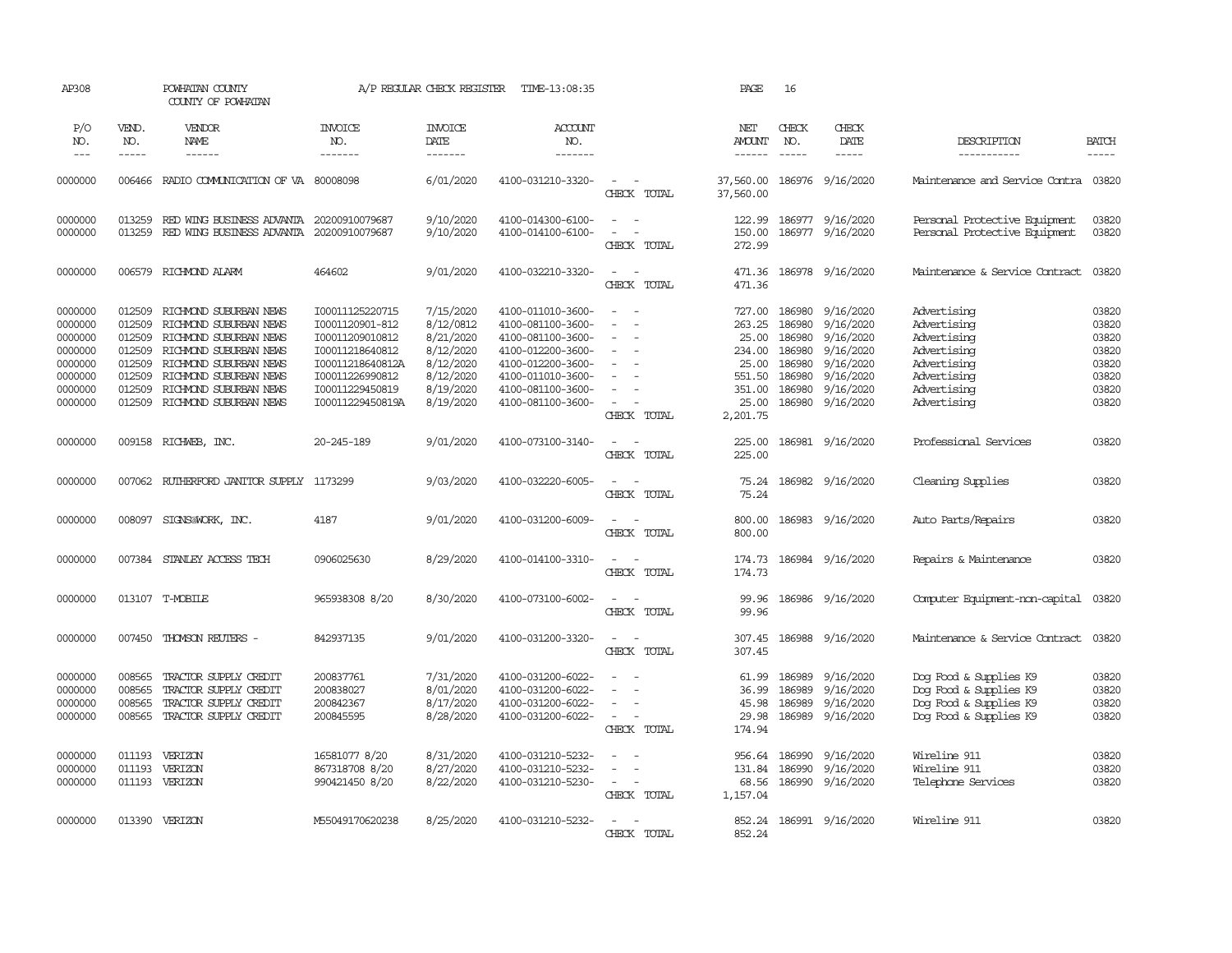| AP308                                                                                |                                                                              | POWHATAN COUNTY<br>COUNTY OF POWHATAN                                                                                                                                                                        |                                                                                                                                                        | A/P REGULAR CHECK REGISTER                                                                           | TIME-13:08:35                                                                                                                                                        |                                                                                         | PAGE                                                                                  | 16                                                                           |                                                                                                      |                                                                                                                      |                                                                      |
|--------------------------------------------------------------------------------------|------------------------------------------------------------------------------|--------------------------------------------------------------------------------------------------------------------------------------------------------------------------------------------------------------|--------------------------------------------------------------------------------------------------------------------------------------------------------|------------------------------------------------------------------------------------------------------|----------------------------------------------------------------------------------------------------------------------------------------------------------------------|-----------------------------------------------------------------------------------------|---------------------------------------------------------------------------------------|------------------------------------------------------------------------------|------------------------------------------------------------------------------------------------------|----------------------------------------------------------------------------------------------------------------------|----------------------------------------------------------------------|
| P/O<br>NO.<br>$---$                                                                  | VEND.<br>NO.<br>-----                                                        | VENDOR<br>NAME<br>------                                                                                                                                                                                     | <b>INVOICE</b><br>NO.<br>-------                                                                                                                       | <b>INVOICE</b><br>DATE<br>-------                                                                    | ACCOUNT<br>NO.<br>-------                                                                                                                                            |                                                                                         | NET<br>AMOUNT                                                                         | CHECK<br>NO.                                                                 | CHECK<br>DATE<br>-----                                                                               | DESCRIPTION<br>-----------                                                                                           | <b>BATCH</b><br>-----                                                |
| 0000000                                                                              | 006466                                                                       | RADIO COMMUNICATION OF VA 80008098                                                                                                                                                                           |                                                                                                                                                        | 6/01/2020                                                                                            | 4100-031210-3320-                                                                                                                                                    | $\overline{\phantom{a}}$<br>$\sim$ $-$<br>CHECK TOTAL                                   | 37,560.00<br>37,560.00                                                                |                                                                              | 186976 9/16/2020                                                                                     | Maintenance and Service Contra 03820                                                                                 |                                                                      |
| 0000000<br>0000000                                                                   | 013259<br>013259                                                             | RED WING BUSINESS ADVANTA 20200910079687<br>RED WING BUSINESS ADVANTA                                                                                                                                        | 20200910079687                                                                                                                                         | 9/10/2020<br>9/10/2020                                                                               | 4100-014300-6100-<br>4100-014100-6100-                                                                                                                               | $\equiv$<br>$\sim$<br>$\equiv$<br>$\overline{\phantom{a}}$<br>CHECK TOTAL               | 122.99<br>150.00<br>272.99                                                            | 186977                                                                       | 9/16/2020<br>186977 9/16/2020                                                                        | Personal Protective Equipment<br>Personal Protective Equipment                                                       | 03820<br>03820                                                       |
| 0000000                                                                              | 006579                                                                       | RICHMOND ALARM                                                                                                                                                                                               | 464602                                                                                                                                                 | 9/01/2020                                                                                            | 4100-032210-3320-                                                                                                                                                    | $\overline{\phantom{a}}$<br>$\sim$<br>CHECK TOTAL                                       | 471.36<br>471.36                                                                      |                                                                              | 186978 9/16/2020                                                                                     | Maintenance & Service Contract                                                                                       | 03820                                                                |
| 0000000<br>0000000<br>0000000<br>0000000<br>0000000<br>0000000<br>0000000<br>0000000 | 012509<br>012509<br>012509<br>012509<br>012509<br>012509<br>012509<br>012509 | RICHMOND SUBURBAN NEWS<br>RICHMOND SUBURBAN NEWS<br>RICHMOND SUBURBAN NEWS<br>RICHMOND SUBURBAN NEWS<br>RICHMOND SUBURBAN NEWS<br>RICHMOND SUBURBAN NEWS<br>RICHMOND SUBURBAN NEWS<br>RICHMOND SUBURBAN NEWS | I00011125220715<br>I0001120901-812<br>I00011209010812<br>I00011218640812<br>I00011218640812A<br>I00011226990812<br>I00011229450819<br>I00011229450819A | 7/15/2020<br>8/12/0812<br>8/21/2020<br>8/12/2020<br>8/12/2020<br>8/12/2020<br>8/19/2020<br>8/19/2020 | 4100-011010-3600-<br>4100-081100-3600-<br>4100-081100-3600-<br>4100-012200-3600-<br>4100-012200-3600-<br>4100-011010-3600-<br>4100-081100-3600-<br>4100-081100-3600- | $\equiv$<br>$\sim$<br>$\equiv$<br>$\sim$<br>$\sim$<br>$\equiv$<br>$\sim$<br>CHECK TOTAL | 727.00<br>263.25<br>25.00<br>234.00<br>25.00<br>551.50<br>351.00<br>25.00<br>2,201.75 | 186980<br>186980<br>186980<br>186980<br>186980<br>186980<br>186980<br>186980 | 9/16/2020<br>9/16/2020<br>9/16/2020<br>9/16/2020<br>9/16/2020<br>9/16/2020<br>9/16/2020<br>9/16/2020 | Advertising<br>Advertising<br>Advertising<br>Advertising<br>Advertising<br>Advertising<br>Advertising<br>Advertising | 03820<br>03820<br>03820<br>03820<br>03820<br>03820<br>03820<br>03820 |
| 0000000                                                                              |                                                                              | 009158 RICHWEB, INC.                                                                                                                                                                                         | 20-245-189                                                                                                                                             | 9/01/2020                                                                                            | 4100-073100-3140-                                                                                                                                                    | $\overline{\phantom{a}}$<br>$\sim$<br>CHECK TOTAL                                       | 225.00<br>225.00                                                                      |                                                                              | 186981 9/16/2020                                                                                     | Professional Services                                                                                                | 03820                                                                |
| 0000000                                                                              |                                                                              | 007062 RUIHERFORD JANITOR SUPPLY 1173299                                                                                                                                                                     |                                                                                                                                                        | 9/03/2020                                                                                            | 4100-032220-6005-                                                                                                                                                    | $\sim$<br>$\overline{\phantom{a}}$<br>CHECK TOTAL                                       | 75.24<br>75.24                                                                        |                                                                              | 186982 9/16/2020                                                                                     | Cleaning Supplies                                                                                                    | 03820                                                                |
| 0000000                                                                              |                                                                              | 008097 SIGNS@WORK, INC.                                                                                                                                                                                      | 4187                                                                                                                                                   | 9/01/2020                                                                                            | 4100-031200-6009-                                                                                                                                                    | $\sim$<br>$\equiv$<br>CHECK TOTAL                                                       | 800.00<br>800.00                                                                      |                                                                              | 186983 9/16/2020                                                                                     | Auto Parts/Repairs                                                                                                   | 03820                                                                |
| 0000000                                                                              |                                                                              | 007384 STANLEY ACCESS TECH                                                                                                                                                                                   | 0906025630                                                                                                                                             | 8/29/2020                                                                                            | 4100-014100-3310-                                                                                                                                                    | $\omega_{\rm{max}}$ and $\omega_{\rm{max}}$<br>CHECK TOTAL                              | 174.73<br>174.73                                                                      |                                                                              | 186984 9/16/2020                                                                                     | Repairs & Maintenance                                                                                                | 03820                                                                |
| 0000000                                                                              |                                                                              | 013107 T-MOBILE                                                                                                                                                                                              | 965938308 8/20                                                                                                                                         | 8/30/2020                                                                                            | 4100-073100-6002-                                                                                                                                                    | $\sim$<br>$\sim$<br>CHECK TOTAL                                                         | 99.96<br>99.96                                                                        |                                                                              | 186986 9/16/2020                                                                                     | Computer Equipment-non-capital                                                                                       | 03820                                                                |
| 0000000                                                                              | 007450                                                                       | THOMSON REUTERS -                                                                                                                                                                                            | 842937135                                                                                                                                              | 9/01/2020                                                                                            | 4100-031200-3320-                                                                                                                                                    | $\sim$<br>$\sim$<br>CHECK TOTAL                                                         | 307.45<br>307.45                                                                      |                                                                              | 186988 9/16/2020                                                                                     | Maintenance & Service Contract                                                                                       | 03820                                                                |
| 0000000<br>0000000<br>0000000<br>0000000                                             | 008565<br>008565<br>008565<br>008565                                         | TRACTOR SUPPLY CREDIT<br>TRACTOR SUPPLY CREDIT<br>TRACTOR SUPPLY CREDIT<br>TRACTOR SUPPLY CREDIT                                                                                                             | 200837761<br>200838027<br>200842367<br>200845595                                                                                                       | 7/31/2020<br>8/01/2020<br>8/17/2020<br>8/28/2020                                                     | 4100-031200-6022-<br>4100-031200-6022-<br>4100-031200-6022-<br>4100-031200-6022-                                                                                     | $\sim$<br>$\sim$<br>$\sim$<br>$\overline{\phantom{a}}$<br>CHECK TOTAL                   | 61.99<br>36.99<br>45.98<br>29.98<br>174.94                                            | 186989<br>186989<br>186989<br>186989                                         | 9/16/2020<br>9/16/2020<br>9/16/2020<br>9/16/2020                                                     | Dog Food & Supplies K9<br>Dog Food & Supplies K9<br>Dog Food & Supplies K9<br>Dog Food & Supplies K9                 | 03820<br>03820<br>03820<br>03820                                     |
| 0000000<br>0000000<br>0000000                                                        | 011193<br>011193                                                             | VERIZON<br>VERIZON<br>011193 VERIZON                                                                                                                                                                         | 16581077 8/20<br>867318708 8/20<br>990421450 8/20                                                                                                      | 8/31/2020<br>8/27/2020<br>8/22/2020                                                                  | 4100-031210-5232-<br>4100-031210-5232-<br>4100-031210-5230-                                                                                                          | $\equiv$<br>$\sim$<br>$\sim$<br>$\overline{\phantom{a}}$<br>CHECK TOTAL                 | 956.64<br>131.84<br>68.56<br>1,157.04                                                 | 186990<br>186990                                                             | 9/16/2020<br>9/16/2020<br>186990 9/16/2020                                                           | Wireline 911<br>Wireline 911<br>Telephone Services                                                                   | 03820<br>03820<br>03820                                              |
| 0000000                                                                              |                                                                              | 013390 VERIZON                                                                                                                                                                                               | M55049170620238                                                                                                                                        | 8/25/2020                                                                                            | 4100-031210-5232-                                                                                                                                                    | CHFICK<br><b>TOTAL</b>                                                                  | 852.24                                                                                |                                                                              | 852.24 186991 9/16/2020                                                                              | Wireline 911                                                                                                         | 03820                                                                |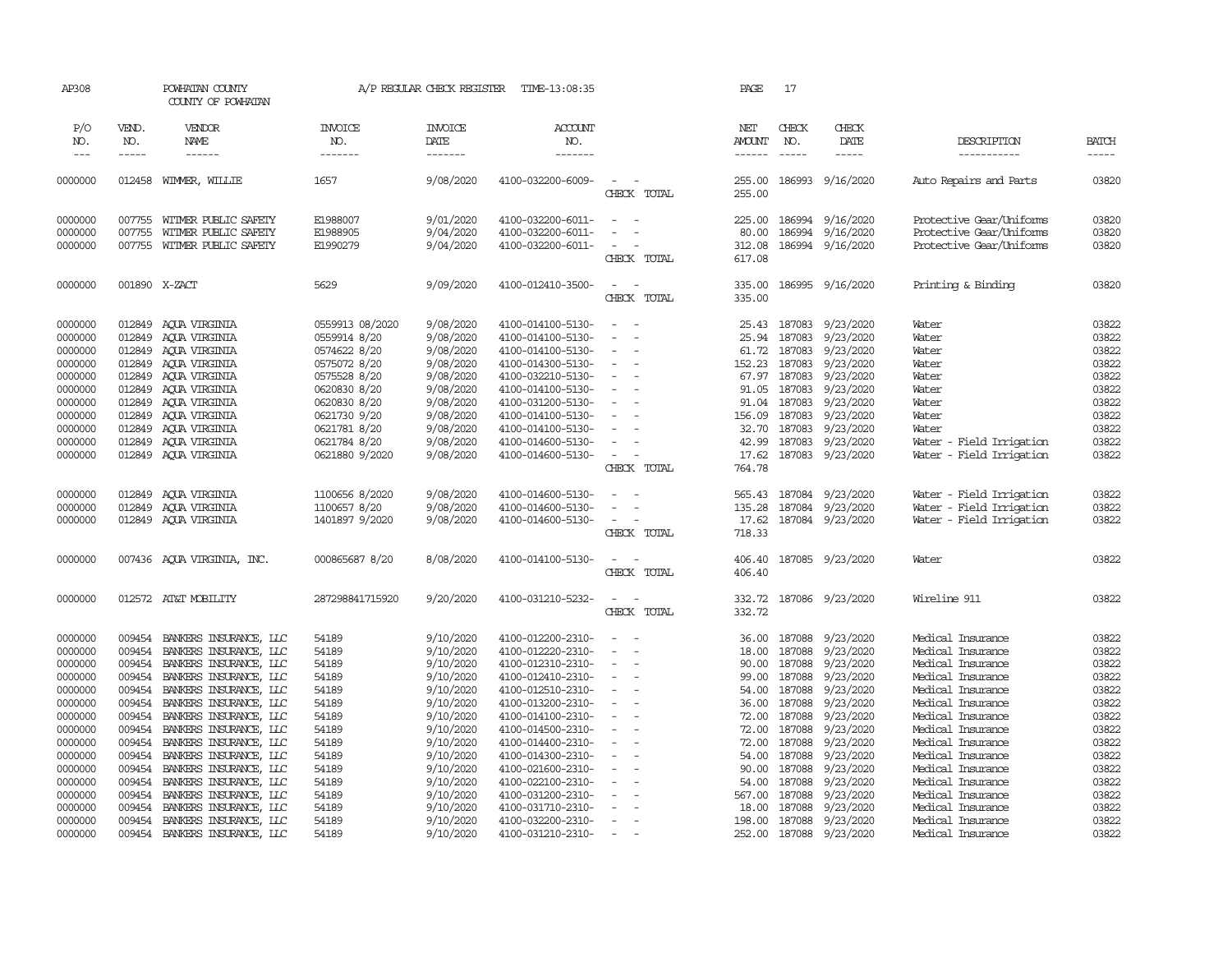| AP308               |                       | POWHATAN COUNTY<br>COUNTY OF POWHATAN            |                                  | A/P REGULAR CHECK REGISTER        | TIME-13:08:35                          |                                    | PAGE                           | 17                            |                        |                                        |                             |
|---------------------|-----------------------|--------------------------------------------------|----------------------------------|-----------------------------------|----------------------------------------|------------------------------------|--------------------------------|-------------------------------|------------------------|----------------------------------------|-----------------------------|
| P/O<br>NO.<br>$---$ | VEND.<br>NO.<br>----- | <b>VENDOR</b><br><b>NAME</b><br>$- - - - - -$    | <b>INVOICE</b><br>NO.<br>------- | <b>INVOICE</b><br>DATE<br>------- | <b>ACCOUNT</b><br>NO.<br>-------       |                                    | NET<br><b>AMOUNT</b><br>------ | CHECK<br>NO.<br>$\frac{1}{2}$ | CHECK<br>DATE<br>----- | DESCRIPTION<br>-----------             | <b>BATCH</b><br>$- - - - -$ |
| 0000000             | 012458                | WIMMER, WILLIE                                   | 1657                             | 9/08/2020                         | 4100-032200-6009-                      | $\sim$<br>CHECK TOTAL              | 255.00<br>255.00               | 186993                        | 9/16/2020              | Auto Repairs and Parts                 | 03820                       |
| 0000000             | 007755                | WITMER PUBLIC SAFETY                             | E1988007                         | 9/01/2020                         | 4100-032200-6011-                      | $\overline{\phantom{a}}$<br>$\sim$ | 225.00                         | 186994                        | 9/16/2020              | Protective Gear/Uniforms               | 03820                       |
| 0000000             | 007755                | WITMER PUBLIC SAFETY                             | E1988905                         | 9/04/2020                         | 4100-032200-6011-                      |                                    | 80.00                          | 186994                        | 9/16/2020              | Protective Gear/Uniforms               | 03820                       |
| 0000000             | 007755                | WITMER PUBLIC SAFETY                             | E1990279                         | 9/04/2020                         | 4100-032200-6011-                      | CHECK TOTAL                        | 312.08<br>617.08               |                               | 186994 9/16/2020       | Protective Gear/Uniforms               | 03820                       |
| 0000000             |                       | 001890 X-ZACT                                    | 5629                             | 9/09/2020                         | 4100-012410-3500-                      | $\sim$<br>$\overline{\phantom{a}}$ | 335.00                         |                               | 186995 9/16/2020       | Printing & Binding                     | 03820                       |
|                     |                       |                                                  |                                  |                                   |                                        | CHECK TOTAL                        | 335.00                         |                               |                        |                                        |                             |
| 0000000             | 012849                | AQUA VIRGINIA                                    | 0559913 08/2020                  | 9/08/2020                         | 4100-014100-5130-                      | $\sim$                             | 25.43                          | 187083                        | 9/23/2020              | Water                                  | 03822                       |
| 0000000             | 012849                | AQUA VIRGINIA                                    | 0559914 8/20                     | 9/08/2020                         | 4100-014100-5130-                      |                                    | 25.94                          | 187083                        | 9/23/2020              | Water                                  | 03822                       |
| 0000000             | 012849                | AQUA VIRGINIA                                    | 0574622 8/20                     | 9/08/2020                         | 4100-014100-5130-                      | $\equiv$                           | 61.72                          | 187083                        | 9/23/2020              | Water                                  | 03822                       |
| 0000000             | 012849<br>012849      | AOUA VIRGINIA                                    | 0575072 8/20                     | 9/08/2020<br>9/08/2020            | 4100-014300-5130-                      | $\equiv$                           | 152.23<br>67.97                | 187083<br>187083              | 9/23/2020<br>9/23/2020 | Water                                  | 03822<br>03822              |
| 0000000<br>0000000  | 012849                | ACUA VIRGINIA                                    | 0575528 8/20<br>0620830 8/20     | 9/08/2020                         | 4100-032210-5130-<br>4100-014100-5130- |                                    | 91.05                          | 187083                        | 9/23/2020              | Water<br>Water                         | 03822                       |
| 0000000             | 012849                | AQUA VIRGINIA                                    |                                  | 9/08/2020                         | 4100-031200-5130-                      |                                    |                                | 187083                        | 9/23/2020              | Water                                  | 03822                       |
| 0000000             | 012849                | AQUA VIRGINIA<br>AQUA VIRGINIA                   | 0620830 8/20<br>0621730 9/20     | 9/08/2020                         | 4100-014100-5130-                      |                                    | 91.04<br>156.09                | 187083                        | 9/23/2020              | Water                                  | 03822                       |
| 0000000             | 012849                | AOUA VIRGINIA                                    | 0621781 8/20                     | 9/08/2020                         | 4100-014100-5130-                      |                                    | 32.70                          | 187083                        | 9/23/2020              | Water                                  | 03822                       |
| 0000000             | 012849                | AOUA VIRGINIA                                    | 0621784 8/20                     | 9/08/2020                         | 4100-014600-5130-                      | $\equiv$                           | 42.99                          | 187083                        | 9/23/2020              | Water - Field Irrigation               | 03822                       |
| 0000000             | 012849                | AQUA VIRGINIA                                    | 0621880 9/2020                   | 9/08/2020                         | 4100-014600-5130-                      | $\overline{\phantom{a}}$           | 17.62                          | 187083                        | 9/23/2020              | Water - Field Irrigation               | 03822                       |
|                     |                       |                                                  |                                  |                                   |                                        | CHECK TOTAL                        | 764.78                         |                               |                        |                                        |                             |
| 0000000             | 012849                | ACUA VIRGINIA                                    | 1100656 8/2020                   | 9/08/2020                         | 4100-014600-5130-                      |                                    | 565.43                         | 187084                        | 9/23/2020              | Water - Field Irrigation               | 03822                       |
| 0000000             | 012849                | AOUA VIRGINIA                                    | 1100657 8/20                     | 9/08/2020                         | 4100-014600-5130-                      | $\sim$                             | 135.28                         | 187084                        | 9/23/2020              | Water - Field Irrigation               | 03822                       |
| 0000000             |                       | 012849 AQUA VIRGINIA                             | 1401897 9/2020                   | 9/08/2020                         | 4100-014600-5130-                      | $\overline{\phantom{a}}$           | 17.62                          |                               | 187084 9/23/2020       | Water - Field Irrigation               | 03822                       |
|                     |                       |                                                  |                                  |                                   |                                        | CHECK TOTAL                        | 718.33                         |                               |                        |                                        |                             |
| 0000000             |                       | 007436 AQUA VIRGINIA, INC.                       | 000865687 8/20                   | 8/08/2020                         | 4100-014100-5130-                      | $\overline{\phantom{a}}$<br>$\sim$ | 406.40                         |                               | 187085 9/23/2020       | Water                                  | 03822                       |
|                     |                       |                                                  |                                  |                                   |                                        | CHECK TOTAL                        | 406.40                         |                               |                        |                                        |                             |
| 0000000             |                       | 012572 AT&T MOBILITY                             | 287298841715920                  | 9/20/2020                         | 4100-031210-5232-                      | $\equiv$<br>$\sim$<br>CHECK TOTAL  | 332.72<br>332.72               |                               | 187086 9/23/2020       | Wireline 911                           | 03822                       |
| 0000000             | 009454                | BANKERS INSURANCE, LLC                           | 54189                            | 9/10/2020                         | 4100-012200-2310-                      | $\sim$                             | 36.00                          | 187088                        | 9/23/2020              | Medical Insurance                      | 03822                       |
| 0000000             | 009454                | BANKERS INSURANCE, LLC                           | 54189                            | 9/10/2020                         | 4100-012220-2310-                      |                                    | 18.00                          | 187088                        | 9/23/2020              | Medical Insurance                      | 03822                       |
| 0000000             | 009454                | BANKERS INSURANCE, LLC                           | 54189                            | 9/10/2020                         | 4100-012310-2310-                      | $\sim$                             | 90.00                          | 187088                        | 9/23/2020              | Medical Insurance                      | 03822                       |
| 0000000             | 009454                | BANKERS INSURANCE, LLC                           | 54189                            | 9/10/2020                         | 4100-012410-2310-                      |                                    | 99.00                          | 187088                        | 9/23/2020              | Medical Insurance                      | 03822                       |
| 0000000             | 009454                | BANKERS INSURANCE, LLC                           | 54189                            | 9/10/2020                         | 4100-012510-2310-                      | $\overline{\phantom{a}}$           | 54.00                          | 187088                        | 9/23/2020              | Medical Insurance                      | 03822                       |
| 0000000             | 009454                | BANKERS INSURANCE, LLC                           | 54189                            | 9/10/2020                         | 4100-013200-2310-                      |                                    | 36.00                          | 187088                        | 9/23/2020              | Medical Insurance                      | 03822                       |
| 0000000             | 009454                | BANKERS INSURANCE, LLC                           | 54189                            | 9/10/2020                         | 4100-014100-2310-                      | $\blacksquare$                     | 72.00                          | 187088                        | 9/23/2020              | Medical Insurance                      | 03822                       |
| 0000000             | 009454                | BANKERS INSURANCE, LLC                           | 54189                            | 9/10/2020                         | 4100-014500-2310-                      |                                    | 72.00                          | 187088                        | 9/23/2020              | Medical Insurance                      | 03822                       |
| 0000000             | 009454                | BANKERS INSURANCE, LLC                           | 54189                            | 9/10/2020                         | 4100-014400-2310-                      |                                    | 72.00                          | 187088                        | 9/23/2020              | Medical Insurance                      | 03822                       |
| 0000000             | 009454                | BANKERS INSURANCE, LLC                           | 54189                            | 9/10/2020                         | 4100-014300-2310-                      | $\sim$                             | 54.00                          | 187088                        | 9/23/2020              | Medical Insurance                      | 03822                       |
| 0000000             | 009454                | BANKERS INSURANCE, LLC                           | 54189                            | 9/10/2020                         | 4100-021600-2310-                      |                                    | 90.00                          | 187088                        | 9/23/2020              | Medical Insurance                      | 03822                       |
| 0000000             | 009454                | BANKERS INSURANCE, LLC                           | 54189                            | 9/10/2020                         | 4100-022100-2310-                      |                                    | 54.00                          | 187088                        | 9/23/2020              | Medical Insurance                      | 03822                       |
| 0000000             | 009454                | BANKERS INSURANCE, LLC                           | 54189                            | 9/10/2020                         | 4100-031200-2310-                      |                                    | 567.00                         | 187088<br>187088              | 9/23/2020              | Medical Insurance                      | 03822<br>03822              |
| 0000000<br>0000000  | 009454<br>009454      | BANKERS INSURANCE, LLC<br>BANKERS INSURANCE, LLC | 54189<br>54189                   | 9/10/2020                         | 4100-031710-2310-<br>4100-032200-2310- |                                    | 18.00                          | 187088                        | 9/23/2020              | Medical Insurance<br>Medical Insurance | 03822                       |
| 0000000             | 009454                |                                                  | 54189                            | 9/10/2020                         | 4100-031210-2310-                      |                                    | 198.00<br>252.00               | 187088                        | 9/23/2020              | Medical Insurance                      | 03822                       |
|                     |                       | BANKERS INSURANCE, LLC                           |                                  | 9/10/2020                         |                                        |                                    |                                |                               | 9/23/2020              |                                        |                             |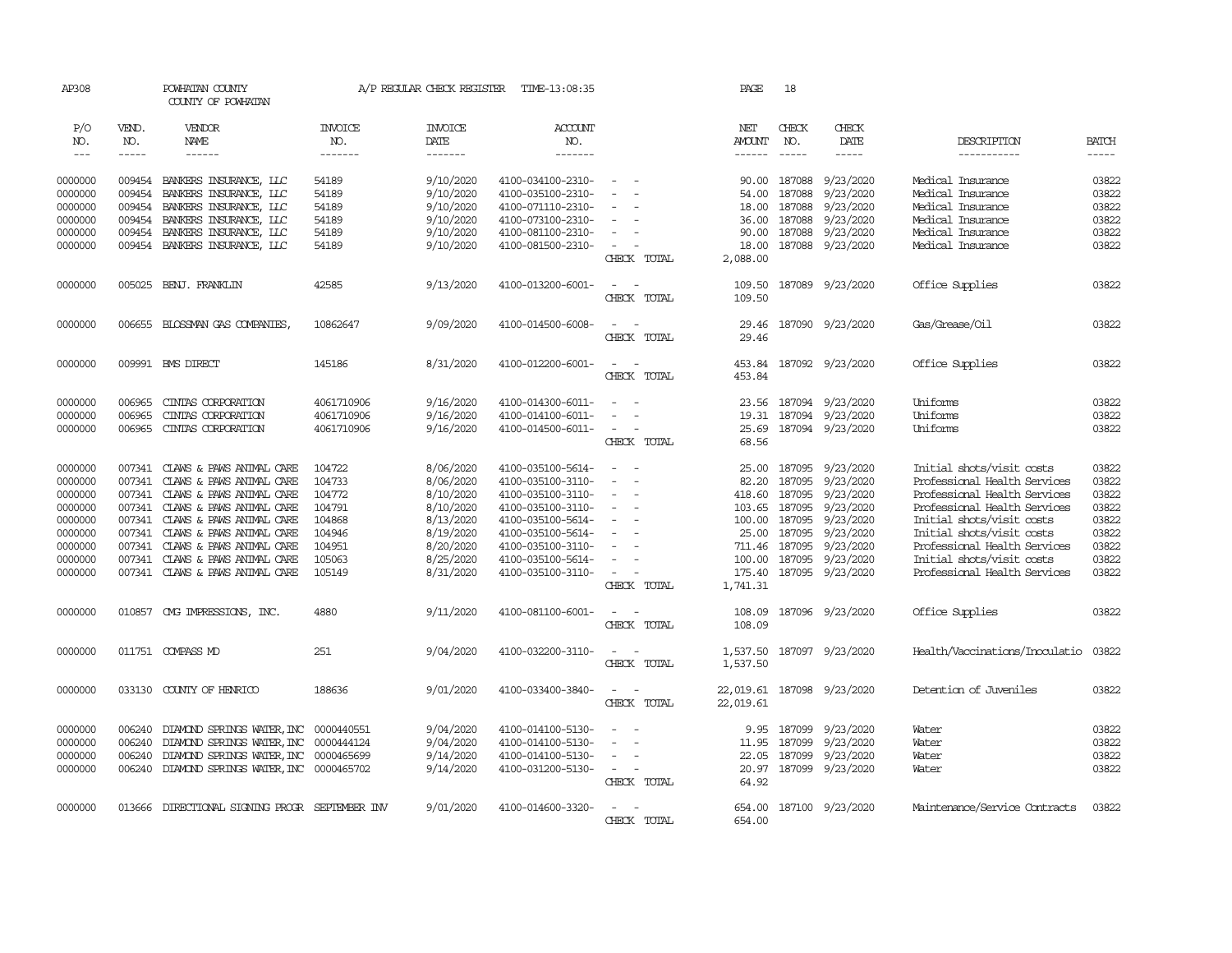| AP308   |                      | POWHATAN COUNTY<br>COUNTY OF POWHATAN   |                | A/P REGULAR CHECK REGISTER | TIME-13:08:35     |                                             | PAGE          | 18            |                            |                                |              |
|---------|----------------------|-----------------------------------------|----------------|----------------------------|-------------------|---------------------------------------------|---------------|---------------|----------------------------|--------------------------------|--------------|
| P/O     | VEND.                | VENDOR                                  | <b>INVOICE</b> | <b>INVOICE</b>             | ACCOUNT           |                                             | NET           | CHECK         | CHECK                      |                                |              |
| NO.     | NO.                  | NAME                                    | NO.            | DATE                       | NO.               |                                             | <b>AMOUNT</b> | NO.           | DATE                       | DESCRIPTION                    | <b>BATCH</b> |
| $---$   | $\cdots\cdots\cdots$ |                                         | -------        | -------                    | -------           |                                             | ------        | $\frac{1}{2}$ | -----                      | -----------                    |              |
| 0000000 |                      | 009454 BANKERS INSURANCE, LLC           | 54189          | 9/10/2020                  | 4100-034100-2310- | $\equiv$                                    | 90.00         | 187088        | 9/23/2020                  | Medical Insurance              | 03822        |
| 0000000 | 009454               | BANKERS INSURANCE, LLC                  | 54189          | 9/10/2020                  | 4100-035100-2310- |                                             | 54.00         | 187088        | 9/23/2020                  | Medical Insurance              | 03822        |
| 0000000 | 009454               | BANKERS INSURANCE, LLC                  | 54189          | 9/10/2020                  | 4100-071110-2310- |                                             | 18.00         | 187088        | 9/23/2020                  | Medical Insurance              | 03822        |
| 0000000 | 009454               | BANKERS INSURANCE, LLC                  | 54189          | 9/10/2020                  | 4100-073100-2310- |                                             | 36.00         | 187088        | 9/23/2020                  | Medical Insurance              | 03822        |
| 0000000 | 009454               | BANKERS INSURANCE, LLC                  | 54189          | 9/10/2020                  | 4100-081100-2310- | $\overline{\phantom{a}}$                    | 90.00         | 187088        | 9/23/2020                  | Medical Insurance              | 03822        |
|         | 009454               | BANKERS INSURANCE, LLC                  |                | 9/10/2020                  |                   | $\overline{\phantom{a}}$                    | 18.00         |               | 187088 9/23/2020           | Medical Insurance              | 03822        |
| 0000000 |                      |                                         | 54189          |                            | 4100-081500-2310- | CHECK TOTAL                                 | 2,088.00      |               |                            |                                |              |
|         |                      |                                         |                |                            |                   |                                             |               |               |                            |                                |              |
| 0000000 | 005025               | BENJ. FRANKLIN                          | 42585          | 9/13/2020                  | 4100-013200-6001- | $\sim$<br>$\sim$                            | 109.50        |               | 187089 9/23/2020           | Office Supplies                | 03822        |
|         |                      |                                         |                |                            |                   | CHECK TOTAL                                 | 109.50        |               |                            |                                |              |
| 0000000 |                      | 006655 BLOSSMAN GAS COMPANIES           | 10862647       | 9/09/2020                  | 4100-014500-6008- | $\sim$<br>$\sim$                            | 29.46         |               | 187090 9/23/2020           | Gas/Grease/Oil                 | 03822        |
|         |                      |                                         |                |                            |                   | CHECK TOTAL                                 | 29.46         |               |                            |                                |              |
|         |                      |                                         |                |                            |                   |                                             |               |               |                            |                                |              |
| 0000000 |                      | 009991 BMS DIRECT                       | 145186         | 8/31/2020                  | 4100-012200-6001- | $\sim$ $\sim$                               | 453.84        |               | 187092 9/23/2020           | Office Supplies                | 03822        |
|         |                      |                                         |                |                            |                   | CHECK TOTAL                                 | 453.84        |               |                            |                                |              |
| 0000000 | 006965               | CINIAS CORPORATION                      | 4061710906     | 9/16/2020                  | 4100-014300-6011- |                                             | 23.56         |               | 187094 9/23/2020           | Uniforms                       | 03822        |
| 0000000 | 006965               | CINIAS CORPORATION                      | 4061710906     | 9/16/2020                  | 4100-014100-6011- | $\equiv$<br>$\overline{\phantom{a}}$        | 19.31         |               | 187094 9/23/2020           | Uniforms                       | 03822        |
| 0000000 | 006965               | CINIAS CORPORATION                      | 4061710906     | 9/16/2020                  | 4100-014500-6011- | $\overline{\phantom{a}}$                    | 25.69         |               | 187094 9/23/2020           | Uniforms                       | 03822        |
|         |                      |                                         |                |                            |                   | CHECK TOTAL                                 | 68.56         |               |                            |                                |              |
|         |                      |                                         |                |                            |                   |                                             |               |               |                            |                                |              |
| 0000000 | 007341               | CLAWS & PAWS ANIMAL CARE                | 104722         | 8/06/2020                  | 4100-035100-5614- | $\overline{\phantom{a}}$                    | 25.00         | 187095        | 9/23/2020                  | Initial shots/visit costs      | 03822        |
| 0000000 | 007341               | CLAWS & PAWS ANIMAL CARE                | 104733         | 8/06/2020                  | 4100-035100-3110- | $\equiv$                                    | 82.20         | 187095        | 9/23/2020                  | Professional Health Services   | 03822        |
| 0000000 | 007341               | CLAWS & PAWS ANIMAL CARE                | 104772         | 8/10/2020                  | 4100-035100-3110- | $\blacksquare$                              |               | 418.60 187095 | 9/23/2020                  | Professional Health Services   | 03822        |
| 0000000 | 007341               | CLAWS & PAWS ANIMAL CARE                | 104791         | 8/10/2020                  | 4100-035100-3110- | $\sim$                                      | 103.65        | 187095        | 9/23/2020                  | Professional Health Services   | 03822        |
| 0000000 | 007341               | CLAWS & PAWS ANIMAL CARE                | 104868         | 8/13/2020                  | 4100-035100-5614- |                                             |               | 100.00 187095 | 9/23/2020                  | Initial shots/visit costs      | 03822        |
| 0000000 | 007341               | CLAWS & PAWS ANIMAL CARE                | 104946         | 8/19/2020                  | 4100-035100-5614- | $\equiv$                                    |               | 25.00 187095  | 9/23/2020                  | Initial shots/visit costs      | 03822        |
| 0000000 | 007341               | CLAWS & PAWS ANIMAL CARE                | 104951         | 8/20/2020                  | 4100-035100-3110- | $\sim$                                      |               | 711.46 187095 | 9/23/2020                  | Professional Health Services   | 03822        |
| 0000000 | 007341               | CLAWS & PAWS ANIMAL CARE                | 105063         | 8/25/2020                  | 4100-035100-5614- | $\equiv$                                    |               |               | 100.00 187095 9/23/2020    | Initial shots/visit costs      | 03822        |
| 0000000 |                      | 007341 CLAWS & PAWS ANIMAL CARE         | 105149         | 8/31/2020                  | 4100-035100-3110- | $\sim$                                      |               |               | 175.40 187095 9/23/2020    | Professional Health Services   | 03822        |
|         |                      |                                         |                |                            |                   | CHECK TOTAL                                 | 1,741.31      |               |                            |                                |              |
| 0000000 |                      | 010857 CMG IMPRESSIONS, INC.            | 4880           | 9/11/2020                  | 4100-081100-6001- | $\sim$ $-$<br>$\sim$                        | 108.09        |               | 187096 9/23/2020           | Office Supplies                | 03822        |
|         |                      |                                         |                |                            |                   | CHECK TOTAL                                 | 108.09        |               |                            |                                |              |
|         |                      |                                         |                |                            |                   | $\sim$ $\sim$                               |               |               |                            |                                |              |
| 0000000 |                      | 011751 COMPASS MD                       | 251            | 9/04/2020                  | 4100-032200-3110- | CHECK TOTAL                                 | 1,537.50      |               | 1,537.50 187097 9/23/2020  | Health/Vaccinations/Inoculatio | 03822        |
|         |                      |                                         |                |                            |                   |                                             |               |               |                            |                                |              |
| 0000000 |                      | 033130 COUNTY OF HENRICO                | 188636         | 9/01/2020                  | 4100-033400-3840- | $\omega_{\rm{max}}$ and $\omega_{\rm{max}}$ |               |               | 22,019.61 187098 9/23/2020 | Detention of Juveniles         | 03822        |
|         |                      |                                         |                |                            |                   | CHECK TOTAL                                 | 22,019.61     |               |                            |                                |              |
| 0000000 | 006240               | DIAMOND SPRINGS WATER, INC 0000440551   |                | 9/04/2020                  | 4100-014100-5130- | $\equiv$                                    | 9.95          | 187099        | 9/23/2020                  | Water                          | 03822        |
| 0000000 | 006240               | DIAMOND SPRINGS WATER, INC 0000444124   |                | 9/04/2020                  | 4100-014100-5130- | $\equiv$<br>$\sim$                          | 11.95         |               | 187099 9/23/2020           | Water                          | 03822        |
| 0000000 | 006240               | DIAMOND SPRINGS WATER, INC              | 0000465699     | 9/14/2020                  | 4100-014100-5130- | $\equiv$                                    | 22.05         | 187099        | 9/23/2020                  | Water                          | 03822        |
| 0000000 | 006240               | DIAMOND SPRINGS WATER, INC 0000465702   |                | 9/14/2020                  | 4100-031200-5130- | $\sim$                                      |               |               | 20.97 187099 9/23/2020     | Water                          | 03822        |
|         |                      |                                         |                |                            |                   | CHECK TOTAL                                 | 64.92         |               |                            |                                |              |
|         |                      |                                         |                |                            |                   |                                             |               |               |                            |                                |              |
| 0000000 | 013666               | DIRECTIONAL SIGNING PROGR SEPTEMBER INV |                | 9/01/2020                  | 4100-014600-3320- | $\overline{\phantom{a}}$                    | 654.00        |               | 187100 9/23/2020           | Maintenance/Service Contracts  | 03822        |
|         |                      |                                         |                |                            |                   | CHECK TOTAL                                 | 654,00        |               |                            |                                |              |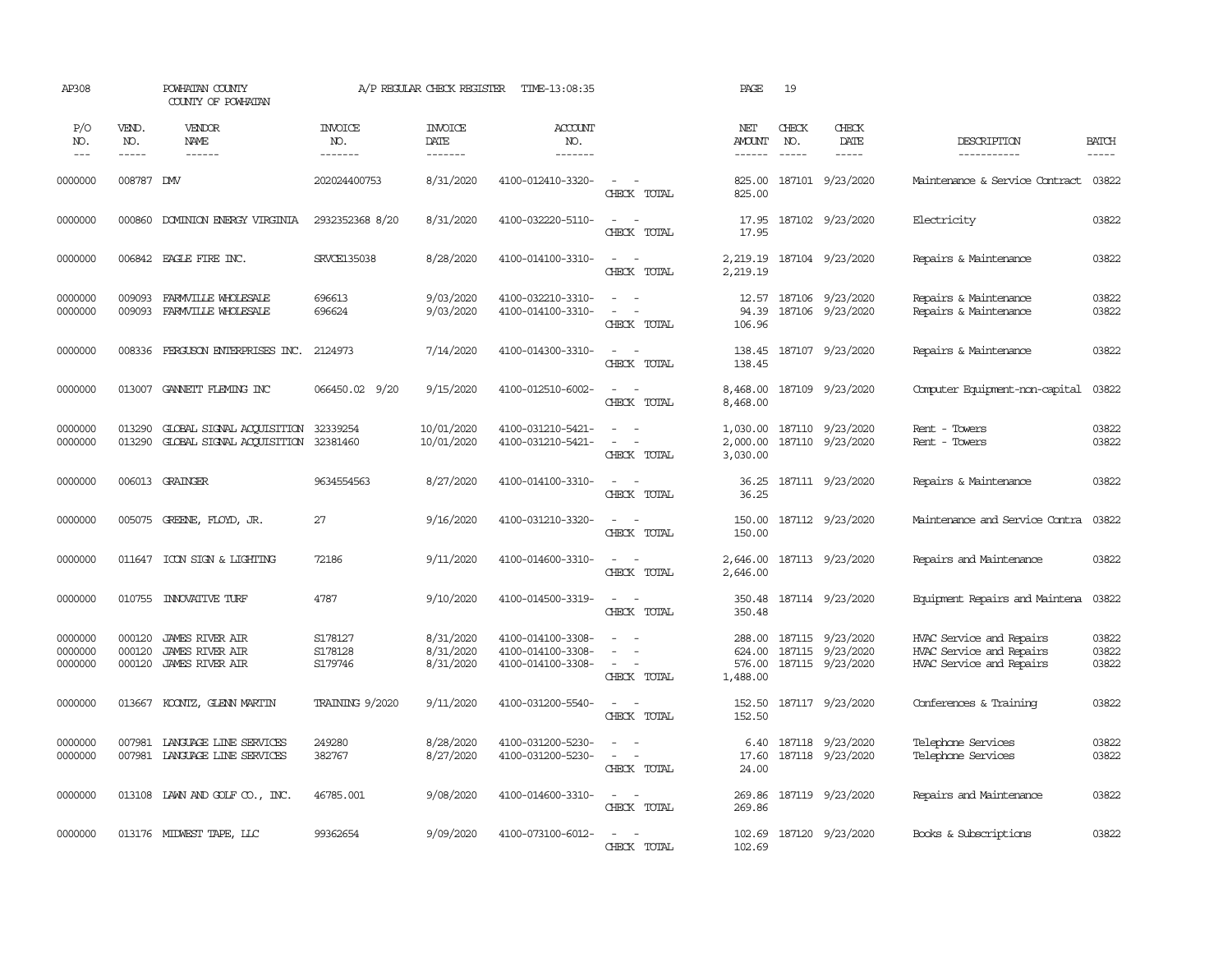| AP308                         |                             | POWHATAN COUNTY<br>COUNTY OF POWHATAN                                    |                                  | A/P REGULAR CHECK REGISTER          | TIME-13:08:35                                               |                                                                       | PAGE                                   | 19                            |                                                          |                                                                                  |                             |
|-------------------------------|-----------------------------|--------------------------------------------------------------------------|----------------------------------|-------------------------------------|-------------------------------------------------------------|-----------------------------------------------------------------------|----------------------------------------|-------------------------------|----------------------------------------------------------|----------------------------------------------------------------------------------|-----------------------------|
| P/O<br>NO.<br>$---$           | VEND.<br>NO.<br>$- - - - -$ | VENDOR<br>NAME<br>$- - - - - -$                                          | <b>INVOICE</b><br>NO.<br>------- | <b>INVOICE</b><br>DATE<br>--------  | <b>ACCOUNT</b><br>NO.<br>-------                            |                                                                       | NET<br><b>AMOUNT</b><br>$- - - - - -$  | CHECK<br>NO.<br>$\frac{1}{2}$ | CHECK<br>DATE<br>$- - - - -$                             | DESCRIPTION<br>-----------                                                       | <b>BATCH</b><br>$- - - - -$ |
| 0000000                       | 008787 DMV                  |                                                                          | 202024400753                     | 8/31/2020                           | 4100-012410-3320-                                           | $\sim$ $ \sim$<br>CHECK TOTAL                                         | 825.00<br>825.00                       |                               | 187101 9/23/2020                                         | Maintenance & Service Contract                                                   | 03822                       |
| 0000000                       | 000860                      | DOMINION ENERGY VIRGINIA                                                 | 2932352368 8/20                  | 8/31/2020                           | 4100-032220-5110-                                           | $\sim$<br>$\overline{\phantom{a}}$<br>CHECK TOTAL                     | 17.95<br>17.95                         |                               | 187102 9/23/2020                                         | Electricity                                                                      | 03822                       |
| 0000000                       |                             | 006842 EAGLE FIRE INC.                                                   | <b>SRVCE135038</b>               | 8/28/2020                           | 4100-014100-3310-                                           | $\sim$ $ \sim$<br>CHECK TOTAL                                         | 2,219.19<br>2,219.19                   |                               | 187104 9/23/2020                                         | Repairs & Maintenance                                                            | 03822                       |
| 0000000<br>0000000            | 009093<br>009093            | FARMVILLE WHOLESALE<br>FARMVILLE WHOLESALE                               | 696613<br>696624                 | 9/03/2020<br>9/03/2020              | 4100-032210-3310-<br>4100-014100-3310-                      | $\sim$<br>$\sim$<br>$\sim$<br>$\sim$<br>CHECK TOTAL                   | 94.39<br>106.96                        |                               | 12.57 187106 9/23/2020<br>187106 9/23/2020               | Repairs & Maintenance<br>Repairs & Maintenance                                   | 03822<br>03822              |
| 0000000                       | 008336                      | FERGUSON ENTERPRISES INC.                                                | 2124973                          | 7/14/2020                           | 4100-014300-3310-                                           | $\sim$ $ \sim$<br>CHECK TOTAL                                         | 138.45<br>138.45                       |                               | 187107 9/23/2020                                         | Repairs & Maintenance                                                            | 03822                       |
| 0000000                       | 013007                      | GANETT FLEMING INC                                                       | 066450.02 9/20                   | 9/15/2020                           | 4100-012510-6002-                                           | $\overline{\phantom{a}}$<br>$\sim$<br>CHECK TOTAL                     | 8,468.00<br>8,468.00                   |                               | 187109 9/23/2020                                         | Computer Equipment-non-capital                                                   | 03822                       |
| 0000000<br>0000000            | 013290<br>013290            | GLOBAL SIGNAL ACQUISITION 32339254<br>GLOBAL SIGNAL ACCULSITION 32381460 |                                  | 10/01/2020<br>10/01/2020            | 4100-031210-5421-<br>4100-031210-5421-                      | $\sim$<br>$\sim$<br>$\sim$ $ \sim$<br>CHECK TOTAL                     | 1,030.00<br>2,000.00<br>3,030.00       |                               | 187110 9/23/2020<br>187110 9/23/2020                     | Rent - Towers<br>Rent - Towers                                                   | 03822<br>03822              |
| 0000000                       |                             | 006013 GRAINGER                                                          | 9634554563                       | 8/27/2020                           | 4100-014100-3310-                                           | $\sim$<br>$\sim$<br>CHECK TOTAL                                       | 36.25<br>36.25                         |                               | 187111 9/23/2020                                         | Repairs & Maintenance                                                            | 03822                       |
| 0000000                       | 005075                      | GREENE, FLOYD, JR.                                                       | 27                               | 9/16/2020                           | 4100-031210-3320-                                           | $\sim$<br>$\sim$ $-$<br>CHECK TOTAL                                   | 150.00<br>150.00                       |                               | 187112 9/23/2020                                         | Maintenance and Service Contra                                                   | 03822                       |
| 0000000                       |                             | 011647 ICON SIGN & LIGHTING                                              | 72186                            | 9/11/2020                           | 4100-014600-3310-                                           | $\sim$ $ \sim$<br>CHECK TOTAL                                         | 2,646.00<br>2,646.00                   |                               | 187113 9/23/2020                                         | Repairs and Maintenance                                                          | 03822                       |
| 0000000                       | 010755                      | INNOVATIVE TURF                                                          | 4787                             | 9/10/2020                           | 4100-014500-3319-                                           | $\mathcal{L} = \mathcal{L} \times \mathcal{L}$<br>CHECK TOTAL         | 350.48<br>350.48                       |                               | 187114 9/23/2020                                         | Equipment Repairs and Maintena                                                   | 03822                       |
| 0000000<br>0000000<br>0000000 | 000120<br>000120<br>000120  | JAMES RIVER AIR<br><b>JAMES RIVER AIR</b><br>JAMES RIVER AIR             | S178127<br>S178128<br>S179746    | 8/31/2020<br>8/31/2020<br>8/31/2020 | 4100-014100-3308-<br>4100-014100-3308-<br>4100-014100-3308- | $\overline{\phantom{a}}$<br>$\sim$<br>$\sim$<br>$\sim$<br>CHECK TOTAL | 288.00<br>624.00<br>576.00<br>1,488.00 |                               | 187115 9/23/2020<br>187115 9/23/2020<br>187115 9/23/2020 | HVAC Service and Repairs<br>HVAC Service and Repairs<br>HVAC Service and Repairs | 03822<br>03822<br>03822     |
| 0000000                       |                             | 013667 KOONTZ, GLENN MARTIN                                              | TRAINING 9/2020                  | 9/11/2020                           | 4100-031200-5540-                                           | $\sim$<br>$\sim$ $-$<br>CHECK TOTAL                                   | 152.50<br>152.50                       |                               | 187117 9/23/2020                                         | Conferences & Training                                                           | 03822                       |
| 0000000<br>0000000            | 007981                      | LANGUAGE LINE SERVICES<br>007981 LANGUAGE LINE SERVICES                  | 249280<br>382767                 | 8/28/2020<br>8/27/2020              | 4100-031200-5230-<br>4100-031200-5230-                      | $\sim$<br>$\sim$<br>$\sim$ $ \sim$<br>CHECK TOTAL                     | 6.40<br>17.60<br>24.00                 |                               | 187118 9/23/2020<br>187118 9/23/2020                     | Telephone Services<br>Telephone Services                                         | 03822<br>03822              |
| 0000000                       |                             | $013108$ LAWN AND GOLF CO., INC.                                         | 46785.001                        | 9/08/2020                           | 4100-014600-3310-                                           | $\sim$ $ \sim$<br>CHECK TOTAL                                         | 269.86<br>269.86                       |                               | 187119 9/23/2020                                         | Repairs and Maintenance                                                          | 03822                       |
| 0000000                       |                             | 013176 MIDWEST TAPE, LLC                                                 | 99362654                         | 9/09/2020                           | 4100-073100-6012-                                           | $\sim$<br>$\sim$<br>CHECK TOTAL                                       | 102.69<br>102.69                       |                               | 187120 9/23/2020                                         | Books & Subscriptions                                                            | 03822                       |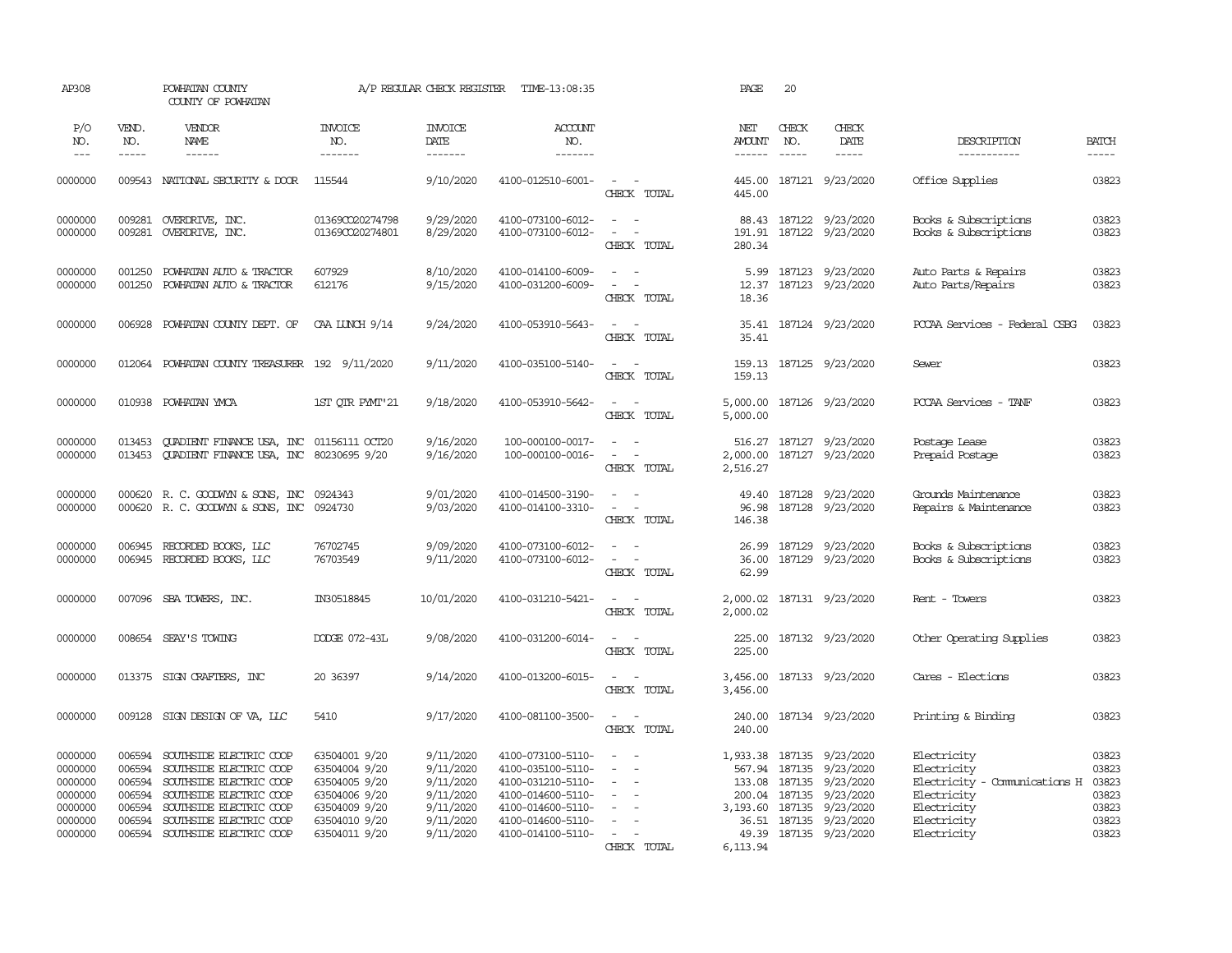| AP308                                                          |                                                          | POWHATAN COUNTY<br>COUNTY OF POWHATAN                                                                                                                          |                                                                                                    | A/P REGULAR CHECK REGISTER                                                 | TIME-13:08:35                                                                                                              |                                                                                                                                               | PAGE                           | 20                                                                                                                                                                                                                                                                                                                                                                                                                                                                                         |                                                                                                                                                     |                                                                                                          |                                                    |
|----------------------------------------------------------------|----------------------------------------------------------|----------------------------------------------------------------------------------------------------------------------------------------------------------------|----------------------------------------------------------------------------------------------------|----------------------------------------------------------------------------|----------------------------------------------------------------------------------------------------------------------------|-----------------------------------------------------------------------------------------------------------------------------------------------|--------------------------------|--------------------------------------------------------------------------------------------------------------------------------------------------------------------------------------------------------------------------------------------------------------------------------------------------------------------------------------------------------------------------------------------------------------------------------------------------------------------------------------------|-----------------------------------------------------------------------------------------------------------------------------------------------------|----------------------------------------------------------------------------------------------------------|----------------------------------------------------|
| P/O<br>NO.<br>$---$                                            | VEND.<br>NO.<br>$\frac{1}{2}$                            | VENDOR<br>NAME<br>$- - - - - -$                                                                                                                                | <b>INVOICE</b><br>NO.<br>-------                                                                   | <b>INVOICE</b><br>DATE<br>$- - - - - - -$                                  | <b>ACCOUNT</b><br>NO.<br>$- - - - - - -$                                                                                   |                                                                                                                                               | NET<br>AMOUNT<br>$- - - - - -$ | CHECK<br>NO.<br>$\frac{1}{2} \left( \frac{1}{2} \right) \left( \frac{1}{2} \right) \left( \frac{1}{2} \right) \left( \frac{1}{2} \right) \left( \frac{1}{2} \right) \left( \frac{1}{2} \right) \left( \frac{1}{2} \right) \left( \frac{1}{2} \right) \left( \frac{1}{2} \right) \left( \frac{1}{2} \right) \left( \frac{1}{2} \right) \left( \frac{1}{2} \right) \left( \frac{1}{2} \right) \left( \frac{1}{2} \right) \left( \frac{1}{2} \right) \left( \frac{1}{2} \right) \left( \frac$ | CHECK<br>DATE<br>-----                                                                                                                              | DESCRIPTION<br>-----------                                                                               | <b>BATCH</b><br>$- - - - -$                        |
| 0000000                                                        |                                                          | 009543 NATIONAL SECURITY & DOOR                                                                                                                                | 115544                                                                                             | 9/10/2020                                                                  | 4100-012510-6001-                                                                                                          | $\sim$ $ \sim$<br>CHECK TOTAL                                                                                                                 | 445.00                         |                                                                                                                                                                                                                                                                                                                                                                                                                                                                                            | 445.00 187121 9/23/2020                                                                                                                             | Office Supplies                                                                                          | 03823                                              |
| 0000000<br>0000000                                             | 009281<br>009281                                         | OVERDRIVE, INC.<br>OVERDRIVE, INC.                                                                                                                             | 01369CO20274798<br>01369CO20274801                                                                 | 9/29/2020<br>8/29/2020                                                     | 4100-073100-6012-<br>4100-073100-6012-                                                                                     | $\sim$<br>$\sim$<br>$\sim$<br>CHECK TOTAL                                                                                                     | 191.91<br>280.34               |                                                                                                                                                                                                                                                                                                                                                                                                                                                                                            | 88.43 187122 9/23/2020<br>187122 9/23/2020                                                                                                          | Books & Subscriptions<br>Books & Subscriptions                                                           | 03823<br>03823                                     |
| 0000000<br>0000000                                             | 001250<br>001250                                         | POWHATAN AUTO & TRACTOR<br>POWHATAN AUTO & TRACTOR                                                                                                             | 607929<br>612176                                                                                   | 8/10/2020<br>9/15/2020                                                     | 4100-014100-6009-<br>4100-031200-6009-                                                                                     | $\sim$<br>$\sim$<br>$\sim$<br>CHECK TOTAL                                                                                                     | 12.37<br>18.36                 |                                                                                                                                                                                                                                                                                                                                                                                                                                                                                            | 5.99 187123 9/23/2020<br>187123 9/23/2020                                                                                                           | Auto Parts & Repairs<br>Auto Parts/Repairs                                                               | 03823<br>03823                                     |
| 0000000                                                        | 006928                                                   | POWHATAN COUNTY DEPT. OF                                                                                                                                       | CAA LUNCH 9/14                                                                                     | 9/24/2020                                                                  | 4100-053910-5643-                                                                                                          | $\sim$ $\sim$<br>CHECK TOTAL                                                                                                                  | 35.41                          |                                                                                                                                                                                                                                                                                                                                                                                                                                                                                            | 35.41 187124 9/23/2020                                                                                                                              | POCAA Services - Federal CSBG                                                                            | 03823                                              |
| 0000000                                                        | 012064                                                   | POWHATAN COUNTY TREASURER 192 9/11/2020                                                                                                                        |                                                                                                    | 9/11/2020                                                                  | 4100-035100-5140-                                                                                                          | $\sim$ $\sim$<br>CHECK TOTAL                                                                                                                  | 159.13                         |                                                                                                                                                                                                                                                                                                                                                                                                                                                                                            | 159.13 187125 9/23/2020                                                                                                                             | Sewer                                                                                                    | 03823                                              |
| 0000000                                                        | 010938                                                   | POWHATAN YMCA                                                                                                                                                  | 1ST QTR PYMT'21                                                                                    | 9/18/2020                                                                  | 4100-053910-5642-                                                                                                          | $\sim$<br>$\sim$<br>CHECK TOTAL                                                                                                               | 5,000.00                       |                                                                                                                                                                                                                                                                                                                                                                                                                                                                                            | 5,000.00 187126 9/23/2020                                                                                                                           | PCCAA Services - TANF                                                                                    | 03823                                              |
| 0000000<br>0000000                                             | 013453<br>013453                                         | QUADIENT FINANCE USA, INC 01156111 OCT20<br>QUADIENT FINANCE USA, INC 80230695 9/20                                                                            |                                                                                                    | 9/16/2020<br>9/16/2020                                                     | 100-000100-0017-<br>100-000100-0016-                                                                                       | $\sim$ $\sim$<br>$\frac{1}{2} \left( \frac{1}{2} \right) \left( \frac{1}{2} \right) = \frac{1}{2} \left( \frac{1}{2} \right)$<br>CHECK TOTAL  | 2,000.00<br>2,516.27           |                                                                                                                                                                                                                                                                                                                                                                                                                                                                                            | 516.27 187127 9/23/2020<br>187127 9/23/2020                                                                                                         | Postage Lease<br>Prepaid Postage                                                                         | 03823<br>03823                                     |
| 0000000<br>0000000                                             |                                                          | 000620 R.C. GOODWYN & SONS, INC 0924343<br>000620 R. C. GOODWYN & SONS, INC 0924730                                                                            |                                                                                                    | 9/01/2020<br>9/03/2020                                                     | 4100-014500-3190-<br>4100-014100-3310-                                                                                     | $\frac{1}{2} \left( \frac{1}{2} \right) \left( \frac{1}{2} \right) = \frac{1}{2} \left( \frac{1}{2} \right)$<br>$\sim$ $ \sim$<br>CHECK TOTAL | 146.38                         |                                                                                                                                                                                                                                                                                                                                                                                                                                                                                            | 49.40 187128 9/23/2020<br>96.98 187128 9/23/2020                                                                                                    | Grounds Maintenance<br>Repairs & Maintenance                                                             | 03823<br>03823                                     |
| 0000000<br>0000000                                             | 006945<br>006945                                         | RECORDED BOOKS, LLC<br>RECORDED BOOKS, LLC                                                                                                                     | 76702745<br>76703549                                                                               | 9/09/2020<br>9/11/2020                                                     | 4100-073100-6012-<br>4100-073100-6012-                                                                                     | $\sim$<br>$\sim$<br>CHECK TOTAL                                                                                                               | 26.99<br>36.00<br>62.99        |                                                                                                                                                                                                                                                                                                                                                                                                                                                                                            | 187129 9/23/2020<br>187129 9/23/2020                                                                                                                | Books & Subscriptions<br>Books & Subscriptions                                                           | 03823<br>03823                                     |
| 0000000                                                        |                                                          | 007096 SBA TOWERS, INC.                                                                                                                                        | IN30518845                                                                                         | 10/01/2020                                                                 | 4100-031210-5421-                                                                                                          | $\frac{1}{2} \left( \frac{1}{2} \right) \left( \frac{1}{2} \right) = \frac{1}{2} \left( \frac{1}{2} \right)$<br>CHECK TOTAL                   | 2,000.02<br>2,000.02           |                                                                                                                                                                                                                                                                                                                                                                                                                                                                                            | 187131 9/23/2020                                                                                                                                    | Rent - Towers                                                                                            | 03823                                              |
| 0000000                                                        |                                                          | 008654 SEAY'S TOWING                                                                                                                                           | DODGE 072-43L                                                                                      | 9/08/2020                                                                  | 4100-031200-6014-                                                                                                          | $\frac{1}{2} \left( \frac{1}{2} \right) \left( \frac{1}{2} \right) = \frac{1}{2} \left( \frac{1}{2} \right)$<br>CHECK TOTAL                   | 225.00<br>225.00               |                                                                                                                                                                                                                                                                                                                                                                                                                                                                                            | 187132 9/23/2020                                                                                                                                    | Other Operating Supplies                                                                                 | 03823                                              |
| 0000000                                                        | 013375                                                   | SIGN CRAFTERS, INC                                                                                                                                             | 20 36397                                                                                           | 9/14/2020                                                                  | 4100-013200-6015-                                                                                                          | $\sim$<br>CHECK TOTAL                                                                                                                         | 3,456.00<br>3,456.00           |                                                                                                                                                                                                                                                                                                                                                                                                                                                                                            | 187133 9/23/2020                                                                                                                                    | Cares - Elections                                                                                        | 03823                                              |
| 0000000                                                        | 009128                                                   | SIGN DESIGN OF VA, LLC                                                                                                                                         | 5410                                                                                               | 9/17/2020                                                                  | 4100-081100-3500-                                                                                                          | $\sim$<br>$\sim$<br>CHECK TOTAL                                                                                                               | 240.00<br>240.00               |                                                                                                                                                                                                                                                                                                                                                                                                                                                                                            | 187134 9/23/2020                                                                                                                                    | Printing & Binding                                                                                       | 03823                                              |
| 0000000<br>0000000<br>0000000<br>0000000<br>0000000<br>0000000 | 006594<br>006594<br>006594<br>006594<br>006594<br>006594 | SOUTHSIDE ELECTRIC COOP<br>SOUTHSIDE ELECTRIC COOP<br>SOUTHSIDE ELECTRIC COOP<br>SOUTHSIDE ELECTRIC COOP<br>SOUTHSIDE ELECTRIC COOP<br>SOUTHSIDE ELECTRIC COOP | 63504001 9/20<br>63504004 9/20<br>63504005 9/20<br>63504006 9/20<br>63504009 9/20<br>63504010 9/20 | 9/11/2020<br>9/11/2020<br>9/11/2020<br>9/11/2020<br>9/11/2020<br>9/11/2020 | 4100-073100-5110-<br>4100-035100-5110-<br>4100-031210-5110-<br>4100-014600-5110-<br>4100-014600-5110-<br>4100-014600-5110- | $\sim$<br>$\sim$<br>$\overline{\phantom{a}}$<br>$\overline{\phantom{a}}$<br>$\overline{\phantom{a}}$                                          | 567.94<br>133.08               |                                                                                                                                                                                                                                                                                                                                                                                                                                                                                            | 1,933.38 187135 9/23/2020<br>187135 9/23/2020<br>187135 9/23/2020<br>200.04 187135 9/23/2020<br>3,193.60 187135 9/23/2020<br>36.51 187135 9/23/2020 | Electricity<br>Electricity<br>Electricity - Comunications H<br>Electricity<br>Electricity<br>Electricity | 03823<br>03823<br>03823<br>03823<br>03823<br>03823 |
| 0000000                                                        | 006594                                                   | SOUTHSIDE ELECTRIC COOP                                                                                                                                        | 63504011 9/20                                                                                      | 9/11/2020                                                                  | 4100-014100-5110-                                                                                                          | $\sim$ $\sim$<br>CHECK TOTAL                                                                                                                  | 6,113.94                       |                                                                                                                                                                                                                                                                                                                                                                                                                                                                                            | 49.39 187135 9/23/2020                                                                                                                              | Electricity                                                                                              | 03823                                              |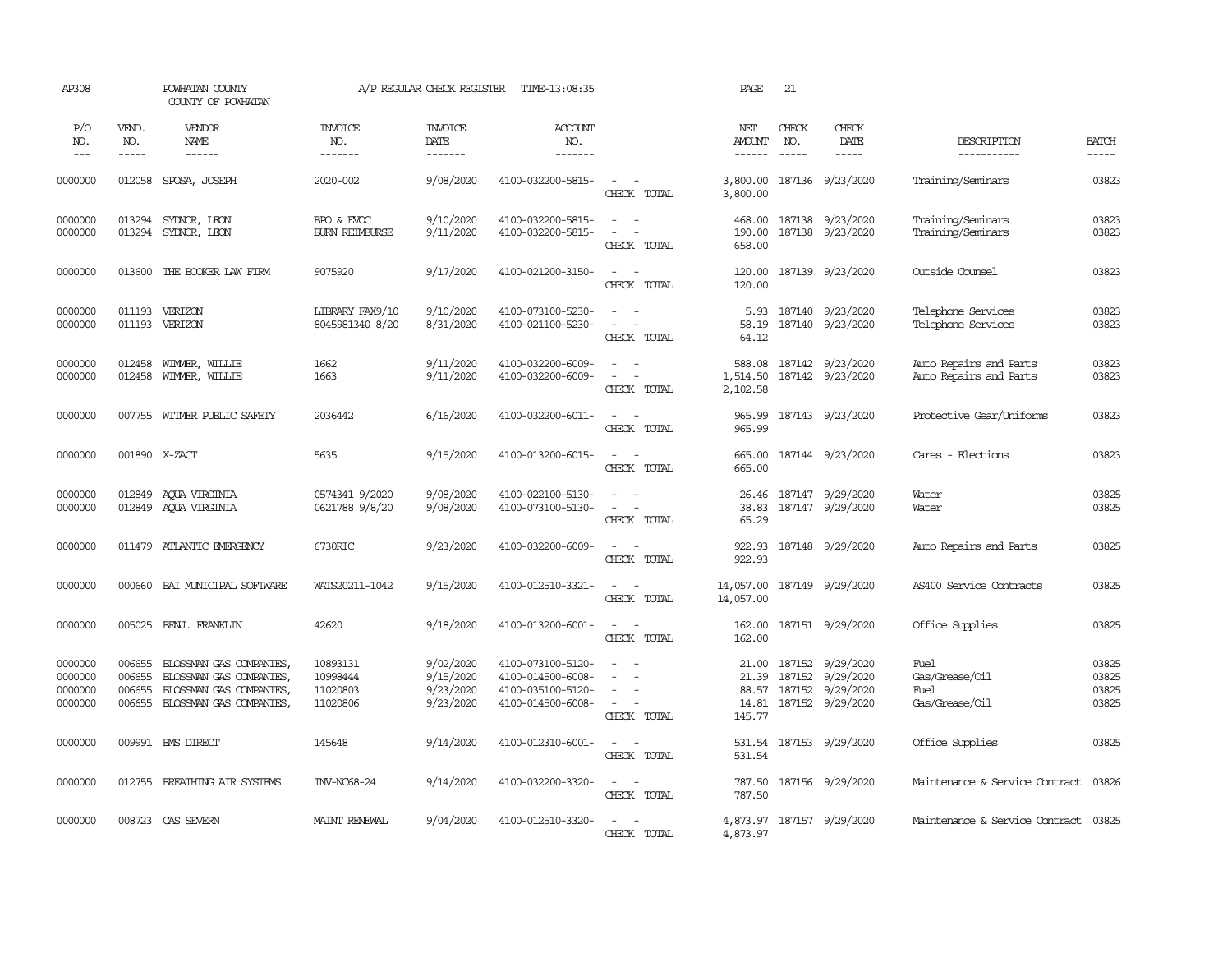| AP308                                    |                                      | POWHATAN COUNTY<br>COUNTY OF POWHATAN                                                                    |                                              | A/P REGULAR CHECK REGISTER                       | TIME-13:08:35                                                                    |                                                                         | PAGE                                       | 21                            |                                                                              |                                                  |                                  |
|------------------------------------------|--------------------------------------|----------------------------------------------------------------------------------------------------------|----------------------------------------------|--------------------------------------------------|----------------------------------------------------------------------------------|-------------------------------------------------------------------------|--------------------------------------------|-------------------------------|------------------------------------------------------------------------------|--------------------------------------------------|----------------------------------|
| P/O<br>NO.<br>$---$                      | VEND.<br>NO.<br>$- - - - -$          | VENDOR<br>NAME<br>$- - - - - -$                                                                          | <b>INVOICE</b><br>NO.<br>-------             | <b>INVOICE</b><br>DATE<br>-------                | ACCOUNT<br>NO.<br>-------                                                        |                                                                         | NET<br><b>AMOUNT</b><br>$- - - - - -$      | CHECK<br>NO.<br>$\frac{1}{2}$ | CHECK<br>DATE<br>$- - - - -$                                                 | DESCRIPTION<br>-----------                       | <b>BATCH</b><br>$- - - - -$      |
| 0000000                                  | 012058                               | SPOSA, JOSEPH                                                                                            | 2020-002                                     | 9/08/2020                                        | 4100-032200-5815-                                                                | $\sim$<br>$\sim$<br>CHECK TOTAL                                         | 3,800.00<br>3,800.00                       |                               | 187136 9/23/2020                                                             | Training/Seminars                                | 03823                            |
| 0000000<br>0000000                       | 013294<br>013294                     | SYDNOR, LEON<br>SYDNOR, LEON                                                                             | BPO & EVOC<br><b>BURN REIMBURSE</b>          | 9/10/2020<br>9/11/2020                           | 4100-032200-5815-<br>4100-032200-5815-                                           | $\sim$<br>$\sim$<br>$\equiv$<br>CHECK TOTAL                             | 468.00<br>190.00<br>658.00                 |                               | 187138 9/23/2020<br>187138 9/23/2020                                         | Training/Seminars<br>Training/Seminars           | 03823<br>03823                   |
| 0000000                                  | 013600                               | THE BOOKER LAW FIRM                                                                                      | 9075920                                      | 9/17/2020                                        | 4100-021200-3150-                                                                | $\overline{a}$<br>$\sim$<br>CHECK TOTAL                                 | 120.00<br>120.00                           |                               | 187139 9/23/2020                                                             | Outside Counsel                                  | 03823                            |
| 0000000<br>0000000                       | 011193<br>011193                     | VERIZON<br>VERIZON                                                                                       | LIBRARY FAX9/10<br>8045981340 8/20           | 9/10/2020<br>8/31/2020                           | 4100-073100-5230-<br>4100-021100-5230-                                           | $\equiv$<br>$\sim$<br>$\overline{\phantom{a}}$<br>$\sim$<br>CHECK TOTAL | 5.93<br>58.19<br>64.12                     |                               | 187140 9/23/2020<br>187140 9/23/2020                                         | Telephone Services<br>Telephone Services         | 03823<br>03823                   |
| 0000000<br>0000000                       | 012458<br>012458                     | WIMMER, WILLIE<br>WIMMER, WILLIE                                                                         | 1662<br>1663                                 | 9/11/2020<br>9/11/2020                           | 4100-032200-6009-<br>4100-032200-6009-                                           | $\equiv$<br>$\sim$<br>CHECK TOTAL                                       | 588.08<br>1,514.50<br>2,102.58             |                               | 187142 9/23/2020<br>187142 9/23/2020                                         | Auto Repairs and Parts<br>Auto Repairs and Parts | 03823<br>03823                   |
| 0000000                                  | 007755                               | WITMER PUBLIC SAFETY                                                                                     | 2036442                                      | 6/16/2020                                        | 4100-032200-6011-                                                                | $\sim$<br>$\sim$<br>CHECK TOTAL                                         | 965.99<br>965.99                           |                               | 187143 9/23/2020                                                             | Protective Gear/Uniforms                         | 03823                            |
| 0000000                                  |                                      | 001890 X-ZACT                                                                                            | 5635                                         | 9/15/2020                                        | 4100-013200-6015-                                                                | $\sim$<br>$\sim$<br>CHECK TOTAL                                         | 665.00<br>665.00                           |                               | 187144 9/23/2020                                                             | Cares - Elections                                | 03823                            |
| 0000000<br>0000000                       | 012849<br>012849                     | AQUA VIRGINIA<br>AQUA VIRGINIA                                                                           | 0574341 9/2020<br>0621788 9/8/20             | 9/08/2020<br>9/08/2020                           | 4100-022100-5130-<br>4100-073100-5130-                                           | $\sim$<br>$\sim$<br>$\sim$<br>$\sim$ $-$<br>CHECK TOTAL                 | 26.46<br>38.83<br>65.29                    |                               | 187147 9/29/2020<br>187147 9/29/2020                                         | Water<br>Water                                   | 03825<br>03825                   |
| 0000000                                  |                                      | 011479 ATLANTIC EMERGENCY                                                                                | 6730RIC                                      | 9/23/2020                                        | 4100-032200-6009-                                                                | $\sim$<br>$\sim$ $-$<br>CHECK TOTAL                                     | 922.93<br>922.93                           |                               | 187148 9/29/2020                                                             | Auto Repairs and Parts                           | 03825                            |
| 0000000                                  | 000660                               | BAI MUNICIPAL SOFTWARE                                                                                   | WATS20211-1042                               | 9/15/2020                                        | 4100-012510-3321-                                                                | $\omega_{\rm{max}}$ and $\omega_{\rm{max}}$<br>CHECK TOTAL              | 14,057.00                                  |                               | 14,057.00 187149 9/29/2020                                                   | AS400 Service Contracts                          | 03825                            |
| 0000000                                  | 005025                               | BENJ. FRANKLIN                                                                                           | 42620                                        | 9/18/2020                                        | 4100-013200-6001-                                                                | $\sim$ $ \sim$<br>CHECK TOTAL                                           | 162.00<br>162.00                           |                               | 187151 9/29/2020                                                             | Office Supplies                                  | 03825                            |
| 0000000<br>0000000<br>0000000<br>0000000 | 006655<br>006655<br>006655<br>006655 | BLOSSMAN GAS COMPANIES,<br>BLOSSMAN GAS COMPANIES,<br>BLOSSMAN GAS COMPANIES,<br>BLOSSMAN GAS COMPANIES, | 10893131<br>10998444<br>11020803<br>11020806 | 9/02/2020<br>9/15/2020<br>9/23/2020<br>9/23/2020 | 4100-073100-5120-<br>4100-014500-6008-<br>4100-035100-5120-<br>4100-014500-6008- | $\equiv$<br>$\sim$<br>CHECK TOTAL                                       | 21.00<br>21.39<br>88.57<br>14.81<br>145.77 |                               | 187152 9/29/2020<br>187152 9/29/2020<br>187152 9/29/2020<br>187152 9/29/2020 | Fuel<br>Gas/Grease/Oil<br>Fuel<br>Gas/Grease/Oil | 03825<br>03825<br>03825<br>03825 |
| 0000000                                  |                                      | 009991 BMS DIRECT                                                                                        | 145648                                       | 9/14/2020                                        | 4100-012310-6001-                                                                | $\sim$ $ \sim$<br>CHECK TOTAL                                           | 531.54<br>531.54                           |                               | 187153 9/29/2020                                                             | Office Supplies                                  | 03825                            |
| 0000000                                  | 012755                               | BREATHING AIR SYSTEMS                                                                                    | <b>INV-NC68-24</b>                           | 9/14/2020                                        | 4100-032200-3320-                                                                | $\overline{\phantom{a}}$<br>$\sim$<br>CHECK TOTAL                       | 787.50<br>787.50                           |                               | 187156 9/29/2020                                                             | Maintenance & Service Contract                   | 03826                            |
| 0000000                                  |                                      | 008723 CAS SEVERN                                                                                        | MAINT RENEWAL                                | 9/04/2020                                        | 4100-012510-3320-                                                                | $\sim$ $ \sim$<br>CHECK TOTAL                                           | 4,873.97                                   |                               | 4,873.97 187157 9/29/2020                                                    | Maintenance & Service Contract                   | 03825                            |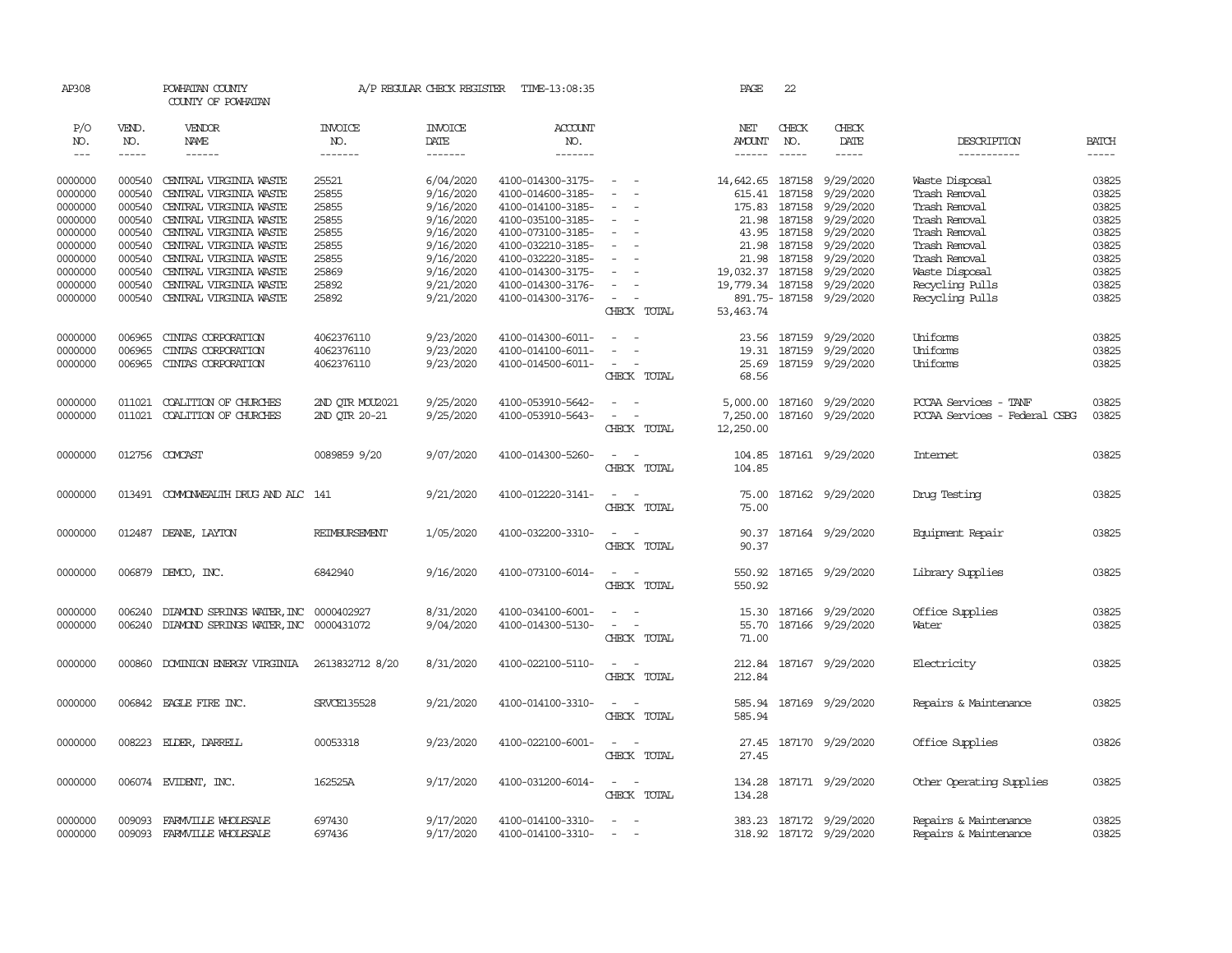| AP308                       |                               | POWHATAN COUNTY<br>COUNTY OF POWHATAN            |                                  |                            | A/P REGULAR CHECK REGISTER TIME-13:08:35 |                                                                                                                                          | PAGE                           | 22                            |                              |                                    |                       |
|-----------------------------|-------------------------------|--------------------------------------------------|----------------------------------|----------------------------|------------------------------------------|------------------------------------------------------------------------------------------------------------------------------------------|--------------------------------|-------------------------------|------------------------------|------------------------------------|-----------------------|
| P/O<br>NO.<br>$\frac{1}{2}$ | VEND.<br>NO.<br>$\frac{1}{2}$ | VENDOR<br>NAME<br>$- - - - - -$                  | <b>INVOICE</b><br>NO.<br>------- | INVOICE<br>DATE<br>------- | <b>ACCOUNT</b><br>NO.<br>-------         |                                                                                                                                          | NET<br>AMOUNT<br>$- - - - - -$ | CHECK<br>NO.<br>$\frac{1}{2}$ | CHECK<br>DATE<br>$- - - - -$ | DESCRIPTION<br>-----------         | <b>BATCH</b><br>----- |
| 0000000                     | 000540                        | CENTRAL VIRGINIA WASTE                           | 25521                            | 6/04/2020                  | 4100-014300-3175-                        | $\sim$                                                                                                                                   | 14,642.65 187158 9/29/2020     |                               |                              | Waste Disposal                     | 03825                 |
| 0000000                     | 000540                        | CENTRAL VIRGINIA WASTE                           | 25855                            | 9/16/2020                  | 4100-014600-3185-                        | $\overline{\phantom{a}}$<br>$\overline{\phantom{a}}$                                                                                     | 615.41                         | 187158                        | 9/29/2020                    | Trash Removal                      | 03825                 |
| 0000000                     | 000540                        | CENTRAL VIRGINIA WASTE                           | 25855                            | 9/16/2020                  | 4100-014100-3185-                        |                                                                                                                                          | 175.83                         |                               | 187158 9/29/2020             | Trash Removal                      | 03825                 |
| 0000000                     | 000540                        | CENTRAL VIRGINIA WASTE                           | 25855                            | 9/16/2020                  | 4100-035100-3185-                        |                                                                                                                                          | 21.98                          |                               | 187158 9/29/2020             | Trash Removal                      | 03825                 |
| 0000000                     | 000540                        | CENTRAL VIRGINIA WASTE                           | 25855                            | 9/16/2020                  | 4100-073100-3185-                        | $\overline{\phantom{a}}$                                                                                                                 |                                | 43.95 187158                  | 9/29/2020                    | Trash Removal                      | 03825                 |
| 0000000                     | 000540                        | CENTRAL VIRGINIA WASTE                           | 25855                            | 9/16/2020                  | 4100-032210-3185-                        | $\sim$                                                                                                                                   | 21.98                          |                               | 187158 9/29/2020             | Trash Removal                      | 03825                 |
| 0000000                     | 000540                        | CENTRAL VIRGINIA WASTE                           | 25855                            | 9/16/2020                  | 4100-032220-3185-                        |                                                                                                                                          |                                |                               | 21.98 187158 9/29/2020       | Trash Removal                      | 03825                 |
| 0000000                     | 000540                        | CENTRAL VIRGINIA WASTE                           | 25869                            | 9/16/2020                  | 4100-014300-3175-                        | $\equiv$                                                                                                                                 |                                |                               | 19,032.37 187158 9/29/2020   | Waste Disposal                     | 03825                 |
| 0000000<br>0000000          | 000540<br>000540              | CENTRAL VIRGINIA WASTE<br>CENTRAL VIRGINIA WASTE | 25892<br>25892                   | 9/21/2020<br>9/21/2020     | 4100-014300-3176-<br>4100-014300-3176-   | $\overline{\phantom{a}}$<br>$\overline{\phantom{a}}$                                                                                     | 19,779.34 187158 9/29/2020     |                               | 891.75-187158 9/29/2020      | Recycling Pulls<br>Recycling Pulls | 03825<br>03825        |
|                             |                               |                                                  |                                  |                            |                                          | CHECK TOTAL                                                                                                                              | 53, 463.74                     |                               |                              |                                    |                       |
| 0000000                     | 006965                        | CINIAS CORPORATION                               | 4062376110                       | 9/23/2020                  | 4100-014300-6011-                        | $\sim$                                                                                                                                   | 23.56                          |                               | 187159 9/29/2020             | Uniforms                           | 03825                 |
| 0000000                     | 006965                        | CINIAS CORPORATION                               | 4062376110                       | 9/23/2020                  | 4100-014100-6011-                        |                                                                                                                                          |                                |                               | 19.31 187159 9/29/2020       | Uniforms                           | 03825                 |
| 0000000                     | 006965                        | CINIAS CORPORATION                               | 4062376110                       | 9/23/2020                  | 4100-014500-6011-                        | $\frac{1}{2} \left( \frac{1}{2} \right) \left( \frac{1}{2} \right) \left( \frac{1}{2} \right) \left( \frac{1}{2} \right)$<br>CHECK TOTAL | 68.56                          |                               | 25.69 187159 9/29/2020       | Uniforms                           | 03825                 |
| 0000000                     | 011021                        | COALITION OF CHURCHES                            | 2ND OTR MOU2021                  | 9/25/2020                  | 4100-053910-5642-                        |                                                                                                                                          |                                |                               | 5,000.00 187160 9/29/2020    | PCCAA Services - TANF              | 03825                 |
| 0000000                     |                               | 011021 COALITION OF CHURCHES                     | 2ND QTR 20-21                    | 9/25/2020                  | 4100-053910-5643-                        |                                                                                                                                          |                                |                               | 7,250.00 187160 9/29/2020    | POCAA Services - Federal CSBG      | 03825                 |
|                             |                               |                                                  |                                  |                            |                                          | CHECK TOTAL                                                                                                                              | 12,250.00                      |                               |                              |                                    |                       |
| 0000000                     |                               | 012756 COMCAST                                   | 0089859 9/20                     | 9/07/2020                  | 4100-014300-5260-                        | $\frac{1}{2} \left( \frac{1}{2} \right) = \frac{1}{2} \left( \frac{1}{2} \right) = \frac{1}{2}$<br>CHECK TOTAL                           | 104.85                         |                               | 187161 9/29/2020             | <b>Internet</b>                    | 03825                 |
|                             |                               |                                                  |                                  |                            |                                          |                                                                                                                                          | 104.85                         |                               |                              |                                    |                       |
| 0000000                     |                               | 013491 COMONWEALTH DRUG AND ALC 141              |                                  | 9/21/2020                  | 4100-012220-3141-                        | $\frac{1}{2} \left( \frac{1}{2} \right) \left( \frac{1}{2} \right) = \frac{1}{2} \left( \frac{1}{2} \right)$<br>CHECK TOTAL              | 75.00<br>75.00                 |                               | 187162 9/29/2020             | Dnuq Testinq                       | 03825                 |
| 0000000                     |                               | 012487 DEANE, LAYTON                             | REIMBURSEMENT                    | 1/05/2020                  | 4100-032200-3310-                        | $\sim$                                                                                                                                   | 90.37                          |                               | 187164 9/29/2020             | Equipment Repair                   | 03825                 |
|                             |                               |                                                  |                                  |                            |                                          | CHECK TOTAL                                                                                                                              | 90.37                          |                               |                              |                                    |                       |
| 0000000                     | 006879                        | DEMCO, INC.                                      | 6842940                          | 9/16/2020                  | 4100-073100-6014-                        | $\overline{\phantom{a}}$                                                                                                                 | 550.92                         |                               | 187165 9/29/2020             | Library Supplies                   | 03825                 |
|                             |                               |                                                  |                                  |                            |                                          | CHECK TOTAL                                                                                                                              | 550.92                         |                               |                              |                                    |                       |
| 0000000                     | 006240                        | DIAMOND SPRINGS WATER, INC 0000402927            |                                  | 8/31/2020                  | 4100-034100-6001-                        | $\sim$<br>$\overline{\phantom{a}}$                                                                                                       |                                |                               | 15.30 187166 9/29/2020       | Office Supplies                    | 03825                 |
| 0000000                     | 006240                        | DIAMOND SPRINGS WATER, INC 0000431072            |                                  | 9/04/2020                  | 4100-014300-5130-                        | $\overline{\phantom{a}}$<br>$\sim$                                                                                                       | 55.70                          |                               | 187166 9/29/2020             | Water                              | 03825                 |
|                             |                               |                                                  |                                  |                            |                                          | CHECK TOTAL                                                                                                                              | 71.00                          |                               |                              |                                    |                       |
| 0000000                     | 000860                        | DOMINION ENERGY VIRGINIA                         | 2613832712 8/20                  | 8/31/2020                  | 4100-022100-5110-                        | $\sim$<br>$\sim$                                                                                                                         | 212.84                         |                               | 187167 9/29/2020             | Electricity                        | 03825                 |
|                             |                               |                                                  |                                  |                            |                                          | CHECK TOTAL                                                                                                                              | 212.84                         |                               |                              |                                    |                       |
| 0000000                     | 006842                        | EAGLE FIRE INC.                                  | <b>SRVCE135528</b>               | 9/21/2020                  | 4100-014100-3310-                        | $\sim$ $ -$<br>CHECK TOTAL                                                                                                               | 585.94<br>585.94               |                               | 187169 9/29/2020             | Repairs & Maintenance              | 03825                 |
|                             |                               |                                                  |                                  |                            |                                          |                                                                                                                                          |                                |                               |                              |                                    |                       |
| 0000000                     |                               | 008223 EIDER, DARREIL                            | 00053318                         | 9/23/2020                  | 4100-022100-6001-                        | $\sim$ $ \sim$<br>CHECK TOTAL                                                                                                            | 27.45                          |                               | 27.45 187170 9/29/2020       | Office Supplies                    | 03826                 |
|                             |                               |                                                  |                                  |                            |                                          |                                                                                                                                          |                                |                               |                              |                                    |                       |
| 0000000                     |                               | 006074 EVIDENT, INC.                             | 162525A                          | 9/17/2020                  | 4100-031200-6014-                        | $\omega_{\rm{max}}$ and $\omega_{\rm{max}}$<br>CHECK TOTAL                                                                               | 134.28                         |                               | 134.28 187171 9/29/2020      | Other Operating Supplies           | 03825                 |
|                             |                               |                                                  |                                  |                            |                                          |                                                                                                                                          |                                |                               |                              |                                    |                       |
| 0000000                     | 009093                        | FARMVILLE WHOLESALE                              | 697430                           | 9/17/2020                  | 4100-014100-3310-                        |                                                                                                                                          |                                |                               | 383.23 187172 9/29/2020      | Repairs & Maintenance              | 03825                 |
| 0000000                     |                               | 009093 FARMVILLE WHOLESALE                       | 697436                           | 9/17/2020                  | 4100-014100-3310-                        | $\frac{1}{2} \left( \frac{1}{2} \right) \left( \frac{1}{2} \right) = \frac{1}{2} \left( \frac{1}{2} \right)$                             |                                |                               | 318.92 187172 9/29/2020      | Repairs & Maintenance              | 03825                 |
|                             |                               |                                                  |                                  |                            |                                          |                                                                                                                                          |                                |                               |                              |                                    |                       |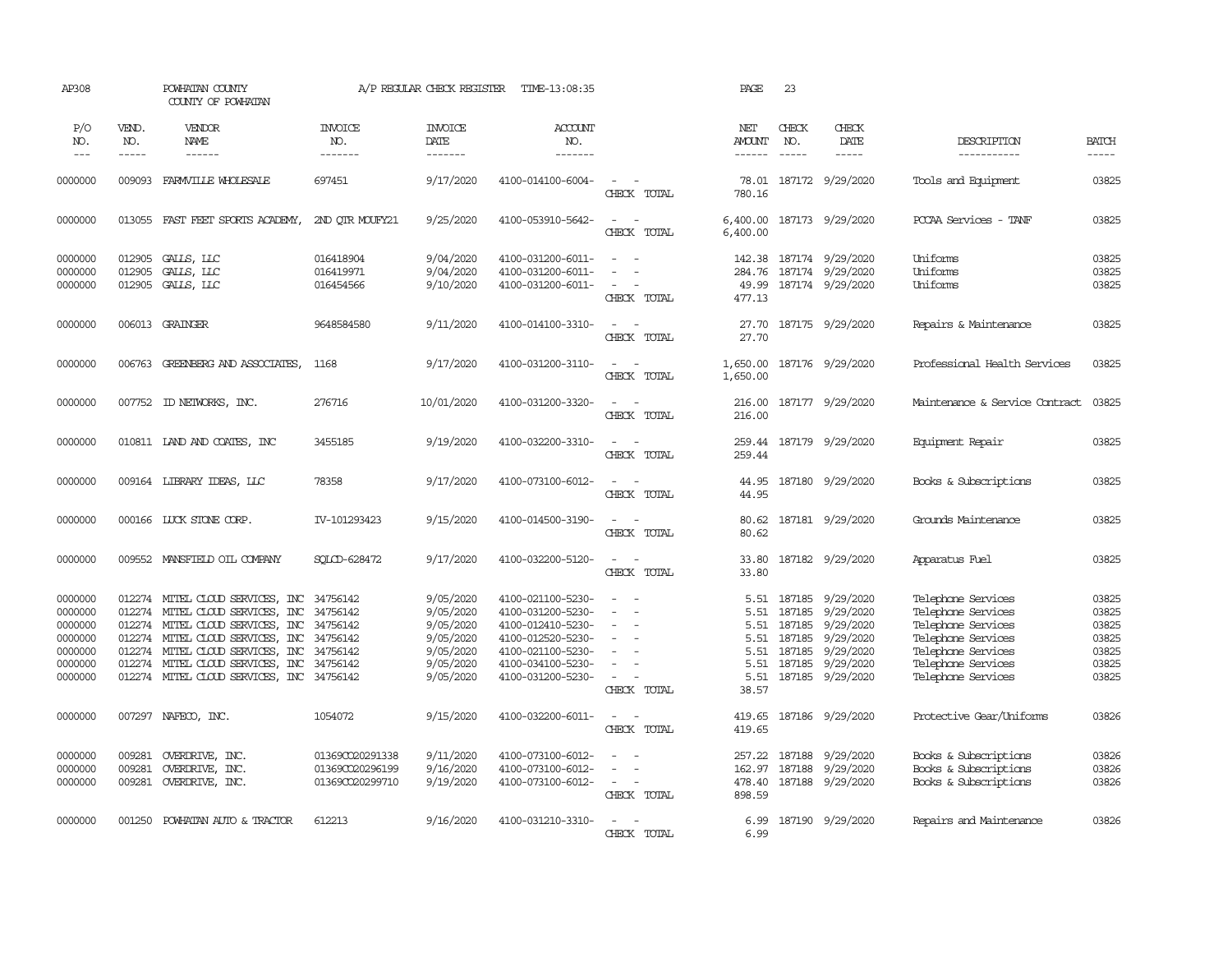| AP308                                                                     |                                                                    | POWHATAN COUNTY<br>COUNTY OF POWHATAN                                                                                                                                                                                                       |                                                       | A/P REGULAR CHECK REGISTER                                                              | TIME-13:08:35                                                                                                                                   |                                                                                                     | PAGE                                                          | 23                                                       |                                                                                                |                                                                                                                                                        |                                                             |
|---------------------------------------------------------------------------|--------------------------------------------------------------------|---------------------------------------------------------------------------------------------------------------------------------------------------------------------------------------------------------------------------------------------|-------------------------------------------------------|-----------------------------------------------------------------------------------------|-------------------------------------------------------------------------------------------------------------------------------------------------|-----------------------------------------------------------------------------------------------------|---------------------------------------------------------------|----------------------------------------------------------|------------------------------------------------------------------------------------------------|--------------------------------------------------------------------------------------------------------------------------------------------------------|-------------------------------------------------------------|
| P/O<br>NO.<br>$\frac{1}{2}$                                               | VEND.<br>NO.<br>-----                                              | VENDOR<br><b>NAME</b><br>------                                                                                                                                                                                                             | <b>INVOICE</b><br>NO.<br>-------                      | <b>INVOICE</b><br>DATE<br>-------                                                       | <b>ACCOUNT</b><br>NO.<br>-------                                                                                                                |                                                                                                     | NET<br><b>AMOUNT</b><br>------                                | CHECK<br>NO.<br>$\frac{1}{2}$                            | CHECK<br>DATE<br>-----                                                                         | DESCRIPTION<br>-----------                                                                                                                             | <b>BATCH</b><br>-----                                       |
| 0000000                                                                   | 009093                                                             | FARMVILLE WHOLESALE                                                                                                                                                                                                                         | 697451                                                | 9/17/2020                                                                               | 4100-014100-6004-                                                                                                                               | $\sim$<br>$\sim$<br>CHECK TOTAL                                                                     | 78.01<br>780.16                                               |                                                          | 187172 9/29/2020                                                                               | Tools and Equipment                                                                                                                                    | 03825                                                       |
| 0000000                                                                   |                                                                    | 013055 FAST FEET SPORTS ACADEMY,                                                                                                                                                                                                            | 2ND OTR MOUFY21                                       | 9/25/2020                                                                               | 4100-053910-5642-                                                                                                                               | $\overline{\phantom{a}}$<br>$\sim$<br>CHECK TOTAL                                                   | 6,400.00<br>6,400.00                                          |                                                          | 187173 9/29/2020                                                                               | PCCAA Services - TANF                                                                                                                                  | 03825                                                       |
| 0000000<br>0000000<br>0000000                                             | 012905<br>012905<br>012905                                         | GALLS, LLC<br>GALLS, LLC<br>GALLS, LLC                                                                                                                                                                                                      | 016418904<br>016419971<br>016454566                   | 9/04/2020<br>9/04/2020<br>9/10/2020                                                     | 4100-031200-6011-<br>4100-031200-6011-<br>4100-031200-6011-                                                                                     | $\sim$<br>$\sim$<br>$\overline{\phantom{a}}$<br>CHECK TOTAL                                         | 284.76<br>49.99<br>477.13                                     |                                                          | 142.38 187174 9/29/2020<br>187174 9/29/2020<br>187174 9/29/2020                                | Uniforms<br>Uniforms<br>Uniforms                                                                                                                       | 03825<br>03825<br>03825                                     |
| 0000000                                                                   |                                                                    | 006013 GRAINGER                                                                                                                                                                                                                             | 9648584580                                            | 9/11/2020                                                                               | 4100-014100-3310-                                                                                                                               | $\sim$<br>$\sim$<br>CHECK TOTAL                                                                     | 27.70<br>27.70                                                |                                                          | 187175 9/29/2020                                                                               | Repairs & Maintenance                                                                                                                                  | 03825                                                       |
| 0000000                                                                   | 006763                                                             | GREENBERG AND ASSOCIATES,                                                                                                                                                                                                                   | 1168                                                  | 9/17/2020                                                                               | 4100-031200-3110-                                                                                                                               | $\overline{\phantom{a}}$<br>$\sim$<br>CHECK TOTAL                                                   | 1,650.00<br>1,650.00                                          |                                                          | 187176 9/29/2020                                                                               | Professional Health Services                                                                                                                           | 03825                                                       |
| 0000000                                                                   |                                                                    | 007752 ID NEIWORKS, INC.                                                                                                                                                                                                                    | 276716                                                | 10/01/2020                                                                              | 4100-031200-3320-                                                                                                                               | $\sim$<br>$\sim$<br>CHECK TOTAL                                                                     | 216.00<br>216.00                                              |                                                          | 187177 9/29/2020                                                                               | Maintenance & Service Contract                                                                                                                         | 03825                                                       |
| 0000000                                                                   |                                                                    | 010811 LAND AND COATES, INC                                                                                                                                                                                                                 | 3455185                                               | 9/19/2020                                                                               | 4100-032200-3310-                                                                                                                               | $\sim$<br>$\sim$<br>CHECK TOTAL                                                                     | 259.44<br>259.44                                              |                                                          | 187179 9/29/2020                                                                               | Equipment Repair                                                                                                                                       | 03825                                                       |
| 0000000                                                                   |                                                                    | 009164 LIBRARY IDEAS, LLC                                                                                                                                                                                                                   | 78358                                                 | 9/17/2020                                                                               | 4100-073100-6012-                                                                                                                               | $\sim$<br>$\sim$<br>CHECK TOTAL                                                                     | 44.95<br>44.95                                                |                                                          | 187180 9/29/2020                                                                               | Books & Subscriptions                                                                                                                                  | 03825                                                       |
| 0000000                                                                   |                                                                    | 000166 LUCK STONE CORP.                                                                                                                                                                                                                     | IV-101293423                                          | 9/15/2020                                                                               | 4100-014500-3190-                                                                                                                               | $\sim$<br>$\sim$<br>CHECK TOTAL                                                                     | 80.62<br>80.62                                                |                                                          | 187181 9/29/2020                                                                               | Grounds Maintenance                                                                                                                                    | 03825                                                       |
| 0000000                                                                   |                                                                    | 009552 MANSFIELD OIL COMPANY                                                                                                                                                                                                                | SOLCD-628472                                          | 9/17/2020                                                                               | 4100-032200-5120-                                                                                                                               | $\sim$ $ \sim$<br>CHECK TOTAL                                                                       | 33.80<br>33.80                                                |                                                          | 187182 9/29/2020                                                                               | Apparatus Fuel                                                                                                                                         | 03825                                                       |
| 0000000<br>0000000<br>0000000<br>0000000<br>0000000<br>0000000<br>0000000 | 012274<br>012274<br>012274<br>012274<br>012274<br>012274<br>012274 | MITEL CLOUD SERVICES, INC 34756142<br>MITEL CLOUD SERVICES, INC<br>MITEL CLOUD SERVICES, INC 34756142<br>MITEL CLOUD SERVICES, INC 34756142<br>MITEL CLOUD SERVICES, INC<br>MITEL CLOUD SERVICES, INC<br>MITEL CLOUD SERVICES, INC 34756142 | 34756142<br>34756142<br>34756142                      | 9/05/2020<br>9/05/2020<br>9/05/2020<br>9/05/2020<br>9/05/2020<br>9/05/2020<br>9/05/2020 | 4100-021100-5230-<br>4100-031200-5230-<br>4100-012410-5230-<br>4100-012520-5230-<br>4100-021100-5230-<br>4100-034100-5230-<br>4100-031200-5230- | $\sim$<br>$\blacksquare$<br>$\sim$<br>$\equiv$<br>$\sim$<br>$\overline{\phantom{a}}$<br>CHECK TOTAL | 5.51<br>5.51<br>5.51<br>5.51<br>5.51<br>5.51<br>5.51<br>38.57 | 187185<br>187185<br>187185<br>187185<br>187185<br>187185 | 9/29/2020<br>9/29/2020<br>9/29/2020<br>9/29/2020<br>9/29/2020<br>9/29/2020<br>187185 9/29/2020 | Telephone Services<br>Telephone Services<br>Telephone Services<br>Telephone Services<br>Telephone Services<br>Telephone Services<br>Telephone Services | 03825<br>03825<br>03825<br>03825<br>03825<br>03825<br>03825 |
| 0000000                                                                   |                                                                    | 007297 NAFECO, INC.                                                                                                                                                                                                                         | 1054072                                               | 9/15/2020                                                                               | 4100-032200-6011-                                                                                                                               | $\sim$<br>$\sim$<br>CHECK TOTAL                                                                     | 419.65<br>419.65                                              |                                                          | 187186 9/29/2020                                                                               | Protective Gear/Uniforms                                                                                                                               | 03826                                                       |
| 0000000<br>0000000<br>0000000                                             | 009281<br>009281<br>009281                                         | OVERDRIVE, INC.<br>OVERDRIVE, INC.<br>OVERDRIVE, INC.                                                                                                                                                                                       | 01369CO20291338<br>01369CO20296199<br>013690020299710 | 9/11/2020<br>9/16/2020<br>9/19/2020                                                     | 4100-073100-6012-<br>4100-073100-6012-<br>4100-073100-6012-                                                                                     | $\sim$<br>$\sim$<br>$\sim$ $ \sim$<br>CHECK TOTAL                                                   | 257.22<br>162.97<br>478.40<br>898.59                          | 187188<br>187188                                         | 9/29/2020<br>9/29/2020<br>187188 9/29/2020                                                     | Books & Subscriptions<br>Books & Subscriptions<br>Books & Subscriptions                                                                                | 03826<br>03826<br>03826                                     |
| 0000000                                                                   | 001250                                                             | POWHATAN AUTO & TRACTOR                                                                                                                                                                                                                     | 612213                                                | 9/16/2020                                                                               | 4100-031210-3310-                                                                                                                               | $\overline{a}$<br>$\overline{\phantom{a}}$<br>CHECK TOTAL                                           | 6.99<br>6.99                                                  |                                                          | 187190 9/29/2020                                                                               | Repairs and Maintenance                                                                                                                                | 03826                                                       |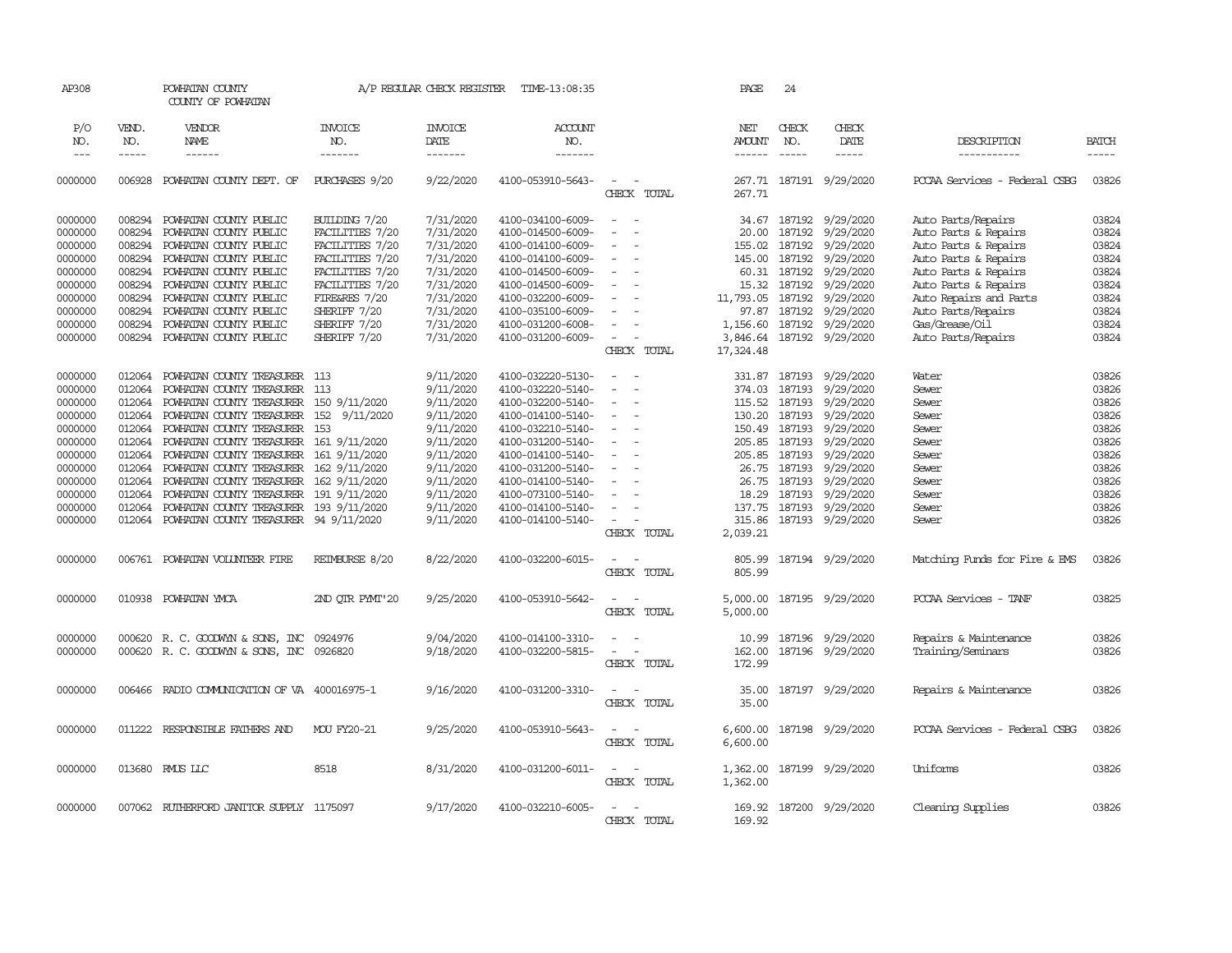| AP308                              |                             | POWHATAN COUNTY<br>COUNTY OF POWHATAN    |                                          | A/P REGULAR CHECK REGISTER        | TIME-13:08:35                     |                                             | PAGE                                  | 24           |                              |                               |                             |
|------------------------------------|-----------------------------|------------------------------------------|------------------------------------------|-----------------------------------|-----------------------------------|---------------------------------------------|---------------------------------------|--------------|------------------------------|-------------------------------|-----------------------------|
| P/O<br>NO.<br>$\sim$ $\sim$ $\sim$ | VEND.<br>NO.<br>$- - - - -$ | VENDOR<br>NAME<br>$- - - - - -$          | <b>INVOICE</b><br>NO.<br>$- - - - - - -$ | <b>INVOICE</b><br>DATE<br>------- | ACCOUNT<br>NO.<br>$- - - - - - -$ |                                             | NET<br><b>AMOUNT</b><br>$- - - - - -$ | CHECK<br>NO. | CHECK<br>DATE<br>$- - - - -$ | DESCRIPTION<br>-----------    | <b>BATCH</b><br>$- - - - -$ |
| 0000000                            | 006928                      | POWHATAN COUNTY DEPT. OF                 | PURCHASES 9/20                           | 9/22/2020                         | 4100-053910-5643-                 | $\sim$<br>$\sim$<br>CHECK TOTAL             | 267.71                                |              | 267.71 187191 9/29/2020      | PCCAA Services - Federal CSBG | 03826                       |
| 0000000                            | 008294                      | POWHATAN COUNTY PUBLIC                   | BULIDING 7/20                            | 7/31/2020                         | 4100-034100-6009-                 | $\sim$<br>$\sim$                            | 34.67                                 |              | 187192 9/29/2020             | Auto Parts/Repairs            | 03824                       |
| 0000000                            | 008294                      | POWHATAN COUNTY PUBLIC                   | FACILITIES 7/20                          | 7/31/2020                         | 4100-014500-6009-                 |                                             | 20.00                                 | 187192       | 9/29/2020                    | Auto Parts & Repairs          | 03824                       |
| 0000000                            | 008294                      | POWHATAN COUNTY PUBLIC                   | FACILITIES 7/20                          | 7/31/2020                         | 4100-014100-6009-                 | $\sim$<br>$\sim$                            | 155.02                                | 187192       | 9/29/2020                    | Auto Parts & Repairs          | 03824                       |
| 0000000                            | 008294                      | POWHATAN COUNTY PUBLIC                   | FACILITIES 7/20                          | 7/31/2020                         | 4100-014100-6009-                 | $\sim$                                      | 145.00                                | 187192       | 9/29/2020                    | Auto Parts & Repairs          | 03824                       |
| 0000000                            | 008294                      | POWHATAN COUNTY PUBLIC                   | FACILITIES 7/20                          | 7/31/2020                         | 4100-014500-6009-                 | $\sim$                                      |                                       | 60.31 187192 | 9/29/2020                    | Auto Parts & Repairs          | 03824                       |
| 0000000                            | 008294                      | POWHATAN COUNTY PUBLIC                   | FACILITIES 7/20                          | 7/31/2020                         | 4100-014500-6009-                 | $\blacksquare$                              | 15.32                                 | 187192       | 9/29/2020                    | Auto Parts & Repairs          | 03824                       |
| 0000000                            | 008294                      | POWHATAN COUNTY PUBLIC                   | FIRE&RES 7/20                            | 7/31/2020                         | 4100-032200-6009-                 | $\equiv$                                    | 11,793.05                             | 187192       | 9/29/2020                    | Auto Repairs and Parts        | 03824                       |
| 0000000                            | 008294                      | POWHATAN COUNTY PUBLIC                   | SHERIFF 7/20                             | 7/31/2020                         | 4100-035100-6009-                 | $\sim$                                      | 97.87                                 |              | 187192 9/29/2020             | Auto Parts/Repairs            | 03824                       |
| 0000000                            | 008294                      | POWHATAN COUNTY PUBLIC                   | SHERIFF 7/20                             | 7/31/2020                         | 4100-031200-6008-                 | $\equiv$                                    | 1,156.60                              | 187192       | 9/29/2020                    | Gas/Grease/Oil                | 03824                       |
| 0000000                            | 008294                      | POWHATAN COUNTY PUBLIC                   | SHERIFF 7/20                             | 7/31/2020                         | 4100-031200-6009-                 | $\sim$                                      | 3,846.64                              |              | 187192 9/29/2020             | Auto Parts/Repairs            | 03824                       |
|                                    |                             |                                          |                                          |                                   |                                   | CHECK TOTAL                                 | 17,324.48                             |              |                              |                               |                             |
|                                    |                             |                                          |                                          |                                   |                                   |                                             |                                       |              |                              |                               |                             |
| 0000000                            |                             | 012064 POWHATAN COUNTY TREASURER 113     |                                          | 9/11/2020                         | 4100-032220-5130-                 | $\sim$<br>$\sim$                            |                                       |              | 331.87 187193 9/29/2020      | Water                         | 03826                       |
| 0000000                            | 012064                      | POWHATAN COUNTY TREASURER 113            |                                          | 9/11/2020                         | 4100-032220-5140-                 | $\sim$                                      | 374.03                                | 187193       | 9/29/2020                    | Sewer                         | 03826                       |
| 0000000                            | 012064                      | POWHATAN COUNTY TREASURER 150 9/11/2020  |                                          | 9/11/2020                         | 4100-032200-5140-                 |                                             | 115.52 187193                         |              | 9/29/2020                    | Sewer                         | 03826                       |
| 0000000                            | 012064                      | POWHATAN COUNTY TREASURER 152 9/11/2020  |                                          | 9/11/2020                         | 4100-014100-5140-                 | $\sim$<br>$\overline{\phantom{a}}$          | 130.20 187193                         |              | 9/29/2020                    | Sewer                         | 03826                       |
| 0000000                            | 012064                      | POWHATAN COUNTY TREASURER 153            |                                          | 9/11/2020                         | 4100-032210-5140-                 | $\sim$                                      | 150.49 187193                         |              | 9/29/2020                    | Sewer                         | 03826                       |
| 0000000                            | 012064                      | POWHATAN COUNTY TREASURER 161 9/11/2020  |                                          | 9/11/2020                         | 4100-031200-5140-                 | $\equiv$                                    | 205.85                                | 187193       | 9/29/2020                    | Sewer                         | 03826                       |
| 0000000                            | 012064                      | POWHATAN COUNTY TREASURER 161 9/11/2020  |                                          | 9/11/2020                         | 4100-014100-5140-                 | $\overline{\phantom{a}}$                    | 205.85 187193                         |              | 9/29/2020                    | Sewer                         | 03826                       |
| 0000000                            | 012064                      | POWHATAN COUNTY TREASURER 162 9/11/2020  |                                          | 9/11/2020                         | 4100-031200-5140-                 | $\sim$                                      | 26.75                                 | 187193       | 9/29/2020                    | Sewer                         | 03826                       |
| 0000000                            | 012064                      | POWHATAN COUNTY TREASURER 162 9/11/2020  |                                          | 9/11/2020                         | 4100-014100-5140-                 | $\sim$                                      | 26.75                                 | 187193       | 9/29/2020                    | Sewer                         | 03826                       |
| 0000000                            | 012064                      | POWHATAN COUNTY TREASURER 191 9/11/2020  |                                          | 9/11/2020                         | 4100-073100-5140-                 | $\equiv$                                    |                                       | 18.29 187193 | 9/29/2020                    | Sewer                         | 03826                       |
| 0000000                            | 012064                      | POWHATAN COUNTY TREASURER 193 9/11/2020  |                                          | 9/11/2020                         | 4100-014100-5140-                 |                                             | 137.75                                |              | 187193 9/29/2020             | Sewer                         | 03826                       |
| 0000000                            | 012064                      | POWHATAN COUNTY TREASURER 94 9/11/2020   |                                          | 9/11/2020                         | 4100-014100-5140-                 | $\sim$                                      | 315.86                                |              | 187193 9/29/2020             | Sewer                         | 03826                       |
|                                    |                             |                                          |                                          |                                   |                                   | CHECK TOTAL                                 | 2,039.21                              |              |                              |                               |                             |
|                                    |                             |                                          |                                          |                                   |                                   |                                             |                                       |              |                              |                               |                             |
| 0000000                            | 006761                      | POWHATAN VOLUNTEER FIRE                  | REIMBURSE 8/20                           | 8/22/2020                         | 4100-032200-6015-                 | $\sim$<br>CHECK TOTAL                       | 805.99<br>805.99                      |              | 187194 9/29/2020             | Matching Funds for Fire & EMS | 03826                       |
| 0000000                            | 010938                      | POWHATAN YMCA                            | 2ND OTR PYMT'20                          | 9/25/2020                         | 4100-053910-5642-                 | $\sim$<br>$\sim$<br>CHECK TOTAL             | 5,000.00<br>5,000.00                  |              | 187195 9/29/2020             | PCCAA Services - TANF         | 03825                       |
| 0000000                            | 000620                      | R. C. GOODWYN & SONS, INC 0924976        |                                          | 9/04/2020                         | 4100-014100-3310-                 | $\sim$ 10 $\sim$ 10 $\sim$                  | 10.99                                 |              | 187196 9/29/2020             | Repairs & Maintenance         | 03826                       |
| 0000000                            |                             | 000620 R. C. GOODWYN & SONS, INC 0926820 |                                          | 9/18/2020                         | 4100-032200-5815-                 | $\omega_{\rm{max}}$ and $\omega_{\rm{max}}$ | 162.00                                |              | 187196 9/29/2020             | Training/Seminars             | 03826                       |
|                                    |                             |                                          |                                          |                                   |                                   | CHECK TOTAL                                 | 172.99                                |              |                              |                               |                             |
| 0000000                            | 006466                      | RADIO COMMUNICATION OF VA 400016975-1    |                                          | 9/16/2020                         | 4100-031200-3310-                 | $\sim$<br>$\sim$<br>CHECK TOTAL             | 35.00<br>35.00                        |              | 187197 9/29/2020             | Repairs & Maintenance         | 03826                       |
| 0000000                            | 011222                      | RESPONSIBLE FAIHERS AND                  | MOU FY20-21                              | 9/25/2020                         | 4100-053910-5643-                 | $\sim$<br>$\sim$<br>CHECK TOTAL             | 6,600.00<br>6,600.00                  |              | 187198 9/29/2020             | PCCAA Services - Federal CSBG | 03826                       |
| 0000000                            |                             | 013680 RMUS LLC                          | 8518                                     | 8/31/2020                         | 4100-031200-6011-                 | $\sim$<br>$\sim$<br>CHECK TOTAL             | 1,362.00<br>1,362.00                  |              | 187199 9/29/2020             | Uniforms                      | 03826                       |
| 0000000                            |                             | 007062 RUIHERFORD JANITOR SUPPLY 1175097 |                                          | 9/17/2020                         | 4100-032210-6005-                 | $\overline{a}$<br>CHECK TOTAL               | 169.92<br>169.92                      |              | 187200 9/29/2020             | Cleaning Supplies             | 03826                       |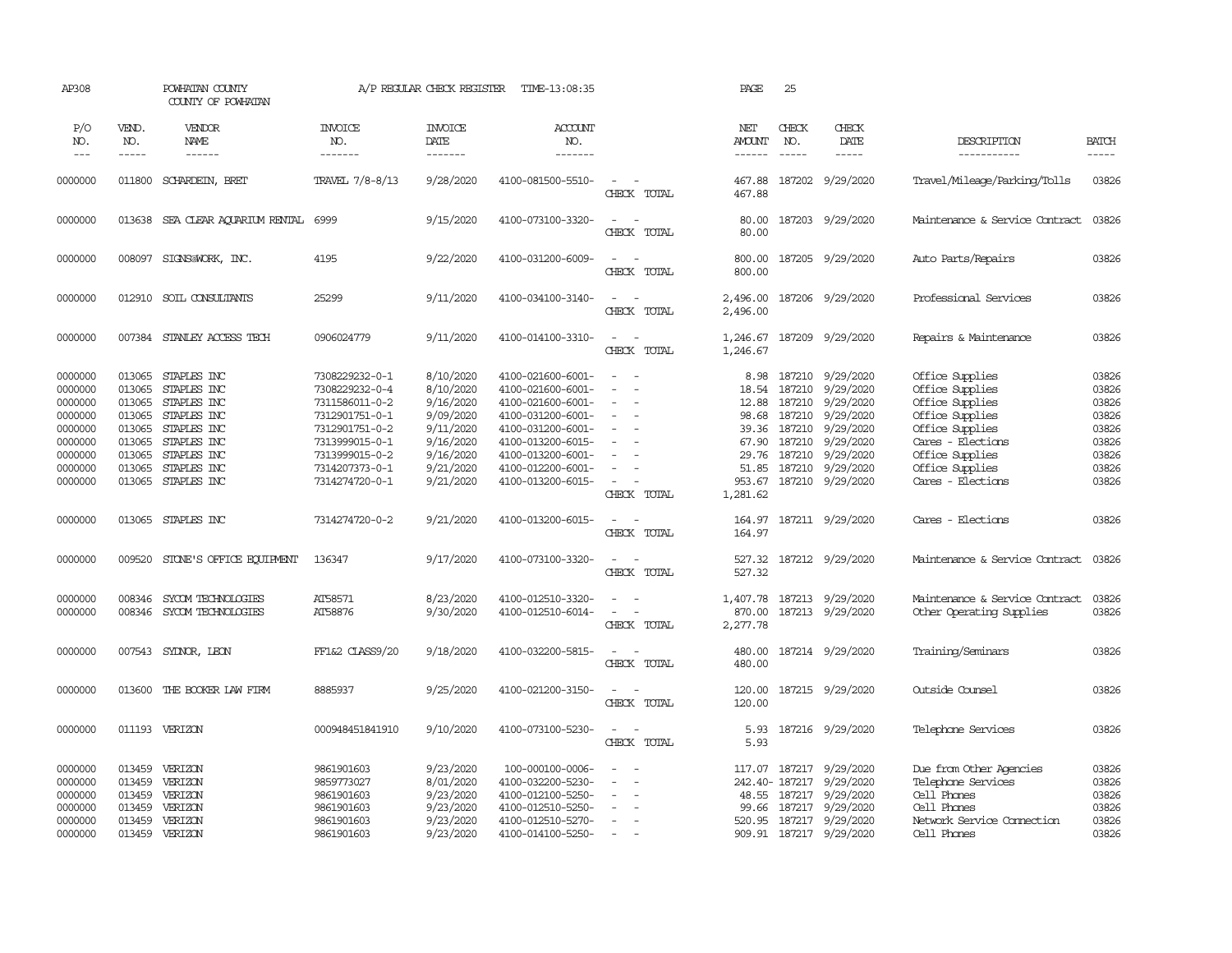| AP308                                                                                           |                                                                                        | POWHATAN COUNTY<br>COUNTY OF POWHATAN                                                                                               |                                                                                                                                                                | A/P REGULAR CHECK REGISTER                                                                                        | TIME-13:08:35                                                                                                                                                                             |                                                                                                               | PAGE                                                                                      | 25                                                                           |                                                                                                                          |                                                                                                                                                                             |                                                                               |
|-------------------------------------------------------------------------------------------------|----------------------------------------------------------------------------------------|-------------------------------------------------------------------------------------------------------------------------------------|----------------------------------------------------------------------------------------------------------------------------------------------------------------|-------------------------------------------------------------------------------------------------------------------|-------------------------------------------------------------------------------------------------------------------------------------------------------------------------------------------|---------------------------------------------------------------------------------------------------------------|-------------------------------------------------------------------------------------------|------------------------------------------------------------------------------|--------------------------------------------------------------------------------------------------------------------------|-----------------------------------------------------------------------------------------------------------------------------------------------------------------------------|-------------------------------------------------------------------------------|
| P/O<br>NO.<br>$---$                                                                             | VEND.<br>NO.<br>$- - - - -$                                                            | VENDOR<br><b>NAME</b><br>$- - - - - -$                                                                                              | <b>INVOICE</b><br>NO.<br>-------                                                                                                                               | <b>INVOICE</b><br>DATE<br>-------                                                                                 | <b>ACCOUNT</b><br>NO.<br>-------                                                                                                                                                          |                                                                                                               | NET<br><b>AMOUNT</b><br>------                                                            | CHECK<br>NO.<br>$\frac{1}{2}$                                                | CHECK<br>DATE<br>-----                                                                                                   | DESCRIPTION<br>-----------                                                                                                                                                  | <b>BATCH</b><br>$\cdots$                                                      |
| 0000000                                                                                         | 011800                                                                                 | SCHARDEIN, BRET                                                                                                                     | TRAVEL 7/8-8/13                                                                                                                                                | 9/28/2020                                                                                                         | 4100-081500-5510-                                                                                                                                                                         | $\sim$<br>CHECK TOTAL                                                                                         | 467.88<br>467.88                                                                          | 187202                                                                       | 9/29/2020                                                                                                                | Travel/Mileage/Parking/Tolls                                                                                                                                                | 03826                                                                         |
| 0000000                                                                                         | 013638                                                                                 | SEA CLEAR AOUARIUM RENTAL                                                                                                           | 6999                                                                                                                                                           | 9/15/2020                                                                                                         | 4100-073100-3320-                                                                                                                                                                         | $\sim$<br>$\overline{\phantom{a}}$<br>CHECK TOTAL                                                             | 80.00<br>80.00                                                                            |                                                                              | 187203 9/29/2020                                                                                                         | Maintenance & Service Contract                                                                                                                                              | 03826                                                                         |
| 0000000                                                                                         | 008097                                                                                 | SIGNS@WORK, INC.                                                                                                                    | 4195                                                                                                                                                           | 9/22/2020                                                                                                         | 4100-031200-6009-                                                                                                                                                                         | $\sim$<br>$\overline{\phantom{a}}$<br>CHECK TOTAL                                                             | 800.00<br>800.00                                                                          |                                                                              | 187205 9/29/2020                                                                                                         | Auto Parts/Repairs                                                                                                                                                          | 03826                                                                         |
| 0000000                                                                                         | 012910                                                                                 | SOIL CONSULTANTS                                                                                                                    | 25299                                                                                                                                                          | 9/11/2020                                                                                                         | 4100-034100-3140-                                                                                                                                                                         | $\sim$<br>$\sim$<br>CHECK TOTAL                                                                               | 2,496.00<br>2,496.00                                                                      |                                                                              | 187206 9/29/2020                                                                                                         | Professional Services                                                                                                                                                       | 03826                                                                         |
| 0000000                                                                                         |                                                                                        | 007384 STANLEY ACCESS TECH                                                                                                          | 0906024779                                                                                                                                                     | 9/11/2020                                                                                                         | 4100-014100-3310-                                                                                                                                                                         | $\sim$<br>$\sim$<br>CHECK TOTAL                                                                               | 1,246.67<br>1,246.67                                                                      |                                                                              | 187209 9/29/2020                                                                                                         | Repairs & Maintenance                                                                                                                                                       | 03826                                                                         |
| 0000000<br>0000000<br>0000000<br>0000000<br>0000000<br>0000000<br>0000000<br>0000000<br>0000000 | 013065<br>013065<br>013065<br>013065<br>013065<br>013065<br>013065<br>013065<br>013065 | STAPLES INC<br>STAPLES INC<br>STAPLES INC<br>STAPLES INC<br>STAPLES INC<br>STAPLES INC<br>STAPLES INC<br>STAPLES INC<br>STAPLES INC | 7308229232-0-1<br>7308229232-0-4<br>7311586011-0-2<br>7312901751-0-1<br>7312901751-0-2<br>7313999015-0-1<br>7313999015-0-2<br>7314207373-0-1<br>7314274720-0-1 | 8/10/2020<br>8/10/2020<br>9/16/2020<br>9/09/2020<br>9/11/2020<br>9/16/2020<br>9/16/2020<br>9/21/2020<br>9/21/2020 | 4100-021600-6001-<br>4100-021600-6001-<br>4100-021600-6001-<br>4100-031200-6001-<br>4100-031200-6001-<br>4100-013200-6015-<br>4100-013200-6001-<br>4100-012200-6001-<br>4100-013200-6015- | $\overline{a}$<br>$\overline{a}$<br>$\overline{\phantom{a}}$<br>$\equiv$<br>$\equiv$<br>$\sim$<br>CHECK TOTAL | 8.98<br>18.54<br>12.88<br>98.68<br>39.36<br>67.90<br>29.76<br>51.85<br>953.67<br>1,281.62 | 187210<br>187210<br>187210<br>187210<br>187210<br>187210<br>187210<br>187210 | 9/29/2020<br>9/29/2020<br>9/29/2020<br>9/29/2020<br>9/29/2020<br>9/29/2020<br>9/29/2020<br>9/29/2020<br>187210 9/29/2020 | Office Supplies<br>Office Supplies<br>Office Supplies<br>Office Supplies<br>Office Supplies<br>Cares - Elections<br>Office Supplies<br>Office Supplies<br>Cares - Elections | 03826<br>03826<br>03826<br>03826<br>03826<br>03826<br>03826<br>03826<br>03826 |
| 0000000                                                                                         |                                                                                        | 013065 STAPLES INC                                                                                                                  | 7314274720-0-2                                                                                                                                                 | 9/21/2020                                                                                                         | 4100-013200-6015-                                                                                                                                                                         | $\sim$<br>$\sim$<br>CHECK TOTAL                                                                               | 164.97<br>164.97                                                                          |                                                                              | 187211 9/29/2020                                                                                                         | Cares - Elections                                                                                                                                                           | 03826                                                                         |
| 0000000                                                                                         | 009520                                                                                 | STONE'S OFFICE EQUIPMENT                                                                                                            | 136347                                                                                                                                                         | 9/17/2020                                                                                                         | 4100-073100-3320-                                                                                                                                                                         | $\sim$<br>$\sim$<br>CHECK TOTAL                                                                               | 527.32                                                                                    |                                                                              | 527.32 187212 9/29/2020                                                                                                  | Maintenance & Service Contract                                                                                                                                              | 03826                                                                         |
| 0000000<br>0000000                                                                              | 008346<br>008346                                                                       | SYCOM TECHNOLOGIES<br>SYCOM TECHNOLOGIES                                                                                            | AT58571<br>AT58876                                                                                                                                             | 8/23/2020<br>9/30/2020                                                                                            | 4100-012510-3320-<br>4100-012510-6014-                                                                                                                                                    | CHECK TOTAL                                                                                                   | 1,407.78<br>870.00<br>2,277.78                                                            | 187213                                                                       | 9/29/2020<br>187213 9/29/2020                                                                                            | Maintenance & Service Contract<br>Other Operating Supplies                                                                                                                  | 03826<br>03826                                                                |
| 0000000                                                                                         | 007543                                                                                 | SYDNOR, LEON                                                                                                                        | FF1&2 CLASS9/20                                                                                                                                                | 9/18/2020                                                                                                         | 4100-032200-5815-                                                                                                                                                                         | $\equiv$<br>. —<br>CHECK TOTAL                                                                                | 480.00<br>480.00                                                                          |                                                                              | 187214 9/29/2020                                                                                                         | Training/Seminars                                                                                                                                                           | 03826                                                                         |
| 0000000                                                                                         | 013600                                                                                 | THE BOOKER LAW FIRM                                                                                                                 | 8885937                                                                                                                                                        | 9/25/2020                                                                                                         | 4100-021200-3150-                                                                                                                                                                         | CHECK TOTAL                                                                                                   | 120.00<br>120.00                                                                          |                                                                              | 187215 9/29/2020                                                                                                         | Outside Counsel                                                                                                                                                             | 03826                                                                         |
| 0000000                                                                                         |                                                                                        | 011193 VERIZON                                                                                                                      | 000948451841910                                                                                                                                                | 9/10/2020                                                                                                         | 4100-073100-5230-                                                                                                                                                                         | $\sim$<br>$\overline{\phantom{a}}$<br>CHECK TOTAL                                                             | 5.93<br>5.93                                                                              |                                                                              | 187216 9/29/2020                                                                                                         | Telephone Services                                                                                                                                                          | 03826                                                                         |
| 0000000<br>0000000<br>0000000<br>0000000<br>0000000<br>0000000                                  | 013459<br>013459<br>013459<br>013459<br>013459<br>013459                               | VERIZON<br>VERIZON<br>VERIZON<br>VERIZON<br>VERIZON<br>VERIZON                                                                      | 9861901603<br>9859773027<br>9861901603<br>9861901603<br>9861901603<br>9861901603                                                                               | 9/23/2020<br>8/01/2020<br>9/23/2020<br>9/23/2020<br>9/23/2020<br>9/23/2020                                        | 100-000100-0006-<br>4100-032200-5230-<br>4100-012100-5250-<br>4100-012510-5250-<br>4100-012510-5270-<br>4100-014100-5250-                                                                 | $\sim$<br>$\overline{a}$<br>$\overline{\phantom{a}}$<br>$\sim$                                                | 99.66<br>520.95                                                                           | 117.07 187217<br>242.40- 187217<br>48.55 187217<br>187217                    | 9/29/2020<br>9/29/2020<br>9/29/2020<br>9/29/2020<br>187217 9/29/2020<br>909.91 187217 9/29/2020                          | Due from Other Agencies<br>Telephone Services<br>Cell Phones<br>Cell Phones<br>Network Service Connection<br>Cell Phones                                                    | 03826<br>03826<br>03826<br>03826<br>03826<br>03826                            |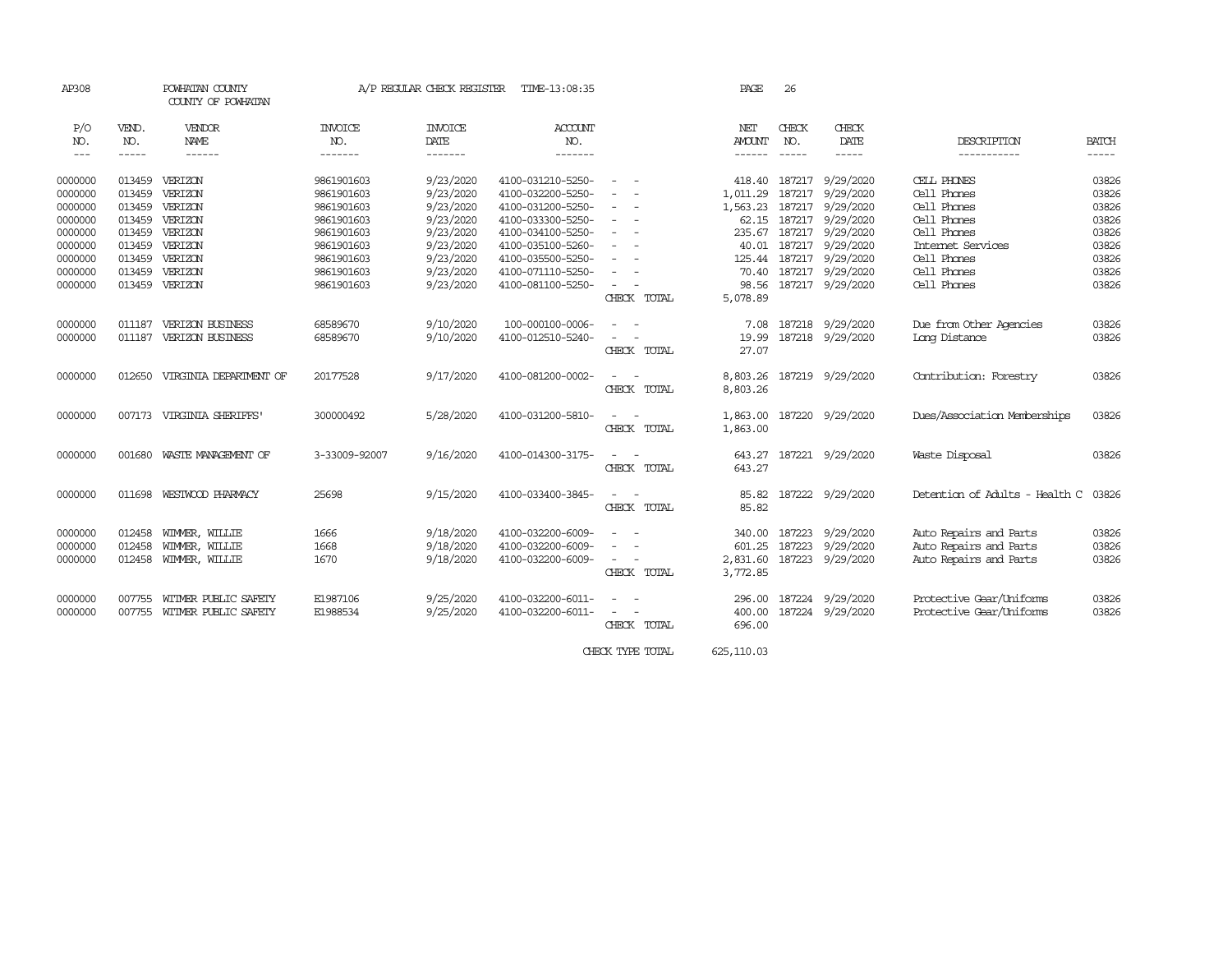| AP308                |              | POWHATAN COUNTY<br>COUNTY OF POWHATAN |                       | A/P REGULAR CHECK REGISTER | TIME-13:08:35     |                                                                                                              | PAGE                 | 26            |                           |                                |              |
|----------------------|--------------|---------------------------------------|-----------------------|----------------------------|-------------------|--------------------------------------------------------------------------------------------------------------|----------------------|---------------|---------------------------|--------------------------------|--------------|
| P/O<br>NO.           | VEND.<br>NO. | <b>VENDOR</b><br>NAME                 | <b>INVOICE</b><br>NO. | <b>INVOICE</b><br>DATE     | ACCOUNT<br>NO.    |                                                                                                              | NET<br><b>AMOUNT</b> | CHECK<br>NO.  | CHECK<br>DATE             | DESCRIPTION                    | <b>BATCH</b> |
| $\sim$ $\sim$ $\sim$ | $- - - - -$  | ------                                | -------               | -------                    | -------           |                                                                                                              | ------               |               | $- - - - -$               | -----------                    |              |
| 0000000              | 013459       | VERIZON                               | 9861901603            | 9/23/2020                  | 4100-031210-5250- |                                                                                                              | 418.40               | 187217        | 9/29/2020                 | CELL PHONES                    | 03826        |
| 0000000              | 013459       | VERIZON                               | 9861901603            | 9/23/2020                  | 4100-032200-5250- | $\sim$                                                                                                       | 1,011.29             | 187217        | 9/29/2020                 | Cell Phones                    | 03826        |
| 0000000              | 013459       | VERIZON                               | 9861901603            | 9/23/2020                  | 4100-031200-5250- | $\sim$                                                                                                       | 1,563.23             | 187217        | 9/29/2020                 | Cell Phones                    | 03826        |
| 0000000              | 013459       | VERIZON                               | 9861901603            | 9/23/2020                  | 4100-033300-5250- | $\sim$                                                                                                       | 62.15                | 187217        | 9/29/2020                 | Cell Phones                    | 03826        |
| 0000000              | 013459       | VERIZON                               | 9861901603            | 9/23/2020                  | 4100-034100-5250- | $\frac{1}{2} \left( \frac{1}{2} \right) \left( \frac{1}{2} \right) = \frac{1}{2} \left( \frac{1}{2} \right)$ | 235.67               | 187217        | 9/29/2020                 | Cell Phones                    | 03826        |
| 0000000              | 013459       | VERIZON                               | 9861901603            | 9/23/2020                  | 4100-035100-5260- | $\equiv$                                                                                                     | 40.01                | 187217        | 9/29/2020                 | Internet Services              | 03826        |
| 0000000              | 013459       | VERIZON                               | 9861901603            | 9/23/2020                  | 4100-035500-5250- | $\sim$<br>$\sim$                                                                                             |                      | 125.44 187217 | 9/29/2020                 | Cell Phones                    | 03826        |
| 0000000              | 013459       | VERIZON                               | 9861901603            | 9/23/2020                  | 4100-071110-5250- | $\sim$                                                                                                       |                      |               | 70.40 187217 9/29/2020    | Cell Phones                    | 03826        |
| 0000000              |              | 013459 VERIZON                        | 9861901603            | 9/23/2020                  | 4100-081100-5250- | $\overline{\phantom{a}}$                                                                                     |                      |               | 98.56 187217 9/29/2020    | Cell Phones                    | 03826        |
|                      |              |                                       |                       |                            |                   | CHECK TOTAL                                                                                                  | 5,078.89             |               |                           |                                |              |
| 0000000              | 011187       | VERIZON BUSINESS                      | 68589670              | 9/10/2020                  | 100-000100-0006-  |                                                                                                              | 7.08                 | 187218        | 9/29/2020                 | Due from Other Agencies        | 03826        |
| 0000000              | 011187       | VERIZON BUSINESS                      | 68589670              | 9/10/2020                  | 4100-012510-5240- |                                                                                                              | 19.99                |               | 187218 9/29/2020          | Long Distance                  | 03826        |
|                      |              |                                       |                       |                            |                   | CHECK TOTAL                                                                                                  | 27.07                |               |                           |                                |              |
| 0000000              | 012650       | VIRGINIA DEPARIMENT OF                | 20177528              | 9/17/2020                  | 4100-081200-0002- | $\sim$                                                                                                       |                      |               | 8,803.26 187219 9/29/2020 | Contribution: Forestry         | 03826        |
|                      |              |                                       |                       |                            |                   | CHECK TOTAL                                                                                                  | 8,803.26             |               |                           |                                |              |
| 0000000              |              | 007173 VIRGINIA SHERIFFS'             | 300000492             | 5/28/2020                  | 4100-031200-5810- | $\sim$ $ \sim$                                                                                               | 1,863.00             |               | 187220 9/29/2020          | Dues/Association Memberships   | 03826        |
|                      |              |                                       |                       |                            |                   | CHECK TOTAL                                                                                                  | 1,863.00             |               |                           |                                |              |
| 0000000              | 001680       | WASTE MANAGEMENT OF                   | 3-33009-92007         | 9/16/2020                  | 4100-014300-3175- |                                                                                                              | 643.27               |               | 187221 9/29/2020          | Waste Disposal                 | 03826        |
|                      |              |                                       |                       |                            |                   | CHECK TOTAL                                                                                                  | 643.27               |               |                           |                                |              |
| 0000000              |              | 011698 WESTWOOD PHARMACY              | 25698                 | 9/15/2020                  | 4100-033400-3845- |                                                                                                              | 85.82                |               | 187222 9/29/2020          | Detention of Adults - Health C | 03826        |
|                      |              |                                       |                       |                            |                   | CHECK TOTAL                                                                                                  | 85.82                |               |                           |                                |              |
| 0000000              | 012458       | WIMMER, WILLIE                        | 1666                  | 9/18/2020                  | 4100-032200-6009- |                                                                                                              | 340.00               | 187223        | 9/29/2020                 | Auto Repairs and Parts         | 03826        |
| 0000000              | 012458       | WIMMER, WILLIE                        | 1668                  | 9/18/2020                  | 4100-032200-6009- |                                                                                                              | 601.25               | 187223        | 9/29/2020                 | Auto Repairs and Parts         | 03826        |
| 0000000              | 012458       | WIMMER, WILLIE                        | 1670                  | 9/18/2020                  | 4100-032200-6009- | $\sim$                                                                                                       | 2,831.60             |               | 187223 9/29/2020          | Auto Repairs and Parts         | 03826        |
|                      |              |                                       |                       |                            |                   | CHECK TOTAL                                                                                                  | 3,772.85             |               |                           |                                |              |
| 0000000              | 007755       | WITMER PUBLIC SAFETY                  | E1987106              | 9/25/2020                  | 4100-032200-6011- |                                                                                                              |                      |               | 296.00 187224 9/29/2020   | Protective Gear/Uniforms       | 03826        |
| 0000000              | 007755       | WITMER PUBLIC SAFETY                  | E1988534              | 9/25/2020                  | 4100-032200-6011- |                                                                                                              |                      |               | 400.00 187224 9/29/2020   | Protective Gear/Uniforms       | 03826        |
|                      |              |                                       |                       |                            |                   | CHECK TOTAL                                                                                                  | 696.00               |               |                           |                                |              |
|                      |              |                                       |                       |                            |                   |                                                                                                              |                      |               |                           |                                |              |

CHECK TYPE TOTAL 625,110.03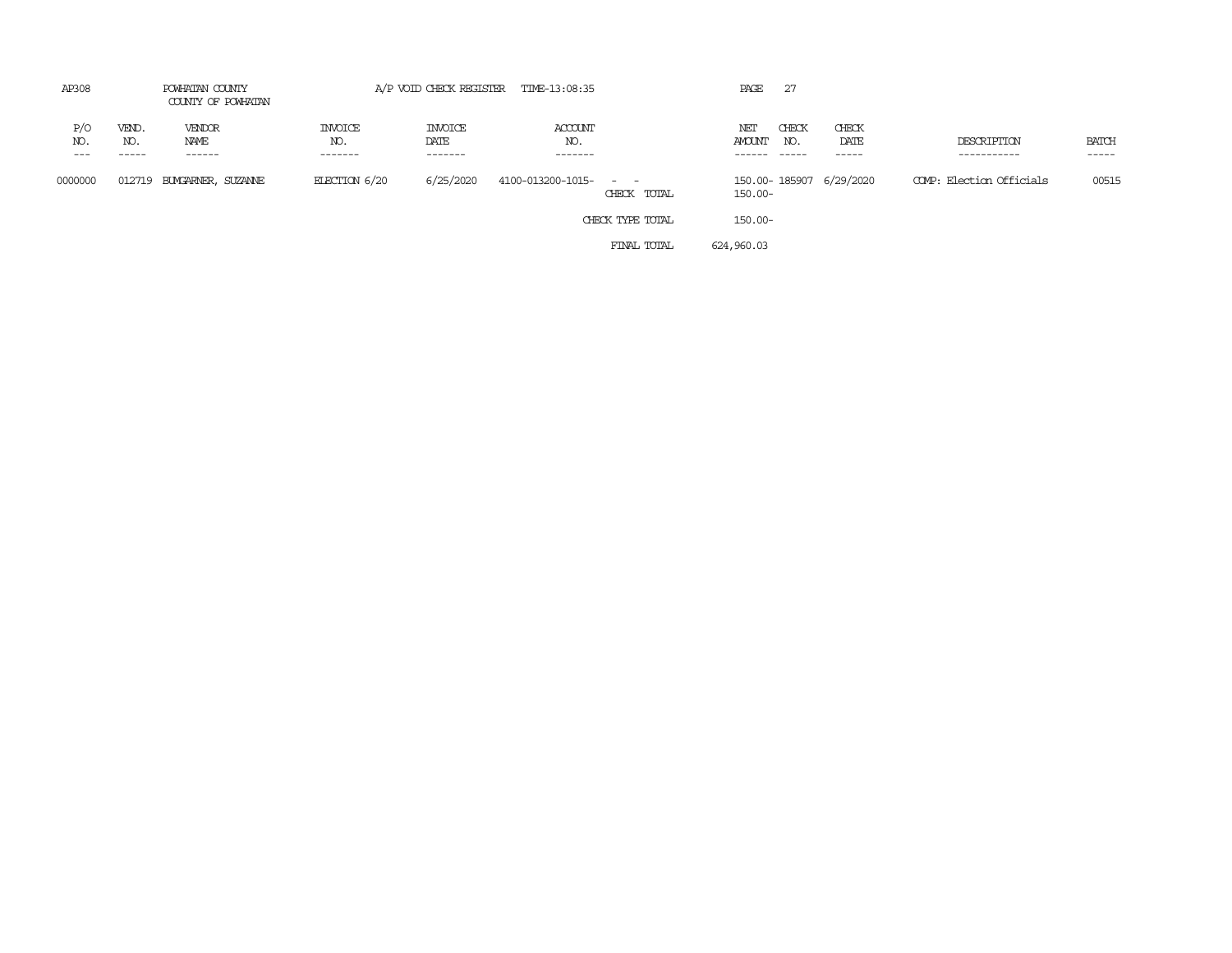| AP308      |                   | POWHATAN COUNTY<br>COUNTY OF POWHATAN |                                  |                                   | A/P VOID CHECK REGISTER TIME-13:08:35 |                                                                                                                             | PAGE                 | -27          |                         |                            |                       |
|------------|-------------------|---------------------------------------|----------------------------------|-----------------------------------|---------------------------------------|-----------------------------------------------------------------------------------------------------------------------------|----------------------|--------------|-------------------------|----------------------------|-----------------------|
| P/O<br>NO. | VEND.<br>NO.<br>. | VENDOR<br>NAME<br>------              | <b>INVOICE</b><br>NO.<br>------- | <b>INVOICE</b><br>DATE<br>------- | ACCOUNT<br>NO.<br>-------             |                                                                                                                             | NET<br><b>AMOUNT</b> | CHECK<br>NO. | CHECK<br>DATE<br>-----  | DESCRIPTION<br>----------- | <b>BATCH</b><br>----- |
| 0000000    | 012719            | BUYGARNER, SUZANNE                    | ELECTION $6/20$                  | 6/25/2020                         | 4100-013200-1015-                     | $\frac{1}{2} \left( \frac{1}{2} \right) \left( \frac{1}{2} \right) = \frac{1}{2} \left( \frac{1}{2} \right)$<br>CHECK TOTAL | $150.00 -$           |              | 150.00-185907 6/29/2020 | COMP: Election Officials   | 00515                 |
|            |                   |                                       |                                  |                                   |                                       | CHECK TYPE TOTAL                                                                                                            | $150.00 -$           |              |                         |                            |                       |
|            |                   |                                       |                                  |                                   |                                       | FINAL TOTAL                                                                                                                 | 624,960.03           |              |                         |                            |                       |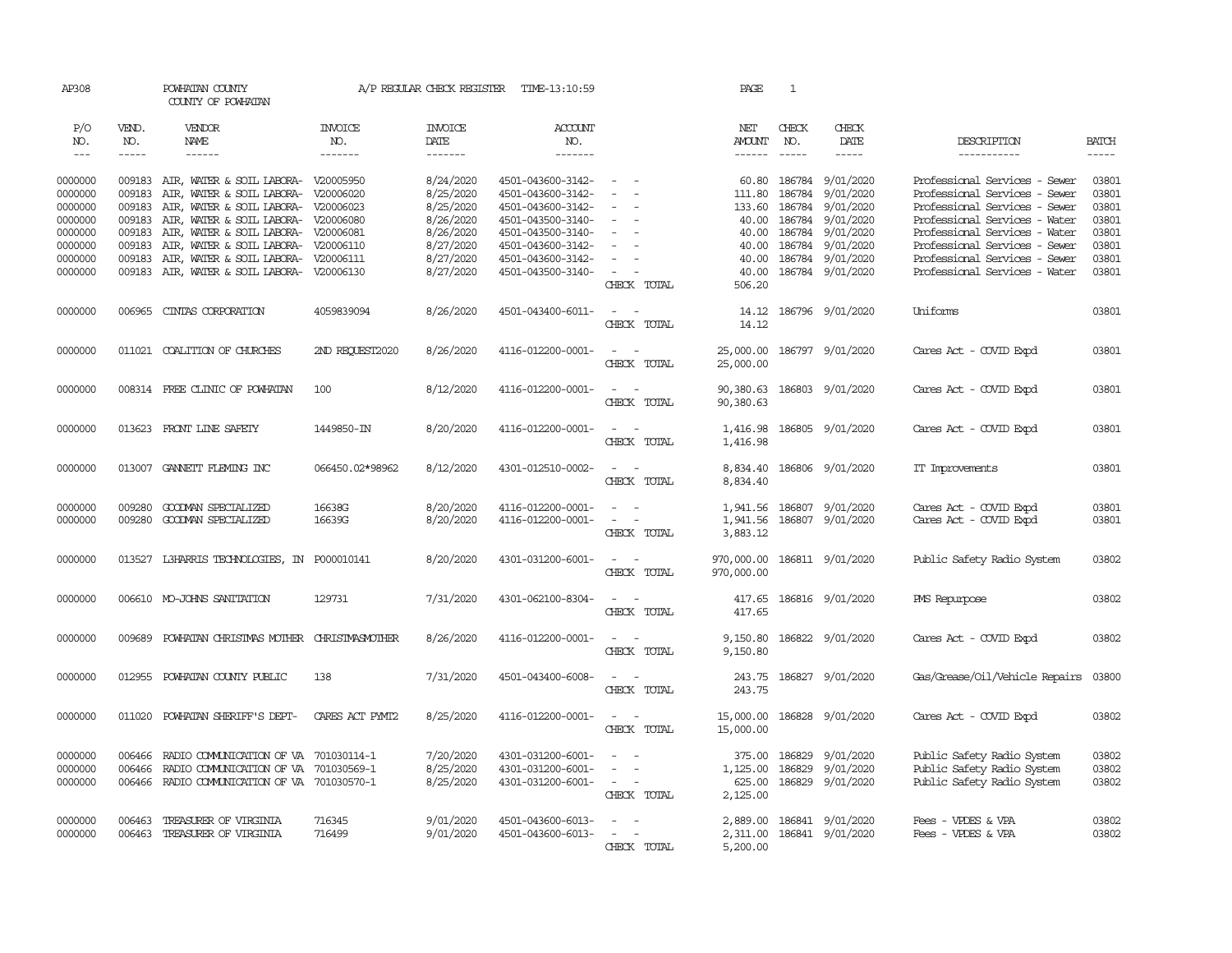| AP308                                                                                |                                                                    | POWHATAN COUNTY<br>COUNTY OF POWHATAN                                                                                                                                                                                                                                                                             |                                  | A/P REGULAR CHECK REGISTER                                                                           | TIME-13:10:59                                                                                                                                                        |                                                                                                                             | PAGE                                                          | 1                                                                        |                                                                                                             |                                                                                                                                                                                                                                                                      |                                                                      |
|--------------------------------------------------------------------------------------|--------------------------------------------------------------------|-------------------------------------------------------------------------------------------------------------------------------------------------------------------------------------------------------------------------------------------------------------------------------------------------------------------|----------------------------------|------------------------------------------------------------------------------------------------------|----------------------------------------------------------------------------------------------------------------------------------------------------------------------|-----------------------------------------------------------------------------------------------------------------------------|---------------------------------------------------------------|--------------------------------------------------------------------------|-------------------------------------------------------------------------------------------------------------|----------------------------------------------------------------------------------------------------------------------------------------------------------------------------------------------------------------------------------------------------------------------|----------------------------------------------------------------------|
| P/O<br>NO.<br>$\frac{1}{2}$                                                          | VEND.<br>NO.<br>$- - - - -$                                        | VENDOR<br>NAME<br>$- - - - - -$                                                                                                                                                                                                                                                                                   | <b>INVOICE</b><br>NO.<br>------- | <b>INVOICE</b><br>DATE<br>--------                                                                   | <b>ACCOUNT</b><br>NO.<br>-------                                                                                                                                     |                                                                                                                             | NET<br>AMOUNT<br>$- - - - - -$                                | CHECK<br>NO.<br>$\frac{1}{2}$                                            | CHECK<br>DATE<br>$- - - - -$                                                                                | DESCRIPTION<br>-----------                                                                                                                                                                                                                                           | <b>BATCH</b>                                                         |
| 0000000<br>0000000<br>0000000<br>0000000<br>0000000<br>0000000<br>0000000<br>0000000 | 009183<br>009183<br>009183<br>009183<br>009183<br>009183<br>009183 | 009183 AIR, WATER & SOIL LABORA- V20005950<br>AIR, WATER & SOIL LABORA- V20006020<br>AIR, WATER & SOIL LABORA- V20006023<br>AIR, WATER & SOIL LABORA- V20006080<br>AIR, WATER & SOIL LABORA- V20006081<br>AIR, WATER & SOIL LABORA- V20006110<br>AIR, WATER & SOIL LABORA- V20006111<br>AIR, WATER & SOIL LABORA- | V20006130                        | 8/24/2020<br>8/25/2020<br>8/25/2020<br>8/26/2020<br>8/26/2020<br>8/27/2020<br>8/27/2020<br>8/27/2020 | 4501-043600-3142-<br>4501-043600-3142-<br>4501-043600-3142-<br>4501-043500-3140-<br>4501-043500-3140-<br>4501-043600-3142-<br>4501-043600-3142-<br>4501-043500-3140- | $\sim$<br>$\sim$<br>$\sim$<br>$\equiv$<br>$\equiv$<br>$\sim$<br>$\sim$                                                      | 111.80<br>133.60<br>40.00<br>40.00<br>40.00<br>40.00<br>40.00 | 60.80 186784<br>186784<br>186784<br>186784<br>186784<br>186784<br>186784 | 9/01/2020<br>9/01/2020<br>9/01/2020<br>9/01/2020<br>9/01/2020<br>9/01/2020<br>9/01/2020<br>186784 9/01/2020 | Professional Services - Sewer<br>Professional Services - Sewer<br>Professional Services - Sewer<br>Professional Services - Water<br>Professional Services - Water<br>Professional Services - Sewer<br>Professional Services - Sewer<br>Professional Services - Water | 03801<br>03801<br>03801<br>03801<br>03801<br>03801<br>03801<br>03801 |
| 0000000                                                                              | 006965                                                             | CINIAS CORPORATION                                                                                                                                                                                                                                                                                                | 4059839094                       | 8/26/2020                                                                                            | 4501-043400-6011-                                                                                                                                                    | CHECK TOTAL<br>$\overline{\phantom{a}}$<br>$\sim$<br>CHECK TOTAL                                                            | 506.20<br>14.12<br>14.12                                      |                                                                          | 186796 9/01/2020                                                                                            | Uniforms                                                                                                                                                                                                                                                             | 03801                                                                |
| 0000000                                                                              |                                                                    | 011021 COALITION OF CHURCHES                                                                                                                                                                                                                                                                                      | 2ND RECUEST2020                  | 8/26/2020                                                                                            | 4116-012200-0001-                                                                                                                                                    | $\sim$<br>$\overline{\phantom{a}}$<br>CHECK TOTAL                                                                           | 25,000.00<br>25,000.00                                        |                                                                          | 186797 9/01/2020                                                                                            | Cares Act - COVID Expd                                                                                                                                                                                                                                               | 03801                                                                |
| 0000000                                                                              |                                                                    | 008314 FREE CLINIC OF POWHATAN                                                                                                                                                                                                                                                                                    | 100                              | 8/12/2020                                                                                            | 4116-012200-0001-                                                                                                                                                    | $\sim$<br>$\overline{\phantom{a}}$<br>CHECK TOTAL                                                                           | 90,380.63<br>90,380.63                                        |                                                                          | 186803 9/01/2020                                                                                            | Cares Act - COVID Expd                                                                                                                                                                                                                                               | 03801                                                                |
| 0000000                                                                              |                                                                    | 013623 FRONT LINE SAFETY                                                                                                                                                                                                                                                                                          | 1449850-IN                       | 8/20/2020                                                                                            | 4116-012200-0001-                                                                                                                                                    | $\sim$<br>$\sim$<br>CHECK TOTAL                                                                                             | 1,416.98<br>1,416.98                                          |                                                                          | 186805 9/01/2020                                                                                            | Cares Act - COVID Expd                                                                                                                                                                                                                                               | 03801                                                                |
| 0000000                                                                              |                                                                    | 013007 GANNETT FLEMING INC                                                                                                                                                                                                                                                                                        | 066450.02*98962                  | 8/12/2020                                                                                            | 4301-012510-0002-                                                                                                                                                    | $\sim$<br>$\sim$<br>CHECK TOTAL                                                                                             | 8,834.40<br>8,834.40                                          |                                                                          | 186806 9/01/2020                                                                                            | IT Improvements                                                                                                                                                                                                                                                      | 03801                                                                |
| 0000000<br>0000000                                                                   | 009280<br>009280                                                   | GOODMAN SPECIALIZED<br>GOODMAN SPECIALIZED                                                                                                                                                                                                                                                                        | 16638G<br>16639G                 | 8/20/2020<br>8/20/2020                                                                               | 4116-012200-0001-<br>4116-012200-0001-                                                                                                                               | $\sim$<br>$\sim$<br>$\sim$<br>CHECK TOTAL                                                                                   | 1,941.56<br>1,941.56<br>3,883.12                              |                                                                          | 186807 9/01/2020<br>186807 9/01/2020                                                                        | Cares Act - COVID Expd<br>Cares Act - COVID Expd                                                                                                                                                                                                                     | 03801<br>03801                                                       |
| 0000000                                                                              | 013527                                                             | L3HARRIS TECHNOLOGIES, IN P000010141                                                                                                                                                                                                                                                                              |                                  | 8/20/2020                                                                                            | 4301-031200-6001-                                                                                                                                                    | $\sim$<br>$\sim$<br>CHECK TOTAL                                                                                             | 970,000.00<br>970,000.00                                      |                                                                          | 186811 9/01/2020                                                                                            | Public Safety Radio System                                                                                                                                                                                                                                           | 03802                                                                |
| 0000000                                                                              |                                                                    | 006610 MO-JOHNS SANITATION                                                                                                                                                                                                                                                                                        | 129731                           | 7/31/2020                                                                                            | 4301-062100-8304-                                                                                                                                                    | $\sim$<br>$\sim$<br>CHECK TOTAL                                                                                             | 417.65<br>417.65                                              |                                                                          | 186816 9/01/2020                                                                                            | <b>PMS</b> Repurpose                                                                                                                                                                                                                                                 | 03802                                                                |
| 0000000                                                                              | 009689                                                             | POWHATAN CHRISTMAS MOTHER CHRISTMASMOTHER                                                                                                                                                                                                                                                                         |                                  | 8/26/2020                                                                                            | 4116-012200-0001-                                                                                                                                                    | $\frac{1}{2} \left( \frac{1}{2} \right) \left( \frac{1}{2} \right) = \frac{1}{2} \left( \frac{1}{2} \right)$<br>CHECK TOTAL | 9,150.80<br>9,150.80                                          |                                                                          | 186822 9/01/2020                                                                                            | Cares Act - COVID Expd                                                                                                                                                                                                                                               | 03802                                                                |
| 0000000                                                                              |                                                                    | 012955 POWHATAN COUNTY PUBLIC                                                                                                                                                                                                                                                                                     | 138                              | 7/31/2020                                                                                            | 4501-043400-6008-                                                                                                                                                    | $\frac{1}{2} \left( \frac{1}{2} \right) \left( \frac{1}{2} \right) = \frac{1}{2} \left( \frac{1}{2} \right)$<br>CHECK TOTAL | 243.75<br>243.75                                              |                                                                          | 186827 9/01/2020                                                                                            | Gas/Grease/Oil/Vehicle Repairs                                                                                                                                                                                                                                       | 03800                                                                |
| 0000000                                                                              | 011020                                                             | POWHATAN SHERIFF'S DEPT-                                                                                                                                                                                                                                                                                          | CARES ACT PYMT2                  | 8/25/2020                                                                                            | 4116-012200-0001-                                                                                                                                                    | $\sim$<br>$\sim$ $-$<br>CHECK TOTAL                                                                                         | 15,000.00<br>15,000.00                                        |                                                                          | 186828 9/01/2020                                                                                            | Cares Act - COVID Expd                                                                                                                                                                                                                                               | 03802                                                                |
| 0000000<br>0000000<br>0000000                                                        | 006466<br>006466<br>006466                                         | RADIO COMMUNICATION OF VA<br>RADIO COMMUNICATION OF VA<br>RADIO COMMUNICATION OF VA 701030570-1                                                                                                                                                                                                                   | 701030114-1<br>701030569-1       | 7/20/2020<br>8/25/2020<br>8/25/2020                                                                  | 4301-031200-6001-<br>4301-031200-6001-<br>4301-031200-6001-                                                                                                          | $\sim$<br>$\sim$<br>$\overline{\phantom{a}}$<br>$\sim$<br>$\sim$<br>CHECK TOTAL                                             | 375.00<br>1,125.00<br>625.00<br>2,125.00                      | 186829<br>186829                                                         | 9/01/2020<br>9/01/2020<br>186829 9/01/2020                                                                  | Public Safety Radio System<br>Public Safety Radio System<br>Public Safety Radio System                                                                                                                                                                               | 03802<br>03802<br>03802                                              |
| 0000000<br>0000000                                                                   | 006463<br>006463                                                   | TREASURER OF VIRGINIA<br>TREASURER OF VIRGINIA                                                                                                                                                                                                                                                                    | 716345<br>716499                 | 9/01/2020<br>9/01/2020                                                                               | 4501-043600-6013-<br>4501-043600-6013-                                                                                                                               | CHECK TOTAL                                                                                                                 | 2,889.00<br>5,200.00                                          |                                                                          | 186841 9/01/2020<br>2,311.00 186841 9/01/2020                                                               | Fees - VPDES & VPA<br>Fees - VPDES & VPA                                                                                                                                                                                                                             | 03802<br>03802                                                       |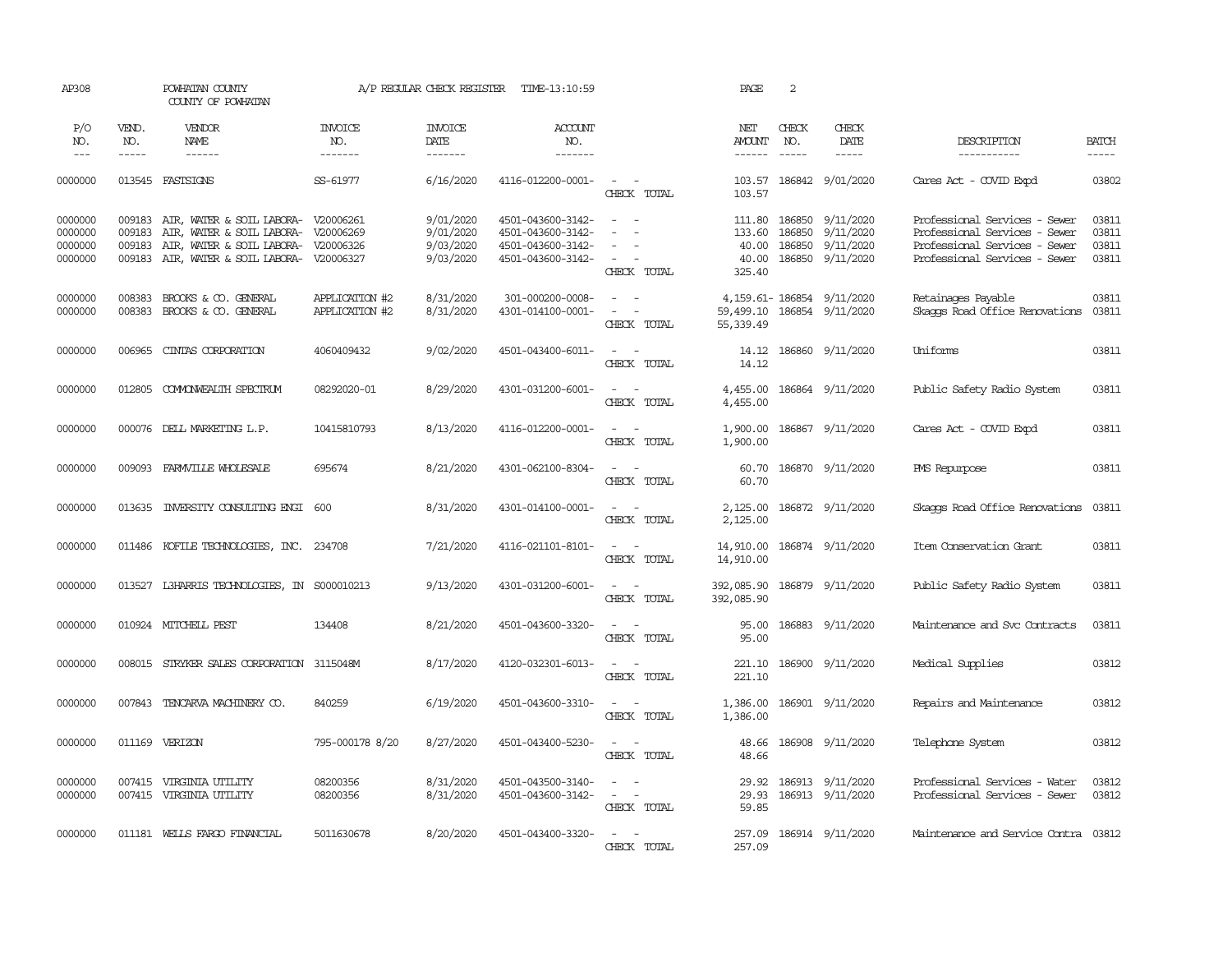| AP308                                    |                                      | POWHATAN COUNTY<br>COUNTY OF POWHATAN                                                                                                                    |                                  | A/P REGULAR CHECK REGISTER                       | TIME-13:10:59                                                                    |                                                                                                                                             | PAGE                                  | 2                             |                                                                              |                                                                                                                                  |                                  |
|------------------------------------------|--------------------------------------|----------------------------------------------------------------------------------------------------------------------------------------------------------|----------------------------------|--------------------------------------------------|----------------------------------------------------------------------------------|---------------------------------------------------------------------------------------------------------------------------------------------|---------------------------------------|-------------------------------|------------------------------------------------------------------------------|----------------------------------------------------------------------------------------------------------------------------------|----------------------------------|
| P/O<br>NO.<br>$---$                      | VEND.<br>NO.<br>$\frac{1}{2}$        | VENDOR<br>NAME<br>$- - - - - -$                                                                                                                          | <b>INVOICE</b><br>NO.<br>------- | <b>INVOICE</b><br>DATE<br>-------                | ACCOUNT<br>NO.<br>-------                                                        |                                                                                                                                             | NET<br><b>AMOUNT</b><br>$- - - - - -$ | CHECK<br>NO.<br>$\frac{1}{2}$ | <b>CHECK</b><br>DATE<br>$- - - - -$                                          | DESCRIPTION<br>-----------                                                                                                       | <b>BATCH</b><br>$- - - - -$      |
| 0000000                                  |                                      | 013545 FASTSIGNS                                                                                                                                         | SS-61977                         | 6/16/2020                                        | 4116-012200-0001-                                                                | $\sim$ $ -$<br>CHECK TOTAL                                                                                                                  | 103.57                                |                               | 103.57 186842 9/01/2020                                                      | Cares Act - COVID Expd                                                                                                           | 03802                            |
| 0000000<br>0000000<br>0000000<br>0000000 | 009183<br>009183<br>009183<br>009183 | AIR, WATER & SOIL LABORA- V20006261<br>AIR, WATER & SOIL LABORA- V20006269<br>AIR, WATER & SOIL LABORA- V20006326<br>AIR, WATER & SOIL LABORA- V20006327 |                                  | 9/01/2020<br>9/01/2020<br>9/03/2020<br>9/03/2020 | 4501-043600-3142-<br>4501-043600-3142-<br>4501-043600-3142-<br>4501-043600-3142- | $\frac{1}{2} \left( \frac{1}{2} \right) \left( \frac{1}{2} \right) \left( \frac{1}{2} \right)$<br>$\sim$<br>$\sim$<br>$\sim$<br>CHECK TOTAL | 133.60<br>40.00<br>40.00<br>325.40    | 186850                        | 111.80 186850 9/11/2020<br>9/11/2020<br>186850 9/11/2020<br>186850 9/11/2020 | Professional Services - Sewer<br>Professional Services - Sewer<br>Professional Services - Sewer<br>Professional Services - Sewer | 03811<br>03811<br>03811<br>03811 |
| 0000000<br>0000000                       | 008383<br>008383                     | BROOKS & CO. GENERAL<br>BROOKS & CO. GENERAL                                                                                                             | APPLICATION #2<br>APPLICATION #2 | 8/31/2020<br>8/31/2020                           | 301-000200-0008-<br>4301-014100-0001-                                            | $\sim$ $\sim$<br>$\sim$ $ \sim$<br>CHECK TOTAL                                                                                              | 55,339.49                             |                               | 4, 159.61 - 186854 9/11/2020<br>59,499.10 186854 9/11/2020                   | Retainages Payable<br>Skaops Road Office Renovations                                                                             | 03811<br>03811                   |
| 0000000                                  | 006965                               | CINIAS CORPORATION                                                                                                                                       | 4060409432                       | 9/02/2020                                        | 4501-043400-6011-                                                                | $\sim$ $ \sim$<br>CHECK TOTAL                                                                                                               | 14.12<br>14.12                        |                               | 186860 9/11/2020                                                             | Uniforms                                                                                                                         | 03811                            |
| 0000000                                  | 012805                               | COMONWEALTH SPECTRUM                                                                                                                                     | 08292020-01                      | 8/29/2020                                        | 4301-031200-6001-                                                                | $\overline{\phantom{a}}$<br>$\sim$<br>CHECK TOTAL                                                                                           | 4,455.00<br>4,455.00                  |                               | 186864 9/11/2020                                                             | Public Safety Radio System                                                                                                       | 03811                            |
| 0000000                                  |                                      | 000076 DELL MARKETING L.P.                                                                                                                               | 10415810793                      | 8/13/2020                                        | 4116-012200-0001-                                                                | $\sim$<br>CHECK TOTAL                                                                                                                       | 1,900.00<br>1,900.00                  |                               | 186867 9/11/2020                                                             | Cares Act - COVID Expd                                                                                                           | 03811                            |
| 0000000                                  |                                      | 009093 FARMVILLE WHOLESALE                                                                                                                               | 695674                           | 8/21/2020                                        | 4301-062100-8304-                                                                | $\sim$<br>$\sim$<br>CHECK TOTAL                                                                                                             | 60.70                                 |                               | 60.70 186870 9/11/2020                                                       | <b>PMS</b> Repurpose                                                                                                             | 03811                            |
| 0000000                                  | 013635                               | INVERSITY CONSULTING ENGI 600                                                                                                                            |                                  | 8/31/2020                                        | 4301-014100-0001-                                                                | $\sim$ $ \sim$<br>CHECK TOTAL                                                                                                               | 2,125.00                              |                               | 2,125.00 186872 9/11/2020                                                    | Skaops Road Office Renovations                                                                                                   | 03811                            |
| 0000000                                  |                                      | 011486 KOFILE TECHNOLOGIES, INC. 234708                                                                                                                  |                                  | 7/21/2020                                        | 4116-021101-8101-                                                                | $\sim$ $ -$<br>CHECK TOTAL                                                                                                                  | 14,910.00<br>14,910.00                |                               | 186874 9/11/2020                                                             | Item Conservation Grant                                                                                                          | 03811                            |
| 0000000                                  |                                      | 013527 L3HARRIS TECHNOLOGIES, IN S000010213                                                                                                              |                                  | 9/13/2020                                        | 4301-031200-6001-                                                                | $\sim$ $ -$<br>CHECK TOTAL                                                                                                                  | 392,085.90<br>392,085.90              |                               | 186879 9/11/2020                                                             | Public Safety Radio System                                                                                                       | 03811                            |
| 0000000                                  |                                      | 010924 MITCHELL PEST                                                                                                                                     | 134408                           | 8/21/2020                                        | 4501-043600-3320-                                                                | $\sim$ $\sim$<br>CHECK TOTAL                                                                                                                | 95.00<br>95.00                        |                               | 186883 9/11/2020                                                             | Maintenance and Svc Contracts                                                                                                    | 03811                            |
| 0000000                                  | 008015                               | STRYKER SALES CORPORATION 3115048M                                                                                                                       |                                  | 8/17/2020                                        | 4120-032301-6013-                                                                | $\sim$ $ -$<br>CHECK TOTAL                                                                                                                  | 221.10<br>221.10                      |                               | 186900 9/11/2020                                                             | Medical Supplies                                                                                                                 | 03812                            |
| 0000000                                  | 007843                               | TENCARVA MACHINERY CO.                                                                                                                                   | 840259                           | 6/19/2020                                        | 4501-043600-3310-                                                                | $\sim$ $ -$<br>CHECK TOTAL                                                                                                                  | 1,386.00<br>1,386.00                  |                               | 186901 9/11/2020                                                             | Repairs and Maintenance                                                                                                          | 03812                            |
| 0000000                                  | 011169                               | VERIZON                                                                                                                                                  | 795-000178 8/20                  | 8/27/2020                                        | 4501-043400-5230-                                                                | $\sim$ $ \sim$<br>CHECK TOTAL                                                                                                               | 48.66<br>48.66                        |                               | 186908 9/11/2020                                                             | Telephone System                                                                                                                 | 03812                            |
| 0000000<br>0000000                       | 007415                               | VIRGINIA UTILITY<br>007415 VIRGINIA UTILITY                                                                                                              | 08200356<br>08200356             | 8/31/2020<br>8/31/2020                           | 4501-043500-3140-<br>4501-043600-3142-                                           | $\sim$ $ \sim$<br>$\sim 100$ $\sim$<br>CHECK TOTAL                                                                                          | 29.92<br>29.93<br>59.85               |                               | 186913 9/11/2020<br>186913 9/11/2020                                         | Professional Services - Water<br>Professional Services - Sewer                                                                   | 03812<br>03812                   |
| 0000000                                  |                                      | 011181 WELLS FARGO FINANCIAL                                                                                                                             | 5011630678                       | 8/20/2020                                        | 4501-043400-3320-                                                                | $\sim$<br>$\sim$<br>CHECK TOTAL                                                                                                             | 257.09<br>257.09                      |                               | 186914 9/11/2020                                                             | Maintenance and Service Contra 03812                                                                                             |                                  |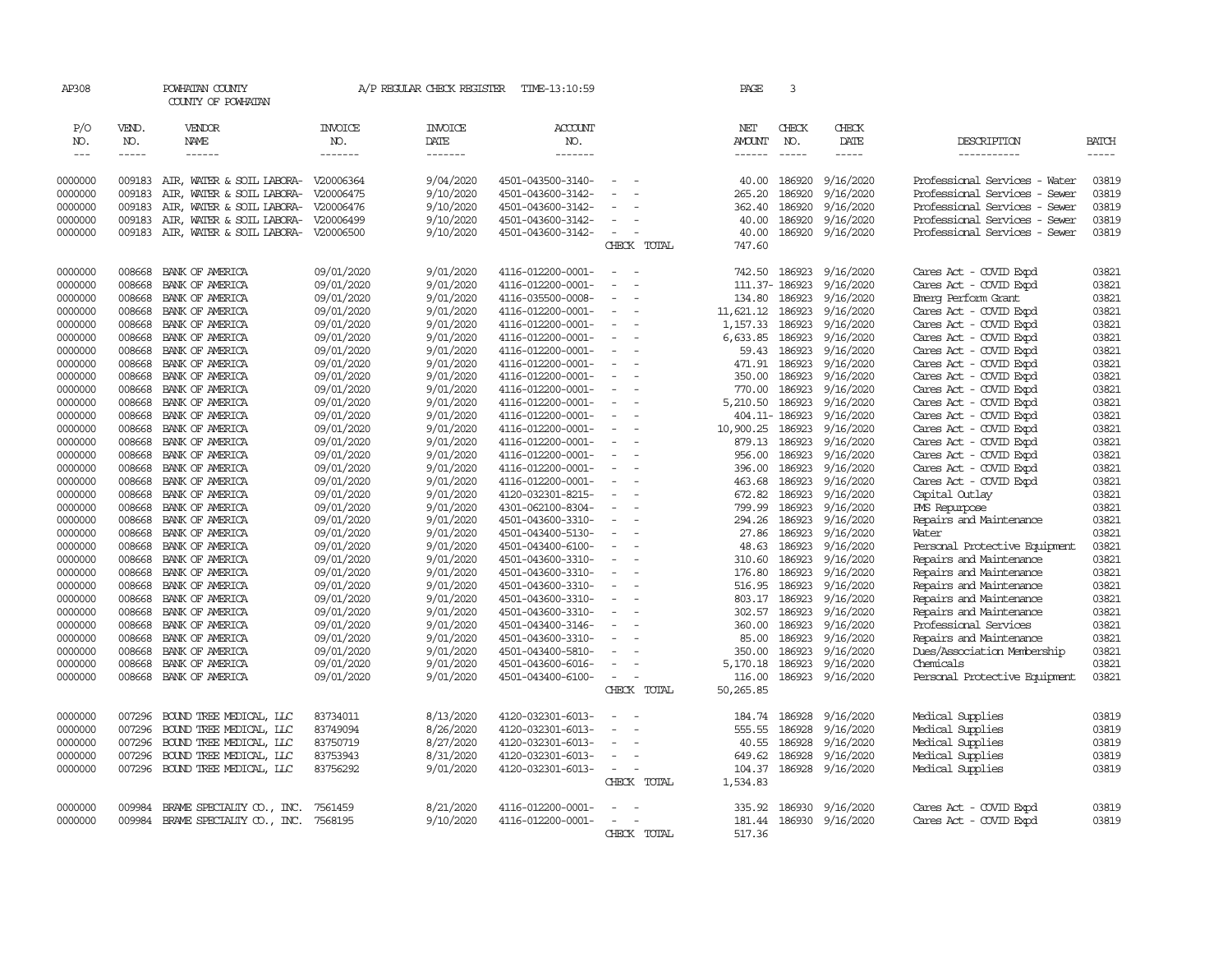| AP308         |             | POWHATAN COUNTY<br>COUNTY OF POWHATAN |                | A/P REGULAR CHECK REGISTER | TIME-13:10:59     |                                                      | PAGE           | 3              |                  |                               |       |
|---------------|-------------|---------------------------------------|----------------|----------------------------|-------------------|------------------------------------------------------|----------------|----------------|------------------|-------------------------------|-------|
| P/O           | VEND.       | VENDOR                                | <b>INVOICE</b> | <b>INVOICE</b>             | ACCOUNT           |                                                      | NET            | CHECK          | CHECK            |                               |       |
| NO.           | NO.         | NAME                                  | NO.            | DATE                       | NO.               |                                                      | AMOUNT         | NO.            | DATE             | DESCRIPTION                   | BATCH |
| $\frac{1}{2}$ | $- - - - -$ | ------                                | -------        | -------                    | -------           |                                                      |                | $- - - - -$    | $- - - - -$      | -----------                   | ----- |
| 0000000       | 009183      | AIR, WATER & SOIL LABORA- V20006364   |                | 9/04/2020                  | 4501-043500-3140- | $\overline{\phantom{a}}$                             | 40.00          | 186920         | 9/16/2020        | Professional Services - Water | 03819 |
| 0000000       | 009183      | AIR, WATER & SOIL LABORA-             | V20006475      | 9/10/2020                  | 4501-043600-3142- |                                                      | 265.20         | 186920         | 9/16/2020        | Professional Services - Sewer | 03819 |
| 0000000       | 009183      | AIR, WATER & SOIL LABORA- V20006476   |                | 9/10/2020                  | 4501-043600-3142- |                                                      | 362.40         | 186920         | 9/16/2020        | Professional Services - Sewer | 03819 |
| 0000000       | 009183      | AIR, WATER & SOIL LABORA- V20006499   |                | 9/10/2020                  | 4501-043600-3142- | $\overline{\phantom{a}}$                             | 40.00          | 186920         | 9/16/2020        | Professional Services - Sewer | 03819 |
| 0000000       | 009183      | AIR, WATER & SOIL LABORA- V20006500   |                | 9/10/2020                  | 4501-043600-3142- | $\sim$                                               | 40.00          |                | 186920 9/16/2020 | Professional Services - Sewer | 03819 |
|               |             |                                       |                |                            |                   | CHECK TOTAL                                          | 747.60         |                |                  |                               |       |
| 0000000       | 008668      | BANK OF AMERICA                       | 09/01/2020     | 9/01/2020                  | 4116-012200-0001- | $\sim$<br>$\sim$                                     | 742.50         | 186923         | 9/16/2020        | Cares Act - COVID Expd        | 03821 |
| 0000000       | 008668      | BANK OF AMERICA                       | 09/01/2020     | 9/01/2020                  | 4116-012200-0001- | $\equiv$<br>$\overline{\phantom{a}}$                 | 111.37- 186923 |                | 9/16/2020        | Cares Act - COVID Expd        | 03821 |
| 0000000       | 008668      | BANK OF AMERICA                       | 09/01/2020     | 9/01/2020                  | 4116-035500-0008- | $\sim$                                               | 134.80         | 186923         | 9/16/2020        | Emerg Perform Grant           | 03821 |
| 0000000       | 008668      | BANK OF AMERICA                       | 09/01/2020     | 9/01/2020                  | 4116-012200-0001- | $\equiv$                                             | 11,621.12      | 186923         | 9/16/2020        | Cares Act - COVID Expd        | 03821 |
| 0000000       | 008668      | BANK OF AMERICA                       | 09/01/2020     | 9/01/2020                  | 4116-012200-0001- | $\sim$<br>$\overline{\phantom{a}}$                   | 1,157.33       | 186923         | 9/16/2020        | Cares Act - COVID Expd        | 03821 |
| 0000000       | 008668      | BANK OF AMERICA                       | 09/01/2020     | 9/01/2020                  | 4116-012200-0001- |                                                      | 6,633.85       | 186923         | 9/16/2020        | Cares Act - COVID Expd        | 03821 |
| 0000000       | 008668      | BANK OF AMERICA                       | 09/01/2020     | 9/01/2020                  | 4116-012200-0001- | $\equiv$                                             | 59.43          | 186923         | 9/16/2020        | Cares Act - COVID Expd        | 03821 |
| 0000000       | 008668      | BANK OF AMERICA                       | 09/01/2020     | 9/01/2020                  | 4116-012200-0001- |                                                      | 471.91         | 186923         | 9/16/2020        | Cares Act - COVID Expd        | 03821 |
| 0000000       | 008668      | BANK OF AMERICA                       | 09/01/2020     | 9/01/2020                  | 4116-012200-0001- | $\equiv$<br>$\overline{\phantom{a}}$                 | 350.00         | 186923         | 9/16/2020        | Cares Act - COVID Expd        | 03821 |
| 0000000       | 008668      | BANK OF AMERICA                       | 09/01/2020     | 9/01/2020                  | 4116-012200-0001- |                                                      | 770.00         | 186923         | 9/16/2020        | Cares Act - COVID Expd        | 03821 |
| 0000000       | 008668      | BANK OF AMERICA                       | 09/01/2020     | 9/01/2020                  | 4116-012200-0001- | $\equiv$<br>÷,                                       | 5,210.50       | 186923         | 9/16/2020        | Cares Act - COVID Expd        | 03821 |
| 0000000       | 008668      | BANK OF AMERICA                       | 09/01/2020     | 9/01/2020                  | 4116-012200-0001- |                                                      |                | 404.11- 186923 | 9/16/2020        | Cares Act - COVID Expd        | 03821 |
| 0000000       | 008668      | BANK OF AMERICA                       | 09/01/2020     | 9/01/2020                  | 4116-012200-0001- | $\overline{\phantom{a}}$<br>÷,                       | 10,900.25      | 186923         | 9/16/2020        | Cares Act - COVID Expd        | 03821 |
| 0000000       | 008668      | BANK OF AMERICA                       | 09/01/2020     | 9/01/2020                  | 4116-012200-0001- |                                                      | 879.13         | 186923         | 9/16/2020        | Cares Act - COVID Expd        | 03821 |
| 0000000       | 008668      | BANK OF AMERICA                       | 09/01/2020     | 9/01/2020                  | 4116-012200-0001- | $\sim$                                               | 956.00         | 186923         | 9/16/2020        | Cares Act - COVID Expd        | 03821 |
| 0000000       | 008668      | BANK OF AMERICA                       | 09/01/2020     | 9/01/2020                  | 4116-012200-0001- |                                                      | 396.00         | 186923         | 9/16/2020        | Cares Act - COVID Expd        | 03821 |
| 0000000       | 008668      | BANK OF AMERICA                       | 09/01/2020     | 9/01/2020                  | 4116-012200-0001- | $\sim$<br>$\sim$                                     | 463.68         | 186923         | 9/16/2020        | Cares Act - COVID Expd        | 03821 |
| 0000000       | 008668      | BANK OF AMERICA                       | 09/01/2020     | 9/01/2020                  | 4120-032301-8215- |                                                      | 672.82         | 186923         | 9/16/2020        | Capital Outlay                | 03821 |
| 0000000       | 008668      | BANK OF AMERICA                       | 09/01/2020     | 9/01/2020                  | 4301-062100-8304- |                                                      | 799.99         | 186923         | 9/16/2020        | PMS Repurpose                 | 03821 |
| 0000000       | 008668      | BANK OF AMERICA                       | 09/01/2020     | 9/01/2020                  | 4501-043600-3310- |                                                      | 294.26         | 186923         | 9/16/2020        | Repairs and Maintenance       | 03821 |
| 0000000       | 008668      | BANK OF AMERICA                       | 09/01/2020     | 9/01/2020                  | 4501-043400-5130- | $\overline{a}$                                       | 27.86          | 186923         | 9/16/2020        | Water                         | 03821 |
| 0000000       | 008668      | BANK OF AMERICA                       | 09/01/2020     | 9/01/2020                  | 4501-043400-6100- | $\equiv$                                             | 48.63          | 186923         | 9/16/2020        | Personal Protective Equipment | 03821 |
| 0000000       | 008668      | BANK OF AMERICA                       | 09/01/2020     | 9/01/2020                  | 4501-043600-3310- |                                                      | 310.60         | 186923         | 9/16/2020        | Repairs and Maintenance       | 03821 |
| 0000000       | 008668      | BANK OF AMERICA                       | 09/01/2020     | 9/01/2020                  | 4501-043600-3310- | $\sim$                                               | 176.80         | 186923         | 9/16/2020        | Repairs and Maintenance       | 03821 |
| 0000000       | 008668      | BANK OF AMERICA                       | 09/01/2020     | 9/01/2020                  | 4501-043600-3310- |                                                      | 516.95         | 186923         | 9/16/2020        | Repairs and Maintenance       | 03821 |
| 0000000       | 008668      | BANK OF AMERICA                       | 09/01/2020     | 9/01/2020                  | 4501-043600-3310- |                                                      | 803.17         | 186923         | 9/16/2020        | Repairs and Maintenance       | 03821 |
| 0000000       | 008668      | BANK OF AMERICA                       | 09/01/2020     | 9/01/2020                  | 4501-043600-3310- |                                                      | 302.57         | 186923         | 9/16/2020        | Repairs and Maintenance       | 03821 |
| 0000000       | 008668      | BANK OF AMERICA                       | 09/01/2020     | 9/01/2020                  | 4501-043400-3146- |                                                      | 360.00         | 186923         | 9/16/2020        | Professional Services         | 03821 |
| 0000000       | 008668      | BANK OF AMERICA                       | 09/01/2020     | 9/01/2020                  | 4501-043600-3310- |                                                      | 85.00          | 186923         | 9/16/2020        | Repairs and Maintenance       | 03821 |
| 0000000       | 008668      | BANK OF AMERICA                       | 09/01/2020     | 9/01/2020                  | 4501-043400-5810- |                                                      | 350.00         | 186923         | 9/16/2020        | Dues/Association Membership   | 03821 |
| 0000000       | 008668      | BANK OF AMERICA                       | 09/01/2020     | 9/01/2020                  | 4501-043600-6016- |                                                      | 5,170.18       | 186923         | 9/16/2020        | Chemicals                     | 03821 |
| 0000000       |             | 008668 BANK OF AMERICA                | 09/01/2020     | 9/01/2020                  | 4501-043400-6100- | $\sim$<br>$\sim$                                     | 116.00         | 186923         | 9/16/2020        | Personal Protective Equipment | 03821 |
|               |             |                                       |                |                            |                   | CHECK TOTAL                                          | 50,265.85      |                |                  |                               |       |
| 0000000       | 007296      | BOUND TREE MEDICAL, LLC               | 83734011       | 8/13/2020                  | 4120-032301-6013- |                                                      | 184.74         | 186928         | 9/16/2020        | Medical Supplies              | 03819 |
| 0000000       | 007296      | BOUND TREE MEDICAL, LLC               | 83749094       | 8/26/2020                  | 4120-032301-6013- | $\sim$<br>÷.                                         | 555.55         | 186928         | 9/16/2020        | Medical Supplies              | 03819 |
| 0000000       | 007296      | BOUND TREE MEDICAL, LLC               | 83750719       | 8/27/2020                  | 4120-032301-6013- | $\equiv$                                             | 40.55          | 186928         | 9/16/2020        | Medical Supplies              | 03819 |
| 0000000       | 007296      | BOUND TREE MEDICAL, LLC               | 83753943       | 8/31/2020                  | 4120-032301-6013- | $\equiv$                                             | 649.62         | 186928         | 9/16/2020        | Medical Supplies              | 03819 |
| 0000000       | 007296      | BOUND TREE MEDICAL, LLC               | 83756292       | 9/01/2020                  | 4120-032301-6013- | $\overline{\phantom{a}}$<br>$\overline{\phantom{a}}$ | 104.37         |                | 186928 9/16/2020 | Medical Supplies              | 03819 |
|               |             |                                       |                |                            |                   | CHECK TOTAL                                          | 1,534.83       |                |                  |                               |       |
| 0000000       | 009984      | BRAME SPECIALITY CO., INC.            | 7561459        | 8/21/2020                  | 4116-012200-0001- |                                                      | 335.92         | 186930         | 9/16/2020        | Cares Act - COVID Expd        | 03819 |
| 0000000       | 009984      | BRAME SPECIALIY CO., INC.             | 7568195        | 9/10/2020                  | 4116-012200-0001- | $\overline{\phantom{a}}$                             | 181.44         |                | 186930 9/16/2020 | Cares Act - COVID Expd        | 03819 |
|               |             |                                       |                |                            |                   | CHECK TOTAL                                          | 517.36         |                |                  |                               |       |
|               |             |                                       |                |                            |                   |                                                      |                |                |                  |                               |       |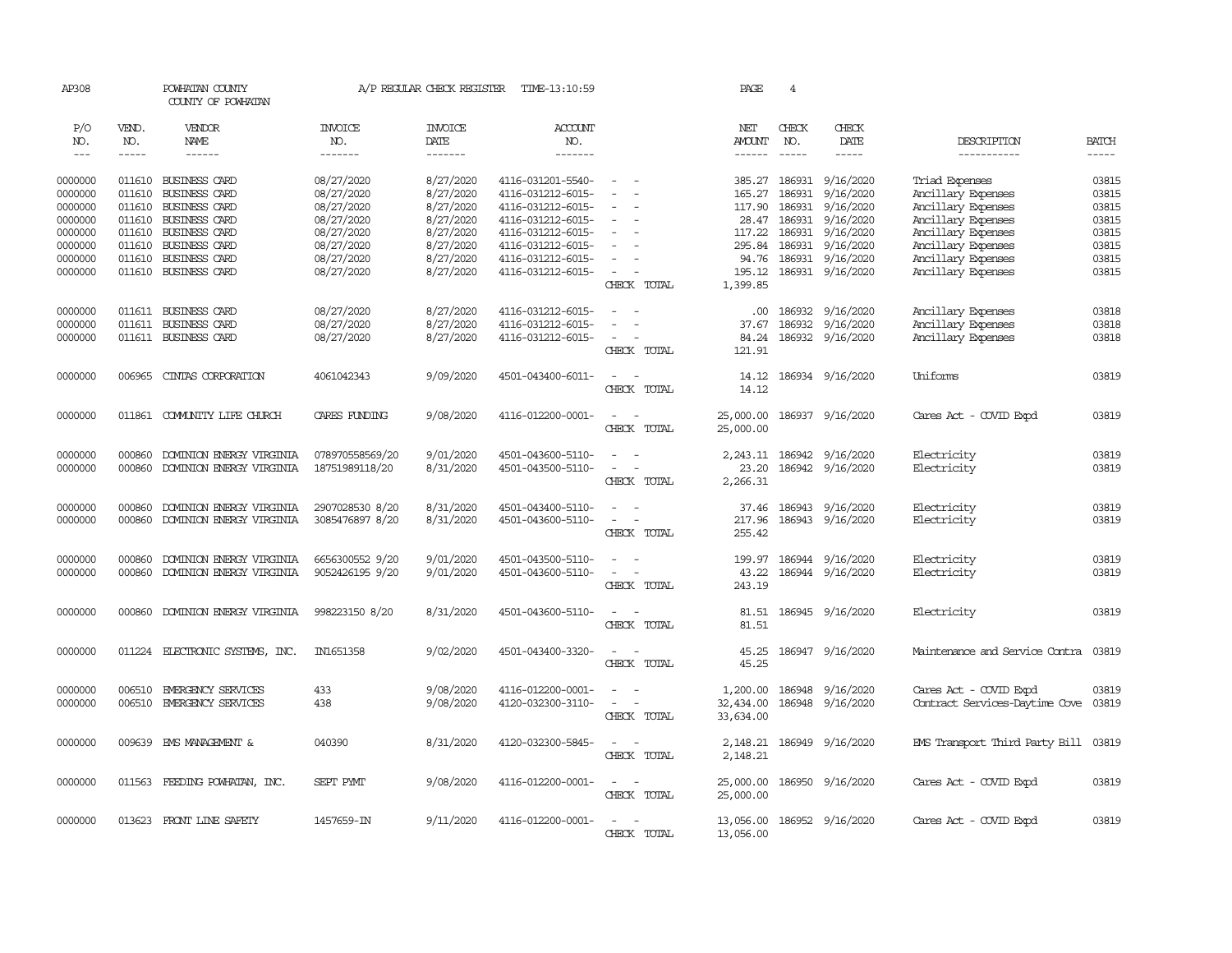| AP308               |              | POWHATAN COUNTY<br>COUNTY OF POWHATAN |                          | A/P REGULAR CHECK REGISTER | TIME-13:10:59                          |                                                                                                              | PAGE                   | 4             |                                      |                                      |                |
|---------------------|--------------|---------------------------------------|--------------------------|----------------------------|----------------------------------------|--------------------------------------------------------------------------------------------------------------|------------------------|---------------|--------------------------------------|--------------------------------------|----------------|
| P/O<br>NO.          | VEND.<br>NO. | VENDOR<br>NAME                        | <b>INVOICE</b><br>NO.    | <b>INVOICE</b><br>DATE     | ACCOUNT<br>NO.                         |                                                                                                              | NET<br>AMOUNT          | CHECK<br>NO.  | CHECK<br>DATE                        | DESCRIPTION                          | <b>BATCH</b>   |
| $\qquad \qquad - -$ | $- - - - -$  | ------                                | -------                  | -------                    | --------                               |                                                                                                              | ------                 | $- - - - -$   | -----                                | -----------                          | $- - - - -$    |
| 0000000<br>0000000  | 011610       | 011610 BUSINESS CARD<br>BUSINESS CARD | 08/27/2020<br>08/27/2020 | 8/27/2020<br>8/27/2020     | 4116-031201-5540-<br>4116-031212-6015- | $\sim$                                                                                                       | 165.27                 | 186931        | 385.27 186931 9/16/2020<br>9/16/2020 | Triad Expenses<br>Ancillary Expenses | 03815<br>03815 |
| 0000000             | 011610       | BUSINESS CARD                         | 08/27/2020               | 8/27/2020                  | 4116-031212-6015-                      |                                                                                                              | 117.90                 | 186931        | 9/16/2020                            | Ancillary Expenses                   | 03815          |
| 0000000             | 011610       | <b>BUSINESS CARD</b>                  | 08/27/2020               | 8/27/2020                  | 4116-031212-6015-                      |                                                                                                              |                        | 28.47 186931  | 9/16/2020                            | Ancillary Expenses                   | 03815          |
| 0000000             | 011610       | <b>BUSINESS CARD</b>                  | 08/27/2020               | 8/27/2020                  | 4116-031212-6015-                      |                                                                                                              |                        | 117.22 186931 | 9/16/2020                            | Ancillary Expenses                   | 03815          |
| 0000000             | 011610       | <b>BUSINESS CARD</b>                  | 08/27/2020               | 8/27/2020                  | 4116-031212-6015-                      |                                                                                                              | 295.84                 | 186931        | 9/16/2020                            | Ancillary Expenses                   | 03815          |
| 0000000             | 011610       | BUSINESS CARD                         | 08/27/2020               | 8/27/2020                  | 4116-031212-6015-                      |                                                                                                              |                        |               | 94.76 186931 9/16/2020               | Ancillary Expenses                   | 03815          |
| 0000000             |              | 011610 BUSINESS CARD                  | 08/27/2020               | 8/27/2020                  | 4116-031212-6015-                      | $\sim$                                                                                                       |                        |               | 195.12 186931 9/16/2020              | Ancillary Expenses                   | 03815          |
|                     |              |                                       |                          |                            |                                        | CHECK TOTAL                                                                                                  | 1,399.85               |               |                                      |                                      |                |
| 0000000             |              | 011611 BUSINESS CARD                  | 08/27/2020               | 8/27/2020                  | 4116-031212-6015-                      |                                                                                                              | $.00 \cdot$            | 186932        | 9/16/2020                            | Ancillary Expenses                   | 03818          |
| 0000000             |              | 011611 BUSINESS CARD                  | 08/27/2020               | 8/27/2020                  | 4116-031212-6015-                      | $\overline{\phantom{a}}$<br>$\overline{\phantom{a}}$                                                         | 37.67                  | 186932        | 9/16/2020                            | Ancillary Expenses                   | 03818          |
| 0000000             |              | 011611 BUSINESS CARD                  | 08/27/2020               | 8/27/2020                  | 4116-031212-6015-                      | $\sim$                                                                                                       | 84.24                  |               | 186932 9/16/2020                     | Ancillary Expenses                   | 03818          |
|                     |              |                                       |                          |                            |                                        | CHECK TOTAL                                                                                                  | 121.91                 |               |                                      |                                      |                |
| 0000000             | 006965       | CINIAS CORPORATION                    | 4061042343               | 9/09/2020                  | 4501-043400-6011-                      | $\sim$<br>$\sim$                                                                                             | 14.12                  |               | 186934 9/16/2020                     | Uniforms                             | 03819          |
|                     |              |                                       |                          |                            |                                        | CHECK TOTAL                                                                                                  | 14.12                  |               |                                      |                                      |                |
|                     |              |                                       |                          |                            |                                        |                                                                                                              |                        |               |                                      |                                      |                |
| 0000000             |              | 011861 COMUNITY LIFE CHURCH           | CARES FUNDING            | 9/08/2020                  | 4116-012200-0001-                      | $\overline{\phantom{a}}$<br>$\sim$<br>CHECK TOTAL                                                            | 25,000.00<br>25,000.00 |               | 186937 9/16/2020                     | Cares Act - COVID Expd               | 03819          |
|                     |              |                                       |                          |                            |                                        |                                                                                                              |                        |               |                                      |                                      |                |
| 0000000             | 000860       | DOMINION ENERGY VIRGINIA              | 078970558569/20          | 9/01/2020                  | 4501-043600-5110-                      | $\equiv$                                                                                                     |                        |               | 2, 243.11 186942 9/16/2020           | Electricity                          | 03819          |
| 0000000             | 000860       | DOMINION ENERGY VIRGINIA              | 18751989118/20           | 8/31/2020                  | 4501-043500-5110-                      | $\sim$<br>$\sim$                                                                                             | 23.20                  |               | 186942 9/16/2020                     | Electricity                          | 03819          |
|                     |              |                                       |                          |                            |                                        | CHECK TOTAL                                                                                                  | 2,266.31               |               |                                      |                                      |                |
| 0000000             | 000860       | DOMINION ENERGY VIRGINIA              | 2907028530 8/20          | 8/31/2020                  | 4501-043400-5110-                      | $\frac{1}{2} \left( \frac{1}{2} \right) \left( \frac{1}{2} \right) = \frac{1}{2} \left( \frac{1}{2} \right)$ |                        |               | 37.46 186943 9/16/2020               | Electricity                          | 03819          |
| 0000000             | 000860       | DOMINION ENERGY VIRGINIA              | 3085476897 8/20          | 8/31/2020                  | 4501-043600-5110-                      | $\blacksquare$<br>$\overline{\phantom{a}}$                                                                   | 217.96                 |               | 186943 9/16/2020                     | Electricity                          | 03819          |
|                     |              |                                       |                          |                            |                                        | CHECK TOTAL                                                                                                  | 255.42                 |               |                                      |                                      |                |
| 0000000             | 000860       | DOMINION ENERGY VIRGINIA              | 6656300552 9/20          | 9/01/2020                  | 4501-043500-5110-                      | $\sim$                                                                                                       | 199.97                 |               | 186944 9/16/2020                     | Electricity                          | 03819          |
| 0000000             | 000860       | DOMINION ENERGY VIRGINIA              | 9052426195 9/20          | 9/01/2020                  | 4501-043600-5110-                      | $\sim$<br>$\sim$                                                                                             | 43.22                  |               | 186944 9/16/2020                     | Electricity                          | 03819          |
|                     |              |                                       |                          |                            |                                        | CHECK TOTAL                                                                                                  | 243.19                 |               |                                      |                                      |                |
| 0000000             | 000860       | DOMINION ENERGY VIRGINIA              | 998223150 8/20           | 8/31/2020                  | 4501-043600-5110-                      | $\sim$                                                                                                       | 81.51                  |               | 186945 9/16/2020                     | Electricity                          | 03819          |
|                     |              |                                       |                          |                            |                                        | CHECK TOTAL                                                                                                  | 81.51                  |               |                                      |                                      |                |
|                     |              |                                       |                          |                            |                                        |                                                                                                              |                        |               |                                      |                                      |                |
| 0000000             |              | 011224 ELECTRONIC SYSTEMS, INC.       | IN1651358                | 9/02/2020                  | 4501-043400-3320-                      | $\sim$ $ \sim$                                                                                               | 45.25                  |               | 186947 9/16/2020                     | Maintenance and Service Contra       | 03819          |
|                     |              |                                       |                          |                            |                                        | CHECK TOTAL                                                                                                  | 45.25                  |               |                                      |                                      |                |
| 0000000             | 006510       | EMERGENCY SERVICES                    | 433                      | 9/08/2020                  | 4116-012200-0001-                      | $\frac{1}{2} \left( \frac{1}{2} \right) \left( \frac{1}{2} \right) = \frac{1}{2} \left( \frac{1}{2} \right)$ | 1,200.00               |               | 186948 9/16/2020                     | Cares Act - COVID Expd               | 03819          |
| 0000000             | 006510       | EMERGENCY SERVICES                    | 438                      | 9/08/2020                  | 4120-032300-3110-                      | $\equiv$                                                                                                     | 32,434.00              |               | 186948 9/16/2020                     | Contract Services-Daytime Cove       | 03819          |
|                     |              |                                       |                          |                            |                                        | CHECK TOTAL                                                                                                  | 33,634.00              |               |                                      |                                      |                |
| 0000000             | 009639       | EMS MANAGEMENT &                      | 040390                   | 8/31/2020                  | 4120-032300-5845-                      | $\sim$<br>$\sim$                                                                                             | 2,148.21               |               | 186949 9/16/2020                     | EMS Transport Third Party Bill 03819 |                |
|                     |              |                                       |                          |                            |                                        | CHECK TOTAL                                                                                                  | 2,148.21               |               |                                      |                                      |                |
|                     |              |                                       |                          |                            |                                        |                                                                                                              |                        |               |                                      |                                      |                |
| 0000000             |              | 011563 FEEDING POWHATAN, INC.         | SEPT PYMT                | 9/08/2020                  | 4116-012200-0001-                      | $\sim$ $ \sim$                                                                                               | 25,000.00              |               | 186950 9/16/2020                     | Cares Act - COVID Expd               | 03819          |
|                     |              |                                       |                          |                            |                                        | CHECK TOTAL                                                                                                  | 25,000.00              |               |                                      |                                      |                |
| 0000000             |              | 013623 FRONT LINE SAFETY              | 1457659-IN               | 9/11/2020                  | 4116-012200-0001-                      | $ -$                                                                                                         |                        |               | 13,056.00 186952 9/16/2020           | Cares Act - COVID Expd               | 03819          |
|                     |              |                                       |                          |                            |                                        | CHECK TOTAL                                                                                                  | 13,056.00              |               |                                      |                                      |                |
|                     |              |                                       |                          |                            |                                        |                                                                                                              |                        |               |                                      |                                      |                |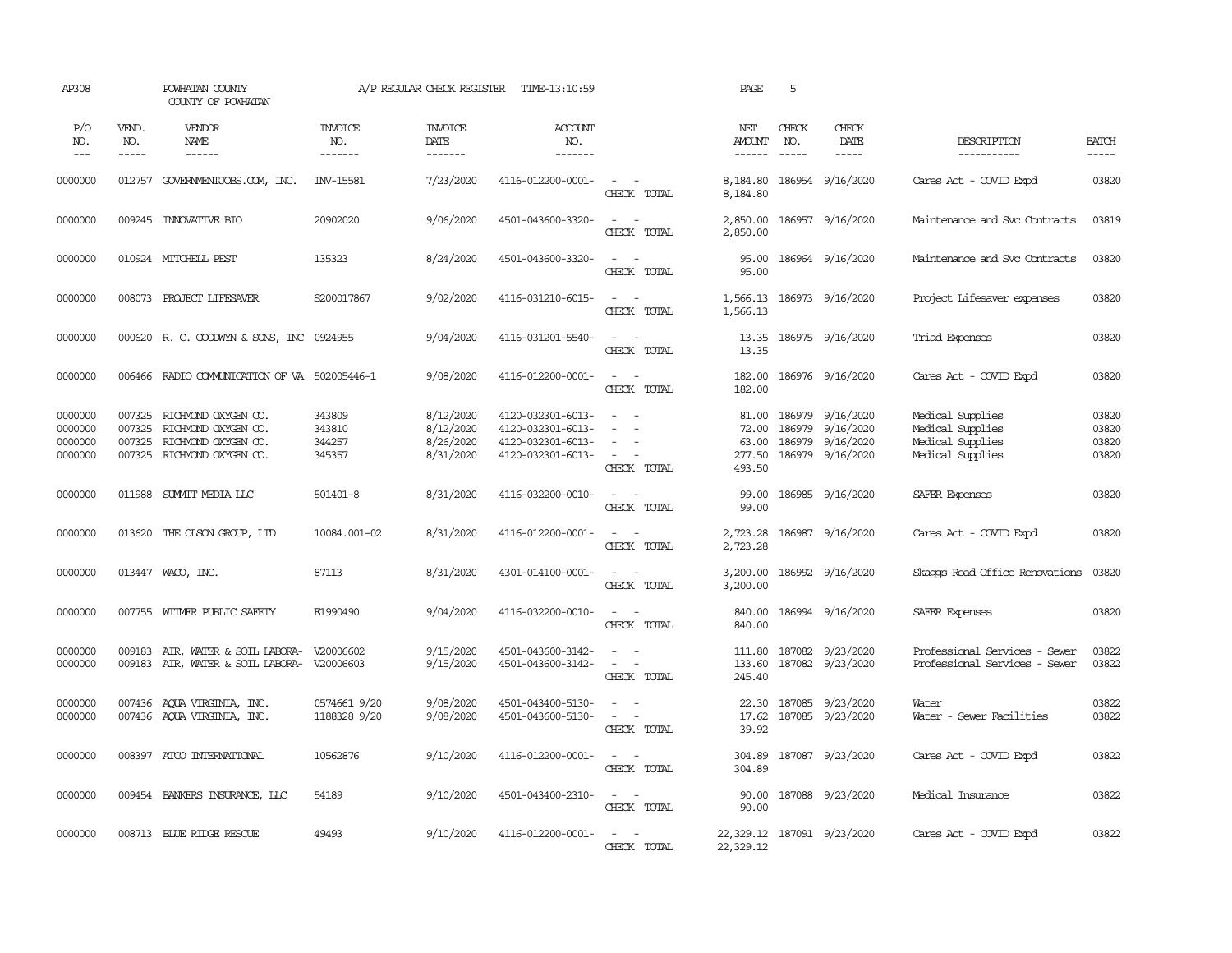| AP308                                    |                                      | POWHATAN COUNTY<br>COUNTY OF POWHATAN                                                    |                                      | A/P REGULAR CHECK REGISTER                       | TIME-13:10:59                                                                    |                                                                                                  | PAGE                                        | 5                             |                                                         |                                                                              |                                  |
|------------------------------------------|--------------------------------------|------------------------------------------------------------------------------------------|--------------------------------------|--------------------------------------------------|----------------------------------------------------------------------------------|--------------------------------------------------------------------------------------------------|---------------------------------------------|-------------------------------|---------------------------------------------------------|------------------------------------------------------------------------------|----------------------------------|
| P/O<br>NO.<br>$---$                      | VEND.<br>NO.<br>$- - - - -$          | VENDOR<br>NAME<br>------                                                                 | <b>INVOICE</b><br>NO.<br>-------     | <b>INVOICE</b><br>DATE<br>-------                | ACCOUNT<br>NO.<br>--------                                                       |                                                                                                  | NET<br><b>AMOUNT</b><br>$- - - - - -$       | CHECK<br>NO.<br>$\frac{1}{2}$ | CHECK<br>DATE<br>$- - - - -$                            | DESCRIPTION<br>-----------                                                   | <b>BATCH</b><br>$- - - - -$      |
| 0000000                                  |                                      | 012757 GOVERNMENTJOBS.COM, INC.                                                          | INV-15581                            | 7/23/2020                                        | 4116-012200-0001-                                                                | $\mathcal{L} = \mathcal{L} \times \mathcal{L}$<br>CHECK TOTAL                                    | 8,184.80                                    |                               | 8,184.80 186954 9/16/2020                               | Cares Act - COVID Expd                                                       | 03820                            |
| 0000000                                  | 009245                               | <b>INVOVATIVE BIO</b>                                                                    | 20902020                             | 9/06/2020                                        | 4501-043600-3320-                                                                | $\sim$ $ \sim$<br>CHECK TOTAL                                                                    | 2,850.00<br>2,850.00                        |                               | 186957 9/16/2020                                        | Maintenance and Svc Contracts                                                | 03819                            |
| 0000000                                  |                                      | 010924 MITCHELL PEST                                                                     | 135323                               | 8/24/2020                                        | 4501-043600-3320-                                                                | $\sim$ $ -$<br>CHECK TOTAL                                                                       | 95.00<br>95.00                              |                               | 186964 9/16/2020                                        | Maintenance and Svc Contracts                                                | 03820                            |
| 0000000                                  |                                      | 008073 PROJECT LIFESAVER                                                                 | S200017867                           | 9/02/2020                                        | 4116-031210-6015-                                                                | $\sim$<br>$\sim$<br>CHECK TOTAL                                                                  | 1,566.13                                    |                               | 1,566.13 186973 9/16/2020                               | Project Lifesaver expenses                                                   | 03820                            |
| 0000000                                  |                                      | 000620 R.C. GOODWYN & SONS, INC 0924955                                                  |                                      | 9/04/2020                                        | 4116-031201-5540-                                                                | $\sim$<br>$\sim$<br>CHECK TOTAL                                                                  | 13.35<br>13.35                              |                               | 186975 9/16/2020                                        | Triad Expenses                                                               | 03820                            |
| 0000000                                  | 006466                               | RADIO COMMUNICATION OF VA 502005446-1                                                    |                                      | 9/08/2020                                        | 4116-012200-0001-                                                                | $\sim$ $ \sim$<br>CHECK TOTAL                                                                    | 182.00<br>182.00                            |                               | 186976 9/16/2020                                        | Cares Act - COVID Expd                                                       | 03820                            |
| 0000000<br>0000000<br>0000000<br>0000000 | 007325<br>007325<br>007325<br>007325 | RICHMOND OXYGEN CO.<br>RICHMOND OXYGEN CO.<br>RICHMOND OXYGEN CO.<br>RICHMOND OXYGEN CO. | 343809<br>343810<br>344257<br>345357 | 8/12/2020<br>8/12/2020<br>8/26/2020<br>8/31/2020 | 4120-032301-6013-<br>4120-032301-6013-<br>4120-032301-6013-<br>4120-032301-6013- | $\equiv$<br>$\sim$<br>$\overline{\phantom{a}}$<br>$\sim$<br>$\sim$<br>$\sim$ $ -$<br>CHECK TOTAL | 81.00<br>72.00<br>63.00<br>277.50<br>493.50 | 186979<br>186979<br>186979    | 9/16/2020<br>9/16/2020<br>9/16/2020<br>186979 9/16/2020 | Medical Supplies<br>Medical Supplies<br>Medical Supplies<br>Medical Supplies | 03820<br>03820<br>03820<br>03820 |
| 0000000                                  | 011988                               | SUMIT MEDIA LLC                                                                          | 501401-8                             | 8/31/2020                                        | 4116-032200-0010-                                                                | $\sim$ $ \sim$<br>CHECK TOTAL                                                                    | 99.00<br>99.00                              |                               | 186985 9/16/2020                                        | SAFER Expenses                                                               | 03820                            |
| 0000000                                  | 013620                               | THE OLSON GROUP, LID                                                                     | 10084.001-02                         | 8/31/2020                                        | 4116-012200-0001-                                                                | $\overline{\phantom{a}}$<br>$\sim$<br>CHECK TOTAL                                                | 2,723.28<br>2,723.28                        |                               | 186987 9/16/2020                                        | Cares Act - COVID Expd                                                       | 03820                            |
| 0000000                                  |                                      | 013447 WACO, INC.                                                                        | 87113                                | 8/31/2020                                        | 4301-014100-0001-                                                                | $\sim$<br>$\sim$<br>CHECK TOTAL                                                                  | 3,200.00<br>3,200.00                        |                               | 186992 9/16/2020                                        | Skaggs Road Office Renovations                                               | 03820                            |
| 0000000                                  |                                      | 007755 WITMER PUBLIC SAFETY                                                              | E1990490                             | 9/04/2020                                        | 4116-032200-0010-                                                                | $\sim$ $ -$<br>CHECK TOTAL                                                                       | 840.00<br>840.00                            |                               | 186994 9/16/2020                                        | SAFER Expenses                                                               | 03820                            |
| 0000000<br>0000000                       | 009183                               | AIR, WATER & SOIL LABORA-<br>009183 AIR, WATER & SOIL LABORA-                            | V20006602<br>V20006603               | 9/15/2020<br>9/15/2020                           | 4501-043600-3142-<br>4501-043600-3142-                                           | $\sim$ $\sim$<br>$\sim$<br>$\sim$<br>$\sim$ $-$<br>CHECK TOTAL                                   | 111.80<br>133.60<br>245.40                  |                               | 187082 9/23/2020<br>187082 9/23/2020                    | Professional Services - Sewer<br>Professional Services - Sewer               | 03822<br>03822                   |
| 0000000<br>0000000                       |                                      | 007436 AQUA VIRGINIA, INC.<br>007436 AQUA VIRGINIA, INC.                                 | 0574661 9/20<br>1188328 9/20         | 9/08/2020<br>9/08/2020                           | 4501-043400-5130-<br>4501-043600-5130-                                           | $\equiv$<br>$\sim$<br>$\sim$<br>$\sim$ $-$<br>CHECK TOTAL                                        | 22.30<br>17.62<br>39.92                     | 187085                        | 187085 9/23/2020<br>9/23/2020                           | Water<br>Water - Sewer Facilities                                            | 03822<br>03822                   |
| 0000000                                  |                                      | 008397 ATCO INTERNATIONAL                                                                | 10562876                             | 9/10/2020                                        | 4116-012200-0001-                                                                | $\sim$ $ \sim$<br>CHECK TOTAL                                                                    | 304.89<br>304.89                            |                               | 187087 9/23/2020                                        | Cares Act - COVID Expd                                                       | 03822                            |
| 0000000                                  |                                      | 009454 BANKERS INSURANCE, LLC                                                            | 54189                                | 9/10/2020                                        | 4501-043400-2310-                                                                | $\sim$ 100 $\sim$<br>CHECK TOTAL                                                                 | 90.00<br>90.00                              |                               | 187088 9/23/2020                                        | Medical Insurance                                                            | 03822                            |
| 0000000                                  |                                      | 008713 BLUE RIDGE RESCUE                                                                 | 49493                                | 9/10/2020                                        | 4116-012200-0001-                                                                | $\sim$<br>$\sim$<br>CHECK TOTAL                                                                  | 22,329.12 187091 9/23/2020<br>22,329.12     |                               |                                                         | Cares Act - COVID Expd                                                       | 03822                            |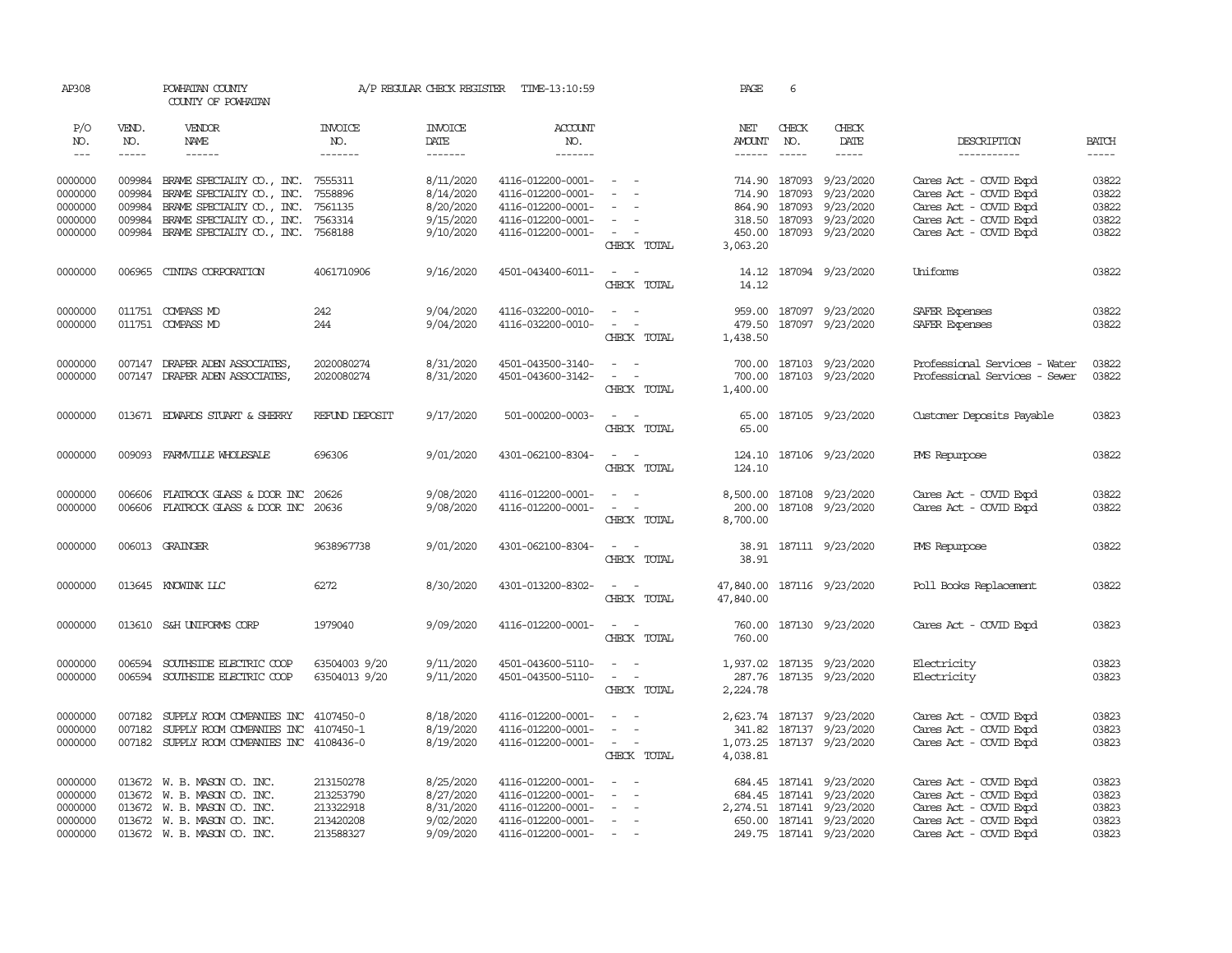| AP308              |              | POWHATAN COUNTY<br>COUNTY OF POWHATAN      |                        | A/P REGULAR CHECK REGISTER | TIME-13:10:59     |                                                 | PAGE               | 6            |                            |                               |                |
|--------------------|--------------|--------------------------------------------|------------------------|----------------------------|-------------------|-------------------------------------------------|--------------------|--------------|----------------------------|-------------------------------|----------------|
| P/O<br>NO.         | VEND.<br>NO. | VENDOR<br>NAME                             | <b>INVOICE</b><br>NO.  | <b>INVOICE</b><br>DATE     | ACCOUNT<br>NO.    |                                                 | NET<br>AMOUNT      | CHECK<br>NO. | CHECK<br>DATE              | DESCRIPTION                   | <b>BATCH</b>   |
| $---$              |              | $- - - - - -$                              | -------                | $- - - - - - -$            | $- - - - - - -$   |                                                 | ------ -----       |              | $- - - - -$                | -----------                   |                |
| 0000000            |              | 009984 BRAME SPECIALITY CO., INC.          | 7555311                | 8/11/2020                  | 4116-012200-0001- | -- -                                            |                    |              | 714.90 187093 9/23/2020    | Cares Act - COVID Expd        | 03822          |
| 0000000            | 009984       | BRAME SPECIALTY CO., INC.                  | 7558896                | 8/14/2020                  | 4116-012200-0001- |                                                 | 714.90             | 187093       | 9/23/2020                  | Cares Act - COVID Expd        | 03822          |
| 0000000            | 009984       | BRAME SPECIALITY CO., INC. 7561135         |                        | 8/20/2020                  | 4116-012200-0001- |                                                 |                    |              | 864.90 187093 9/23/2020    | Cares Act - COVID Expd        | 03822          |
| 0000000            | 009984       | BRAME SPECIALITY CO., INC.                 | 7563314                | 9/15/2020                  | 4116-012200-0001- | $\sim$                                          |                    |              | 318.50 187093 9/23/2020    | Cares Act - COVID Expd        | 03822          |
| 0000000            |              | 009984 BRAME SPECIALTY CO., INC. 7568188   |                        | 9/10/2020                  | 4116-012200-0001- | <b><i><u>Participate</u></i></b><br>CHECK TOTAL | 450.00<br>3,063.20 |              | 187093 9/23/2020           | Cares Act - COVID Expd        | 03822          |
| 0000000            | 006965       | CINIAS CORPORATION                         | 4061710906             | 9/16/2020                  | 4501-043400-6011- | $\sim$ $  -$                                    | 14.12              |              | 187094 9/23/2020           | Uniforms                      | 03822          |
|                    |              |                                            |                        |                            |                   | CHECK TOTAL                                     | 14.12              |              |                            |                               |                |
| 0000000            |              | 011751 COMPASS MD                          | 242                    | 9/04/2020                  | 4116-032200-0010- | $ -$                                            |                    |              | 959.00 187097 9/23/2020    | SAFER Expenses                | 03822          |
| 0000000            |              | 011751 COMPASS MD                          | 244                    | 9/04/2020                  | 4116-032200-0010- | $\sim$ $ \sim$                                  | 479.50             |              | 187097 9/23/2020           | SAFER Expenses                | 03822          |
|                    |              |                                            |                        |                            |                   | CHECK TOTAL                                     | 1,438.50           |              |                            |                               |                |
| 0000000            |              | 007147 DRAPER ADEN ASSOCIATES,             | 2020080274             | 8/31/2020                  | 4501-043500-3140- | $\sim$ $ \sim$                                  |                    |              | 700.00 187103 9/23/2020    | Professional Services - Water | 03822          |
| 0000000            |              | 007147 DRAPER ADEN ASSOCIATES,             | 2020080274             | 8/31/2020                  | 4501-043600-3142- | $\sim$ $ \sim$                                  | 700.00             |              | 187103 9/23/2020           | Professional Services - Sewer | 03822          |
|                    |              |                                            |                        |                            |                   | CHECK TOTAL                                     | 1,400.00           |              |                            |                               |                |
| 0000000            |              | 013671 EDWARDS STUART & SHERRY             | REFUND DEPOSIT         | 9/17/2020                  | 501-000200-0003-  | $\sim$ $  -$                                    | 65.00              |              | 187105 9/23/2020           | Customer Deposits Payable     | 03823          |
|                    |              |                                            |                        |                            |                   | CHECK TOTAL                                     | 65.00              |              |                            |                               |                |
| 0000000            |              | 009093 FARMVILLE WHOLESALE                 | 696306                 | 9/01/2020                  | 4301-062100-8304- | $\sim$ $ -$                                     | 124.10             |              | 187106 9/23/2020           | PMS Repurpose                 | 03822          |
|                    |              |                                            |                        |                            |                   | CHECK TOTAL                                     | 124.10             |              |                            |                               |                |
| 0000000            | 006606       | FLATROCK GLASS & DOOR INC 20626            |                        | 9/08/2020                  | 4116-012200-0001- | $\sim$ $ \sim$                                  |                    |              | 8,500.00 187108 9/23/2020  | Cares Act - COVID Expd        | 03822          |
| 0000000            | 006606       | FLATROCK GLASS & DOOR INC 20636            |                        | 9/08/2020                  | 4116-012200-0001- | $\sim$<br>$\sim$                                | 200.00             |              | 187108 9/23/2020           | Cares Act - COVID Expd        | 03822          |
|                    |              |                                            |                        |                            |                   | CHECK TOTAL                                     | 8,700.00           |              |                            |                               |                |
| 0000000            |              | 006013 GRAINGER                            | 9638967738             | 9/01/2020                  | 4301-062100-8304- | <b>Contract Contract Contract</b>               |                    |              | 38.91 187111 9/23/2020     | PMS Repurpose                 | 03822          |
|                    |              |                                            |                        |                            |                   | CHECK TOTAL                                     | 38.91              |              |                            |                               |                |
| 0000000            |              | 013645 KNOWINK LLC                         | 6272                   | 8/30/2020                  | 4301-013200-8302- | $\sim$ $ -$                                     |                    |              | 47,840.00 187116 9/23/2020 | Poll Books Replacement        | 03822          |
|                    |              |                                            |                        |                            |                   | CHECK TOTAL                                     | 47,840.00          |              |                            |                               |                |
| 0000000            |              | 013610 S&H UNIFORMS CORP                   | 1979040                | 9/09/2020                  | 4116-012200-0001- | $\sim$ $ \sim$                                  |                    |              | 760.00 187130 9/23/2020    | Cares Act - COVID Expd        | 03823          |
|                    |              |                                            |                        |                            |                   | CHECK TOTAL                                     | 760.00             |              |                            |                               |                |
| 0000000            | 006594       | SOUTHSIDE ELECTRIC COOP                    | 63504003 9/20          | 9/11/2020                  | 4501-043600-5110- | $\omega_{\rm{max}}$ , $\omega_{\rm{max}}$       |                    |              | 1,937.02 187135 9/23/2020  | Electricity                   | 03823          |
| 0000000            |              | 006594 SOUTHSIDE ELECTRIC COOP             | 63504013 9/20          | 9/11/2020                  | 4501-043500-5110- | $\sim$ $ \sim$                                  |                    |              | 287.76 187135 9/23/2020    | Electricity                   | 03823          |
|                    |              |                                            |                        |                            |                   | CHECK TOTAL                                     | 2,224.78           |              |                            |                               |                |
| 0000000            | 007182       | SUPPLY ROOM COMPANIES INC 4107450-0        |                        | 8/18/2020                  | 4116-012200-0001- | 100 Hz 100 Hz                                   |                    |              | 2,623.74 187137 9/23/2020  | Cares Act - COVID Expd        | 03823          |
| 0000000            | 007182       | SUPPLY ROOM COMPANIES INC 4107450-1        |                        | 8/19/2020                  | 4116-012200-0001- | $\sim$ $ \sim$                                  |                    |              | 341.82 187137 9/23/2020    | Cares Act - COVID Expd        | 03823          |
| 0000000            |              | 007182 SUPPLY ROOM COMPANIES INC 4108436-0 |                        | 8/19/2020                  | 4116-012200-0001- | $\sim$ $ \sim$ $ -$                             |                    |              | 1,073.25 187137 9/23/2020  | Cares Act - COVID Expd        | 03823          |
|                    |              |                                            |                        |                            |                   | CHECK TOTAL                                     | 4,038.81           |              |                            |                               |                |
| 0000000            |              | 013672 W. B. MASON CO. INC.                | 213150278              | 8/25/2020                  | 4116-012200-0001- | $\sim$                                          |                    |              | 684.45 187141 9/23/2020    | Cares Act - COVID Expd        | 03823          |
| 0000000            |              | 013672 W. B. MASON CO. INC.                | 213253790              | 8/27/2020                  | 4116-012200-0001- |                                                 |                    |              | 684.45 187141 9/23/2020    | Cares Act - COVID Expd        | 03823          |
| 0000000            |              | 013672 W. B. MASON CO. INC.                | 213322918              | 8/31/2020                  | 4116-012200-0001- |                                                 |                    |              | 2, 274.51 187141 9/23/2020 | Cares Act - COVID Expd        | 03823          |
| 0000000<br>0000000 |              | 013672 W. B. MASON CO. INC.                | 213420208<br>213588327 | 9/02/2020<br>9/09/2020     | 4116-012200-0001- | $\sim$<br>$\sim$ $-$                            |                    |              | 650.00 187141 9/23/2020    | Cares Act - COVID Expd        | 03823<br>03823 |
|                    |              | 013672 W. B. MASON CO. INC.                |                        |                            | 4116-012200-0001- |                                                 |                    |              | 249.75 187141 9/23/2020    | Cares Act - COVID Expd        |                |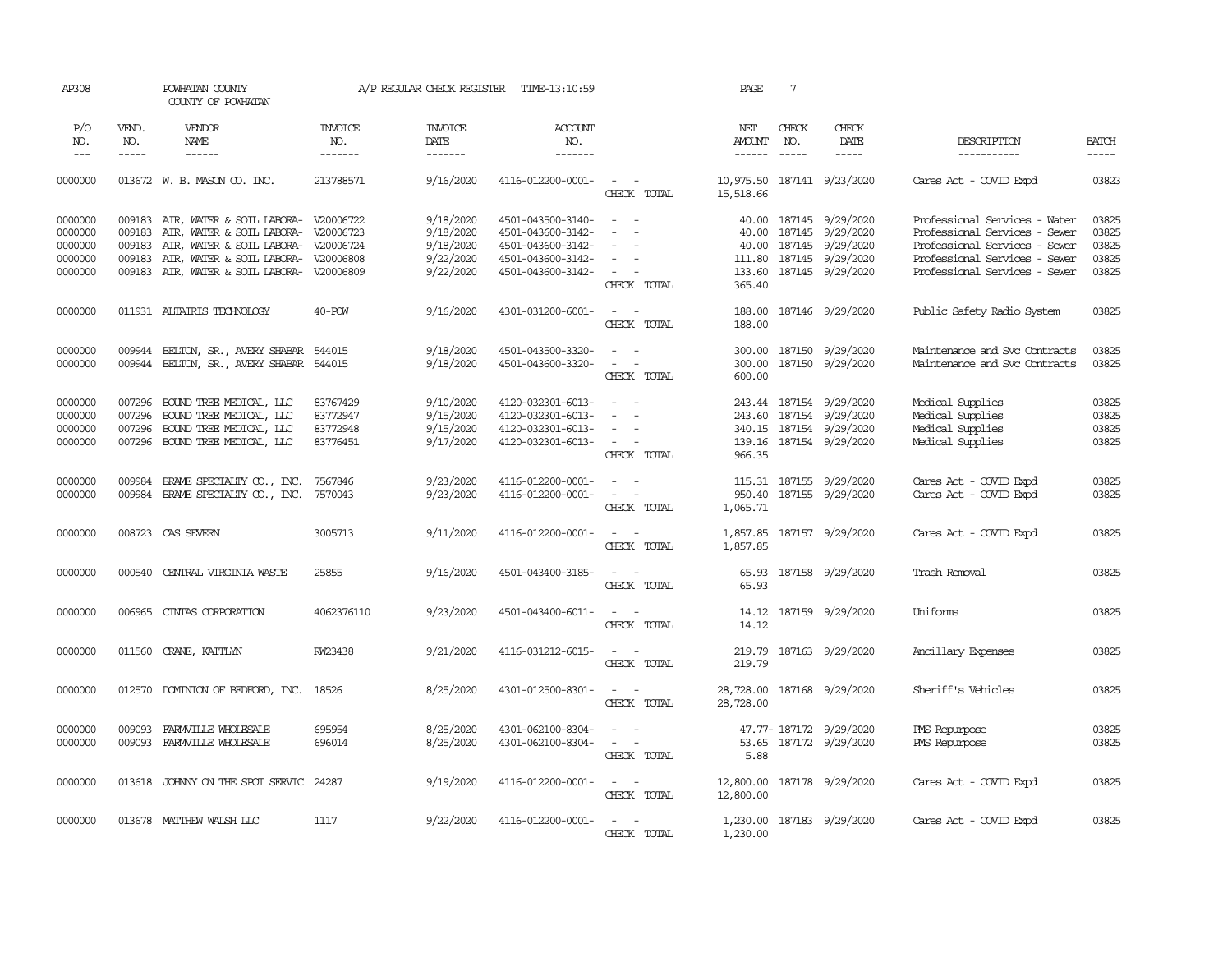| AP308                                               |                               | POWHATAN COUNTY<br>COUNTY OF POWHATAN                                                                                                                                                                         |                                              | A/P REGULAR CHECK REGISTER                                    | TIME-13:10:59                                                                                         |                                                                                                                                                     | PAGE                                  | $7\phantom{.0}$               |                                                                                                                            |                                                                                                                                                                   |                                           |
|-----------------------------------------------------|-------------------------------|---------------------------------------------------------------------------------------------------------------------------------------------------------------------------------------------------------------|----------------------------------------------|---------------------------------------------------------------|-------------------------------------------------------------------------------------------------------|-----------------------------------------------------------------------------------------------------------------------------------------------------|---------------------------------------|-------------------------------|----------------------------------------------------------------------------------------------------------------------------|-------------------------------------------------------------------------------------------------------------------------------------------------------------------|-------------------------------------------|
| P/O<br>NO.<br>$---$                                 | VEND.<br>NO.<br>$\frac{1}{2}$ | VENDOR<br>NAME<br>$- - - - - -$                                                                                                                                                                               | <b>INVOICE</b><br>NO.<br>-------             | <b>INVOICE</b><br>DATE<br>$- - - - - - -$                     | <b>ACCOUNT</b><br>NO.<br>$- - - - - - -$                                                              |                                                                                                                                                     | NET<br><b>AMOUNT</b><br>$- - - - - -$ | CHECK<br>NO.<br>$\frac{1}{2}$ | CHECK<br>DATE<br>$- - - - -$                                                                                               | DESCRIPTION<br>-----------                                                                                                                                        | <b>BATCH</b>                              |
| 0000000                                             |                               | 013672 W. B. MASON CO. INC.                                                                                                                                                                                   | 213788571                                    | 9/16/2020                                                     | 4116-012200-0001-                                                                                     | $\sim$ $ \sim$<br>CHECK TOTAL                                                                                                                       | 15,518.66                             |                               | 10,975.50 187141 9/23/2020                                                                                                 | Cares Act - COVID Expd                                                                                                                                            | 03823                                     |
| 0000000<br>0000000<br>0000000<br>0000000<br>0000000 | 009183<br>009183<br>009183    | 009183 AIR, WATER & SOIL LABORA- V20006722<br>AIR, WATER & SOIL LABORA- V20006723<br>AIR, WATER & SOIL LABORA- V20006724<br>AIR, WATER & SOIL LABORA- V20006808<br>009183 AIR, WATER & SOIL LABORA- V20006809 |                                              | 9/18/2020<br>9/18/2020<br>9/18/2020<br>9/22/2020<br>9/22/2020 | 4501-043500-3140-<br>4501-043600-3142-<br>4501-043600-3142-<br>4501-043600-3142-<br>4501-043600-3142- | $\sim$ $-$<br>$\sim$<br>$\sim$<br>$\sim$<br>$\sim$<br>$\overline{\phantom{0}}$<br>CHECK TOTAL                                                       | 40.00<br>365.40                       |                               | 40.00 187145 9/29/2020<br>187145 9/29/2020<br>40.00 187145 9/29/2020<br>111.80 187145 9/29/2020<br>133.60 187145 9/29/2020 | Professional Services - Water<br>Professional Services - Sewer<br>Professional Services - Sewer<br>Professional Services - Sewer<br>Professional Services - Sewer | 03825<br>03825<br>03825<br>03825<br>03825 |
| 0000000                                             |                               | 011931 ALTAIRIS TECHNOLOGY                                                                                                                                                                                    | 40-POW                                       | 9/16/2020                                                     | 4301-031200-6001-                                                                                     | $\sim$ $ \sim$<br>CHECK TOTAL                                                                                                                       | 188.00                                |                               | 188.00 187146 9/29/2020                                                                                                    | Public Safety Radio System                                                                                                                                        | 03825                                     |
| 0000000<br>0000000                                  | 009944<br>009944              | BELTON, SR., AVERY SHABAR 544015<br>BELTON, SR., AVERY SHABAR 544015                                                                                                                                          |                                              | 9/18/2020<br>9/18/2020                                        | 4501-043500-3320-<br>4501-043600-3320-                                                                | $\frac{1}{2} \left( \frac{1}{2} \right) \left( \frac{1}{2} \right) = \frac{1}{2} \left( \frac{1}{2} \right)$<br>$\sim$ $ -$<br>CHECK TOTAL          | 600.00                                |                               | 300.00 187150 9/29/2020<br>300.00 187150 9/29/2020                                                                         | Maintenance and Svc Contracts<br>Maintenance and Svc Contracts                                                                                                    | 03825<br>03825                            |
| 0000000<br>0000000<br>0000000<br>0000000            | 007296<br>007296<br>007296    | BOUND TREE MEDICAL, LLC<br>BOUND TREE MEDICAL, LLC<br>BOUND TREE MEDICAL, LLC<br>007296 BOUND TREE MEDICAL, LLC                                                                                               | 83767429<br>83772947<br>83772948<br>83776451 | 9/10/2020<br>9/15/2020<br>9/15/2020<br>9/17/2020              | 4120-032301-6013-<br>4120-032301-6013-<br>4120-032301-6013-<br>4120-032301-6013-                      | $\sim$ $ \sim$<br>$\sim$<br>$\sim$ $\sim$<br>CHECK TOTAL                                                                                            | 966.35                                |                               | 243.44 187154 9/29/2020<br>243.60 187154 9/29/2020<br>340.15 187154 9/29/2020<br>139.16 187154 9/29/2020                   | Medical Supplies<br>Medical Supplies<br>Medical Supplies<br>Medical Supplies                                                                                      | 03825<br>03825<br>03825<br>03825          |
| 0000000<br>0000000                                  | 009984<br>009984              | BRAME SPECIALITY CO., INC.<br>BRAME SPECIALITY CO., INC.                                                                                                                                                      | 7567846<br>7570043                           | 9/23/2020<br>9/23/2020                                        | 4116-012200-0001-<br>4116-012200-0001-                                                                | $\frac{1}{2} \left( \frac{1}{2} \right) \left( \frac{1}{2} \right) = \frac{1}{2} \left( \frac{1}{2} \right)$<br>$\sim$<br>$\sim$ $-$<br>CHECK TOTAL | 1,065.71                              |                               | 115.31 187155 9/29/2020<br>950.40 187155 9/29/2020                                                                         | Cares Act - COVID Expd<br>Cares Act - COVID Expd                                                                                                                  | 03825<br>03825                            |
| 0000000                                             |                               | 008723 CAS SEVERN                                                                                                                                                                                             | 3005713                                      | 9/11/2020                                                     | 4116-012200-0001-                                                                                     | $\sim$ $ \sim$<br>CHECK TOTAL                                                                                                                       | 1,857.85                              |                               | 1,857.85 187157 9/29/2020                                                                                                  | Cares Act - COVID Expd                                                                                                                                            | 03825                                     |
| 0000000                                             | 000540                        | CENTRAL VIRGINIA WASTE                                                                                                                                                                                        | 25855                                        | 9/16/2020                                                     | 4501-043400-3185-                                                                                     | $\sim$ $ \sim$<br>CHECK TOTAL                                                                                                                       | 65.93<br>65.93                        |                               | 187158 9/29/2020                                                                                                           | Trash Removal                                                                                                                                                     | 03825                                     |
| 0000000                                             | 006965                        | CINIAS CORPORATION                                                                                                                                                                                            | 4062376110                                   | 9/23/2020                                                     | 4501-043400-6011-                                                                                     | $\sim$<br>CHECK TOTAL                                                                                                                               | 14.12<br>14.12                        |                               | 187159 9/29/2020                                                                                                           | Uniforms                                                                                                                                                          | 03825                                     |
| 0000000                                             | 011560                        | CRANE, KAITLYN                                                                                                                                                                                                | RW23438                                      | 9/21/2020                                                     | 4116-031212-6015-                                                                                     | $\sim$<br>CHECK TOTAL                                                                                                                               | 219.79<br>219.79                      |                               | 187163 9/29/2020                                                                                                           | Ancillary Expenses                                                                                                                                                | 03825                                     |
| 0000000                                             | 012570                        | DOMINION OF BEDFORD, INC. 18526                                                                                                                                                                               |                                              | 8/25/2020                                                     | 4301-012500-8301-                                                                                     | $\sim$ $ -$<br>CHECK TOTAL                                                                                                                          | 28,728.00                             |                               | 28,728.00 187168 9/29/2020                                                                                                 | Sheriff's Vehicles                                                                                                                                                | 03825                                     |
| 0000000<br>0000000                                  | 009093<br>009093              | FARMVILLE WHOLESALE<br>FARMVILLE WHOLESALE                                                                                                                                                                    | 695954<br>696014                             | 8/25/2020<br>8/25/2020                                        | 4301-062100-8304-<br>4301-062100-8304-                                                                | $\frac{1}{2} \left( \frac{1}{2} \right) \left( \frac{1}{2} \right) = \frac{1}{2} \left( \frac{1}{2} \right)$<br>$\sim$ $ \sim$<br>CHECK TOTAL       | 53.65<br>5.88                         |                               | 47.77-187172 9/29/2020<br>187172 9/29/2020                                                                                 | PMS Repurpose<br>PMS Repurpose                                                                                                                                    | 03825<br>03825                            |
| 0000000                                             |                               | 013618 JOHNNY ON THE SPOT SERVIC 24287                                                                                                                                                                        |                                              | 9/19/2020                                                     | 4116-012200-0001-                                                                                     | $\sim$ $ -$<br>CHECK TOTAL                                                                                                                          | 12,800.00<br>12,800.00                |                               | 187178 9/29/2020                                                                                                           | Cares Act - COVID Expd                                                                                                                                            | 03825                                     |
| 0000000                                             |                               | 013678 MATTHEW WALSH LLC                                                                                                                                                                                      | 1117                                         | 9/22/2020                                                     | 4116-012200-0001-                                                                                     | $\sim$ $ \sim$<br>CHECK TOTAL                                                                                                                       | 1,230.00                              |                               | 1,230.00 187183 9/29/2020                                                                                                  | Cares Act - COVID Expd                                                                                                                                            | 03825                                     |